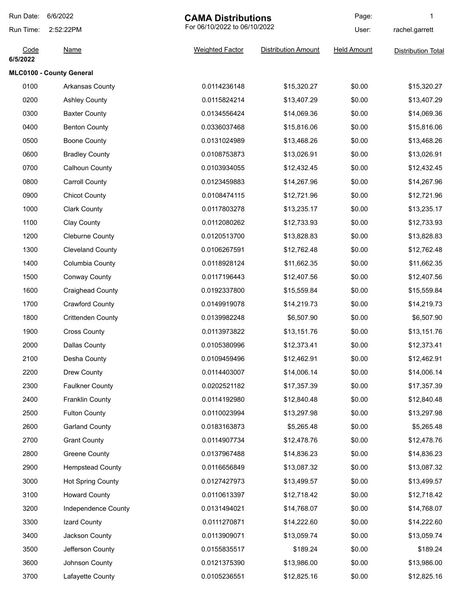| Run Date:        | 6/6/2022                 | <b>CAMA Distributions</b><br>For 06/10/2022 to 06/10/2022 |                            | Page:              | 1                         |
|------------------|--------------------------|-----------------------------------------------------------|----------------------------|--------------------|---------------------------|
| Run Time:        | 2:52:22PM                |                                                           |                            | User:              | rachel.garrett            |
| Code<br>6/5/2022 | <b>Name</b>              | <b>Weighted Factor</b>                                    | <b>Distribution Amount</b> | <b>Held Amount</b> | <b>Distribution Total</b> |
|                  | MLC0100 - County General |                                                           |                            |                    |                           |
| 0100             | Arkansas County          | 0.0114236148                                              | \$15,320.27                | \$0.00             | \$15,320.27               |
| 0200             | <b>Ashley County</b>     | 0.0115824214                                              | \$13,407.29                | \$0.00             | \$13,407.29               |
| 0300             | <b>Baxter County</b>     | 0.0134556424                                              | \$14,069.36                | \$0.00             | \$14,069.36               |
| 0400             | <b>Benton County</b>     | 0.0336037468                                              | \$15,816.06                | \$0.00             | \$15,816.06               |
| 0500             | <b>Boone County</b>      | 0.0131024989                                              | \$13,468.26                | \$0.00             | \$13,468.26               |
| 0600             | <b>Bradley County</b>    | 0.0108753873                                              | \$13,026.91                | \$0.00             | \$13,026.91               |
| 0700             | Calhoun County           | 0.0103934055                                              | \$12,432.45                | \$0.00             | \$12,432.45               |
| 0800             | <b>Carroll County</b>    | 0.0123459883                                              | \$14,267.96                | \$0.00             | \$14,267.96               |
| 0900             | <b>Chicot County</b>     | 0.0108474115                                              | \$12,721.96                | \$0.00             | \$12,721.96               |
| 1000             | <b>Clark County</b>      | 0.0117803278                                              | \$13,235.17                | \$0.00             | \$13,235.17               |
| 1100             | <b>Clay County</b>       | 0.0112080262                                              | \$12,733.93                | \$0.00             | \$12,733.93               |
| 1200             | <b>Cleburne County</b>   | 0.0120513700                                              | \$13,828.83                | \$0.00             | \$13,828.83               |
| 1300             | <b>Cleveland County</b>  | 0.0106267591                                              | \$12,762.48                | \$0.00             | \$12,762.48               |
| 1400             | Columbia County          | 0.0118928124                                              | \$11,662.35                | \$0.00             | \$11,662.35               |
| 1500             | <b>Conway County</b>     | 0.0117196443                                              | \$12,407.56                | \$0.00             | \$12,407.56               |
| 1600             | <b>Craighead County</b>  | 0.0192337800                                              | \$15,559.84                | \$0.00             | \$15,559.84               |
| 1700             | <b>Crawford County</b>   | 0.0149919078                                              | \$14,219.73                | \$0.00             | \$14,219.73               |
| 1800             | <b>Crittenden County</b> | 0.0139982248                                              | \$6,507.90                 | \$0.00             | \$6,507.90                |
| 1900             | <b>Cross County</b>      | 0.0113973822                                              | \$13,151.76                | \$0.00             | \$13,151.76               |
| 2000             | Dallas County            | 0.0105380996                                              | \$12,373.41                | \$0.00             | \$12,373.41               |
| 2100             | Desha County             | 0.0109459496                                              | \$12,462.91                | \$0.00             | \$12,462.91               |
| 2200             | Drew County              | 0.0114403007                                              | \$14,006.14                | \$0.00             | \$14,006.14               |
| 2300             | <b>Faulkner County</b>   | 0.0202521182                                              | \$17,357.39                | \$0.00             | \$17,357.39               |
| 2400             | Franklin County          | 0.0114192980                                              | \$12,840.48                | \$0.00             | \$12,840.48               |
| 2500             | <b>Fulton County</b>     | 0.0110023994                                              | \$13,297.98                | \$0.00             | \$13,297.98               |
| 2600             | <b>Garland County</b>    | 0.0183163873                                              | \$5,265.48                 | \$0.00             | \$5,265.48                |
| 2700             | <b>Grant County</b>      | 0.0114907734                                              | \$12,478.76                | \$0.00             | \$12,478.76               |
| 2800             | <b>Greene County</b>     | 0.0137967488                                              | \$14,836.23                | \$0.00             | \$14,836.23               |
| 2900             | <b>Hempstead County</b>  | 0.0116656849                                              | \$13,087.32                | \$0.00             | \$13,087.32               |
| 3000             | <b>Hot Spring County</b> | 0.0127427973                                              | \$13,499.57                | \$0.00             | \$13,499.57               |
| 3100             | <b>Howard County</b>     | 0.0110613397                                              | \$12,718.42                | \$0.00             | \$12,718.42               |
| 3200             | Independence County      | 0.0131494021                                              | \$14,768.07                | \$0.00             | \$14,768.07               |
| 3300             | Izard County             | 0.0111270871                                              | \$14,222.60                | \$0.00             | \$14,222.60               |
| 3400             | Jackson County           | 0.0113909071                                              | \$13,059.74                | \$0.00             | \$13,059.74               |
| 3500             | Jefferson County         | 0.0155835517                                              | \$189.24                   | \$0.00             | \$189.24                  |
| 3600             | Johnson County           | 0.0121375390                                              | \$13,986.00                | \$0.00             | \$13,986.00               |
| 3700             | Lafayette County         | 0.0105236551                                              | \$12,825.16                | \$0.00             | \$12,825.16               |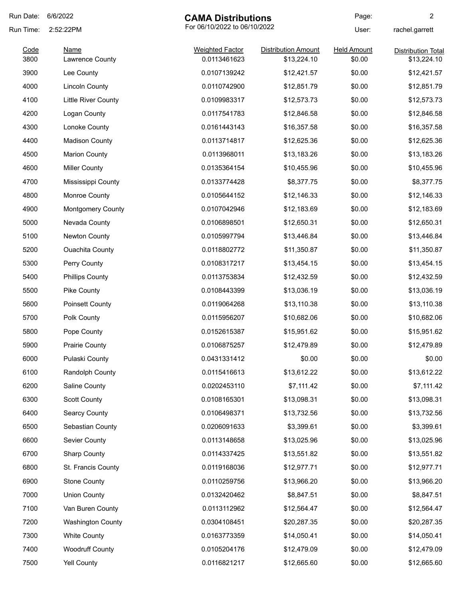| Run Date: | 6/6/2022                   | <b>CAMA Distributions</b>    |                            | Page:              | 2                         |
|-----------|----------------------------|------------------------------|----------------------------|--------------------|---------------------------|
| Run Time: | 2:52:22PM                  | For 06/10/2022 to 06/10/2022 |                            | User:              | rachel.garrett            |
| Code      | <b>Name</b>                | <b>Weighted Factor</b>       | <b>Distribution Amount</b> | <b>Held Amount</b> | <b>Distribution Total</b> |
| 3800      | Lawrence County            | 0.0113461623                 | \$13,224.10                | \$0.00             | \$13,224.10               |
| 3900      | Lee County                 | 0.0107139242                 | \$12,421.57                | \$0.00             | \$12,421.57               |
| 4000      | <b>Lincoln County</b>      | 0.0110742900                 | \$12,851.79                | \$0.00             | \$12,851.79               |
| 4100      | <b>Little River County</b> | 0.0109983317                 | \$12,573.73                | \$0.00             | \$12,573.73               |
| 4200      | Logan County               | 0.0117541783                 | \$12,846.58                | \$0.00             | \$12,846.58               |
| 4300      | Lonoke County              | 0.0161443143                 | \$16,357.58                | \$0.00             | \$16,357.58               |
| 4400      | <b>Madison County</b>      | 0.0113714817                 | \$12,625.36                | \$0.00             | \$12,625.36               |
| 4500      | <b>Marion County</b>       | 0.0113968011                 | \$13,183.26                | \$0.00             | \$13,183.26               |
| 4600      | <b>Miller County</b>       | 0.0135364154                 | \$10,455.96                | \$0.00             | \$10,455.96               |
| 4700      | Mississippi County         | 0.0133774428                 | \$8,377.75                 | \$0.00             | \$8,377.75                |
| 4800      | <b>Monroe County</b>       | 0.0105644152                 | \$12,146.33                | \$0.00             | \$12,146.33               |
| 4900      | Montgomery County          | 0.0107042946                 | \$12,183.69                | \$0.00             | \$12,183.69               |
| 5000      | Nevada County              | 0.0106898501                 | \$12,650.31                | \$0.00             | \$12,650.31               |
| 5100      | Newton County              | 0.0105997794                 | \$13,446.84                | \$0.00             | \$13,446.84               |
| 5200      | <b>Ouachita County</b>     | 0.0118802772                 | \$11,350.87                | \$0.00             | \$11,350.87               |
| 5300      | Perry County               | 0.0108317217                 | \$13,454.15                | \$0.00             | \$13,454.15               |
| 5400      | <b>Phillips County</b>     | 0.0113753834                 | \$12,432.59                | \$0.00             | \$12,432.59               |
| 5500      | Pike County                | 0.0108443399                 | \$13,036.19                | \$0.00             | \$13,036.19               |
| 5600      | <b>Poinsett County</b>     | 0.0119064268                 | \$13,110.38                | \$0.00             | \$13,110.38               |
| 5700      | Polk County                | 0.0115956207                 | \$10,682.06                | \$0.00             | \$10,682.06               |
| 5800      | Pope County                | 0.0152615387                 | \$15,951.62                | \$0.00             | \$15,951.62               |
| 5900      | <b>Prairie County</b>      | 0.0106875257                 | \$12,479.89                | \$0.00             | \$12,479.89               |
| 6000      | Pulaski County             | 0.0431331412                 | \$0.00                     | \$0.00             | \$0.00                    |
| 6100      | Randolph County            | 0.0115416613                 | \$13,612.22                | \$0.00             | \$13,612.22               |
| 6200      | Saline County              | 0.0202453110                 | \$7,111.42                 | \$0.00             | \$7,111.42                |
| 6300      | <b>Scott County</b>        | 0.0108165301                 | \$13,098.31                | \$0.00             | \$13,098.31               |
| 6400      | Searcy County              | 0.0106498371                 | \$13,732.56                | \$0.00             | \$13,732.56               |
| 6500      | Sebastian County           | 0.0206091633                 | \$3,399.61                 | \$0.00             | \$3,399.61                |
| 6600      | Sevier County              | 0.0113148658                 | \$13,025.96                | \$0.00             | \$13,025.96               |
| 6700      | <b>Sharp County</b>        | 0.0114337425                 | \$13,551.82                | \$0.00             | \$13,551.82               |
| 6800      | St. Francis County         | 0.0119168036                 | \$12,977.71                | \$0.00             | \$12,977.71               |
| 6900      | <b>Stone County</b>        | 0.0110259756                 | \$13,966.20                | \$0.00             | \$13,966.20               |
| 7000      | <b>Union County</b>        | 0.0132420462                 | \$8,847.51                 | \$0.00             | \$8,847.51                |
| 7100      | Van Buren County           | 0.0113112962                 | \$12,564.47                | \$0.00             | \$12,564.47               |
| 7200      | <b>Washington County</b>   | 0.0304108451                 | \$20,287.35                | \$0.00             | \$20,287.35               |
| 7300      | <b>White County</b>        | 0.0163773359                 | \$14,050.41                | \$0.00             | \$14,050.41               |
| 7400      | <b>Woodruff County</b>     | 0.0105204176                 | \$12,479.09                | \$0.00             | \$12,479.09               |
| 7500      | Yell County                | 0.0116821217                 | \$12,665.60                | \$0.00             | \$12,665.60               |
|           |                            |                              |                            |                    |                           |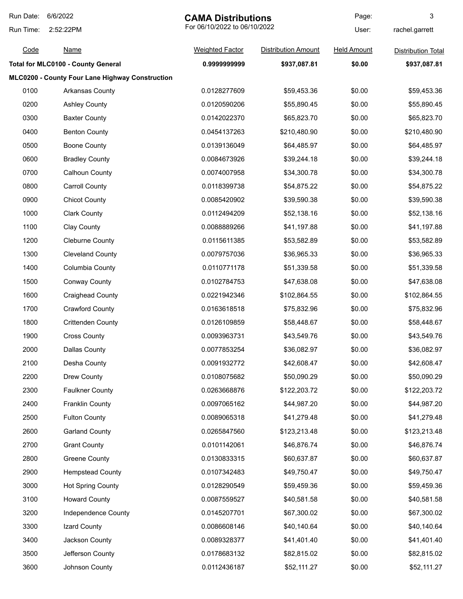| Run Date: | 6/6/2022                                        | <b>CAMA Distributions</b> |                              | Page:              | 3                         |
|-----------|-------------------------------------------------|---------------------------|------------------------------|--------------------|---------------------------|
| Run Time: | 2:52:22PM                                       |                           | For 06/10/2022 to 06/10/2022 |                    | rachel.garrett            |
| Code      | <b>Name</b>                                     | <b>Weighted Factor</b>    | <b>Distribution Amount</b>   | <b>Held Amount</b> | <b>Distribution Total</b> |
|           | <b>Total for MLC0100 - County General</b>       | 0.999999999               | \$937,087.81                 | \$0.00             | \$937,087.81              |
|           | MLC0200 - County Four Lane Highway Construction |                           |                              |                    |                           |
| 0100      | Arkansas County                                 | 0.0128277609              | \$59,453.36                  | \$0.00             | \$59,453.36               |
| 0200      | <b>Ashley County</b>                            | 0.0120590206              | \$55,890.45                  | \$0.00             | \$55,890.45               |
| 0300      | <b>Baxter County</b>                            | 0.0142022370              | \$65,823.70                  | \$0.00             | \$65,823.70               |
| 0400      | <b>Benton County</b>                            | 0.0454137263              | \$210,480.90                 | \$0.00             | \$210,480.90              |
| 0500      | <b>Boone County</b>                             | 0.0139136049              | \$64,485.97                  | \$0.00             | \$64,485.97               |
| 0600      | <b>Bradley County</b>                           | 0.0084673926              | \$39,244.18                  | \$0.00             | \$39,244.18               |
| 0700      | <b>Calhoun County</b>                           | 0.0074007958              | \$34,300.78                  | \$0.00             | \$34,300.78               |
| 0800      | <b>Carroll County</b>                           | 0.0118399738              | \$54,875.22                  | \$0.00             | \$54,875.22               |
| 0900      | <b>Chicot County</b>                            | 0.0085420902              | \$39,590.38                  | \$0.00             | \$39,590.38               |
| 1000      | <b>Clark County</b>                             | 0.0112494209              | \$52,138.16                  | \$0.00             | \$52,138.16               |
| 1100      | <b>Clay County</b>                              | 0.0088889266              | \$41,197.88                  | \$0.00             | \$41,197.88               |
| 1200      | <b>Cleburne County</b>                          | 0.0115611385              | \$53,582.89                  | \$0.00             | \$53,582.89               |
| 1300      | <b>Cleveland County</b>                         | 0.0079757036              | \$36,965.33                  | \$0.00             | \$36,965.33               |
| 1400      | Columbia County                                 | 0.0110771178              | \$51,339.58                  | \$0.00             | \$51,339.58               |
| 1500      | <b>Conway County</b>                            | 0.0102784753              | \$47,638.08                  | \$0.00             | \$47,638.08               |
| 1600      | <b>Craighead County</b>                         | 0.0221942346              | \$102,864.55                 | \$0.00             | \$102,864.55              |
| 1700      | <b>Crawford County</b>                          | 0.0163618518              | \$75,832.96                  | \$0.00             | \$75,832.96               |
| 1800      | <b>Crittenden County</b>                        | 0.0126109859              | \$58,448.67                  | \$0.00             | \$58,448.67               |
| 1900      | <b>Cross County</b>                             | 0.0093963731              | \$43,549.76                  | \$0.00             | \$43,549.76               |
| 2000      | <b>Dallas County</b>                            | 0.0077853254              | \$36,082.97                  | \$0.00             | \$36,082.97               |
| 2100      | Desha County                                    | 0.0091932772              | \$42,608.47                  | \$0.00             | \$42,608.47               |
| 2200      | Drew County                                     | 0.0108075682              | \$50,090.29                  | \$0.00             | \$50,090.29               |
| 2300      | <b>Faulkner County</b>                          | 0.0263668876              | \$122,203.72                 | \$0.00             | \$122,203.72              |
| 2400      | <b>Franklin County</b>                          | 0.0097065162              | \$44,987.20                  | \$0.00             | \$44,987.20               |
| 2500      | <b>Fulton County</b>                            | 0.0089065318              | \$41,279.48                  | \$0.00             | \$41,279.48               |
| 2600      | <b>Garland County</b>                           | 0.0265847560              | \$123,213.48                 | \$0.00             | \$123,213.48              |
| 2700      | <b>Grant County</b>                             | 0.0101142061              | \$46,876.74                  | \$0.00             | \$46,876.74               |
| 2800      | <b>Greene County</b>                            | 0.0130833315              | \$60,637.87                  | \$0.00             | \$60,637.87               |
| 2900      | <b>Hempstead County</b>                         | 0.0107342483              | \$49,750.47                  | \$0.00             | \$49,750.47               |
| 3000      | <b>Hot Spring County</b>                        | 0.0128290549              | \$59,459.36                  | \$0.00             | \$59,459.36               |
| 3100      | <b>Howard County</b>                            | 0.0087559527              | \$40,581.58                  | \$0.00             | \$40,581.58               |
| 3200      | Independence County                             | 0.0145207701              | \$67,300.02                  | \$0.00             | \$67,300.02               |
| 3300      | Izard County                                    | 0.0086608146              | \$40,140.64                  | \$0.00             | \$40,140.64               |
| 3400      | Jackson County                                  | 0.0089328377              | \$41,401.40                  | \$0.00             | \$41,401.40               |
| 3500      | Jefferson County                                | 0.0178683132              | \$82,815.02                  | \$0.00             | \$82,815.02               |
| 3600      | Johnson County                                  | 0.0112436187              | \$52,111.27                  | \$0.00             | \$52,111.27               |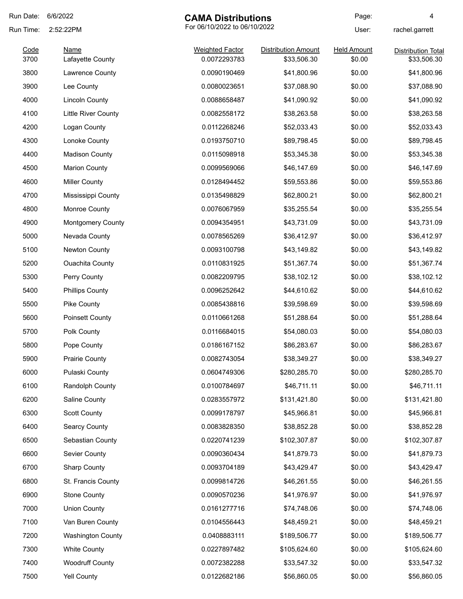| Run Date: | 6/6/2022                 | <b>CAMA Distributions</b>    |                            | Page:              | 4                         |
|-----------|--------------------------|------------------------------|----------------------------|--------------------|---------------------------|
| Run Time: | 2:52:22PM                | For 06/10/2022 to 06/10/2022 |                            | User:              | rachel.garrett            |
| Code      | <b>Name</b>              | <b>Weighted Factor</b>       | <b>Distribution Amount</b> | <b>Held Amount</b> | <b>Distribution Total</b> |
| 3700      | Lafayette County         | 0.0072293783                 | \$33,506.30                | \$0.00             | \$33,506.30               |
| 3800      | Lawrence County          | 0.0090190469                 | \$41,800.96                | \$0.00             | \$41,800.96               |
| 3900      | Lee County               | 0.0080023651                 | \$37,088.90                | \$0.00             | \$37,088.90               |
| 4000      | <b>Lincoln County</b>    | 0.0088658487                 | \$41,090.92                | \$0.00             | \$41,090.92               |
| 4100      | Little River County      | 0.0082558172                 | \$38,263.58                | \$0.00             | \$38,263.58               |
| 4200      | Logan County             | 0.0112268246                 | \$52,033.43                | \$0.00             | \$52,033.43               |
| 4300      | Lonoke County            | 0.0193750710                 | \$89,798.45                | \$0.00             | \$89,798.45               |
| 4400      | <b>Madison County</b>    | 0.0115098918                 | \$53,345.38                | \$0.00             | \$53,345.38               |
| 4500      | <b>Marion County</b>     | 0.0099569066                 | \$46,147.69                | \$0.00             | \$46,147.69               |
| 4600      | <b>Miller County</b>     | 0.0128494452                 | \$59,553.86                | \$0.00             | \$59,553.86               |
| 4700      | Mississippi County       | 0.0135498829                 | \$62,800.21                | \$0.00             | \$62,800.21               |
| 4800      | Monroe County            | 0.0076067959                 | \$35,255.54                | \$0.00             | \$35,255.54               |
| 4900      | <b>Montgomery County</b> | 0.0094354951                 | \$43,731.09                | \$0.00             | \$43,731.09               |
| 5000      | Nevada County            | 0.0078565269                 | \$36,412.97                | \$0.00             | \$36,412.97               |
| 5100      | Newton County            | 0.0093100798                 | \$43,149.82                | \$0.00             | \$43,149.82               |
| 5200      | <b>Ouachita County</b>   | 0.0110831925                 | \$51,367.74                | \$0.00             | \$51,367.74               |
| 5300      | Perry County             | 0.0082209795                 | \$38,102.12                | \$0.00             | \$38,102.12               |
| 5400      | <b>Phillips County</b>   | 0.0096252642                 | \$44,610.62                | \$0.00             | \$44,610.62               |
| 5500      | Pike County              | 0.0085438816                 | \$39,598.69                | \$0.00             | \$39,598.69               |
| 5600      | Poinsett County          | 0.0110661268                 | \$51,288.64                | \$0.00             | \$51,288.64               |
| 5700      | Polk County              | 0.0116684015                 | \$54,080.03                | \$0.00             | \$54,080.03               |
| 5800      | Pope County              | 0.0186167152                 | \$86,283.67                | \$0.00             | \$86,283.67               |
| 5900      | <b>Prairie County</b>    | 0.0082743054                 | \$38,349.27                | \$0.00             | \$38,349.27               |
| 6000      | Pulaski County           | 0.0604749306                 | \$280,285.70               | \$0.00             | \$280,285.70              |
| 6100      | Randolph County          | 0.0100784697                 | \$46,711.11                | \$0.00             | \$46,711.11               |
| 6200      | Saline County            | 0.0283557972                 | \$131,421.80               | \$0.00             | \$131,421.80              |
| 6300      | <b>Scott County</b>      | 0.0099178797                 | \$45,966.81                | \$0.00             | \$45,966.81               |
| 6400      | <b>Searcy County</b>     | 0.0083828350                 | \$38,852.28                | \$0.00             | \$38,852.28               |
| 6500      | Sebastian County         | 0.0220741239                 | \$102,307.87               | \$0.00             | \$102,307.87              |
| 6600      | Sevier County            | 0.0090360434                 | \$41,879.73                | \$0.00             | \$41,879.73               |
| 6700      | <b>Sharp County</b>      | 0.0093704189                 | \$43,429.47                | \$0.00             | \$43,429.47               |
| 6800      | St. Francis County       | 0.0099814726                 | \$46,261.55                | \$0.00             | \$46,261.55               |
| 6900      | <b>Stone County</b>      | 0.0090570236                 | \$41,976.97                | \$0.00             | \$41,976.97               |
| 7000      | <b>Union County</b>      | 0.0161277716                 | \$74,748.06                | \$0.00             | \$74,748.06               |
| 7100      | Van Buren County         | 0.0104556443                 | \$48,459.21                | \$0.00             | \$48,459.21               |
| 7200      | <b>Washington County</b> | 0.0408883111                 | \$189,506.77               | \$0.00             | \$189,506.77              |
| 7300      | <b>White County</b>      | 0.0227897482                 | \$105,624.60               | \$0.00             | \$105,624.60              |
| 7400      | <b>Woodruff County</b>   | 0.0072382288                 | \$33,547.32                | \$0.00             | \$33,547.32               |
| 7500      | Yell County              | 0.0122682186                 | \$56,860.05                | \$0.00             | \$56,860.05               |
|           |                          |                              |                            |                    |                           |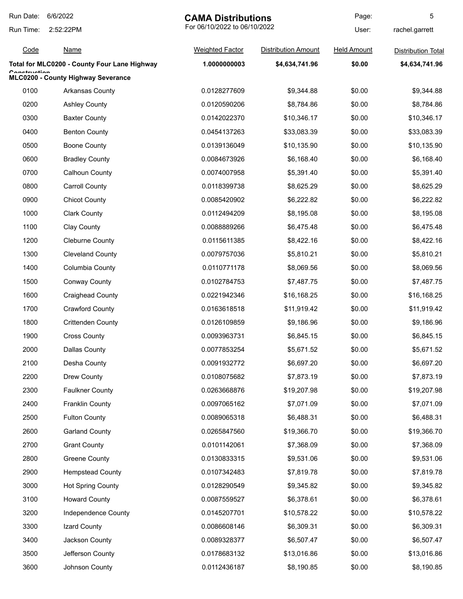| Run Date:    | 6/6/2022<br><b>CAMA Distributions</b>        |                              | Page:                      | 5                  |                           |
|--------------|----------------------------------------------|------------------------------|----------------------------|--------------------|---------------------------|
| Run Time:    | 2:52:22PM                                    | For 06/10/2022 to 06/10/2022 |                            | User:              | rachel.garrett            |
| Code         | <b>Name</b>                                  | <b>Weighted Factor</b>       | <b>Distribution Amount</b> | <b>Held Amount</b> | <b>Distribution Total</b> |
|              | Total for MLC0200 - County Four Lane Highway | 1.0000000003                 | \$4,634,741.96             | \$0.00             | \$4,634,741.96            |
| Canatruatian | MLC0200 - County Highway Severance           |                              |                            |                    |                           |
| 0100         | <b>Arkansas County</b>                       | 0.0128277609                 | \$9,344.88                 | \$0.00             | \$9,344.88                |
| 0200         | <b>Ashley County</b>                         | 0.0120590206                 | \$8,784.86                 | \$0.00             | \$8,784.86                |
| 0300         | <b>Baxter County</b>                         | 0.0142022370                 | \$10,346.17                | \$0.00             | \$10,346.17               |
| 0400         | <b>Benton County</b>                         | 0.0454137263                 | \$33,083.39                | \$0.00             | \$33,083.39               |
| 0500         | <b>Boone County</b>                          | 0.0139136049                 | \$10,135.90                | \$0.00             | \$10,135.90               |
| 0600         | <b>Bradley County</b>                        | 0.0084673926                 | \$6,168.40                 | \$0.00             | \$6,168.40                |
| 0700         | <b>Calhoun County</b>                        | 0.0074007958                 | \$5,391.40                 | \$0.00             | \$5,391.40                |
| 0800         | <b>Carroll County</b>                        | 0.0118399738                 | \$8,625.29                 | \$0.00             | \$8,625.29                |
| 0900         | <b>Chicot County</b>                         | 0.0085420902                 | \$6,222.82                 | \$0.00             | \$6,222.82                |
| 1000         | <b>Clark County</b>                          | 0.0112494209                 | \$8,195.08                 | \$0.00             | \$8,195.08                |
| 1100         | Clay County                                  | 0.0088889266                 | \$6,475.48                 | \$0.00             | \$6,475.48                |
| 1200         | <b>Cleburne County</b>                       | 0.0115611385                 | \$8,422.16                 | \$0.00             | \$8,422.16                |
| 1300         | <b>Cleveland County</b>                      | 0.0079757036                 | \$5,810.21                 | \$0.00             | \$5,810.21                |
| 1400         | Columbia County                              | 0.0110771178                 | \$8,069.56                 | \$0.00             | \$8,069.56                |
| 1500         | <b>Conway County</b>                         | 0.0102784753                 | \$7,487.75                 | \$0.00             | \$7,487.75                |
| 1600         | <b>Craighead County</b>                      | 0.0221942346                 | \$16,168.25                | \$0.00             | \$16,168.25               |
| 1700         | <b>Crawford County</b>                       | 0.0163618518                 | \$11,919.42                | \$0.00             | \$11,919.42               |
| 1800         | <b>Crittenden County</b>                     | 0.0126109859                 | \$9,186.96                 | \$0.00             | \$9,186.96                |
| 1900         | <b>Cross County</b>                          | 0.0093963731                 | \$6,845.15                 | \$0.00             | \$6,845.15                |
| 2000         | Dallas County                                | 0.0077853254                 | \$5,671.52                 | \$0.00             | \$5,671.52                |
| 2100         | Desha County                                 | 0.0091932772                 | \$6,697.20                 | \$0.00             | \$6,697.20                |
| 2200         | Drew County                                  | 0.0108075682                 | \$7,873.19                 | \$0.00             | \$7,873.19                |
| 2300         | <b>Faulkner County</b>                       | 0.0263668876                 | \$19,207.98                | \$0.00             | \$19,207.98               |
| 2400         | <b>Franklin County</b>                       | 0.0097065162                 | \$7,071.09                 | \$0.00             | \$7,071.09                |
| 2500         | <b>Fulton County</b>                         | 0.0089065318                 | \$6,488.31                 | \$0.00             | \$6,488.31                |
| 2600         | <b>Garland County</b>                        | 0.0265847560                 | \$19,366.70                | \$0.00             | \$19,366.70               |
| 2700         | <b>Grant County</b>                          | 0.0101142061                 | \$7,368.09                 | \$0.00             | \$7,368.09                |
| 2800         | <b>Greene County</b>                         | 0.0130833315                 | \$9,531.06                 | \$0.00             | \$9,531.06                |
| 2900         | <b>Hempstead County</b>                      | 0.0107342483                 | \$7,819.78                 | \$0.00             | \$7,819.78                |
| 3000         | <b>Hot Spring County</b>                     | 0.0128290549                 | \$9,345.82                 | \$0.00             | \$9,345.82                |
| 3100         | <b>Howard County</b>                         | 0.0087559527                 | \$6,378.61                 | \$0.00             | \$6,378.61                |
| 3200         | Independence County                          | 0.0145207701                 | \$10,578.22                | \$0.00             | \$10,578.22               |
| 3300         | Izard County                                 | 0.0086608146                 | \$6,309.31                 | \$0.00             | \$6,309.31                |
| 3400         | Jackson County                               | 0.0089328377                 | \$6,507.47                 | \$0.00             | \$6,507.47                |
| 3500         | Jefferson County                             | 0.0178683132                 | \$13,016.86                | \$0.00             | \$13,016.86               |
| 3600         | Johnson County                               | 0.0112436187                 | \$8,190.85                 | \$0.00             | \$8,190.85                |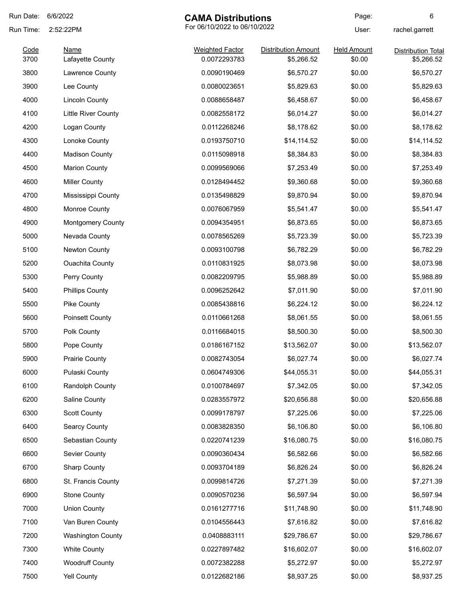| Run Date: | 6/6/2022                   | <b>CAMA Distributions</b>    |                            | Page:              | 6                         |
|-----------|----------------------------|------------------------------|----------------------------|--------------------|---------------------------|
| Run Time: | 2:52:22PM                  | For 06/10/2022 to 06/10/2022 |                            | User:              | rachel.garrett            |
| Code      | <b>Name</b>                | <b>Weighted Factor</b>       | <b>Distribution Amount</b> | <b>Held Amount</b> | <b>Distribution Total</b> |
| 3700      | Lafayette County           | 0.0072293783                 | \$5,266.52                 | \$0.00             | \$5,266.52                |
| 3800      | Lawrence County            | 0.0090190469                 | \$6,570.27                 | \$0.00             | \$6,570.27                |
| 3900      | Lee County                 | 0.0080023651                 | \$5,829.63                 | \$0.00             | \$5,829.63                |
| 4000      | <b>Lincoln County</b>      | 0.0088658487                 | \$6,458.67                 | \$0.00             | \$6,458.67                |
| 4100      | <b>Little River County</b> | 0.0082558172                 | \$6,014.27                 | \$0.00             | \$6,014.27                |
| 4200      | Logan County               | 0.0112268246                 | \$8,178.62                 | \$0.00             | \$8,178.62                |
| 4300      | Lonoke County              | 0.0193750710                 | \$14,114.52                | \$0.00             | \$14,114.52               |
| 4400      | <b>Madison County</b>      | 0.0115098918                 | \$8,384.83                 | \$0.00             | \$8,384.83                |
| 4500      | <b>Marion County</b>       | 0.0099569066                 | \$7,253.49                 | \$0.00             | \$7,253.49                |
| 4600      | <b>Miller County</b>       | 0.0128494452                 | \$9,360.68                 | \$0.00             | \$9,360.68                |
| 4700      | Mississippi County         | 0.0135498829                 | \$9,870.94                 | \$0.00             | \$9,870.94                |
| 4800      | Monroe County              | 0.0076067959                 | \$5,541.47                 | \$0.00             | \$5,541.47                |
| 4900      | <b>Montgomery County</b>   | 0.0094354951                 | \$6,873.65                 | \$0.00             | \$6,873.65                |
| 5000      | Nevada County              | 0.0078565269                 | \$5,723.39                 | \$0.00             | \$5,723.39                |
| 5100      | Newton County              | 0.0093100798                 | \$6,782.29                 | \$0.00             | \$6,782.29                |
| 5200      | <b>Ouachita County</b>     | 0.0110831925                 | \$8,073.98                 | \$0.00             | \$8,073.98                |
| 5300      | Perry County               | 0.0082209795                 | \$5,988.89                 | \$0.00             | \$5,988.89                |
| 5400      | <b>Phillips County</b>     | 0.0096252642                 | \$7,011.90                 | \$0.00             | \$7,011.90                |
| 5500      | Pike County                | 0.0085438816                 | \$6,224.12                 | \$0.00             | \$6,224.12                |
| 5600      | Poinsett County            | 0.0110661268                 | \$8,061.55                 | \$0.00             | \$8,061.55                |
| 5700      | Polk County                | 0.0116684015                 | \$8,500.30                 | \$0.00             | \$8,500.30                |
| 5800      | Pope County                | 0.0186167152                 | \$13,562.07                | \$0.00             | \$13,562.07               |
| 5900      | <b>Prairie County</b>      | 0.0082743054                 | \$6,027.74                 | \$0.00             | \$6,027.74                |
| 6000      | Pulaski County             | 0.0604749306                 | \$44,055.31                | \$0.00             | \$44,055.31               |
| 6100      | Randolph County            | 0.0100784697                 | \$7,342.05                 | \$0.00             | \$7,342.05                |
| 6200      | Saline County              | 0.0283557972                 | \$20,656.88                | \$0.00             | \$20,656.88               |
| 6300      | <b>Scott County</b>        | 0.0099178797                 | \$7,225.06                 | \$0.00             | \$7,225.06                |
| 6400      | <b>Searcy County</b>       | 0.0083828350                 | \$6,106.80                 | \$0.00             | \$6,106.80                |
| 6500      | Sebastian County           | 0.0220741239                 | \$16,080.75                | \$0.00             | \$16,080.75               |
| 6600      | Sevier County              | 0.0090360434                 | \$6,582.66                 | \$0.00             | \$6,582.66                |
| 6700      | <b>Sharp County</b>        | 0.0093704189                 | \$6,826.24                 | \$0.00             | \$6,826.24                |
| 6800      | St. Francis County         | 0.0099814726                 | \$7,271.39                 | \$0.00             | \$7,271.39                |
| 6900      | <b>Stone County</b>        | 0.0090570236                 | \$6,597.94                 | \$0.00             | \$6,597.94                |
| 7000      | <b>Union County</b>        | 0.0161277716                 | \$11,748.90                | \$0.00             | \$11,748.90               |
| 7100      | Van Buren County           | 0.0104556443                 | \$7,616.82                 | \$0.00             | \$7,616.82                |
| 7200      | <b>Washington County</b>   | 0.0408883111                 | \$29,786.67                | \$0.00             | \$29,786.67               |
| 7300      | <b>White County</b>        | 0.0227897482                 | \$16,602.07                | \$0.00             | \$16,602.07               |
| 7400      | <b>Woodruff County</b>     | 0.0072382288                 | \$5,272.97                 | \$0.00             | \$5,272.97                |
| 7500      | Yell County                | 0.0122682186                 | \$8,937.25                 | \$0.00             | \$8,937.25                |
|           |                            |                              |                            |                    |                           |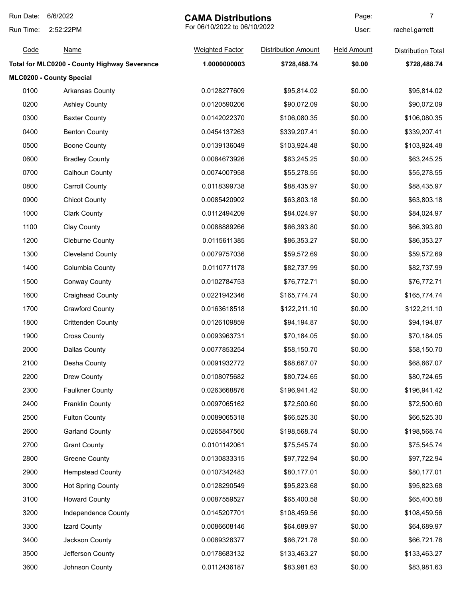| Run Date: | 6/6/2022                                     | <b>CAMA Distributions</b>    |                            | Page:              | 7                         |
|-----------|----------------------------------------------|------------------------------|----------------------------|--------------------|---------------------------|
| Run Time: | 2:52:22PM                                    | For 06/10/2022 to 06/10/2022 |                            | User:              | rachel.garrett            |
| Code      | <b>Name</b>                                  | <b>Weighted Factor</b>       | <b>Distribution Amount</b> | <b>Held Amount</b> | <b>Distribution Total</b> |
|           | Total for MLC0200 - County Highway Severance | 1.0000000003                 | \$728,488.74               | \$0.00             | \$728,488.74              |
|           | MLC0200 - County Special                     |                              |                            |                    |                           |
| 0100      | Arkansas County                              | 0.0128277609                 | \$95,814.02                | \$0.00             | \$95,814.02               |
| 0200      | <b>Ashley County</b>                         | 0.0120590206                 | \$90,072.09                | \$0.00             | \$90,072.09               |
| 0300      | <b>Baxter County</b>                         | 0.0142022370                 | \$106,080.35               | \$0.00             | \$106,080.35              |
| 0400      | <b>Benton County</b>                         | 0.0454137263                 | \$339,207.41               | \$0.00             | \$339,207.41              |
| 0500      | <b>Boone County</b>                          | 0.0139136049                 | \$103,924.48               | \$0.00             | \$103,924.48              |
| 0600      | <b>Bradley County</b>                        | 0.0084673926                 | \$63,245.25                | \$0.00             | \$63,245.25               |
| 0700      | Calhoun County                               | 0.0074007958                 | \$55,278.55                | \$0.00             | \$55,278.55               |
| 0800      | <b>Carroll County</b>                        | 0.0118399738                 | \$88,435.97                | \$0.00             | \$88,435.97               |
| 0900      | <b>Chicot County</b>                         | 0.0085420902                 | \$63,803.18                | \$0.00             | \$63,803.18               |
| 1000      | <b>Clark County</b>                          | 0.0112494209                 | \$84,024.97                | \$0.00             | \$84,024.97               |
| 1100      | Clay County                                  | 0.0088889266                 | \$66,393.80                | \$0.00             | \$66,393.80               |
| 1200      | <b>Cleburne County</b>                       | 0.0115611385                 | \$86,353.27                | \$0.00             | \$86,353.27               |
| 1300      | <b>Cleveland County</b>                      | 0.0079757036                 | \$59,572.69                | \$0.00             | \$59,572.69               |
| 1400      | Columbia County                              | 0.0110771178                 | \$82,737.99                | \$0.00             | \$82,737.99               |
| 1500      | <b>Conway County</b>                         | 0.0102784753                 | \$76,772.71                | \$0.00             | \$76,772.71               |
| 1600      | <b>Craighead County</b>                      | 0.0221942346                 | \$165,774.74               | \$0.00             | \$165,774.74              |
| 1700      | <b>Crawford County</b>                       | 0.0163618518                 | \$122,211.10               | \$0.00             | \$122,211.10              |
| 1800      | <b>Crittenden County</b>                     | 0.0126109859                 | \$94,194.87                | \$0.00             | \$94,194.87               |
| 1900      | <b>Cross County</b>                          | 0.0093963731                 | \$70,184.05                | \$0.00             | \$70,184.05               |
| 2000      | <b>Dallas County</b>                         | 0.0077853254                 | \$58,150.70                | \$0.00             | \$58,150.70               |
| 2100      | Desha County                                 | 0.0091932772                 | \$68,667.07                | \$0.00             | \$68,667.07               |
| 2200      | Drew County                                  | 0.0108075682                 | \$80,724.65                | \$0.00             | \$80,724.65               |
| 2300      | <b>Faulkner County</b>                       | 0.0263668876                 | \$196,941.42               | \$0.00             | \$196,941.42              |
| 2400      | <b>Franklin County</b>                       | 0.0097065162                 | \$72,500.60                | \$0.00             | \$72,500.60               |
| 2500      | <b>Fulton County</b>                         | 0.0089065318                 | \$66,525.30                | \$0.00             | \$66,525.30               |
| 2600      | <b>Garland County</b>                        | 0.0265847560                 | \$198,568.74               | \$0.00             | \$198,568.74              |
| 2700      | <b>Grant County</b>                          | 0.0101142061                 | \$75,545.74                | \$0.00             | \$75,545.74               |
| 2800      | <b>Greene County</b>                         | 0.0130833315                 | \$97,722.94                | \$0.00             | \$97,722.94               |
| 2900      | <b>Hempstead County</b>                      | 0.0107342483                 | \$80,177.01                | \$0.00             | \$80,177.01               |
| 3000      | <b>Hot Spring County</b>                     | 0.0128290549                 | \$95,823.68                | \$0.00             | \$95,823.68               |
| 3100      | <b>Howard County</b>                         | 0.0087559527                 | \$65,400.58                | \$0.00             | \$65,400.58               |
| 3200      | Independence County                          | 0.0145207701                 | \$108,459.56               | \$0.00             | \$108,459.56              |
| 3300      | Izard County                                 | 0.0086608146                 | \$64,689.97                | \$0.00             | \$64,689.97               |
| 3400      | Jackson County                               | 0.0089328377                 | \$66,721.78                | \$0.00             | \$66,721.78               |
| 3500      | Jefferson County                             | 0.0178683132                 | \$133,463.27               | \$0.00             | \$133,463.27              |
| 3600      | Johnson County                               | 0.0112436187                 | \$83,981.63                | \$0.00             | \$83,981.63               |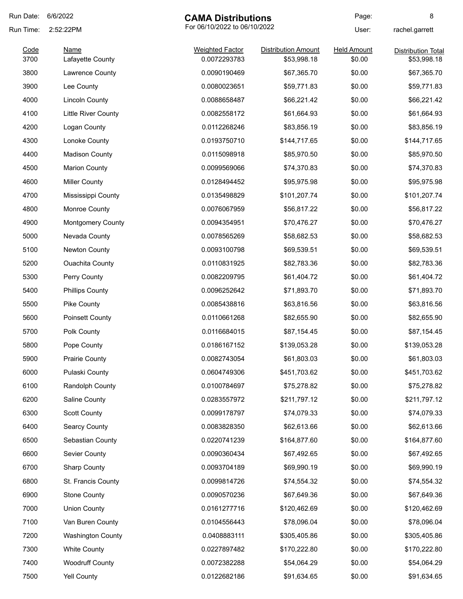| Run Date: | 6/6/2022                 | <b>CAMA Distributions</b>    |                            | Page:              | 8                         |
|-----------|--------------------------|------------------------------|----------------------------|--------------------|---------------------------|
| Run Time: | 2:52:22PM                | For 06/10/2022 to 06/10/2022 |                            | User:              | rachel.garrett            |
| Code      | <b>Name</b>              | <b>Weighted Factor</b>       | <b>Distribution Amount</b> | <b>Held Amount</b> | <b>Distribution Total</b> |
| 3700      | Lafayette County         | 0.0072293783                 | \$53,998.18                | \$0.00             | \$53,998.18               |
| 3800      | Lawrence County          | 0.0090190469                 | \$67,365.70                | \$0.00             | \$67,365.70               |
| 3900      | Lee County               | 0.0080023651                 | \$59,771.83                | \$0.00             | \$59,771.83               |
| 4000      | <b>Lincoln County</b>    | 0.0088658487                 | \$66,221.42                | \$0.00             | \$66,221.42               |
| 4100      | Little River County      | 0.0082558172                 | \$61,664.93                | \$0.00             | \$61,664.93               |
| 4200      | Logan County             | 0.0112268246                 | \$83,856.19                | \$0.00             | \$83,856.19               |
| 4300      | Lonoke County            | 0.0193750710                 | \$144,717.65               | \$0.00             | \$144,717.65              |
| 4400      | <b>Madison County</b>    | 0.0115098918                 | \$85,970.50                | \$0.00             | \$85,970.50               |
| 4500      | <b>Marion County</b>     | 0.0099569066                 | \$74,370.83                | \$0.00             | \$74,370.83               |
| 4600      | <b>Miller County</b>     | 0.0128494452                 | \$95,975.98                | \$0.00             | \$95,975.98               |
| 4700      | Mississippi County       | 0.0135498829                 | \$101,207.74               | \$0.00             | \$101,207.74              |
| 4800      | Monroe County            | 0.0076067959                 | \$56,817.22                | \$0.00             | \$56,817.22               |
| 4900      | <b>Montgomery County</b> | 0.0094354951                 | \$70,476.27                | \$0.00             | \$70,476.27               |
| 5000      | Nevada County            | 0.0078565269                 | \$58,682.53                | \$0.00             | \$58,682.53               |
| 5100      | Newton County            | 0.0093100798                 | \$69,539.51                | \$0.00             | \$69,539.51               |
| 5200      | <b>Ouachita County</b>   | 0.0110831925                 | \$82,783.36                | \$0.00             | \$82,783.36               |
| 5300      | Perry County             | 0.0082209795                 | \$61,404.72                | \$0.00             | \$61,404.72               |
| 5400      | <b>Phillips County</b>   | 0.0096252642                 | \$71,893.70                | \$0.00             | \$71,893.70               |
| 5500      | Pike County              | 0.0085438816                 | \$63,816.56                | \$0.00             | \$63,816.56               |
| 5600      | Poinsett County          | 0.0110661268                 | \$82,655.90                | \$0.00             | \$82,655.90               |
| 5700      | Polk County              | 0.0116684015                 | \$87,154.45                | \$0.00             | \$87,154.45               |
| 5800      | Pope County              | 0.0186167152                 | \$139,053.28               | \$0.00             | \$139,053.28              |
| 5900      | <b>Prairie County</b>    | 0.0082743054                 | \$61,803.03                | \$0.00             | \$61,803.03               |
| 6000      | Pulaski County           | 0.0604749306                 | \$451,703.62               | \$0.00             | \$451,703.62              |
| 6100      | Randolph County          | 0.0100784697                 | \$75,278.82                | \$0.00             | \$75,278.82               |
| 6200      | Saline County            | 0.0283557972                 | \$211,797.12               | \$0.00             | \$211,797.12              |
| 6300      | <b>Scott County</b>      | 0.0099178797                 | \$74,079.33                | \$0.00             | \$74,079.33               |
| 6400      | <b>Searcy County</b>     | 0.0083828350                 | \$62,613.66                | \$0.00             | \$62,613.66               |
| 6500      | Sebastian County         | 0.0220741239                 | \$164,877.60               | \$0.00             | \$164,877.60              |
| 6600      | Sevier County            | 0.0090360434                 | \$67,492.65                | \$0.00             | \$67,492.65               |
| 6700      | <b>Sharp County</b>      | 0.0093704189                 | \$69,990.19                | \$0.00             | \$69,990.19               |
| 6800      | St. Francis County       | 0.0099814726                 | \$74,554.32                | \$0.00             | \$74,554.32               |
| 6900      | <b>Stone County</b>      | 0.0090570236                 | \$67,649.36                | \$0.00             | \$67,649.36               |
| 7000      | <b>Union County</b>      | 0.0161277716                 | \$120,462.69               | \$0.00             | \$120,462.69              |
| 7100      | Van Buren County         | 0.0104556443                 | \$78,096.04                | \$0.00             | \$78,096.04               |
| 7200      | <b>Washington County</b> | 0.0408883111                 | \$305,405.86               | \$0.00             | \$305,405.86              |
| 7300      | <b>White County</b>      | 0.0227897482                 | \$170,222.80               | \$0.00             | \$170,222.80              |
| 7400      | <b>Woodruff County</b>   | 0.0072382288                 | \$54,064.29                | \$0.00             | \$54,064.29               |
| 7500      | Yell County              | 0.0122682186                 | \$91,634.65                | \$0.00             | \$91,634.65               |
|           |                          |                              |                            |                    |                           |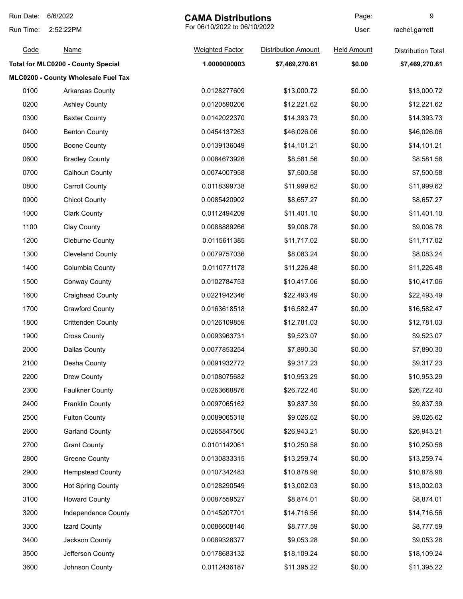| Run Date: | 6/6/2022                                  | <b>CAMA Distributions</b>    |                            | Page:              | 9                         |
|-----------|-------------------------------------------|------------------------------|----------------------------|--------------------|---------------------------|
| Run Time: | 2:52:22PM                                 | For 06/10/2022 to 06/10/2022 |                            | User:              | rachel.garrett            |
| Code      | <b>Name</b>                               | <b>Weighted Factor</b>       | <b>Distribution Amount</b> | <b>Held Amount</b> | <b>Distribution Total</b> |
|           | <b>Total for MLC0200 - County Special</b> | 1.0000000003                 | \$7,469,270.61             | \$0.00             | \$7,469,270.61            |
|           | MLC0200 - County Wholesale Fuel Tax       |                              |                            |                    |                           |
| 0100      | Arkansas County                           | 0.0128277609                 | \$13,000.72                | \$0.00             | \$13,000.72               |
| 0200      | <b>Ashley County</b>                      | 0.0120590206                 | \$12,221.62                | \$0.00             | \$12,221.62               |
| 0300      | <b>Baxter County</b>                      | 0.0142022370                 | \$14,393.73                | \$0.00             | \$14,393.73               |
| 0400      | <b>Benton County</b>                      | 0.0454137263                 | \$46,026.06                | \$0.00             | \$46,026.06               |
| 0500      | <b>Boone County</b>                       | 0.0139136049                 | \$14,101.21                | \$0.00             | \$14,101.21               |
| 0600      | <b>Bradley County</b>                     | 0.0084673926                 | \$8,581.56                 | \$0.00             | \$8,581.56                |
| 0700      | <b>Calhoun County</b>                     | 0.0074007958                 | \$7,500.58                 | \$0.00             | \$7,500.58                |
| 0800      | <b>Carroll County</b>                     | 0.0118399738                 | \$11,999.62                | \$0.00             | \$11,999.62               |
| 0900      | <b>Chicot County</b>                      | 0.0085420902                 | \$8,657.27                 | \$0.00             | \$8,657.27                |
| 1000      | <b>Clark County</b>                       | 0.0112494209                 | \$11,401.10                | \$0.00             | \$11,401.10               |
| 1100      | Clay County                               | 0.0088889266                 | \$9,008.78                 | \$0.00             | \$9,008.78                |
| 1200      | <b>Cleburne County</b>                    | 0.0115611385                 | \$11,717.02                | \$0.00             | \$11,717.02               |
| 1300      | <b>Cleveland County</b>                   | 0.0079757036                 | \$8,083.24                 | \$0.00             | \$8,083.24                |
| 1400      | Columbia County                           | 0.0110771178                 | \$11,226.48                | \$0.00             | \$11,226.48               |
| 1500      | <b>Conway County</b>                      | 0.0102784753                 | \$10,417.06                | \$0.00             | \$10,417.06               |
| 1600      | <b>Craighead County</b>                   | 0.0221942346                 | \$22,493.49                | \$0.00             | \$22,493.49               |
| 1700      | <b>Crawford County</b>                    | 0.0163618518                 | \$16,582.47                | \$0.00             | \$16,582.47               |
| 1800      | <b>Crittenden County</b>                  | 0.0126109859                 | \$12,781.03                | \$0.00             | \$12,781.03               |
| 1900      | <b>Cross County</b>                       | 0.0093963731                 | \$9,523.07                 | \$0.00             | \$9,523.07                |
| 2000      | Dallas County                             | 0.0077853254                 | \$7,890.30                 | \$0.00             | \$7,890.30                |
| 2100      | Desha County                              | 0.0091932772                 | \$9,317.23                 | \$0.00             | \$9,317.23                |
| 2200      | Drew County                               | 0.0108075682                 | \$10,953.29                | \$0.00             | \$10,953.29               |
| 2300      | <b>Faulkner County</b>                    | 0.0263668876                 | \$26,722.40                | \$0.00             | \$26,722.40               |
| 2400      | <b>Franklin County</b>                    | 0.0097065162                 | \$9,837.39                 | \$0.00             | \$9,837.39                |
| 2500      | <b>Fulton County</b>                      | 0.0089065318                 | \$9,026.62                 | \$0.00             | \$9,026.62                |
| 2600      | <b>Garland County</b>                     | 0.0265847560                 | \$26,943.21                | \$0.00             | \$26,943.21               |
| 2700      | <b>Grant County</b>                       | 0.0101142061                 | \$10,250.58                | \$0.00             | \$10,250.58               |
| 2800      | <b>Greene County</b>                      | 0.0130833315                 | \$13,259.74                | \$0.00             | \$13,259.74               |
| 2900      | <b>Hempstead County</b>                   | 0.0107342483                 | \$10,878.98                | \$0.00             | \$10,878.98               |
| 3000      | <b>Hot Spring County</b>                  | 0.0128290549                 | \$13,002.03                | \$0.00             | \$13,002.03               |
| 3100      | <b>Howard County</b>                      | 0.0087559527                 | \$8,874.01                 | \$0.00             | \$8,874.01                |
| 3200      | Independence County                       | 0.0145207701                 | \$14,716.56                | \$0.00             | \$14,716.56               |
| 3300      | Izard County                              | 0.0086608146                 | \$8,777.59                 | \$0.00             | \$8,777.59                |
| 3400      | Jackson County                            | 0.0089328377                 | \$9,053.28                 | \$0.00             | \$9,053.28                |
| 3500      | Jefferson County                          | 0.0178683132                 | \$18,109.24                | \$0.00             | \$18,109.24               |
| 3600      | Johnson County                            | 0.0112436187                 | \$11,395.22                | \$0.00             | \$11,395.22               |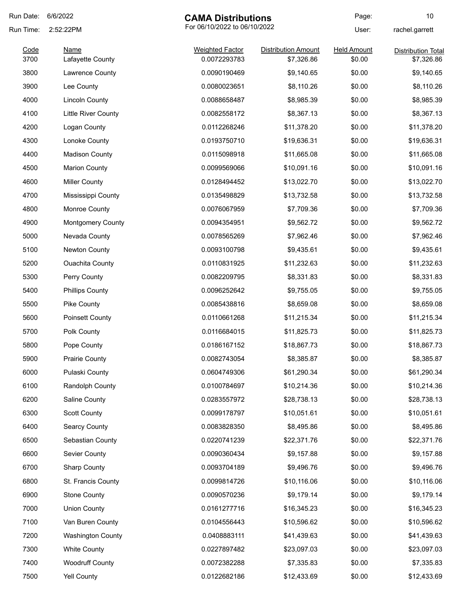| Run Date:    | 6/6/2022                        | <b>CAMA Distributions</b>              |                                          | Page:                        | 10                                      |
|--------------|---------------------------------|----------------------------------------|------------------------------------------|------------------------------|-----------------------------------------|
| Run Time:    | 2:52:22PM                       | For 06/10/2022 to 06/10/2022           |                                          | User:                        | rachel.garrett                          |
| Code<br>3700 | <b>Name</b><br>Lafayette County | <b>Weighted Factor</b><br>0.0072293783 | <b>Distribution Amount</b><br>\$7,326.86 | <b>Held Amount</b><br>\$0.00 | <b>Distribution Total</b><br>\$7,326.86 |
| 3800         | Lawrence County                 | 0.0090190469                           | \$9,140.65                               | \$0.00                       | \$9,140.65                              |
| 3900         | Lee County                      | 0.0080023651                           | \$8,110.26                               | \$0.00                       | \$8,110.26                              |
| 4000         | <b>Lincoln County</b>           | 0.0088658487                           | \$8,985.39                               | \$0.00                       | \$8,985.39                              |
| 4100         | <b>Little River County</b>      | 0.0082558172                           | \$8,367.13                               | \$0.00                       | \$8,367.13                              |
| 4200         | Logan County                    | 0.0112268246                           | \$11,378.20                              | \$0.00                       | \$11,378.20                             |
| 4300         | Lonoke County                   | 0.0193750710                           | \$19,636.31                              | \$0.00                       | \$19,636.31                             |
| 4400         | <b>Madison County</b>           | 0.0115098918                           | \$11,665.08                              | \$0.00                       | \$11,665.08                             |
| 4500         | <b>Marion County</b>            | 0.0099569066                           | \$10,091.16                              | \$0.00                       | \$10,091.16                             |
| 4600         | <b>Miller County</b>            | 0.0128494452                           | \$13,022.70                              | \$0.00                       | \$13,022.70                             |
| 4700         | Mississippi County              | 0.0135498829                           | \$13,732.58                              | \$0.00                       | \$13,732.58                             |
| 4800         | Monroe County                   | 0.0076067959                           | \$7,709.36                               | \$0.00                       | \$7,709.36                              |
| 4900         | <b>Montgomery County</b>        | 0.0094354951                           | \$9,562.72                               | \$0.00                       | \$9,562.72                              |
| 5000         | Nevada County                   | 0.0078565269                           | \$7,962.46                               | \$0.00                       | \$7,962.46                              |
| 5100         | Newton County                   | 0.0093100798                           | \$9,435.61                               | \$0.00                       | \$9,435.61                              |
| 5200         | <b>Ouachita County</b>          | 0.0110831925                           | \$11,232.63                              | \$0.00                       | \$11,232.63                             |
| 5300         | Perry County                    | 0.0082209795                           | \$8,331.83                               | \$0.00                       | \$8,331.83                              |
| 5400         | <b>Phillips County</b>          | 0.0096252642                           | \$9,755.05                               | \$0.00                       | \$9,755.05                              |
| 5500         | Pike County                     | 0.0085438816                           | \$8,659.08                               | \$0.00                       | \$8,659.08                              |
| 5600         | <b>Poinsett County</b>          | 0.0110661268                           | \$11,215.34                              | \$0.00                       | \$11,215.34                             |
| 5700         | Polk County                     | 0.0116684015                           | \$11,825.73                              | \$0.00                       | \$11,825.73                             |
| 5800         | Pope County                     | 0.0186167152                           | \$18,867.73                              | \$0.00                       | \$18,867.73                             |
| 5900         | <b>Prairie County</b>           | 0.0082743054                           | \$8,385.87                               | \$0.00                       | \$8,385.87                              |
| 6000         | Pulaski County                  | 0.0604749306                           | \$61,290.34                              | \$0.00                       | \$61,290.34                             |
| 6100         | Randolph County                 | 0.0100784697                           | \$10,214.36                              | \$0.00                       | \$10,214.36                             |
| 6200         | Saline County                   | 0.0283557972                           | \$28,738.13                              | \$0.00                       | \$28,738.13                             |
| 6300         | <b>Scott County</b>             | 0.0099178797                           | \$10,051.61                              | \$0.00                       | \$10,051.61                             |
| 6400         | <b>Searcy County</b>            | 0.0083828350                           | \$8,495.86                               | \$0.00                       | \$8,495.86                              |
| 6500         | Sebastian County                | 0.0220741239                           | \$22,371.76                              | \$0.00                       | \$22,371.76                             |
| 6600         | Sevier County                   | 0.0090360434                           | \$9,157.88                               | \$0.00                       | \$9,157.88                              |
| 6700         | <b>Sharp County</b>             | 0.0093704189                           | \$9,496.76                               | \$0.00                       | \$9,496.76                              |
| 6800         | St. Francis County              | 0.0099814726                           | \$10,116.06                              | \$0.00                       | \$10,116.06                             |
| 6900         | <b>Stone County</b>             | 0.0090570236                           | \$9,179.14                               | \$0.00                       | \$9,179.14                              |
| 7000         | <b>Union County</b>             | 0.0161277716                           | \$16,345.23                              | \$0.00                       | \$16,345.23                             |
| 7100         | Van Buren County                | 0.0104556443                           | \$10,596.62                              | \$0.00                       | \$10,596.62                             |
| 7200         | <b>Washington County</b>        | 0.0408883111                           | \$41,439.63                              | \$0.00                       | \$41,439.63                             |
| 7300         | <b>White County</b>             | 0.0227897482                           | \$23,097.03                              | \$0.00                       | \$23,097.03                             |
| 7400         | <b>Woodruff County</b>          | 0.0072382288                           | \$7,335.83                               | \$0.00                       | \$7,335.83                              |
| 7500         | Yell County                     | 0.0122682186                           | \$12,433.69                              | \$0.00                       | \$12,433.69                             |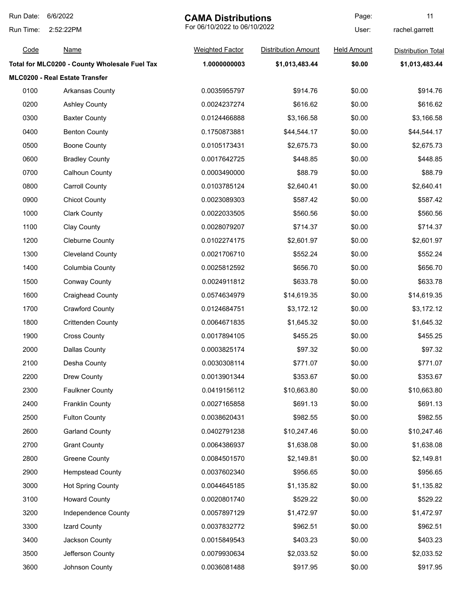| Run Date: | 6/6/2022                                      | <b>CAMA Distributions</b>    |                            | Page:              | 11                        |
|-----------|-----------------------------------------------|------------------------------|----------------------------|--------------------|---------------------------|
| Run Time: | 2:52:22PM                                     | For 06/10/2022 to 06/10/2022 |                            | User:              | rachel.garrett            |
| Code      | <b>Name</b>                                   | <b>Weighted Factor</b>       | <b>Distribution Amount</b> | <b>Held Amount</b> | <b>Distribution Total</b> |
|           | Total for MLC0200 - County Wholesale Fuel Tax | 1.0000000003                 | \$1,013,483.44             | \$0.00             | \$1,013,483.44            |
|           | MLC0200 - Real Estate Transfer                |                              |                            |                    |                           |
| 0100      | Arkansas County                               | 0.0035955797                 | \$914.76                   | \$0.00             | \$914.76                  |
| 0200      | <b>Ashley County</b>                          | 0.0024237274                 | \$616.62                   | \$0.00             | \$616.62                  |
| 0300      | <b>Baxter County</b>                          | 0.0124466888                 | \$3,166.58                 | \$0.00             | \$3,166.58                |
| 0400      | <b>Benton County</b>                          | 0.1750873881                 | \$44,544.17                | \$0.00             | \$44,544.17               |
| 0500      | <b>Boone County</b>                           | 0.0105173431                 | \$2,675.73                 | \$0.00             | \$2,675.73                |
| 0600      | <b>Bradley County</b>                         | 0.0017642725                 | \$448.85                   | \$0.00             | \$448.85                  |
| 0700      | Calhoun County                                | 0.0003490000                 | \$88.79                    | \$0.00             | \$88.79                   |
| 0800      | <b>Carroll County</b>                         | 0.0103785124                 | \$2,640.41                 | \$0.00             | \$2,640.41                |
| 0900      | <b>Chicot County</b>                          | 0.0023089303                 | \$587.42                   | \$0.00             | \$587.42                  |
| 1000      | <b>Clark County</b>                           | 0.0022033505                 | \$560.56                   | \$0.00             | \$560.56                  |
| 1100      | Clay County                                   | 0.0028079207                 | \$714.37                   | \$0.00             | \$714.37                  |
| 1200      | <b>Cleburne County</b>                        | 0.0102274175                 | \$2,601.97                 | \$0.00             | \$2,601.97                |
| 1300      | <b>Cleveland County</b>                       | 0.0021706710                 | \$552.24                   | \$0.00             | \$552.24                  |
| 1400      | Columbia County                               | 0.0025812592                 | \$656.70                   | \$0.00             | \$656.70                  |
| 1500      | <b>Conway County</b>                          | 0.0024911812                 | \$633.78                   | \$0.00             | \$633.78                  |
| 1600      | <b>Craighead County</b>                       | 0.0574634979                 | \$14,619.35                | \$0.00             | \$14,619.35               |
| 1700      | <b>Crawford County</b>                        | 0.0124684751                 | \$3,172.12                 | \$0.00             | \$3,172.12                |
| 1800      | <b>Crittenden County</b>                      | 0.0064671835                 | \$1,645.32                 | \$0.00             | \$1,645.32                |
| 1900      | <b>Cross County</b>                           | 0.0017894105                 | \$455.25                   | \$0.00             | \$455.25                  |
| 2000      | Dallas County                                 | 0.0003825174                 | \$97.32                    | \$0.00             | \$97.32                   |
| 2100      | Desha County                                  | 0.0030308114                 | \$771.07                   | \$0.00             | \$771.07                  |
| 2200      | Drew County                                   | 0.0013901344                 | \$353.67                   | \$0.00             | \$353.67                  |
| 2300      | <b>Faulkner County</b>                        | 0.0419156112                 | \$10,663.80                | \$0.00             | \$10,663.80               |
| 2400      | <b>Franklin County</b>                        | 0.0027165858                 | \$691.13                   | \$0.00             | \$691.13                  |
| 2500      | <b>Fulton County</b>                          | 0.0038620431                 | \$982.55                   | \$0.00             | \$982.55                  |
| 2600      | <b>Garland County</b>                         | 0.0402791238                 | \$10,247.46                | \$0.00             | \$10,247.46               |
| 2700      | <b>Grant County</b>                           | 0.0064386937                 | \$1,638.08                 | \$0.00             | \$1,638.08                |
| 2800      | Greene County                                 | 0.0084501570                 | \$2,149.81                 | \$0.00             | \$2,149.81                |
| 2900      | <b>Hempstead County</b>                       | 0.0037602340                 | \$956.65                   | \$0.00             | \$956.65                  |
| 3000      | <b>Hot Spring County</b>                      | 0.0044645185                 | \$1,135.82                 | \$0.00             | \$1,135.82                |
| 3100      | <b>Howard County</b>                          | 0.0020801740                 | \$529.22                   | \$0.00             | \$529.22                  |
| 3200      | Independence County                           | 0.0057897129                 | \$1,472.97                 | \$0.00             | \$1,472.97                |
| 3300      | Izard County                                  | 0.0037832772                 | \$962.51                   | \$0.00             | \$962.51                  |
| 3400      | Jackson County                                | 0.0015849543                 | \$403.23                   | \$0.00             | \$403.23                  |
| 3500      | Jefferson County                              | 0.0079930634                 | \$2,033.52                 | \$0.00             | \$2,033.52                |
| 3600      | Johnson County                                | 0.0036081488                 | \$917.95                   | \$0.00             | \$917.95                  |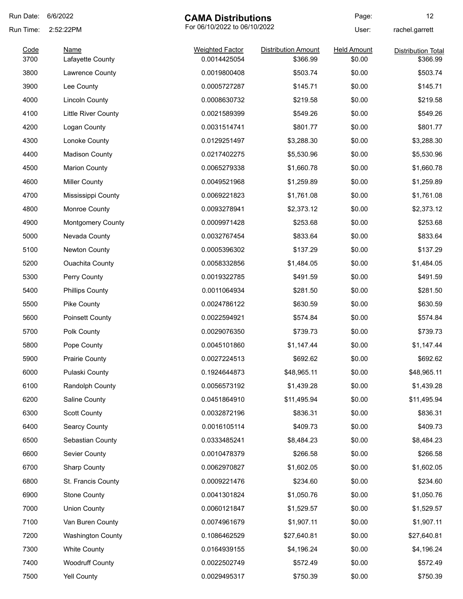| Run Date: | 6/6/2022                 | <b>CAMA Distributions</b>    |                            | Page:              | 12                        |
|-----------|--------------------------|------------------------------|----------------------------|--------------------|---------------------------|
| Run Time: | 2:52:22PM                | For 06/10/2022 to 06/10/2022 |                            | User:              | rachel.garrett            |
| Code      | Name                     | <b>Weighted Factor</b>       | <b>Distribution Amount</b> | <b>Held Amount</b> | <b>Distribution Total</b> |
| 3700      | Lafayette County         | 0.0014425054                 | \$366.99                   | \$0.00             | \$366.99                  |
| 3800      | Lawrence County          | 0.0019800408                 | \$503.74                   | \$0.00             | \$503.74                  |
| 3900      | Lee County               | 0.0005727287                 | \$145.71                   | \$0.00             | \$145.71                  |
| 4000      | <b>Lincoln County</b>    | 0.0008630732                 | \$219.58                   | \$0.00             | \$219.58                  |
| 4100      | Little River County      | 0.0021589399                 | \$549.26                   | \$0.00             | \$549.26                  |
| 4200      | Logan County             | 0.0031514741                 | \$801.77                   | \$0.00             | \$801.77                  |
| 4300      | Lonoke County            | 0.0129251497                 | \$3,288.30                 | \$0.00             | \$3,288.30                |
| 4400      | <b>Madison County</b>    | 0.0217402275                 | \$5,530.96                 | \$0.00             | \$5,530.96                |
| 4500      | <b>Marion County</b>     | 0.0065279338                 | \$1,660.78                 | \$0.00             | \$1,660.78                |
| 4600      | <b>Miller County</b>     | 0.0049521968                 | \$1,259.89                 | \$0.00             | \$1,259.89                |
| 4700      | Mississippi County       | 0.0069221823                 | \$1,761.08                 | \$0.00             | \$1,761.08                |
| 4800      | Monroe County            | 0.0093278941                 | \$2,373.12                 | \$0.00             | \$2,373.12                |
| 4900      | <b>Montgomery County</b> | 0.0009971428                 | \$253.68                   | \$0.00             | \$253.68                  |
| 5000      | Nevada County            | 0.0032767454                 | \$833.64                   | \$0.00             | \$833.64                  |
| 5100      | Newton County            | 0.0005396302                 | \$137.29                   | \$0.00             | \$137.29                  |
| 5200      | <b>Ouachita County</b>   | 0.0058332856                 | \$1,484.05                 | \$0.00             | \$1,484.05                |
| 5300      | Perry County             | 0.0019322785                 | \$491.59                   | \$0.00             | \$491.59                  |
| 5400      | <b>Phillips County</b>   | 0.0011064934                 | \$281.50                   | \$0.00             | \$281.50                  |
| 5500      | <b>Pike County</b>       | 0.0024786122                 | \$630.59                   | \$0.00             | \$630.59                  |
| 5600      | <b>Poinsett County</b>   | 0.0022594921                 | \$574.84                   | \$0.00             | \$574.84                  |
| 5700      | Polk County              | 0.0029076350                 | \$739.73                   | \$0.00             | \$739.73                  |
| 5800      | Pope County              | 0.0045101860                 | \$1,147.44                 | \$0.00             | \$1,147.44                |
| 5900      | <b>Prairie County</b>    | 0.0027224513                 | \$692.62                   | \$0.00             | \$692.62                  |
| 6000      | Pulaski County           | 0.1924644873                 | \$48,965.11                | \$0.00             | \$48,965.11               |
| 6100      | Randolph County          | 0.0056573192                 | \$1,439.28                 | \$0.00             | \$1,439.28                |
| 6200      | Saline County            | 0.0451864910                 | \$11,495.94                | \$0.00             | \$11,495.94               |
| 6300      | <b>Scott County</b>      | 0.0032872196                 | \$836.31                   | \$0.00             | \$836.31                  |
| 6400      | <b>Searcy County</b>     | 0.0016105114                 | \$409.73                   | \$0.00             | \$409.73                  |
| 6500      | Sebastian County         | 0.0333485241                 | \$8,484.23                 | \$0.00             | \$8,484.23                |
| 6600      | Sevier County            | 0.0010478379                 | \$266.58                   | \$0.00             | \$266.58                  |
| 6700      | <b>Sharp County</b>      | 0.0062970827                 | \$1,602.05                 | \$0.00             | \$1,602.05                |
| 6800      | St. Francis County       | 0.0009221476                 | \$234.60                   | \$0.00             | \$234.60                  |
| 6900      | <b>Stone County</b>      | 0.0041301824                 | \$1,050.76                 | \$0.00             | \$1,050.76                |
| 7000      | <b>Union County</b>      | 0.0060121847                 | \$1,529.57                 | \$0.00             | \$1,529.57                |
| 7100      | Van Buren County         | 0.0074961679                 | \$1,907.11                 | \$0.00             | \$1,907.11                |
| 7200      | <b>Washington County</b> | 0.1086462529                 | \$27,640.81                | \$0.00             | \$27,640.81               |
| 7300      | <b>White County</b>      | 0.0164939155                 | \$4,196.24                 | \$0.00             | \$4,196.24                |
| 7400      | <b>Woodruff County</b>   | 0.0022502749                 | \$572.49                   | \$0.00             | \$572.49                  |
|           |                          |                              |                            |                    |                           |
| 7500      | Yell County              | 0.0029495317                 | \$750.39                   | \$0.00             | \$750.39                  |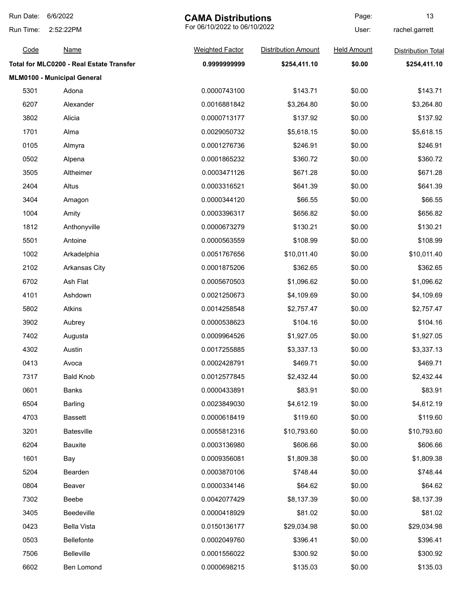| Run Date: | 6/6/2022                                 | <b>CAMA Distributions</b>    |                            | Page:              | 13                        |
|-----------|------------------------------------------|------------------------------|----------------------------|--------------------|---------------------------|
| Run Time: | 2:52:22PM                                | For 06/10/2022 to 06/10/2022 |                            | User:              | rachel.garrett            |
| Code      | <u>Name</u>                              | <b>Weighted Factor</b>       | <b>Distribution Amount</b> | <b>Held Amount</b> | <b>Distribution Total</b> |
|           | Total for MLC0200 - Real Estate Transfer | 0.9999999999                 | \$254,411.10               | \$0.00             | \$254,411.10              |
|           | MLM0100 - Municipal General              |                              |                            |                    |                           |
| 5301      | Adona                                    | 0.0000743100                 | \$143.71                   | \$0.00             | \$143.71                  |
| 6207      | Alexander                                | 0.0016881842                 | \$3,264.80                 | \$0.00             | \$3,264.80                |
| 3802      | Alicia                                   | 0.0000713177                 | \$137.92                   | \$0.00             | \$137.92                  |
| 1701      | Alma                                     | 0.0029050732                 | \$5,618.15                 | \$0.00             | \$5,618.15                |
| 0105      | Almyra                                   | 0.0001276736                 | \$246.91                   | \$0.00             | \$246.91                  |
| 0502      | Alpena                                   | 0.0001865232                 | \$360.72                   | \$0.00             | \$360.72                  |
| 3505      | Altheimer                                | 0.0003471126                 | \$671.28                   | \$0.00             | \$671.28                  |
| 2404      | Altus                                    | 0.0003316521                 | \$641.39                   | \$0.00             | \$641.39                  |
| 3404      | Amagon                                   | 0.0000344120                 | \$66.55                    | \$0.00             | \$66.55                   |
| 1004      | Amity                                    | 0.0003396317                 | \$656.82                   | \$0.00             | \$656.82                  |
| 1812      | Anthonyville                             | 0.0000673279                 | \$130.21                   | \$0.00             | \$130.21                  |
| 5501      | Antoine                                  | 0.0000563559                 | \$108.99                   | \$0.00             | \$108.99                  |
| 1002      | Arkadelphia                              | 0.0051767656                 | \$10,011.40                | \$0.00             | \$10,011.40               |
| 2102      | Arkansas City                            | 0.0001875206                 | \$362.65                   | \$0.00             | \$362.65                  |
| 6702      | Ash Flat                                 | 0.0005670503                 | \$1,096.62                 | \$0.00             | \$1,096.62                |
| 4101      | Ashdown                                  | 0.0021250673                 | \$4,109.69                 | \$0.00             | \$4,109.69                |
| 5802      | Atkins                                   | 0.0014258548                 | \$2,757.47                 | \$0.00             | \$2,757.47                |
| 3902      | Aubrey                                   | 0.0000538623                 | \$104.16                   | \$0.00             | \$104.16                  |
| 7402      | Augusta                                  | 0.0009964526                 | \$1,927.05                 | \$0.00             | \$1,927.05                |
| 4302      | Austin                                   | 0.0017255885                 | \$3,337.13                 | \$0.00             | \$3,337.13                |
| 0413      | Avoca                                    | 0.0002428791                 | \$469.71                   | \$0.00             | \$469.71                  |
| 7317      | <b>Bald Knob</b>                         | 0.0012577845                 | \$2,432.44                 | \$0.00             | \$2,432.44                |
| 0601      | Banks                                    | 0.0000433891                 | \$83.91                    | \$0.00             | \$83.91                   |
| 6504      | <b>Barling</b>                           | 0.0023849030                 | \$4,612.19                 | \$0.00             | \$4,612.19                |
| 4703      | <b>Bassett</b>                           | 0.0000618419                 | \$119.60                   | \$0.00             | \$119.60                  |
| 3201      | Batesville                               | 0.0055812316                 | \$10,793.60                | \$0.00             | \$10,793.60               |
| 6204      | <b>Bauxite</b>                           | 0.0003136980                 | \$606.66                   | \$0.00             | \$606.66                  |
| 1601      | Bay                                      | 0.0009356081                 | \$1,809.38                 | \$0.00             | \$1,809.38                |
| 5204      | Bearden                                  | 0.0003870106                 | \$748.44                   | \$0.00             | \$748.44                  |
| 0804      | Beaver                                   | 0.0000334146                 | \$64.62                    | \$0.00             | \$64.62                   |
| 7302      | Beebe                                    | 0.0042077429                 | \$8,137.39                 | \$0.00             | \$8,137.39                |
| 3405      | Beedeville                               | 0.0000418929                 | \$81.02                    | \$0.00             | \$81.02                   |
| 0423      | <b>Bella Vista</b>                       | 0.0150136177                 | \$29,034.98                | \$0.00             | \$29,034.98               |
| 0503      | Bellefonte                               | 0.0002049760                 | \$396.41                   | \$0.00             | \$396.41                  |
| 7506      | <b>Belleville</b>                        | 0.0001556022                 | \$300.92                   | \$0.00             | \$300.92                  |
| 6602      | Ben Lomond                               | 0.0000698215                 | \$135.03                   | \$0.00             | \$135.03                  |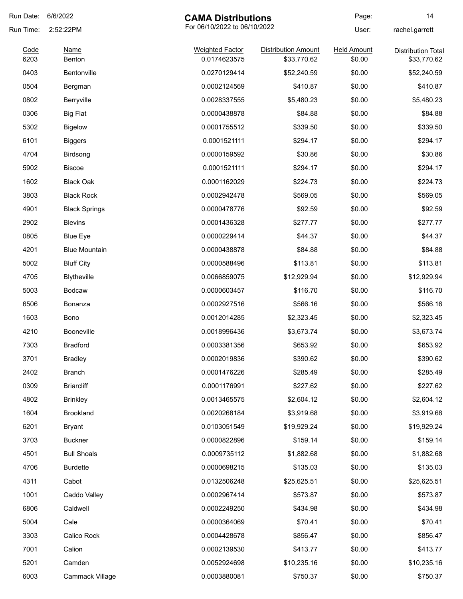| Run Date:    | 6/6/2022             | <b>CAMA Distributions</b>              |                            | Page:                        | 14                                       |
|--------------|----------------------|----------------------------------------|----------------------------|------------------------------|------------------------------------------|
| Run Time:    | 2:52:22PM            | For 06/10/2022 to 06/10/2022           |                            | User:                        | rachel.garrett                           |
| Code<br>6203 | Name<br>Benton       | <b>Weighted Factor</b><br>0.0174623575 | <b>Distribution Amount</b> | <b>Held Amount</b><br>\$0.00 | <b>Distribution Total</b><br>\$33,770.62 |
| 0403         | Bentonville          | 0.0270129414                           | \$33,770.62                | \$0.00                       |                                          |
|              |                      |                                        | \$52,240.59                |                              | \$52,240.59                              |
| 0504         | Bergman              | 0.0002124569                           | \$410.87                   | \$0.00                       | \$410.87                                 |
| 0802         | Berryville           | 0.0028337555                           | \$5,480.23                 | \$0.00                       | \$5,480.23                               |
| 0306         | <b>Big Flat</b>      | 0.0000438878                           | \$84.88                    | \$0.00                       | \$84.88                                  |
| 5302         | <b>Bigelow</b>       | 0.0001755512                           | \$339.50                   | \$0.00                       | \$339.50                                 |
| 6101         | <b>Biggers</b>       | 0.0001521111                           | \$294.17                   | \$0.00                       | \$294.17                                 |
| 4704         | Birdsong             | 0.0000159592                           | \$30.86                    | \$0.00                       | \$30.86                                  |
| 5902         | <b>Biscoe</b>        | 0.0001521111                           | \$294.17                   | \$0.00                       | \$294.17                                 |
| 1602         | <b>Black Oak</b>     | 0.0001162029                           | \$224.73                   | \$0.00                       | \$224.73                                 |
| 3803         | <b>Black Rock</b>    | 0.0002942478                           | \$569.05                   | \$0.00                       | \$569.05                                 |
| 4901         | <b>Black Springs</b> | 0.0000478776                           | \$92.59                    | \$0.00                       | \$92.59                                  |
| 2902         | <b>Blevins</b>       | 0.0001436328                           | \$277.77                   | \$0.00                       | \$277.77                                 |
| 0805         | <b>Blue Eye</b>      | 0.0000229414                           | \$44.37                    | \$0.00                       | \$44.37                                  |
| 4201         | <b>Blue Mountain</b> | 0.0000438878                           | \$84.88                    | \$0.00                       | \$84.88                                  |
| 5002         | <b>Bluff City</b>    | 0.0000588496                           | \$113.81                   | \$0.00                       | \$113.81                                 |
| 4705         | Blytheville          | 0.0066859075                           | \$12,929.94                | \$0.00                       | \$12,929.94                              |
| 5003         | <b>Bodcaw</b>        | 0.0000603457                           | \$116.70                   | \$0.00                       | \$116.70                                 |
| 6506         | Bonanza              | 0.0002927516                           | \$566.16                   | \$0.00                       | \$566.16                                 |
| 1603         | Bono                 | 0.0012014285                           | \$2,323.45                 | \$0.00                       | \$2,323.45                               |
| 4210         | Booneville           | 0.0018996436                           | \$3,673.74                 | \$0.00                       | \$3,673.74                               |
| 7303         | <b>Bradford</b>      | 0.0003381356                           | \$653.92                   | \$0.00                       | \$653.92                                 |
| 3701         | <b>Bradley</b>       | 0.0002019836                           | \$390.62                   | \$0.00                       | \$390.62                                 |
| 2402         | <b>Branch</b>        | 0.0001476226                           | \$285.49                   | \$0.00                       | \$285.49                                 |
| 0309         | <b>Briarcliff</b>    | 0.0001176991                           | \$227.62                   | \$0.00                       | \$227.62                                 |
| 4802         | <b>Brinkley</b>      | 0.0013465575                           | \$2,604.12                 | \$0.00                       | \$2,604.12                               |
| 1604         | Brookland            | 0.0020268184                           | \$3,919.68                 | \$0.00                       | \$3,919.68                               |
| 6201         | <b>Bryant</b>        | 0.0103051549                           | \$19,929.24                | \$0.00                       | \$19,929.24                              |
| 3703         | <b>Buckner</b>       | 0.0000822896                           | \$159.14                   | \$0.00                       | \$159.14                                 |
| 4501         | <b>Bull Shoals</b>   | 0.0009735112                           | \$1,882.68                 | \$0.00                       | \$1,882.68                               |
| 4706         | <b>Burdette</b>      | 0.0000698215                           | \$135.03                   | \$0.00                       | \$135.03                                 |
| 4311         | Cabot                | 0.0132506248                           | \$25,625.51                | \$0.00                       | \$25,625.51                              |
| 1001         | Caddo Valley         | 0.0002967414                           | \$573.87                   | \$0.00                       | \$573.87                                 |
| 6806         | Caldwell             | 0.0002249250                           | \$434.98                   | \$0.00                       | \$434.98                                 |
| 5004         | Cale                 | 0.0000364069                           | \$70.41                    | \$0.00                       | \$70.41                                  |
| 3303         | Calico Rock          |                                        | \$856.47                   | \$0.00                       | \$856.47                                 |
| 7001         | Calion               | 0.0004428678<br>0.0002139530           |                            | \$0.00                       |                                          |
|              |                      |                                        | \$413.77                   |                              | \$413.77                                 |
| 5201         | Camden               | 0.0052924698                           | \$10,235.16                | \$0.00                       | \$10,235.16                              |
| 6003         | Cammack Village      | 0.0003880081                           | \$750.37                   | \$0.00                       | \$750.37                                 |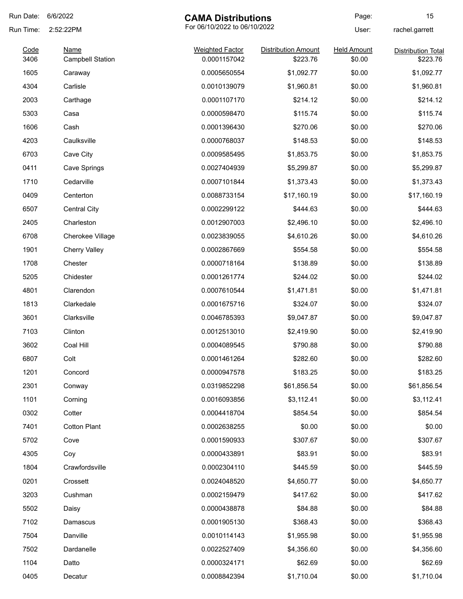| Run Date:    | 6/6/2022                        | <b>CAMA Distributions</b>              |                                        | Page:                        | 15                                    |
|--------------|---------------------------------|----------------------------------------|----------------------------------------|------------------------------|---------------------------------------|
| Run Time:    | 2:52:22PM                       | For 06/10/2022 to 06/10/2022           |                                        | User:                        | rachel.garrett                        |
| Code<br>3406 | Name<br><b>Campbell Station</b> | <b>Weighted Factor</b><br>0.0001157042 | <b>Distribution Amount</b><br>\$223.76 | <b>Held Amount</b><br>\$0.00 | <b>Distribution Total</b><br>\$223.76 |
| 1605         | Caraway                         | 0.0005650554                           | \$1,092.77                             | \$0.00                       | \$1,092.77                            |
| 4304         | Carlisle                        | 0.0010139079                           | \$1,960.81                             | \$0.00                       | \$1,960.81                            |
| 2003         | Carthage                        | 0.0001107170                           | \$214.12                               | \$0.00                       | \$214.12                              |
| 5303         | Casa                            | 0.0000598470                           | \$115.74                               | \$0.00                       | \$115.74                              |
| 1606         | Cash                            | 0.0001396430                           | \$270.06                               | \$0.00                       | \$270.06                              |
| 4203         | Caulksville                     | 0.0000768037                           | \$148.53                               | \$0.00                       | \$148.53                              |
| 6703         | Cave City                       | 0.0009585495                           | \$1,853.75                             | \$0.00                       | \$1,853.75                            |
| 0411         | Cave Springs                    | 0.0027404939                           | \$5,299.87                             | \$0.00                       | \$5,299.87                            |
| 1710         | Cedarville                      | 0.0007101844                           | \$1,373.43                             | \$0.00                       | \$1,373.43                            |
| 0409         | Centerton                       | 0.0088733154                           | \$17,160.19                            | \$0.00                       | \$17,160.19                           |
| 6507         | Central City                    | 0.0002299122                           | \$444.63                               | \$0.00                       | \$444.63                              |
| 2405         | Charleston                      | 0.0012907003                           | \$2,496.10                             | \$0.00                       | \$2,496.10                            |
| 6708         | Cherokee Village                | 0.0023839055                           | \$4,610.26                             | \$0.00                       | \$4,610.26                            |
| 1901         | <b>Cherry Valley</b>            | 0.0002867669                           | \$554.58                               | \$0.00                       | \$554.58                              |
| 1708         | Chester                         | 0.0000718164                           | \$138.89                               | \$0.00                       | \$138.89                              |
| 5205         | Chidester                       | 0.0001261774                           | \$244.02                               | \$0.00                       | \$244.02                              |
| 4801         | Clarendon                       | 0.0007610544                           | \$1,471.81                             | \$0.00                       | \$1,471.81                            |
| 1813         | Clarkedale                      | 0.0001675716                           | \$324.07                               | \$0.00                       | \$324.07                              |
| 3601         | Clarksville                     | 0.0046785393                           | \$9,047.87                             | \$0.00                       | \$9,047.87                            |
| 7103         | Clinton                         | 0.0012513010                           | \$2,419.90                             | \$0.00                       | \$2,419.90                            |
| 3602         | Coal Hill                       | 0.0004089545                           | \$790.88                               | \$0.00                       | \$790.88                              |
| 6807         | Colt                            | 0.0001461264                           | \$282.60                               | \$0.00                       | \$282.60                              |
| 1201         | Concord                         | 0.0000947578                           | \$183.25                               | \$0.00                       | \$183.25                              |
| 2301         | Conway                          | 0.0319852298                           | \$61,856.54                            | \$0.00                       | \$61,856.54                           |
| 1101         | Corning                         | 0.0016093856                           | \$3,112.41                             | \$0.00                       | \$3,112.41                            |
| 0302         | Cotter                          | 0.0004418704                           | \$854.54                               | \$0.00                       | \$854.54                              |
| 7401         | <b>Cotton Plant</b>             | 0.0002638255                           | \$0.00                                 | \$0.00                       | \$0.00                                |
| 5702         | Cove                            | 0.0001590933                           | \$307.67                               | \$0.00                       | \$307.67                              |
| 4305         | Coy                             | 0.0000433891                           | \$83.91                                | \$0.00                       | \$83.91                               |
| 1804         | Crawfordsville                  | 0.0002304110                           | \$445.59                               | \$0.00                       | \$445.59                              |
| 0201         | Crossett                        | 0.0024048520                           | \$4,650.77                             | \$0.00                       | \$4,650.77                            |
| 3203         | Cushman                         | 0.0002159479                           | \$417.62                               | \$0.00                       | \$417.62                              |
| 5502         | Daisy                           | 0.0000438878                           | \$84.88                                | \$0.00                       | \$84.88                               |
| 7102         | Damascus                        | 0.0001905130                           | \$368.43                               | \$0.00                       | \$368.43                              |
| 7504         | Danville                        | 0.0010114143                           | \$1,955.98                             | \$0.00                       | \$1,955.98                            |
| 7502         | Dardanelle                      | 0.0022527409                           | \$4,356.60                             | \$0.00                       | \$4,356.60                            |
| 1104         | Datto                           | 0.0000324171                           | \$62.69                                | \$0.00                       | \$62.69                               |
| 0405         | Decatur                         | 0.0008842394                           | \$1,710.04                             | \$0.00                       | \$1,710.04                            |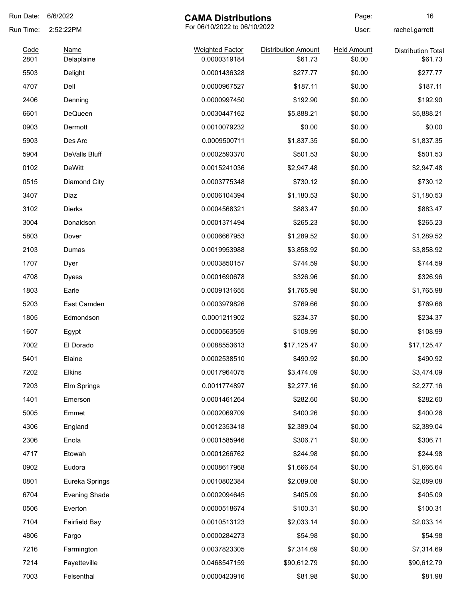| Run Date:    | 6/6/2022                  | <b>CAMA Distributions</b>              |                                       | Page:                        | 16                                   |
|--------------|---------------------------|----------------------------------------|---------------------------------------|------------------------------|--------------------------------------|
| Run Time:    | 2:52:22PM                 | For 06/10/2022 to 06/10/2022           |                                       | User:                        | rachel.garrett                       |
| Code<br>2801 | <b>Name</b><br>Delaplaine | <b>Weighted Factor</b><br>0.0000319184 | <b>Distribution Amount</b><br>\$61.73 | <b>Held Amount</b><br>\$0.00 | <b>Distribution Total</b><br>\$61.73 |
| 5503         | Delight                   | 0.0001436328                           | \$277.77                              | \$0.00                       | \$277.77                             |
| 4707         | Dell                      | 0.0000967527                           | \$187.11                              | \$0.00                       | \$187.11                             |
| 2406         | Denning                   | 0.0000997450                           | \$192.90                              | \$0.00                       | \$192.90                             |
| 6601         | <b>DeQueen</b>            | 0.0030447162                           | \$5,888.21                            | \$0.00                       | \$5,888.21                           |
| 0903         | Dermott                   | 0.0010079232                           | \$0.00                                | \$0.00                       | \$0.00                               |
| 5903         | Des Arc                   | 0.0009500711                           | \$1,837.35                            | \$0.00                       | \$1,837.35                           |
| 5904         | DeValls Bluff             | 0.0002593370                           | \$501.53                              | \$0.00                       | \$501.53                             |
| 0102         | <b>DeWitt</b>             | 0.0015241036                           | \$2,947.48                            | \$0.00                       | \$2,947.48                           |
| 0515         | Diamond City              | 0.0003775348                           | \$730.12                              | \$0.00                       | \$730.12                             |
| 3407         | Diaz                      | 0.0006104394                           | \$1,180.53                            | \$0.00                       | \$1,180.53                           |
| 3102         | Dierks                    | 0.0004568321                           | \$883.47                              | \$0.00                       | \$883.47                             |
| 3004         | Donaldson                 | 0.0001371494                           | \$265.23                              | \$0.00                       | \$265.23                             |
| 5803         | Dover                     | 0.0006667953                           | \$1,289.52                            | \$0.00                       | \$1,289.52                           |
| 2103         | Dumas                     | 0.0019953988                           | \$3,858.92                            | \$0.00                       | \$3,858.92                           |
| 1707         | Dyer                      | 0.0003850157                           | \$744.59                              | \$0.00                       | \$744.59                             |
| 4708         | <b>Dyess</b>              | 0.0001690678                           | \$326.96                              | \$0.00                       | \$326.96                             |
| 1803         | Earle                     | 0.0009131655                           | \$1,765.98                            | \$0.00                       | \$1,765.98                           |
| 5203         | East Camden               | 0.0003979826                           | \$769.66                              | \$0.00                       | \$769.66                             |
| 1805         | Edmondson                 | 0.0001211902                           | \$234.37                              | \$0.00                       | \$234.37                             |
| 1607         | Egypt                     | 0.0000563559                           | \$108.99                              | \$0.00                       | \$108.99                             |
| 7002         | El Dorado                 | 0.0088553613                           | \$17,125.47                           | \$0.00                       | \$17,125.47                          |
| 5401         | Elaine                    | 0.0002538510                           | \$490.92                              | \$0.00                       | \$490.92                             |
| 7202         | Elkins                    | 0.0017964075                           | \$3,474.09                            | \$0.00                       | \$3,474.09                           |
| 7203         | Elm Springs               | 0.0011774897                           | \$2,277.16                            | \$0.00                       | \$2,277.16                           |
| 1401         | Emerson                   | 0.0001461264                           | \$282.60                              | \$0.00                       | \$282.60                             |
| 5005         | Emmet                     | 0.0002069709                           | \$400.26                              | \$0.00                       | \$400.26                             |
| 4306         | England                   | 0.0012353418                           | \$2,389.04                            | \$0.00                       | \$2,389.04                           |
| 2306         | Enola                     | 0.0001585946                           | \$306.71                              | \$0.00                       | \$306.71                             |
| 4717         | Etowah                    | 0.0001266762                           | \$244.98                              | \$0.00                       | \$244.98                             |
| 0902         | Eudora                    | 0.0008617968                           | \$1,666.64                            | \$0.00                       | \$1,666.64                           |
| 0801         | Eureka Springs            | 0.0010802384                           | \$2,089.08                            | \$0.00                       | \$2,089.08                           |
| 6704         | <b>Evening Shade</b>      | 0.0002094645                           | \$405.09                              | \$0.00                       | \$405.09                             |
| 0506         | Everton                   | 0.0000518674                           | \$100.31                              | \$0.00                       | \$100.31                             |
| 7104         | <b>Fairfield Bay</b>      | 0.0010513123                           | \$2,033.14                            | \$0.00                       | \$2,033.14                           |
| 4806         | Fargo                     | 0.0000284273                           | \$54.98                               | \$0.00                       | \$54.98                              |
| 7216         | Farmington                | 0.0037823305                           | \$7,314.69                            | \$0.00                       | \$7,314.69                           |
| 7214         | Fayetteville              | 0.0468547159                           | \$90,612.79                           | \$0.00                       | \$90,612.79                          |
| 7003         | Felsenthal                | 0.0000423916                           | \$81.98                               | \$0.00                       | \$81.98                              |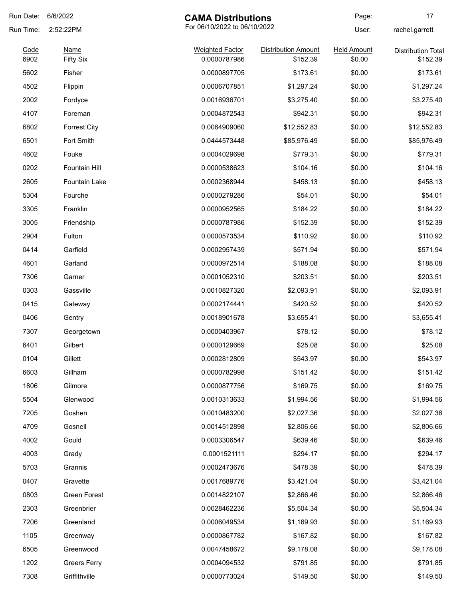| Run Date:    | 6/6/2022<br><b>CAMA Distributions</b>     |                                        | Page:                                  | 17                           |                                       |
|--------------|-------------------------------------------|----------------------------------------|----------------------------------------|------------------------------|---------------------------------------|
| Run Time:    | For 06/10/2022 to 06/10/2022<br>2:52:22PM |                                        |                                        | User:                        | rachel.garrett                        |
| Code<br>6902 | <b>Name</b>                               | <b>Weighted Factor</b><br>0.0000787986 | <b>Distribution Amount</b><br>\$152.39 | <b>Held Amount</b><br>\$0.00 | <b>Distribution Total</b><br>\$152.39 |
|              | <b>Fifty Six</b><br>Fisher                |                                        | \$173.61                               |                              | \$173.61                              |
| 5602         |                                           | 0.0000897705<br>0.0006707851           |                                        | \$0.00                       |                                       |
| 4502         | Flippin                                   |                                        | \$1,297.24                             | \$0.00                       | \$1,297.24                            |
| 2002         | Fordyce                                   | 0.0016936701                           | \$3,275.40                             | \$0.00                       | \$3,275.40                            |
| 4107         | Foreman                                   | 0.0004872543                           | \$942.31                               | \$0.00                       | \$942.31                              |
| 6802         | <b>Forrest City</b>                       | 0.0064909060                           | \$12,552.83                            | \$0.00                       | \$12,552.83                           |
| 6501         | Fort Smith                                | 0.0444573448                           | \$85,976.49                            | \$0.00                       | \$85,976.49                           |
| 4602         | Fouke                                     | 0.0004029698                           | \$779.31                               | \$0.00                       | \$779.31                              |
| 0202         | <b>Fountain Hill</b>                      | 0.0000538623                           | \$104.16                               | \$0.00                       | \$104.16                              |
| 2605         | Fountain Lake                             | 0.0002368944                           | \$458.13                               | \$0.00                       | \$458.13                              |
| 5304         | Fourche                                   | 0.0000279286                           | \$54.01                                | \$0.00                       | \$54.01                               |
| 3305         | Franklin                                  | 0.0000952565                           | \$184.22                               | \$0.00                       | \$184.22                              |
| 3005         | Friendship                                | 0.0000787986                           | \$152.39                               | \$0.00                       | \$152.39                              |
| 2904         | Fulton                                    | 0.0000573534                           | \$110.92                               | \$0.00                       | \$110.92                              |
| 0414         | Garfield                                  | 0.0002957439                           | \$571.94                               | \$0.00                       | \$571.94                              |
| 4601         | Garland                                   | 0.0000972514                           | \$188.08                               | \$0.00                       | \$188.08                              |
| 7306         | Garner                                    | 0.0001052310                           | \$203.51                               | \$0.00                       | \$203.51                              |
| 0303         | Gassville                                 | 0.0010827320                           | \$2,093.91                             | \$0.00                       | \$2,093.91                            |
| 0415         | Gateway                                   | 0.0002174441                           | \$420.52                               | \$0.00                       | \$420.52                              |
| 0406         | Gentry                                    | 0.0018901678                           | \$3,655.41                             | \$0.00                       | \$3,655.41                            |
| 7307         | Georgetown                                | 0.0000403967                           | \$78.12                                | \$0.00                       | \$78.12                               |
| 6401         | Gilbert                                   | 0.0000129669                           | \$25.08                                | \$0.00                       | \$25.08                               |
| 0104         | Gillett                                   | 0.0002812809                           | \$543.97                               | \$0.00                       | \$543.97                              |
| 6603         | Gillham                                   | 0.0000782998                           | \$151.42                               | \$0.00                       | \$151.42                              |
| 1806         | Gilmore                                   | 0.0000877756                           | \$169.75                               | \$0.00                       | \$169.75                              |
| 5504         | Glenwood                                  | 0.0010313633                           | \$1,994.56                             | \$0.00                       | \$1,994.56                            |
| 7205         | Goshen                                    | 0.0010483200                           | \$2,027.36                             | \$0.00                       | \$2,027.36                            |
| 4709         | Gosnell                                   | 0.0014512898                           | \$2,806.66                             | \$0.00                       | \$2,806.66                            |
| 4002         | Gould                                     | 0.0003306547                           | \$639.46                               | \$0.00                       | \$639.46                              |
| 4003         | Grady                                     | 0.0001521111                           | \$294.17                               | \$0.00                       | \$294.17                              |
| 5703         | Grannis                                   | 0.0002473676                           | \$478.39                               | \$0.00                       | \$478.39                              |
| 0407         | Gravette                                  | 0.0017689776                           | \$3,421.04                             | \$0.00                       | \$3,421.04                            |
| 0803         | Green Forest                              | 0.0014822107                           | \$2,866.46                             | \$0.00                       | \$2,866.46                            |
| 2303         | Greenbrier                                | 0.0028462236                           | \$5,504.34                             | \$0.00                       | \$5,504.34                            |
| 7206         | Greenland                                 | 0.0006049534                           | \$1,169.93                             | \$0.00                       | \$1,169.93                            |
| 1105         | Greenway                                  | 0.0000867782                           | \$167.82                               | \$0.00                       | \$167.82                              |
| 6505         | Greenwood                                 | 0.0047458672                           | \$9,178.08                             | \$0.00                       | \$9,178.08                            |
|              |                                           |                                        |                                        |                              |                                       |
| 1202         | <b>Greers Ferry</b>                       | 0.0004094532                           | \$791.85                               | \$0.00                       | \$791.85                              |
| 7308         | Griffithville                             | 0.0000773024                           | \$149.50                               | \$0.00                       | \$149.50                              |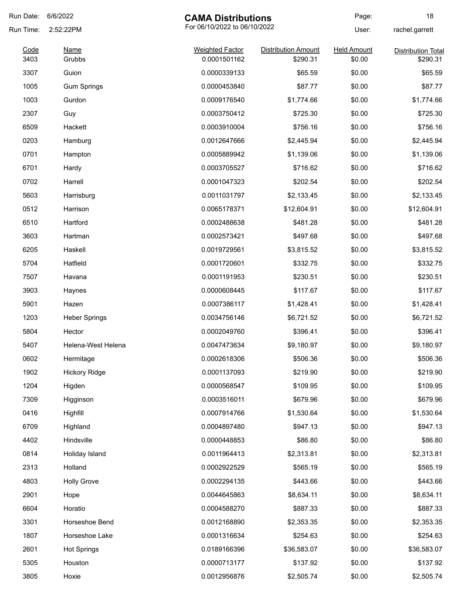| Run Date:    | 6/6/2022              | <b>CAMA Distributions</b>              |                                        | Page:                        | 18                                    |
|--------------|-----------------------|----------------------------------------|----------------------------------------|------------------------------|---------------------------------------|
| Run Time:    | 2:52:22PM             | For 06/10/2022 to 06/10/2022           |                                        | User:                        | rachel.garrett                        |
| Code<br>3403 | <b>Name</b><br>Grubbs | <b>Weighted Factor</b><br>0.0001501162 | <b>Distribution Amount</b><br>\$290.31 | <b>Held Amount</b><br>\$0.00 | <b>Distribution Total</b><br>\$290.31 |
| 3307         | Guion                 | 0.0000339133                           | \$65.59                                | \$0.00                       | \$65.59                               |
| 1005         |                       | 0.0000453840                           |                                        |                              | \$87.77                               |
|              | <b>Gum Springs</b>    |                                        | \$87.77                                | \$0.00                       |                                       |
| 1003         | Gurdon                | 0.0009176540                           | \$1,774.66                             | \$0.00                       | \$1,774.66                            |
| 2307         | Guy                   | 0.0003750412                           | \$725.30                               | \$0.00                       | \$725.30                              |
| 6509         | Hackett               | 0.0003910004                           | \$756.16                               | \$0.00                       | \$756.16                              |
| 0203         | Hamburg               | 0.0012647666                           | \$2,445.94                             | \$0.00                       | \$2,445.94                            |
| 0701         | Hampton               | 0.0005889942                           | \$1,139.06                             | \$0.00                       | \$1,139.06                            |
| 6701         | Hardy                 | 0.0003705527                           | \$716.62                               | \$0.00                       | \$716.62                              |
| 0702         | Harrell               | 0.0001047323                           | \$202.54                               | \$0.00                       | \$202.54                              |
| 5603         | Harrisburg            | 0.0011031797                           | \$2,133.45                             | \$0.00                       | \$2,133.45                            |
| 0512         | Harrison              | 0.0065178371                           | \$12,604.91                            | \$0.00                       | \$12,604.91                           |
| 6510         | Hartford              | 0.0002488638                           | \$481.28                               | \$0.00                       | \$481.28                              |
| 3603         | Hartman               | 0.0002573421                           | \$497.68                               | \$0.00                       | \$497.68                              |
| 6205         | Haskell               | 0.0019729561                           | \$3,815.52                             | \$0.00                       | \$3,815.52                            |
| 5704         | Hatfield              | 0.0001720601                           | \$332.75                               | \$0.00                       | \$332.75                              |
| 7507         | Havana                | 0.0001191953                           | \$230.51                               | \$0.00                       | \$230.51                              |
| 3903         | Haynes                | 0.0000608445                           | \$117.67                               | \$0.00                       | \$117.67                              |
| 5901         | Hazen                 | 0.0007386117                           | \$1,428.41                             | \$0.00                       | \$1,428.41                            |
| 1203         | <b>Heber Springs</b>  | 0.0034756146                           | \$6,721.52                             | \$0.00                       | \$6,721.52                            |
| 5804         | Hector                | 0.0002049760                           | \$396.41                               | \$0.00                       | \$396.41                              |
| 5407         | Helena-West Helena    | 0.0047473634                           | \$9,180.97                             | \$0.00                       | \$9,180.97                            |
| 0602         | Hermitage             | 0.0002618306                           | \$506.36                               | \$0.00                       | \$506.36                              |
| 1902         | <b>Hickory Ridge</b>  | 0.0001137093                           | \$219.90                               | \$0.00                       | \$219.90                              |
| 1204         | Higden                | 0.0000568547                           | \$109.95                               | \$0.00                       | \$109.95                              |
| 7309         | Higginson             | 0.0003516011                           | \$679.96                               | \$0.00                       | \$679.96                              |
| 0416         | Highfill              | 0.0007914766                           | \$1,530.64                             | \$0.00                       | \$1,530.64                            |
| 6709         | Highland              | 0.0004897480                           | \$947.13                               | \$0.00                       | \$947.13                              |
| 4402         | Hindsville            | 0.0000448853                           | \$86.80                                | \$0.00                       | \$86.80                               |
| 0814         | Holiday Island        | 0.0011964413                           | \$2,313.81                             | \$0.00                       | \$2,313.81                            |
| 2313         | Holland               | 0.0002922529                           | \$565.19                               | \$0.00                       | \$565.19                              |
| 4803         | <b>Holly Grove</b>    | 0.0002294135                           | \$443.66                               | \$0.00                       | \$443.66                              |
| 2901         | Hope                  | 0.0044645863                           | \$8,634.11                             | \$0.00                       | \$8,634.11                            |
| 6604         | Horatio               |                                        | \$887.33                               |                              | \$887.33                              |
|              |                       | 0.0004588270                           |                                        | \$0.00                       |                                       |
| 3301         | Horseshoe Bend        | 0.0012168890                           | \$2,353.35                             | \$0.00                       | \$2,353.35                            |
| 1807         | Horseshoe Lake        | 0.0001316634                           | \$254.63                               | \$0.00                       | \$254.63                              |
| 2601         | <b>Hot Springs</b>    | 0.0189166396                           | \$36,583.07                            | \$0.00                       | \$36,583.07                           |
| 5305         | Houston               | 0.0000713177                           | \$137.92                               | \$0.00                       | \$137.92                              |
| 3805         | Hoxie                 | 0.0012956876                           | \$2,505.74                             | \$0.00                       | \$2,505.74                            |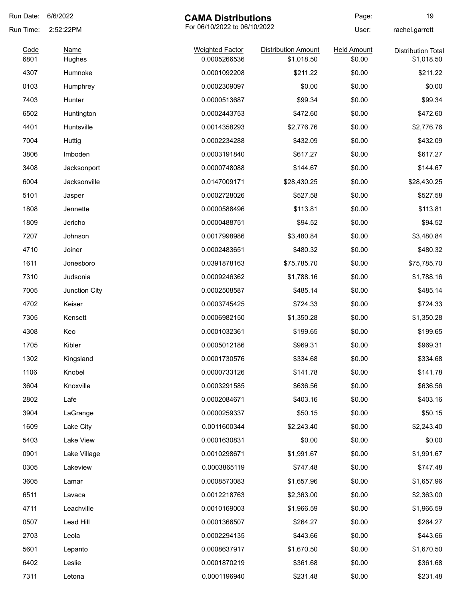| Run Date: | 6/6/2022                                  | <b>CAMA Distributions</b> |                            | Page:              | 19                        |
|-----------|-------------------------------------------|---------------------------|----------------------------|--------------------|---------------------------|
| Run Time: | For 06/10/2022 to 06/10/2022<br>2:52:22PM |                           |                            | User:              | rachel.garrett            |
| Code      | Name                                      | <b>Weighted Factor</b>    | <b>Distribution Amount</b> | <b>Held Amount</b> | <b>Distribution Total</b> |
| 6801      | Hughes                                    | 0.0005266536              | \$1,018.50                 | \$0.00             | \$1,018.50                |
| 4307      | Humnoke                                   | 0.0001092208              | \$211.22                   | \$0.00             | \$211.22                  |
| 0103      | Humphrey                                  | 0.0002309097              | \$0.00                     | \$0.00             | \$0.00                    |
| 7403      | Hunter                                    | 0.0000513687              | \$99.34                    | \$0.00             | \$99.34                   |
| 6502      | Huntington                                | 0.0002443753              | \$472.60                   | \$0.00             | \$472.60                  |
| 4401      | Huntsville                                | 0.0014358293              | \$2,776.76                 | \$0.00             | \$2,776.76                |
| 7004      | Huttig                                    | 0.0002234288              | \$432.09                   | \$0.00             | \$432.09                  |
| 3806      | Imboden                                   | 0.0003191840              | \$617.27                   | \$0.00             | \$617.27                  |
| 3408      | Jacksonport                               | 0.0000748088              | \$144.67                   | \$0.00             | \$144.67                  |
| 6004      | Jacksonville                              | 0.0147009171              | \$28,430.25                | \$0.00             | \$28,430.25               |
| 5101      | Jasper                                    | 0.0002728026              | \$527.58                   | \$0.00             | \$527.58                  |
| 1808      | Jennette                                  | 0.0000588496              | \$113.81                   | \$0.00             | \$113.81                  |
| 1809      | Jericho                                   | 0.0000488751              | \$94.52                    | \$0.00             | \$94.52                   |
| 7207      | Johnson                                   | 0.0017998986              | \$3,480.84                 | \$0.00             | \$3,480.84                |
| 4710      | Joiner                                    | 0.0002483651              | \$480.32                   | \$0.00             | \$480.32                  |
| 1611      | Jonesboro                                 | 0.0391878163              | \$75,785.70                | \$0.00             | \$75,785.70               |
| 7310      | Judsonia                                  | 0.0009246362              | \$1,788.16                 | \$0.00             | \$1,788.16                |
| 7005      | Junction City                             | 0.0002508587              | \$485.14                   | \$0.00             | \$485.14                  |
| 4702      | Keiser                                    | 0.0003745425              | \$724.33                   | \$0.00             | \$724.33                  |
| 7305      | Kensett                                   | 0.0006982150              | \$1,350.28                 | \$0.00             | \$1,350.28                |
| 4308      | Keo                                       | 0.0001032361              | \$199.65                   | \$0.00             | \$199.65                  |
| 1705      | Kibler                                    | 0.0005012186              | \$969.31                   | \$0.00             | \$969.31                  |
| 1302      | Kingsland                                 | 0.0001730576              | \$334.68                   | \$0.00             | \$334.68                  |
| 1106      | Knobel                                    | 0.0000733126              | \$141.78                   | \$0.00             | \$141.78                  |
| 3604      | Knoxville                                 | 0.0003291585              | \$636.56                   | \$0.00             | \$636.56                  |
| 2802      | Lafe                                      | 0.0002084671              | \$403.16                   | \$0.00             | \$403.16                  |
| 3904      | LaGrange                                  | 0.0000259337              | \$50.15                    | \$0.00             | \$50.15                   |
| 1609      | Lake City                                 | 0.0011600344              | \$2,243.40                 | \$0.00             | \$2,243.40                |
| 5403      | Lake View                                 | 0.0001630831              | \$0.00                     | \$0.00             | \$0.00                    |
| 0901      | Lake Village                              | 0.0010298671              | \$1,991.67                 | \$0.00             | \$1,991.67                |
| 0305      | Lakeview                                  | 0.0003865119              | \$747.48                   | \$0.00             | \$747.48                  |
| 3605      | Lamar                                     | 0.0008573083              | \$1,657.96                 | \$0.00             | \$1,657.96                |
| 6511      | Lavaca                                    | 0.0012218763              | \$2,363.00                 | \$0.00             | \$2,363.00                |
| 4711      | Leachville                                | 0.0010169003              | \$1,966.59                 | \$0.00             | \$1,966.59                |
|           |                                           |                           |                            |                    |                           |
| 0507      | Lead Hill                                 | 0.0001366507              | \$264.27                   | \$0.00             | \$264.27                  |
| 2703      | Leola                                     | 0.0002294135              | \$443.66                   | \$0.00             | \$443.66                  |
| 5601      | Lepanto                                   | 0.0008637917              | \$1,670.50                 | \$0.00             | \$1,670.50                |
| 6402      | Leslie                                    | 0.0001870219              | \$361.68                   | \$0.00             | \$361.68                  |
| 7311      | Letona                                    | 0.0001196940              | \$231.48                   | \$0.00             | \$231.48                  |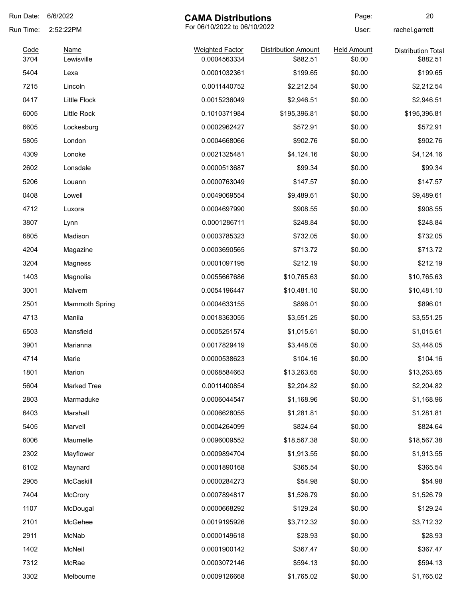| Run Date:    | 6/6/2022                                  | <b>CAMA Distributions</b>              |                                        | Page:                        | 20                                    |
|--------------|-------------------------------------------|----------------------------------------|----------------------------------------|------------------------------|---------------------------------------|
| Run Time:    | For 06/10/2022 to 06/10/2022<br>2:52:22PM |                                        | User:                                  | rachel.garrett               |                                       |
| Code<br>3704 | Name<br>Lewisville                        | <b>Weighted Factor</b><br>0.0004563334 | <b>Distribution Amount</b><br>\$882.51 | <b>Held Amount</b><br>\$0.00 | <b>Distribution Total</b><br>\$882.51 |
| 5404         | Lexa                                      | 0.0001032361                           | \$199.65                               | \$0.00                       | \$199.65                              |
| 7215         | Lincoln                                   | 0.0011440752                           | \$2,212.54                             | \$0.00                       | \$2,212.54                            |
| 0417         | <b>Little Flock</b>                       | 0.0015236049                           | \$2,946.51                             | \$0.00                       | \$2,946.51                            |
| 6005         | Little Rock                               | 0.1010371984                           | \$195,396.81                           | \$0.00                       | \$195,396.81                          |
| 6605         | Lockesburg                                | 0.0002962427                           | \$572.91                               | \$0.00                       | \$572.91                              |
| 5805         | London                                    | 0.0004668066                           | \$902.76                               | \$0.00                       | \$902.76                              |
| 4309         | Lonoke                                    | 0.0021325481                           | \$4,124.16                             | \$0.00                       | \$4,124.16                            |
| 2602         | Lonsdale                                  | 0.0000513687                           | \$99.34                                | \$0.00                       | \$99.34                               |
| 5206         | Louann                                    | 0.0000763049                           | \$147.57                               | \$0.00                       | \$147.57                              |
| 0408         | Lowell                                    | 0.0049069554                           | \$9,489.61                             | \$0.00                       | \$9,489.61                            |
| 4712         | Luxora                                    | 0.0004697990                           | \$908.55                               | \$0.00                       | \$908.55                              |
| 3807         | Lynn                                      | 0.0001286711                           | \$248.84                               | \$0.00                       | \$248.84                              |
| 6805         | Madison                                   | 0.0003785323                           | \$732.05                               | \$0.00                       | \$732.05                              |
| 4204         | Magazine                                  | 0.0003690565                           | \$713.72                               | \$0.00                       | \$713.72                              |
| 3204         | Magness                                   | 0.0001097195                           | \$212.19                               | \$0.00                       | \$212.19                              |
| 1403         | Magnolia                                  | 0.0055667686                           | \$10,765.63                            | \$0.00                       | \$10,765.63                           |
| 3001         | Malvern                                   | 0.0054196447                           | \$10,481.10                            | \$0.00                       | \$10,481.10                           |
| 2501         | <b>Mammoth Spring</b>                     | 0.0004633155                           | \$896.01                               | \$0.00                       | \$896.01                              |
| 4713         | Manila                                    | 0.0018363055                           | \$3,551.25                             | \$0.00                       | \$3,551.25                            |
| 6503         | Mansfield                                 | 0.0005251574                           | \$1,015.61                             | \$0.00                       | \$1,015.61                            |
| 3901         | Marianna                                  | 0.0017829419                           | \$3,448.05                             | \$0.00                       | \$3,448.05                            |
| 4714         | Marie                                     | 0.0000538623                           | \$104.16                               | \$0.00                       | \$104.16                              |
| 1801         | Marion                                    | 0.0068584663                           | \$13,263.65                            | \$0.00                       | \$13,263.65                           |
| 5604         | <b>Marked Tree</b>                        | 0.0011400854                           | \$2,204.82                             | \$0.00                       | \$2,204.82                            |
| 2803         | Marmaduke                                 | 0.0006044547                           | \$1,168.96                             | \$0.00                       | \$1,168.96                            |
| 6403         | Marshall                                  | 0.0006628055                           | \$1,281.81                             | \$0.00                       | \$1,281.81                            |
| 5405         | Marvell                                   | 0.0004264099                           | \$824.64                               | \$0.00                       | \$824.64                              |
| 6006         | Maumelle                                  | 0.0096009552                           | \$18,567.38                            | \$0.00                       | \$18,567.38                           |
| 2302         | Mayflower                                 | 0.0009894704                           | \$1,913.55                             | \$0.00                       | \$1,913.55                            |
| 6102         | Maynard                                   | 0.0001890168                           | \$365.54                               | \$0.00                       | \$365.54                              |
| 2905         | McCaskill                                 | 0.0000284273                           | \$54.98                                | \$0.00                       | \$54.98                               |
| 7404         | McCrory                                   | 0.0007894817                           | \$1,526.79                             | \$0.00                       | \$1,526.79                            |
| 1107         | McDougal                                  | 0.0000668292                           | \$129.24                               | \$0.00                       | \$129.24                              |
| 2101         | McGehee                                   | 0.0019195926                           | \$3,712.32                             | \$0.00                       | \$3,712.32                            |
| 2911         | McNab                                     | 0.0000149618                           | \$28.93                                | \$0.00                       | \$28.93                               |
| 1402         | McNeil                                    | 0.0001900142                           | \$367.47                               | \$0.00                       | \$367.47                              |
| 7312         | McRae                                     | 0.0003072146                           | \$594.13                               | \$0.00                       | \$594.13                              |
| 3302         | Melbourne                                 | 0.0009126668                           | \$1,765.02                             | \$0.00                       | \$1,765.02                            |
|              |                                           |                                        |                                        |                              |                                       |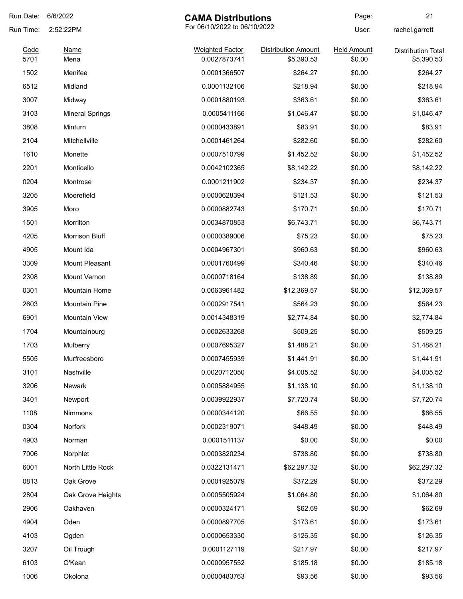| Run Date: | 6/6/2022                                  | <b>CAMA Distributions</b> |                     | Page:              | 21                        |
|-----------|-------------------------------------------|---------------------------|---------------------|--------------------|---------------------------|
| Run Time: | For 06/10/2022 to 06/10/2022<br>2:52:22PM |                           | User:               | rachel.garrett     |                           |
| Code      | <b>Name</b>                               | <b>Weighted Factor</b>    | Distribution Amount | <b>Held Amount</b> | <b>Distribution Total</b> |
| 5701      | Mena                                      | 0.0027873741              | \$5,390.53          | \$0.00             | \$5,390.53                |
| 1502      | Menifee                                   | 0.0001366507              | \$264.27            | \$0.00             | \$264.27                  |
| 6512      | Midland                                   | 0.0001132106              | \$218.94            | \$0.00             | \$218.94                  |
| 3007      | Midway                                    | 0.0001880193              | \$363.61            | \$0.00             | \$363.61                  |
| 3103      | <b>Mineral Springs</b>                    | 0.0005411166              | \$1,046.47          | \$0.00             | \$1,046.47                |
| 3808      | Minturn                                   | 0.0000433891              | \$83.91             | \$0.00             | \$83.91                   |
| 2104      | Mitchellville                             | 0.0001461264              | \$282.60            | \$0.00             | \$282.60                  |
| 1610      | Monette                                   | 0.0007510799              | \$1,452.52          | \$0.00             | \$1,452.52                |
| 2201      | Monticello                                | 0.0042102365              | \$8,142.22          | \$0.00             | \$8,142.22                |
| 0204      | Montrose                                  | 0.0001211902              | \$234.37            | \$0.00             | \$234.37                  |
| 3205      | Moorefield                                | 0.0000628394              | \$121.53            | \$0.00             | \$121.53                  |
| 3905      | Moro                                      | 0.0000882743              | \$170.71            | \$0.00             | \$170.71                  |
| 1501      | Morrilton                                 | 0.0034870853              | \$6,743.71          | \$0.00             | \$6,743.71                |
| 4205      | Morrison Bluff                            | 0.0000389006              | \$75.23             | \$0.00             | \$75.23                   |
| 4905      | Mount Ida                                 | 0.0004967301              | \$960.63            | \$0.00             | \$960.63                  |
| 3309      | Mount Pleasant                            | 0.0001760499              | \$340.46            | \$0.00             | \$340.46                  |
| 2308      | Mount Vernon                              | 0.0000718164              | \$138.89            | \$0.00             | \$138.89                  |
| 0301      | Mountain Home                             | 0.0063961482              | \$12,369.57         | \$0.00             | \$12,369.57               |
| 2603      | <b>Mountain Pine</b>                      | 0.0002917541              | \$564.23            | \$0.00             | \$564.23                  |
| 6901      | <b>Mountain View</b>                      | 0.0014348319              | \$2,774.84          | \$0.00             | \$2,774.84                |
| 1704      | Mountainburg                              | 0.0002633268              | \$509.25            | \$0.00             | \$509.25                  |
| 1703      | Mulberry                                  | 0.0007695327              | \$1,488.21          | \$0.00             | \$1,488.21                |
| 5505      | Murfreesboro                              | 0.0007455939              | \$1,441.91          | \$0.00             | \$1,441.91                |
| 3101      | Nashville                                 | 0.0020712050              | \$4,005.52          | \$0.00             | \$4,005.52                |
| 3206      | Newark                                    | 0.0005884955              | \$1,138.10          | \$0.00             | \$1,138.10                |
| 3401      | Newport                                   | 0.0039922937              | \$7,720.74          | \$0.00             | \$7,720.74                |
| 1108      | Nimmons                                   | 0.0000344120              | \$66.55             | \$0.00             | \$66.55                   |
| 0304      | Norfork                                   | 0.0002319071              | \$448.49            | \$0.00             | \$448.49                  |
| 4903      | Norman                                    | 0.0001511137              | \$0.00              | \$0.00             | \$0.00                    |
| 7006      | Norphlet                                  | 0.0003820234              | \$738.80            | \$0.00             | \$738.80                  |
| 6001      | North Little Rock                         | 0.0322131471              | \$62,297.32         | \$0.00             | \$62,297.32               |
| 0813      | Oak Grove                                 | 0.0001925079              | \$372.29            | \$0.00             | \$372.29                  |
| 2804      | Oak Grove Heights                         | 0.0005505924              | \$1,064.80          | \$0.00             | \$1,064.80                |
| 2906      | Oakhaven                                  | 0.0000324171              | \$62.69             | \$0.00             | \$62.69                   |
| 4904      | Oden                                      | 0.0000897705              | \$173.61            | \$0.00             | \$173.61                  |
| 4103      |                                           | 0.0000653330              | \$126.35            | \$0.00             | \$126.35                  |
| 3207      | Ogden                                     |                           |                     | \$0.00             | \$217.97                  |
|           | Oil Trough                                | 0.0001127119              | \$217.97            |                    |                           |
| 6103      | O'Kean                                    | 0.0000957552              | \$185.18            | \$0.00             | \$185.18                  |
| 1006      | Okolona                                   | 0.0000483763              | \$93.56             | \$0.00             | \$93.56                   |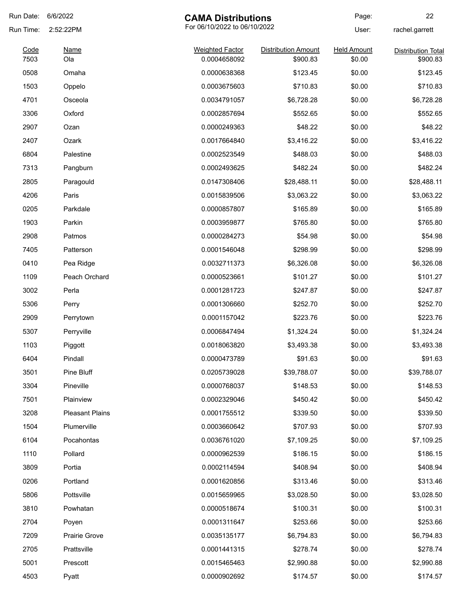| Run Date: | 6/6/2022<br><b>CAMA Distributions</b>     |                        | Page:                      | 22                 |                           |
|-----------|-------------------------------------------|------------------------|----------------------------|--------------------|---------------------------|
| Run Time: | For 06/10/2022 to 06/10/2022<br>2:52:22PM |                        |                            | User:              | rachel.garrett            |
| Code      | <b>Name</b>                               | <b>Weighted Factor</b> | <b>Distribution Amount</b> | <b>Held Amount</b> | <b>Distribution Total</b> |
| 7503      | Ola                                       | 0.0004658092           | \$900.83                   | \$0.00             | \$900.83                  |
| 0508      | Omaha                                     | 0.0000638368           | \$123.45                   | \$0.00             | \$123.45                  |
| 1503      | Oppelo                                    | 0.0003675603           | \$710.83                   | \$0.00             | \$710.83                  |
| 4701      | Osceola                                   | 0.0034791057           | \$6,728.28                 | \$0.00             | \$6,728.28                |
| 3306      | Oxford                                    | 0.0002857694           | \$552.65                   | \$0.00             | \$552.65                  |
| 2907      | Ozan                                      | 0.0000249363           | \$48.22                    | \$0.00             | \$48.22                   |
| 2407      | Ozark                                     | 0.0017664840           | \$3,416.22                 | \$0.00             | \$3,416.22                |
| 6804      | Palestine                                 | 0.0002523549           | \$488.03                   | \$0.00             | \$488.03                  |
| 7313      | Pangburn                                  | 0.0002493625           | \$482.24                   | \$0.00             | \$482.24                  |
| 2805      | Paragould                                 | 0.0147308406           | \$28,488.11                | \$0.00             | \$28,488.11               |
| 4206      | Paris                                     | 0.0015839506           | \$3,063.22                 | \$0.00             | \$3,063.22                |
| 0205      | Parkdale                                  | 0.0000857807           | \$165.89                   | \$0.00             | \$165.89                  |
| 1903      | Parkin                                    | 0.0003959877           | \$765.80                   | \$0.00             | \$765.80                  |
| 2908      | Patmos                                    | 0.0000284273           | \$54.98                    | \$0.00             | \$54.98                   |
| 7405      | Patterson                                 | 0.0001546048           | \$298.99                   | \$0.00             | \$298.99                  |
| 0410      | Pea Ridge                                 | 0.0032711373           | \$6,326.08                 | \$0.00             | \$6,326.08                |
| 1109      | Peach Orchard                             | 0.0000523661           | \$101.27                   | \$0.00             | \$101.27                  |
| 3002      | Perla                                     | 0.0001281723           | \$247.87                   | \$0.00             | \$247.87                  |
| 5306      | Perry                                     | 0.0001306660           | \$252.70                   | \$0.00             | \$252.70                  |
| 2909      | Perrytown                                 | 0.0001157042           | \$223.76                   | \$0.00             | \$223.76                  |
| 5307      | Perryville                                | 0.0006847494           | \$1,324.24                 | \$0.00             | \$1,324.24                |
| 1103      | Piggott                                   | 0.0018063820           | \$3,493.38                 | \$0.00             | \$3,493.38                |
| 6404      | Pindall                                   | 0.0000473789           | \$91.63                    | \$0.00             | \$91.63                   |
| 3501      | Pine Bluff                                | 0.0205739028           | \$39,788.07                | \$0.00             | \$39,788.07               |
| 3304      | Pineville                                 | 0.0000768037           | \$148.53                   | \$0.00             | \$148.53                  |
| 7501      | Plainview                                 | 0.0002329046           | \$450.42                   | \$0.00             | \$450.42                  |
| 3208      | <b>Pleasant Plains</b>                    | 0.0001755512           | \$339.50                   | \$0.00             | \$339.50                  |
| 1504      | Plumerville                               | 0.0003660642           | \$707.93                   | \$0.00             | \$707.93                  |
| 6104      | Pocahontas                                | 0.0036761020           | \$7,109.25                 | \$0.00             | \$7,109.25                |
| 1110      | Pollard                                   | 0.0000962539           | \$186.15                   | \$0.00             | \$186.15                  |
| 3809      | Portia                                    | 0.0002114594           | \$408.94                   | \$0.00             | \$408.94                  |
| 0206      | Portland                                  | 0.0001620856           | \$313.46                   | \$0.00             | \$313.46                  |
| 5806      | Pottsville                                | 0.0015659965           | \$3,028.50                 | \$0.00             | \$3,028.50                |
| 3810      | Powhatan                                  | 0.0000518674           | \$100.31                   | \$0.00             | \$100.31                  |
| 2704      | Poyen                                     | 0.0001311647           | \$253.66                   | \$0.00             | \$253.66                  |
| 7209      | Prairie Grove                             | 0.0035135177           | \$6,794.83                 | \$0.00             | \$6,794.83                |
| 2705      | Prattsville                               | 0.0001441315           | \$278.74                   | \$0.00             | \$278.74                  |
| 5001      | Prescott                                  | 0.0015465463           | \$2,990.88                 | \$0.00             | \$2,990.88                |
| 4503      | Pyatt                                     | 0.0000902692           | \$174.57                   | \$0.00             | \$174.57                  |
|           |                                           |                        |                            |                    |                           |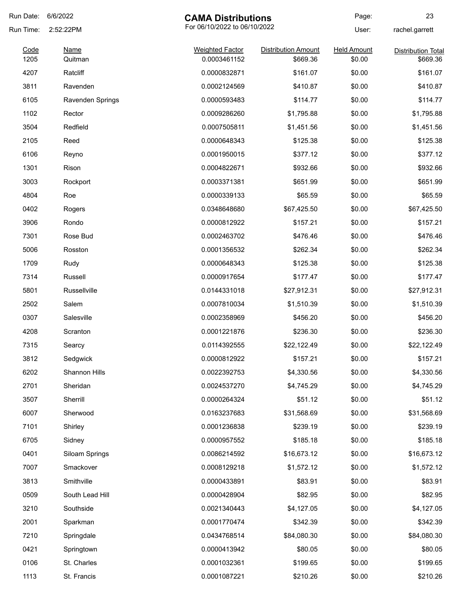| Run Date:    | 6/6/2022               | <b>CAMA Distributions</b>              |                                        | Page:                        | 23                                    |
|--------------|------------------------|----------------------------------------|----------------------------------------|------------------------------|---------------------------------------|
| Run Time:    | 2:52:22PM              | For 06/10/2022 to 06/10/2022           |                                        | User:                        | rachel.garrett                        |
| Code<br>1205 | <b>Name</b><br>Quitman | <b>Weighted Factor</b><br>0.0003461152 | <b>Distribution Amount</b><br>\$669.36 | <b>Held Amount</b><br>\$0.00 | <b>Distribution Total</b><br>\$669.36 |
| 4207         | Ratcliff               | 0.0000832871                           | \$161.07                               | \$0.00                       | \$161.07                              |
| 3811         | Ravenden               | 0.0002124569                           | \$410.87                               | \$0.00                       | \$410.87                              |
| 6105         | Ravenden Springs       | 0.0000593483                           | \$114.77                               | \$0.00                       | \$114.77                              |
| 1102         | Rector                 | 0.0009286260                           | \$1,795.88                             | \$0.00                       | \$1,795.88                            |
| 3504         | Redfield               | 0.0007505811                           | \$1,451.56                             | \$0.00                       | \$1,451.56                            |
| 2105         | Reed                   | 0.0000648343                           | \$125.38                               | \$0.00                       | \$125.38                              |
| 6106         | Reyno                  | 0.0001950015                           | \$377.12                               | \$0.00                       | \$377.12                              |
| 1301         | Rison                  | 0.0004822671                           | \$932.66                               | \$0.00                       | \$932.66                              |
| 3003         | Rockport               | 0.0003371381                           | \$651.99                               | \$0.00                       | \$651.99                              |
| 4804         | Roe                    | 0.0000339133                           | \$65.59                                | \$0.00                       | \$65.59                               |
| 0402         | Rogers                 | 0.0348648680                           | \$67,425.50                            | \$0.00                       | \$67,425.50                           |
| 3906         | Rondo                  | 0.0000812922                           | \$157.21                               | \$0.00                       | \$157.21                              |
| 7301         | Rose Bud               | 0.0002463702                           | \$476.46                               | \$0.00                       | \$476.46                              |
| 5006         | Rosston                | 0.0001356532                           | \$262.34                               | \$0.00                       | \$262.34                              |
| 1709         | Rudy                   | 0.0000648343                           | \$125.38                               | \$0.00                       | \$125.38                              |
| 7314         | Russell                | 0.0000917654                           | \$177.47                               | \$0.00                       | \$177.47                              |
| 5801         | Russellville           | 0.0144331018                           | \$27,912.31                            | \$0.00                       | \$27,912.31                           |
| 2502         | Salem                  | 0.0007810034                           | \$1,510.39                             | \$0.00                       | \$1,510.39                            |
| 0307         | Salesville             | 0.0002358969                           | \$456.20                               | \$0.00                       | \$456.20                              |
| 4208         | Scranton               | 0.0001221876                           | \$236.30                               | \$0.00                       | \$236.30                              |
| 7315         | Searcy                 | 0.0114392555                           | \$22,122.49                            | \$0.00                       | \$22,122.49                           |
| 3812         | Sedgwick               | 0.0000812922                           | \$157.21                               | \$0.00                       | \$157.21                              |
| 6202         | Shannon Hills          | 0.0022392753                           | \$4,330.56                             | \$0.00                       | \$4,330.56                            |
| 2701         | Sheridan               | 0.0024537270                           | \$4,745.29                             | \$0.00                       | \$4,745.29                            |
| 3507         | Sherrill               | 0.0000264324                           | \$51.12                                | \$0.00                       | \$51.12                               |
| 6007         | Sherwood               | 0.0163237683                           | \$31,568.69                            | \$0.00                       | \$31,568.69                           |
| 7101         | Shirley                | 0.0001236838                           | \$239.19                               | \$0.00                       | \$239.19                              |
| 6705         | Sidney                 | 0.0000957552                           | \$185.18                               | \$0.00                       | \$185.18                              |
| 0401         | Siloam Springs         | 0.0086214592                           | \$16,673.12                            | \$0.00                       | \$16,673.12                           |
| 7007         | Smackover              | 0.0008129218                           | \$1,572.12                             | \$0.00                       | \$1,572.12                            |
| 3813         | Smithville             | 0.0000433891                           | \$83.91                                | \$0.00                       | \$83.91                               |
| 0509         | South Lead Hill        | 0.0000428904                           | \$82.95                                | \$0.00                       | \$82.95                               |
| 3210         | Southside              | 0.0021340443                           | \$4,127.05                             | \$0.00                       | \$4,127.05                            |
| 2001         | Sparkman               | 0.0001770474                           | \$342.39                               | \$0.00                       | \$342.39                              |
| 7210         | Springdale             | 0.0434768514                           | \$84,080.30                            | \$0.00                       | \$84,080.30                           |
| 0421         | Springtown             | 0.0000413942                           | \$80.05                                | \$0.00                       | \$80.05                               |
| 0106         | St. Charles            | 0.0001032361                           | \$199.65                               | \$0.00                       | \$199.65                              |
| 1113         | St. Francis            | 0.0001087221                           | \$210.26                               | \$0.00                       | \$210.26                              |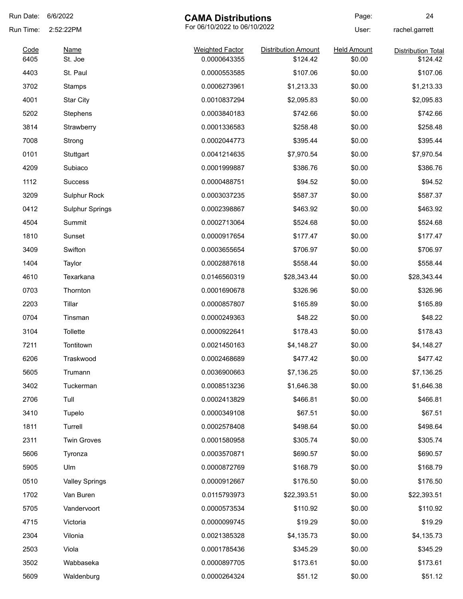| Run Date: | 6/6/2022                                  | <b>CAMA Distributions</b> |                            | Page:              | 24                        |
|-----------|-------------------------------------------|---------------------------|----------------------------|--------------------|---------------------------|
| Run Time: | For 06/10/2022 to 06/10/2022<br>2:52:22PM |                           |                            | User:              | rachel.garrett            |
| Code      | <b>Name</b>                               | <b>Weighted Factor</b>    | <b>Distribution Amount</b> | <b>Held Amount</b> | <b>Distribution Total</b> |
| 6405      | St. Joe                                   | 0.0000643355              | \$124.42                   | \$0.00             | \$124.42                  |
| 4403      | St. Paul                                  | 0.0000553585              | \$107.06                   | \$0.00             | \$107.06                  |
| 3702      | Stamps                                    | 0.0006273961              | \$1,213.33                 | \$0.00             | \$1,213.33                |
| 4001      | <b>Star City</b>                          | 0.0010837294              | \$2,095.83                 | \$0.00             | \$2,095.83                |
| 5202      | Stephens                                  | 0.0003840183              | \$742.66                   | \$0.00             | \$742.66                  |
| 3814      | Strawberry                                | 0.0001336583              | \$258.48                   | \$0.00             | \$258.48                  |
| 7008      | Strong                                    | 0.0002044773              | \$395.44                   | \$0.00             | \$395.44                  |
| 0101      | Stuttgart                                 | 0.0041214635              | \$7,970.54                 | \$0.00             | \$7,970.54                |
| 4209      | Subiaco                                   | 0.0001999887              | \$386.76                   | \$0.00             | \$386.76                  |
| 1112      | <b>Success</b>                            | 0.0000488751              | \$94.52                    | \$0.00             | \$94.52                   |
| 3209      | Sulphur Rock                              | 0.0003037235              | \$587.37                   | \$0.00             | \$587.37                  |
| 0412      | <b>Sulphur Springs</b>                    | 0.0002398867              | \$463.92                   | \$0.00             | \$463.92                  |
| 4504      | Summit                                    | 0.0002713064              | \$524.68                   | \$0.00             | \$524.68                  |
| 1810      | Sunset                                    | 0.0000917654              | \$177.47                   | \$0.00             | \$177.47                  |
| 3409      | Swifton                                   | 0.0003655654              | \$706.97                   | \$0.00             | \$706.97                  |
| 1404      | Taylor                                    | 0.0002887618              | \$558.44                   | \$0.00             | \$558.44                  |
| 4610      | Texarkana                                 | 0.0146560319              | \$28,343.44                | \$0.00             | \$28,343.44               |
| 0703      | Thornton                                  | 0.0001690678              | \$326.96                   | \$0.00             | \$326.96                  |
| 2203      | Tillar                                    | 0.0000857807              | \$165.89                   | \$0.00             | \$165.89                  |
| 0704      | Tinsman                                   | 0.0000249363              | \$48.22                    | \$0.00             | \$48.22                   |
| 3104      | Tollette                                  | 0.0000922641              | \$178.43                   | \$0.00             | \$178.43                  |
| 7211      | Tontitown                                 | 0.0021450163              | \$4,148.27                 | \$0.00             | \$4,148.27                |
| 6206      | Traskwood                                 | 0.0002468689              | \$477.42                   | \$0.00             | \$477.42                  |
| 5605      | Trumann                                   | 0.0036900663              | \$7,136.25                 | \$0.00             | \$7,136.25                |
| 3402      | Tuckerman                                 | 0.0008513236              | \$1,646.38                 | \$0.00             | \$1,646.38                |
| 2706      | Tull                                      | 0.0002413829              | \$466.81                   | \$0.00             | \$466.81                  |
| 3410      | Tupelo                                    | 0.0000349108              | \$67.51                    | \$0.00             | \$67.51                   |
| 1811      | Turrell                                   | 0.0002578408              | \$498.64                   | \$0.00             | \$498.64                  |
| 2311      | <b>Twin Groves</b>                        | 0.0001580958              | \$305.74                   | \$0.00             | \$305.74                  |
| 5606      | Tyronza                                   | 0.0003570871              | \$690.57                   | \$0.00             | \$690.57                  |
| 5905      | Ulm                                       | 0.0000872769              | \$168.79                   | \$0.00             | \$168.79                  |
| 0510      | <b>Valley Springs</b>                     | 0.0000912667              | \$176.50                   | \$0.00             | \$176.50                  |
| 1702      | Van Buren                                 | 0.0115793973              | \$22,393.51                | \$0.00             | \$22,393.51               |
| 5705      | Vandervoort                               | 0.0000573534              | \$110.92                   | \$0.00             | \$110.92                  |
|           |                                           |                           |                            |                    |                           |
| 4715      | Victoria                                  | 0.0000099745              | \$19.29                    | \$0.00             | \$19.29                   |
| 2304      | Vilonia                                   | 0.0021385328              | \$4,135.73                 | \$0.00             | \$4,135.73                |
| 2503      | Viola                                     | 0.0001785436              | \$345.29                   | \$0.00             | \$345.29                  |
| 3502      | Wabbaseka                                 | 0.0000897705              | \$173.61                   | \$0.00             | \$173.61                  |
| 5609      | Waldenburg                                | 0.0000264324              | \$51.12                    | \$0.00             | \$51.12                   |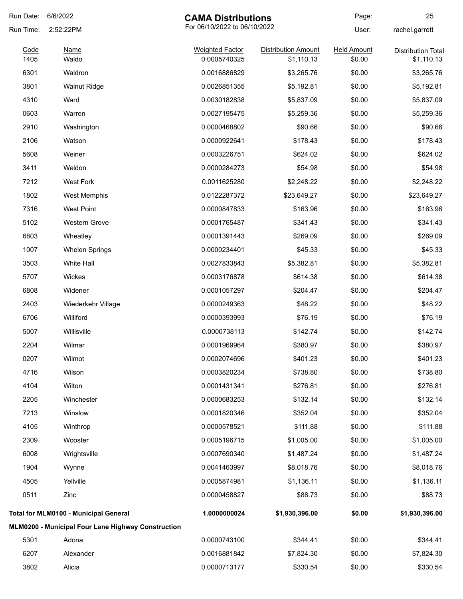| Run Date:    | 6/6/2022                                           | <b>CAMA Distributions</b>              |                                          | Page:                        | 25                                      |
|--------------|----------------------------------------------------|----------------------------------------|------------------------------------------|------------------------------|-----------------------------------------|
| Run Time:    | 2:52:22PM                                          | For 06/10/2022 to 06/10/2022           |                                          | User:                        | rachel.garrett                          |
| Code<br>1405 | <b>Name</b><br>Waldo                               | <b>Weighted Factor</b><br>0.0005740325 | <b>Distribution Amount</b><br>\$1,110.13 | <b>Held Amount</b><br>\$0.00 | <b>Distribution Total</b><br>\$1,110.13 |
| 6301         | Waldron                                            | 0.0016886829                           | \$3,265.76                               | \$0.00                       | \$3,265.76                              |
| 3801         | <b>Walnut Ridge</b>                                | 0.0026851355                           | \$5,192.81                               | \$0.00                       | \$5,192.81                              |
| 4310         | Ward                                               | 0.0030182838                           | \$5,837.09                               | \$0.00                       | \$5,837.09                              |
| 0603         | Warren                                             | 0.0027195475                           | \$5,259.36                               | \$0.00                       | \$5,259.36                              |
| 2910         | Washington                                         | 0.0000468802                           | \$90.66                                  | \$0.00                       | \$90.66                                 |
| 2106         | Watson                                             | 0.0000922641                           | \$178.43                                 | \$0.00                       | \$178.43                                |
| 5608         | Weiner                                             | 0.0003226751                           | \$624.02                                 | \$0.00                       | \$624.02                                |
| 3411         | Weldon                                             | 0.0000284273                           | \$54.98                                  | \$0.00                       | \$54.98                                 |
| 7212         | <b>West Fork</b>                                   | 0.0011625280                           | \$2,248.22                               | \$0.00                       | \$2,248.22                              |
| 1802         | <b>West Memphis</b>                                | 0.0122287372                           | \$23,649.27                              | \$0.00                       | \$23,649.27                             |
| 7316         | <b>West Point</b>                                  | 0.0000847833                           | \$163.96                                 | \$0.00                       | \$163.96                                |
| 5102         | Western Grove                                      | 0.0001765487                           | \$341.43                                 | \$0.00                       | \$341.43                                |
| 6803         | Wheatley                                           | 0.0001391443                           | \$269.09                                 | \$0.00                       | \$269.09                                |
| 1007         | <b>Whelen Springs</b>                              | 0.0000234401                           | \$45.33                                  | \$0.00                       | \$45.33                                 |
| 3503         | White Hall                                         | 0.0027833843                           | \$5,382.81                               | \$0.00                       | \$5,382.81                              |
| 5707         | Wickes                                             | 0.0003176878                           | \$614.38                                 | \$0.00                       | \$614.38                                |
| 6808         | Widener                                            | 0.0001057297                           | \$204.47                                 | \$0.00                       | \$204.47                                |
| 2403         | Wiederkehr Village                                 | 0.0000249363                           | \$48.22                                  | \$0.00                       | \$48.22                                 |
| 6706         | Williford                                          | 0.0000393993                           | \$76.19                                  | \$0.00                       | \$76.19                                 |
| 5007         | Willisville                                        | 0.0000738113                           | \$142.74                                 | \$0.00                       | \$142.74                                |
| 2204         | Wilmar                                             | 0.0001969964                           | \$380.97                                 | \$0.00                       | \$380.97                                |
| 0207         | Wilmot                                             | 0.0002074696                           | \$401.23                                 | \$0.00                       | \$401.23                                |
| 4716         | Wilson                                             | 0.0003820234                           | \$738.80                                 | \$0.00                       | \$738.80                                |
| 4104         | Wilton                                             | 0.0001431341                           | \$276.81                                 | \$0.00                       | \$276.81                                |
| 2205         | Winchester                                         | 0.0000683253                           | \$132.14                                 | \$0.00                       | \$132.14                                |
| 7213         | Winslow                                            | 0.0001820346                           | \$352.04                                 | \$0.00                       | \$352.04                                |
| 4105         | Winthrop                                           | 0.0000578521                           | \$111.88                                 | \$0.00                       | \$111.88                                |
| 2309         | Wooster                                            | 0.0005196715                           | \$1,005.00                               | \$0.00                       | \$1,005.00                              |
| 6008         | Wrightsville                                       | 0.0007690340                           | \$1,487.24                               | \$0.00                       | \$1,487.24                              |
| 1904         | Wynne                                              | 0.0041463997                           | \$8,018.76                               | \$0.00                       | \$8,018.76                              |
| 4505         | Yellville                                          | 0.0005874981                           | \$1,136.11                               | \$0.00                       | \$1,136.11                              |
| 0511         | Zinc                                               | 0.0000458827                           | \$88.73                                  | \$0.00                       | \$88.73                                 |
|              | Total for MLM0100 - Municipal General              | 1.0000000024                           | \$1,930,396.00                           | \$0.00                       | \$1,930,396.00                          |
|              | MLM0200 - Municipal Four Lane Highway Construction |                                        |                                          |                              |                                         |
| 5301         | Adona                                              | 0.0000743100                           | \$344.41                                 | \$0.00                       | \$344.41                                |
| 6207         | Alexander                                          | 0.0016881842                           | \$7,824.30                               | \$0.00                       | \$7,824.30                              |
| 3802         | Alicia                                             | 0.0000713177                           | \$330.54                                 | \$0.00                       | \$330.54                                |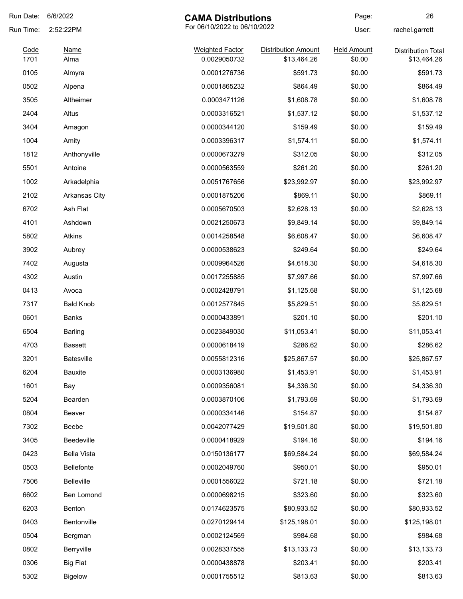| Run Date:    | 6/6/2022                                  | <b>CAMA Distributions</b>              |                            | Page:                        | 26                                       |
|--------------|-------------------------------------------|----------------------------------------|----------------------------|------------------------------|------------------------------------------|
| Run Time:    | For 06/10/2022 to 06/10/2022<br>2:52:22PM |                                        | User:                      | rachel.garrett               |                                          |
| Code<br>1701 | <b>Name</b>                               | <b>Weighted Factor</b><br>0.0029050732 | <b>Distribution Amount</b> | <b>Held Amount</b><br>\$0.00 | <b>Distribution Total</b><br>\$13,464.26 |
|              | Alma                                      |                                        | \$13,464.26                |                              |                                          |
| 0105         | Almyra                                    | 0.0001276736                           | \$591.73                   | \$0.00                       | \$591.73                                 |
| 0502         | Alpena                                    | 0.0001865232                           | \$864.49                   | \$0.00                       | \$864.49                                 |
| 3505         | Altheimer                                 | 0.0003471126                           | \$1,608.78                 | \$0.00                       | \$1,608.78                               |
| 2404         | Altus                                     | 0.0003316521                           | \$1,537.12                 | \$0.00                       | \$1,537.12                               |
| 3404         | Amagon                                    | 0.0000344120                           | \$159.49                   | \$0.00                       | \$159.49                                 |
| 1004         | Amity                                     | 0.0003396317                           | \$1,574.11                 | \$0.00                       | \$1,574.11                               |
| 1812         | Anthonyville                              | 0.0000673279                           | \$312.05                   | \$0.00                       | \$312.05                                 |
| 5501         | Antoine                                   | 0.0000563559                           | \$261.20                   | \$0.00                       | \$261.20                                 |
| 1002         | Arkadelphia                               | 0.0051767656                           | \$23,992.97                | \$0.00                       | \$23,992.97                              |
| 2102         | <b>Arkansas City</b>                      | 0.0001875206                           | \$869.11                   | \$0.00                       | \$869.11                                 |
| 6702         | Ash Flat                                  | 0.0005670503                           | \$2,628.13                 | \$0.00                       | \$2,628.13                               |
| 4101         | Ashdown                                   | 0.0021250673                           | \$9,849.14                 | \$0.00                       | \$9,849.14                               |
| 5802         | Atkins                                    | 0.0014258548                           | \$6,608.47                 | \$0.00                       | \$6,608.47                               |
| 3902         | Aubrey                                    | 0.0000538623                           | \$249.64                   | \$0.00                       | \$249.64                                 |
| 7402         | Augusta                                   | 0.0009964526                           | \$4,618.30                 | \$0.00                       | \$4,618.30                               |
| 4302         | Austin                                    | 0.0017255885                           | \$7,997.66                 | \$0.00                       | \$7,997.66                               |
| 0413         | Avoca                                     | 0.0002428791                           | \$1,125.68                 | \$0.00                       | \$1,125.68                               |
| 7317         | <b>Bald Knob</b>                          | 0.0012577845                           | \$5,829.51                 | \$0.00                       | \$5,829.51                               |
| 0601         | Banks                                     | 0.0000433891                           | \$201.10                   | \$0.00                       | \$201.10                                 |
| 6504         | Barling                                   | 0.0023849030                           | \$11,053.41                | \$0.00                       | \$11,053.41                              |
| 4703         | <b>Bassett</b>                            | 0.0000618419                           | \$286.62                   | \$0.00                       | \$286.62                                 |
| 3201         | Batesville                                | 0.0055812316                           | \$25,867.57                | \$0.00                       | \$25,867.57                              |
| 6204         | Bauxite                                   | 0.0003136980                           | \$1,453.91                 | \$0.00                       | \$1,453.91                               |
| 1601         | Bay                                       | 0.0009356081                           | \$4,336.30                 | \$0.00                       | \$4,336.30                               |
| 5204         | Bearden                                   | 0.0003870106                           | \$1,793.69                 | \$0.00                       | \$1,793.69                               |
| 0804         | Beaver                                    | 0.0000334146                           | \$154.87                   | \$0.00                       | \$154.87                                 |
| 7302         | Beebe                                     | 0.0042077429                           | \$19,501.80                | \$0.00                       | \$19,501.80                              |
| 3405         | Beedeville                                | 0.0000418929                           | \$194.16                   | \$0.00                       | \$194.16                                 |
| 0423         | <b>Bella Vista</b>                        | 0.0150136177                           | \$69,584.24                | \$0.00                       | \$69,584.24                              |
| 0503         | Bellefonte                                | 0.0002049760                           | \$950.01                   | \$0.00                       | \$950.01                                 |
| 7506         | Belleville                                | 0.0001556022                           | \$721.18                   | \$0.00                       | \$721.18                                 |
| 6602         | Ben Lomond                                | 0.0000698215                           | \$323.60                   | \$0.00                       | \$323.60                                 |
| 6203         | Benton                                    | 0.0174623575                           | \$80,933.52                | \$0.00                       | \$80,933.52                              |
| 0403         | Bentonville                               | 0.0270129414                           | \$125,198.01               | \$0.00                       | \$125,198.01                             |
|              |                                           |                                        |                            |                              |                                          |
| 0504         | Bergman                                   | 0.0002124569                           | \$984.68                   | \$0.00                       | \$984.68                                 |
| 0802         | Berryville                                | 0.0028337555                           | \$13,133.73                | \$0.00                       | \$13,133.73                              |
| 0306         | <b>Big Flat</b>                           | 0.0000438878                           | \$203.41                   | \$0.00                       | \$203.41                                 |
| 5302         | <b>Bigelow</b>                            | 0.0001755512                           | \$813.63                   | \$0.00                       | \$813.63                                 |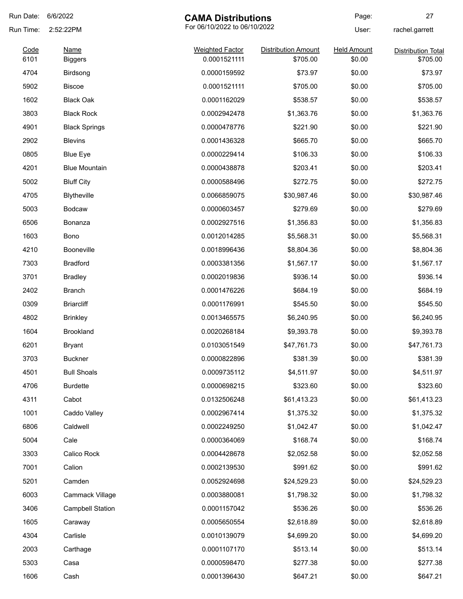| Run Date:    | 6/6/2022                                  | <b>CAMA Distributions</b>              |                                        | Page:                        | 27                                    |
|--------------|-------------------------------------------|----------------------------------------|----------------------------------------|------------------------------|---------------------------------------|
| Run Time:    | For 06/10/2022 to 06/10/2022<br>2:52:22PM |                                        |                                        | User:                        | rachel.garrett                        |
| Code<br>6101 | <b>Name</b>                               | <b>Weighted Factor</b><br>0.0001521111 | <b>Distribution Amount</b><br>\$705.00 | <b>Held Amount</b><br>\$0.00 | <b>Distribution Total</b><br>\$705.00 |
| 4704         | <b>Biggers</b><br>Birdsong                | 0.0000159592                           | \$73.97                                | \$0.00                       | \$73.97                               |
| 5902         | <b>Biscoe</b>                             | 0.0001521111                           | \$705.00                               | \$0.00                       | \$705.00                              |
| 1602         | <b>Black Oak</b>                          | 0.0001162029                           | \$538.57                               | \$0.00                       | \$538.57                              |
| 3803         | <b>Black Rock</b>                         | 0.0002942478                           | \$1,363.76                             | \$0.00                       | \$1,363.76                            |
| 4901         | <b>Black Springs</b>                      | 0.0000478776                           | \$221.90                               | \$0.00                       | \$221.90                              |
| 2902         | <b>Blevins</b>                            |                                        | \$665.70                               | \$0.00                       | \$665.70                              |
| 0805         |                                           | 0.0001436328<br>0.0000229414           | \$106.33                               | \$0.00                       | \$106.33                              |
|              | <b>Blue Eye</b>                           |                                        |                                        |                              |                                       |
| 4201         | <b>Blue Mountain</b>                      | 0.0000438878                           | \$203.41                               | \$0.00                       | \$203.41                              |
| 5002         | <b>Bluff City</b>                         | 0.0000588496                           | \$272.75                               | \$0.00                       | \$272.75                              |
| 4705         | Blytheville                               | 0.0066859075                           | \$30,987.46                            | \$0.00                       | \$30,987.46                           |
| 5003         | Bodcaw                                    | 0.0000603457                           | \$279.69                               | \$0.00                       | \$279.69                              |
| 6506         | Bonanza                                   | 0.0002927516                           | \$1,356.83                             | \$0.00                       | \$1,356.83                            |
| 1603         | Bono                                      | 0.0012014285                           | \$5,568.31                             | \$0.00                       | \$5,568.31                            |
| 4210         | <b>Booneville</b>                         | 0.0018996436                           | \$8,804.36                             | \$0.00                       | \$8,804.36                            |
| 7303         | <b>Bradford</b>                           | 0.0003381356                           | \$1,567.17                             | \$0.00                       | \$1,567.17                            |
| 3701         | <b>Bradley</b>                            | 0.0002019836                           | \$936.14                               | \$0.00                       | \$936.14                              |
| 2402         | <b>Branch</b>                             | 0.0001476226                           | \$684.19                               | \$0.00                       | \$684.19                              |
| 0309         | <b>Briarcliff</b>                         | 0.0001176991                           | \$545.50                               | \$0.00                       | \$545.50                              |
| 4802         | <b>Brinkley</b>                           | 0.0013465575                           | \$6,240.95                             | \$0.00                       | \$6,240.95                            |
| 1604         | <b>Brookland</b>                          | 0.0020268184                           | \$9,393.78                             | \$0.00                       | \$9,393.78                            |
| 6201         | <b>Bryant</b>                             | 0.0103051549                           | \$47,761.73                            | \$0.00                       | \$47,761.73                           |
| 3703         | <b>Buckner</b>                            | 0.0000822896                           | \$381.39                               | \$0.00                       | \$381.39                              |
| 4501         | <b>Bull Shoals</b>                        | 0.0009735112                           | \$4,511.97                             | \$0.00                       | \$4,511.97                            |
| 4706         | <b>Burdette</b>                           | 0.0000698215                           | \$323.60                               | \$0.00                       | \$323.60                              |
| 4311         | Cabot                                     | 0.0132506248                           | \$61,413.23                            | \$0.00                       | \$61,413.23                           |
| 1001         | Caddo Valley                              | 0.0002967414                           | \$1,375.32                             | \$0.00                       | \$1,375.32                            |
| 6806         | Caldwell                                  | 0.0002249250                           | \$1,042.47                             | \$0.00                       | \$1,042.47                            |
| 5004         | Cale                                      | 0.0000364069                           | \$168.74                               | \$0.00                       | \$168.74                              |
| 3303         | Calico Rock                               | 0.0004428678                           | \$2,052.58                             | \$0.00                       | \$2,052.58                            |
| 7001         | Calion                                    | 0.0002139530                           | \$991.62                               | \$0.00                       | \$991.62                              |
| 5201         | Camden                                    | 0.0052924698                           | \$24,529.23                            | \$0.00                       | \$24,529.23                           |
| 6003         | Cammack Village                           | 0.0003880081                           | \$1,798.32                             | \$0.00                       | \$1,798.32                            |
| 3406         | <b>Campbell Station</b>                   | 0.0001157042                           | \$536.26                               | \$0.00                       | \$536.26                              |
| 1605         | Caraway                                   | 0.0005650554                           | \$2,618.89                             | \$0.00                       | \$2,618.89                            |
| 4304         | Carlisle                                  | 0.0010139079                           | \$4,699.20                             | \$0.00                       | \$4,699.20                            |
| 2003         | Carthage                                  | 0.0001107170                           | \$513.14                               | \$0.00                       | \$513.14                              |
| 5303         | Casa                                      | 0.0000598470                           | \$277.38                               | \$0.00                       | \$277.38                              |
|              |                                           |                                        |                                        |                              |                                       |
| 1606         | Cash                                      | 0.0001396430                           | \$647.21                               | \$0.00                       | \$647.21                              |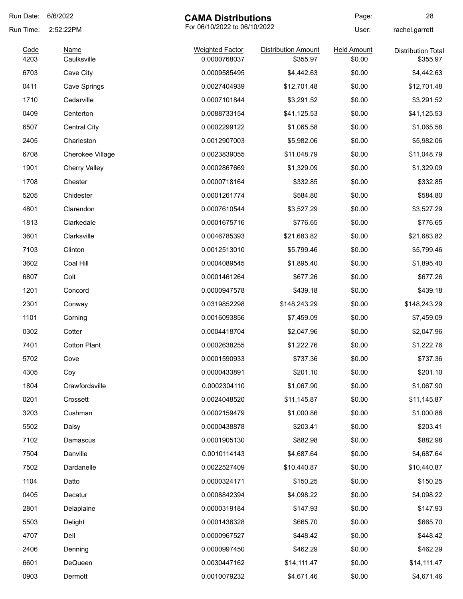| Run Date:    | 6/6/2022             | <b>CAMA Distributions</b>              |                                        | Page:                        | 28                                    |
|--------------|----------------------|----------------------------------------|----------------------------------------|------------------------------|---------------------------------------|
| Run Time:    | 2:52:22PM            | For 06/10/2022 to 06/10/2022           |                                        | User:                        | rachel.garrett                        |
| Code<br>4203 | Name<br>Caulksville  | <b>Weighted Factor</b><br>0.0000768037 | <b>Distribution Amount</b><br>\$355.97 | <b>Held Amount</b><br>\$0.00 | <b>Distribution Total</b><br>\$355.97 |
| 6703         | Cave City            | 0.0009585495                           | \$4,442.63                             | \$0.00                       | \$4,442.63                            |
| 0411         | Cave Springs         | 0.0027404939                           | \$12,701.48                            | \$0.00                       | \$12,701.48                           |
| 1710         | Cedarville           | 0.0007101844                           | \$3,291.52                             | \$0.00                       | \$3,291.52                            |
| 0409         | Centerton            | 0.0088733154                           | \$41,125.53                            | \$0.00                       | \$41,125.53                           |
| 6507         | <b>Central City</b>  | 0.0002299122                           | \$1,065.58                             | \$0.00                       | \$1,065.58                            |
| 2405         | Charleston           | 0.0012907003                           | \$5,982.06                             | \$0.00                       | \$5,982.06                            |
| 6708         | Cherokee Village     | 0.0023839055                           | \$11,048.79                            | \$0.00                       | \$11,048.79                           |
| 1901         | <b>Cherry Valley</b> | 0.0002867669                           | \$1,329.09                             | \$0.00                       | \$1,329.09                            |
| 1708         | Chester              | 0.0000718164                           | \$332.85                               | \$0.00                       | \$332.85                              |
| 5205         | Chidester            | 0.0001261774                           | \$584.80                               | \$0.00                       | \$584.80                              |
| 4801         | Clarendon            | 0.0007610544                           | \$3,527.29                             | \$0.00                       | \$3,527.29                            |
| 1813         | Clarkedale           | 0.0001675716                           | \$776.65                               | \$0.00                       | \$776.65                              |
| 3601         | Clarksville          | 0.0046785393                           | \$21,683.82                            | \$0.00                       | \$21,683.82                           |
| 7103         | Clinton              | 0.0012513010                           | \$5,799.46                             | \$0.00                       | \$5,799.46                            |
| 3602         | Coal Hill            | 0.0004089545                           | \$1,895.40                             | \$0.00                       | \$1,895.40                            |
| 6807         | Colt                 | 0.0001461264                           | \$677.26                               | \$0.00                       | \$677.26                              |
| 1201         | Concord              | 0.0000947578                           | \$439.18                               | \$0.00                       | \$439.18                              |
| 2301         | Conway               | 0.0319852298                           | \$148,243.29                           | \$0.00                       | \$148,243.29                          |
| 1101         | Corning              | 0.0016093856                           | \$7,459.09                             | \$0.00                       | \$7,459.09                            |
| 0302         | Cotter               | 0.0004418704                           | \$2,047.96                             | \$0.00                       | \$2,047.96                            |
| 7401         | <b>Cotton Plant</b>  | 0.0002638255                           | \$1,222.76                             | \$0.00                       | \$1,222.76                            |
| 5702         | Cove                 | 0.0001590933                           | \$737.36                               | \$0.00                       | \$737.36                              |
| 4305         | Coy                  | 0.0000433891                           | \$201.10                               | \$0.00                       | \$201.10                              |
| 1804         | Crawfordsville       | 0.0002304110                           | \$1,067.90                             | \$0.00                       | \$1,067.90                            |
| 0201         | Crossett             | 0.0024048520                           | \$11,145.87                            | \$0.00                       | \$11,145.87                           |
| 3203         | Cushman              | 0.0002159479                           | \$1,000.86                             | \$0.00                       | \$1,000.86                            |
| 5502         | Daisy                | 0.0000438878                           | \$203.41                               | \$0.00                       | \$203.41                              |
| 7102         | Damascus             | 0.0001905130                           | \$882.98                               | \$0.00                       | \$882.98                              |
| 7504         | Danville             | 0.0010114143                           | \$4,687.64                             | \$0.00                       | \$4,687.64                            |
| 7502         | Dardanelle           | 0.0022527409                           | \$10,440.87                            | \$0.00                       | \$10,440.87                           |
| 1104         | Datto                | 0.0000324171                           | \$150.25                               | \$0.00                       | \$150.25                              |
| 0405         | Decatur              | 0.0008842394                           | \$4,098.22                             | \$0.00                       | \$4,098.22                            |
| 2801         | Delaplaine           | 0.0000319184                           | \$147.93                               | \$0.00                       | \$147.93                              |
| 5503         | Delight              | 0.0001436328                           | \$665.70                               | \$0.00                       | \$665.70                              |
| 4707         | Dell                 | 0.0000967527                           | \$448.42                               | \$0.00                       | \$448.42                              |
| 2406         | Denning              | 0.0000997450                           | \$462.29                               | \$0.00                       | \$462.29                              |
| 6601         | DeQueen              | 0.0030447162                           | \$14,111.47                            | \$0.00                       | \$14,111.47                           |
| 0903         | Dermott              | 0.0010079232                           | \$4,671.46                             | \$0.00                       | \$4,671.46                            |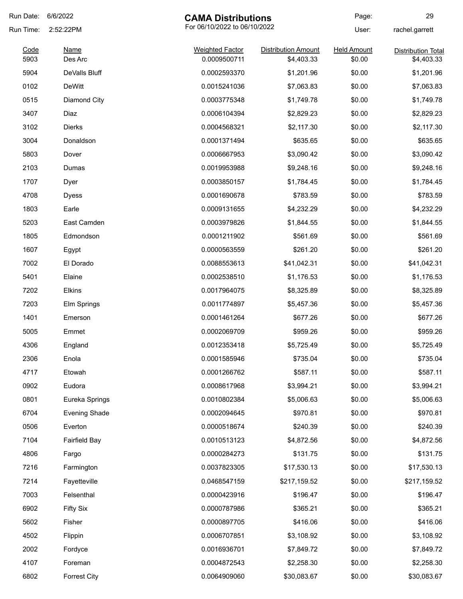| Run Date: | 6/6/2022             | <b>CAMA Distributions</b>    |                            | Page:              | 29                        |
|-----------|----------------------|------------------------------|----------------------------|--------------------|---------------------------|
| Run Time: | 2:52:22PM            | For 06/10/2022 to 06/10/2022 |                            | User:              | rachel.garrett            |
| Code      | <b>Name</b>          | <b>Weighted Factor</b>       | <b>Distribution Amount</b> | <b>Held Amount</b> | <b>Distribution Total</b> |
| 5903      | Des Arc              | 0.0009500711                 | \$4,403.33                 | \$0.00             | \$4,403.33                |
| 5904      | DeValls Bluff        | 0.0002593370                 | \$1,201.96                 | \$0.00             | \$1,201.96                |
| 0102      | <b>DeWitt</b>        | 0.0015241036                 | \$7,063.83                 | \$0.00             | \$7,063.83                |
| 0515      | Diamond City         | 0.0003775348                 | \$1,749.78                 | \$0.00             | \$1,749.78                |
| 3407      | Diaz                 | 0.0006104394                 | \$2,829.23                 | \$0.00             | \$2,829.23                |
| 3102      | Dierks               | 0.0004568321                 | \$2,117.30                 | \$0.00             | \$2,117.30                |
| 3004      | Donaldson            | 0.0001371494                 | \$635.65                   | \$0.00             | \$635.65                  |
| 5803      | Dover                | 0.0006667953                 | \$3,090.42                 | \$0.00             | \$3,090.42                |
| 2103      | Dumas                | 0.0019953988                 | \$9,248.16                 | \$0.00             | \$9,248.16                |
| 1707      | Dyer                 | 0.0003850157                 | \$1,784.45                 | \$0.00             | \$1,784.45                |
| 4708      | <b>Dyess</b>         | 0.0001690678                 | \$783.59                   | \$0.00             | \$783.59                  |
| 1803      | Earle                | 0.0009131655                 | \$4,232.29                 | \$0.00             | \$4,232.29                |
| 5203      | East Camden          | 0.0003979826                 | \$1,844.55                 | \$0.00             | \$1,844.55                |
| 1805      | Edmondson            | 0.0001211902                 | \$561.69                   | \$0.00             | \$561.69                  |
| 1607      | Egypt                | 0.0000563559                 | \$261.20                   | \$0.00             | \$261.20                  |
| 7002      | El Dorado            | 0.0088553613                 | \$41,042.31                | \$0.00             | \$41,042.31               |
| 5401      | Elaine               | 0.0002538510                 | \$1,176.53                 | \$0.00             | \$1,176.53                |
| 7202      | Elkins               | 0.0017964075                 | \$8,325.89                 | \$0.00             | \$8,325.89                |
| 7203      | Elm Springs          | 0.0011774897                 | \$5,457.36                 | \$0.00             | \$5,457.36                |
| 1401      | Emerson              | 0.0001461264                 | \$677.26                   | \$0.00             | \$677.26                  |
| 5005      | Emmet                | 0.0002069709                 | \$959.26                   | \$0.00             | \$959.26                  |
| 4306      | England              | 0.0012353418                 | \$5,725.49                 | \$0.00             | \$5,725.49                |
| 2306      | Enola                | 0.0001585946                 | \$735.04                   | \$0.00             | \$735.04                  |
| 4717      | Etowah               | 0.0001266762                 | \$587.11                   | \$0.00             | \$587.11                  |
| 0902      | Eudora               | 0.0008617968                 | \$3,994.21                 | \$0.00             | \$3,994.21                |
| 0801      | Eureka Springs       | 0.0010802384                 | \$5,006.63                 | \$0.00             | \$5,006.63                |
| 6704      | <b>Evening Shade</b> | 0.0002094645                 | \$970.81                   | \$0.00             | \$970.81                  |
| 0506      | Everton              | 0.0000518674                 | \$240.39                   | \$0.00             | \$240.39                  |
| 7104      | <b>Fairfield Bay</b> | 0.0010513123                 | \$4,872.56                 | \$0.00             | \$4,872.56                |
| 4806      | Fargo                | 0.0000284273                 | \$131.75                   | \$0.00             | \$131.75                  |
| 7216      | Farmington           | 0.0037823305                 | \$17,530.13                | \$0.00             | \$17,530.13               |
| 7214      | Fayetteville         | 0.0468547159                 | \$217,159.52               | \$0.00             | \$217,159.52              |
| 7003      | Felsenthal           | 0.0000423916                 | \$196.47                   | \$0.00             | \$196.47                  |
| 6902      | <b>Fifty Six</b>     | 0.0000787986                 | \$365.21                   | \$0.00             | \$365.21                  |
| 5602      | Fisher               | 0.0000897705                 | \$416.06                   | \$0.00             | \$416.06                  |
| 4502      | Flippin              | 0.0006707851                 | \$3,108.92                 | \$0.00             | \$3,108.92                |
| 2002      | Fordyce              | 0.0016936701                 | \$7,849.72                 | \$0.00             | \$7,849.72                |
| 4107      | Foreman              | 0.0004872543                 | \$2,258.30                 | \$0.00             | \$2,258.30                |
| 6802      | <b>Forrest City</b>  | 0.0064909060                 | \$30,083.67                | \$0.00             | \$30,083.67               |
|           |                      |                              |                            |                    |                           |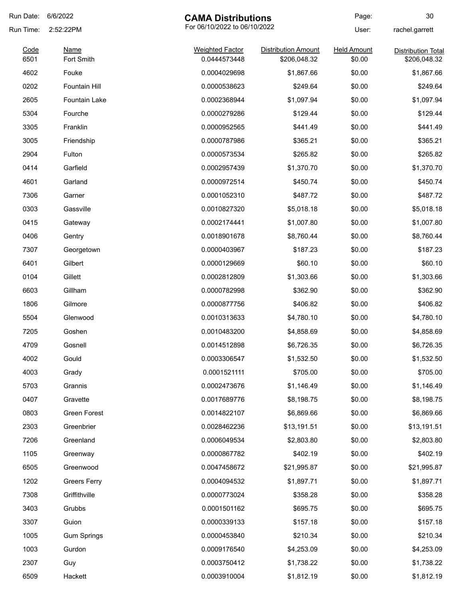| Run Date:    | 6/6/2022                  | <b>CAMA Distributions</b>              |                                            | Page:                        | 30                                        |
|--------------|---------------------------|----------------------------------------|--------------------------------------------|------------------------------|-------------------------------------------|
| Run Time:    | 2:52:22PM                 | For 06/10/2022 to 06/10/2022           |                                            | User:                        | rachel.garrett                            |
| Code<br>6501 | <b>Name</b><br>Fort Smith | <b>Weighted Factor</b><br>0.0444573448 | <b>Distribution Amount</b><br>\$206,048.32 | <b>Held Amount</b><br>\$0.00 | <b>Distribution Total</b><br>\$206,048.32 |
| 4602         | Fouke                     | 0.0004029698                           | \$1,867.66                                 | \$0.00                       | \$1,867.66                                |
| 0202         | Fountain Hill             | 0.0000538623                           | \$249.64                                   | \$0.00                       | \$249.64                                  |
| 2605         | Fountain Lake             | 0.0002368944                           | \$1,097.94                                 | \$0.00                       |                                           |
|              |                           |                                        |                                            |                              | \$1,097.94<br>\$129.44                    |
| 5304         | Fourche                   | 0.0000279286                           | \$129.44                                   | \$0.00                       |                                           |
| 3305         | Franklin                  | 0.0000952565                           | \$441.49                                   | \$0.00                       | \$441.49                                  |
| 3005         | Friendship                | 0.0000787986                           | \$365.21                                   | \$0.00                       | \$365.21                                  |
| 2904         | Fulton                    | 0.0000573534                           | \$265.82                                   | \$0.00                       | \$265.82                                  |
| 0414         | Garfield                  | 0.0002957439                           | \$1,370.70                                 | \$0.00                       | \$1,370.70                                |
| 4601         | Garland                   | 0.0000972514                           | \$450.74                                   | \$0.00                       | \$450.74                                  |
| 7306         | Garner                    | 0.0001052310                           | \$487.72                                   | \$0.00                       | \$487.72                                  |
| 0303         | Gassville                 | 0.0010827320                           | \$5,018.18                                 | \$0.00                       | \$5,018.18                                |
| 0415         | Gateway                   | 0.0002174441                           | \$1,007.80                                 | \$0.00                       | \$1,007.80                                |
| 0406         | Gentry                    | 0.0018901678                           | \$8,760.44                                 | \$0.00                       | \$8,760.44                                |
| 7307         | Georgetown                | 0.0000403967                           | \$187.23                                   | \$0.00                       | \$187.23                                  |
| 6401         | Gilbert                   | 0.0000129669                           | \$60.10                                    | \$0.00                       | \$60.10                                   |
| 0104         | Gillett                   | 0.0002812809                           | \$1,303.66                                 | \$0.00                       | \$1,303.66                                |
| 6603         | Gillham                   | 0.0000782998                           | \$362.90                                   | \$0.00                       | \$362.90                                  |
| 1806         | Gilmore                   | 0.0000877756                           | \$406.82                                   | \$0.00                       | \$406.82                                  |
| 5504         | Glenwood                  | 0.0010313633                           | \$4,780.10                                 | \$0.00                       | \$4,780.10                                |
| 7205         | Goshen                    | 0.0010483200                           | \$4,858.69                                 | \$0.00                       | \$4,858.69                                |
| 4709         | Gosnell                   | 0.0014512898                           | \$6,726.35                                 | \$0.00                       | \$6,726.35                                |
| 4002         | Gould                     | 0.0003306547                           | \$1,532.50                                 | \$0.00                       | \$1,532.50                                |
| 4003         | Grady                     | 0.0001521111                           | \$705.00                                   | \$0.00                       | \$705.00                                  |
| 5703         | Grannis                   | 0.0002473676                           | \$1,146.49                                 | \$0.00                       | \$1,146.49                                |
| 0407         | Gravette                  | 0.0017689776                           | \$8,198.75                                 | \$0.00                       | \$8,198.75                                |
| 0803         | Green Forest              | 0.0014822107                           | \$6,869.66                                 | \$0.00                       | \$6,869.66                                |
| 2303         | Greenbrier                | 0.0028462236                           | \$13,191.51                                | \$0.00                       | \$13,191.51                               |
| 7206         | Greenland                 | 0.0006049534                           | \$2,803.80                                 | \$0.00                       | \$2,803.80                                |
| 1105         | Greenway                  | 0.0000867782                           | \$402.19                                   | \$0.00                       | \$402.19                                  |
| 6505         | Greenwood                 | 0.0047458672                           | \$21,995.87                                | \$0.00                       | \$21,995.87                               |
| 1202         | <b>Greers Ferry</b>       | 0.0004094532                           | \$1,897.71                                 | \$0.00                       | \$1,897.71                                |
| 7308         | Griffithville             | 0.0000773024                           | \$358.28                                   | \$0.00                       | \$358.28                                  |
| 3403         | Grubbs                    | 0.0001501162                           | \$695.75                                   | \$0.00                       | \$695.75                                  |
| 3307         | Guion                     | 0.0000339133                           | \$157.18                                   | \$0.00                       | \$157.18                                  |
| 1005         | <b>Gum Springs</b>        | 0.0000453840                           | \$210.34                                   | \$0.00                       | \$210.34                                  |
| 1003         | Gurdon                    | 0.0009176540                           | \$4,253.09                                 | \$0.00                       | \$4,253.09                                |
| 2307         | Guy                       | 0.0003750412                           | \$1,738.22                                 | \$0.00                       | \$1,738.22                                |
| 6509         | Hackett                   | 0.0003910004                           | \$1,812.19                                 | \$0.00                       | \$1,812.19                                |
|              |                           |                                        |                                            |                              |                                           |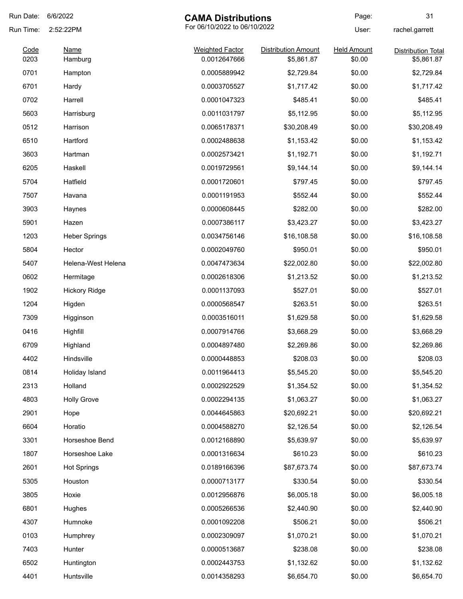| Run Date:    | 6/6/2022               | <b>CAMA Distributions</b>              |                                          | Page:                        | 31                                      |
|--------------|------------------------|----------------------------------------|------------------------------------------|------------------------------|-----------------------------------------|
| Run Time:    | 2:52:22PM              | For 06/10/2022 to 06/10/2022           |                                          | User:                        | rachel.garrett                          |
| Code<br>0203 | <b>Name</b><br>Hamburg | <b>Weighted Factor</b><br>0.0012647666 | <b>Distribution Amount</b><br>\$5,861.87 | <b>Held Amount</b><br>\$0.00 | <b>Distribution Total</b><br>\$5,861.87 |
| 0701         | Hampton                | 0.0005889942                           | \$2,729.84                               | \$0.00                       | \$2,729.84                              |
| 6701         | Hardy                  | 0.0003705527                           | \$1,717.42                               | \$0.00                       | \$1,717.42                              |
| 0702         | Harrell                | 0.0001047323                           | \$485.41                                 | \$0.00                       | \$485.41                                |
| 5603         | Harrisburg             | 0.0011031797                           | \$5,112.95                               | \$0.00                       | \$5,112.95                              |
| 0512         | Harrison               | 0.0065178371                           | \$30,208.49                              | \$0.00                       | \$30,208.49                             |
| 6510         | Hartford               | 0.0002488638                           | \$1,153.42                               | \$0.00                       | \$1,153.42                              |
| 3603         | Hartman                | 0.0002573421                           | \$1,192.71                               | \$0.00                       | \$1,192.71                              |
| 6205         | Haskell                | 0.0019729561                           | \$9,144.14                               | \$0.00                       | \$9,144.14                              |
| 5704         | Hatfield               | 0.0001720601                           | \$797.45                                 | \$0.00                       | \$797.45                                |
| 7507         | Havana                 | 0.0001191953                           | \$552.44                                 | \$0.00                       | \$552.44                                |
| 3903         | Haynes                 | 0.0000608445                           | \$282.00                                 | \$0.00                       | \$282.00                                |
| 5901         | Hazen                  | 0.0007386117                           | \$3,423.27                               | \$0.00                       | \$3,423.27                              |
| 1203         | <b>Heber Springs</b>   | 0.0034756146                           | \$16,108.58                              | \$0.00                       | \$16,108.58                             |
| 5804         | Hector                 | 0.0002049760                           | \$950.01                                 | \$0.00                       | \$950.01                                |
| 5407         | Helena-West Helena     | 0.0047473634                           | \$22,002.80                              | \$0.00                       | \$22,002.80                             |
| 0602         | Hermitage              | 0.0002618306                           | \$1,213.52                               | \$0.00                       | \$1,213.52                              |
| 1902         | <b>Hickory Ridge</b>   | 0.0001137093                           | \$527.01                                 | \$0.00                       | \$527.01                                |
| 1204         | Higden                 | 0.0000568547                           | \$263.51                                 | \$0.00                       | \$263.51                                |
| 7309         | Higginson              | 0.0003516011                           | \$1,629.58                               | \$0.00                       | \$1,629.58                              |
| 0416         | Highfill               | 0.0007914766                           | \$3,668.29                               | \$0.00                       | \$3,668.29                              |
| 6709         | Highland               | 0.0004897480                           | \$2,269.86                               | \$0.00                       | \$2,269.86                              |
| 4402         | Hindsville             | 0.0000448853                           | \$208.03                                 | \$0.00                       | \$208.03                                |
| 0814         | Holiday Island         | 0.0011964413                           | \$5,545.20                               | \$0.00                       | \$5,545.20                              |
| 2313         | Holland                | 0.0002922529                           | \$1,354.52                               | \$0.00                       | \$1,354.52                              |
| 4803         | <b>Holly Grove</b>     | 0.0002294135                           | \$1,063.27                               | \$0.00                       | \$1,063.27                              |
| 2901         | Hope                   | 0.0044645863                           | \$20,692.21                              | \$0.00                       | \$20,692.21                             |
| 6604         | Horatio                | 0.0004588270                           | \$2,126.54                               | \$0.00                       | \$2,126.54                              |
| 3301         | Horseshoe Bend         | 0.0012168890                           | \$5,639.97                               | \$0.00                       | \$5,639.97                              |
| 1807         | Horseshoe Lake         | 0.0001316634                           | \$610.23                                 | \$0.00                       | \$610.23                                |
| 2601         | <b>Hot Springs</b>     | 0.0189166396                           | \$87,673.74                              | \$0.00                       | \$87,673.74                             |
| 5305         | Houston                | 0.0000713177                           | \$330.54                                 | \$0.00                       | \$330.54                                |
| 3805         | Hoxie                  | 0.0012956876                           | \$6,005.18                               | \$0.00                       | \$6,005.18                              |
| 6801         | Hughes                 | 0.0005266536                           | \$2,440.90                               | \$0.00                       | \$2,440.90                              |
| 4307         | Humnoke                | 0.0001092208                           | \$506.21                                 | \$0.00                       | \$506.21                                |
| 0103         | Humphrey               | 0.0002309097                           | \$1,070.21                               | \$0.00                       | \$1,070.21                              |
| 7403         | Hunter                 | 0.0000513687                           | \$238.08                                 | \$0.00                       | \$238.08                                |
| 6502         | Huntington             | 0.0002443753                           | \$1,132.62                               | \$0.00                       | \$1,132.62                              |
| 4401         | Huntsville             | 0.0014358293                           | \$6,654.70                               | \$0.00                       | \$6,654.70                              |
|              |                        |                                        |                                          |                              |                                         |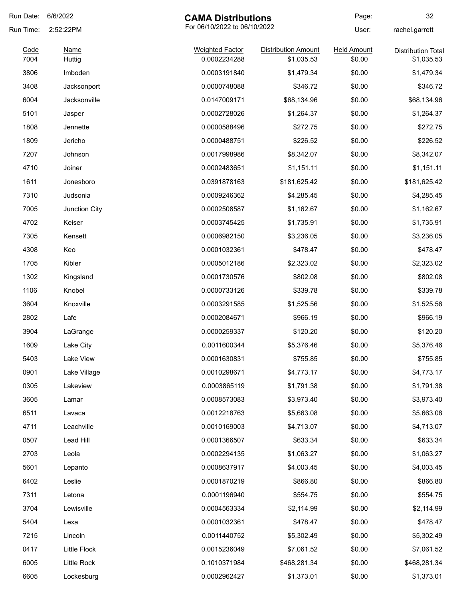| Run Date:    | 6/6/2022       | <b>CAMA Distributions</b>              |                                          | Page:                        | 32                                      |
|--------------|----------------|----------------------------------------|------------------------------------------|------------------------------|-----------------------------------------|
| Run Time:    | 2:52:22PM      | For 06/10/2022 to 06/10/2022           |                                          | User:                        | rachel.garrett                          |
| Code<br>7004 | Name<br>Huttig | <b>Weighted Factor</b><br>0.0002234288 | <b>Distribution Amount</b><br>\$1,035.53 | <b>Held Amount</b><br>\$0.00 | <b>Distribution Total</b><br>\$1,035.53 |
| 3806         | Imboden        | 0.0003191840                           | \$1,479.34                               | \$0.00                       | \$1,479.34                              |
| 3408         | Jacksonport    | 0.0000748088                           | \$346.72                                 | \$0.00                       | \$346.72                                |
| 6004         | Jacksonville   | 0.0147009171                           | \$68,134.96                              | \$0.00                       | \$68,134.96                             |
| 5101         | Jasper         | 0.0002728026                           | \$1,264.37                               | \$0.00                       | \$1,264.37                              |
| 1808         | Jennette       | 0.0000588496                           | \$272.75                                 | \$0.00                       | \$272.75                                |
| 1809         | Jericho        | 0.0000488751                           | \$226.52                                 | \$0.00                       | \$226.52                                |
| 7207         | Johnson        | 0.0017998986                           | \$8,342.07                               | \$0.00                       | \$8,342.07                              |
| 4710         | Joiner         | 0.0002483651                           | \$1,151.11                               | \$0.00                       | \$1,151.11                              |
| 1611         | Jonesboro      | 0.0391878163                           | \$181,625.42                             | \$0.00                       | \$181,625.42                            |
| 7310         | Judsonia       | 0.0009246362                           | \$4,285.45                               | \$0.00                       | \$4,285.45                              |
| 7005         | Junction City  | 0.0002508587                           | \$1,162.67                               | \$0.00                       | \$1,162.67                              |
| 4702         | Keiser         | 0.0003745425                           | \$1,735.91                               | \$0.00                       | \$1,735.91                              |
| 7305         | Kensett        | 0.0006982150                           | \$3,236.05                               | \$0.00                       | \$3,236.05                              |
| 4308         | Keo            | 0.0001032361                           | \$478.47                                 | \$0.00                       | \$478.47                                |
| 1705         | Kibler         | 0.0005012186                           | \$2,323.02                               | \$0.00                       | \$2,323.02                              |
| 1302         | Kingsland      | 0.0001730576                           | \$802.08                                 | \$0.00                       | \$802.08                                |
| 1106         | Knobel         | 0.0000733126                           | \$339.78                                 | \$0.00                       | \$339.78                                |
| 3604         | Knoxville      | 0.0003291585                           | \$1,525.56                               | \$0.00                       | \$1,525.56                              |
| 2802         | Lafe           | 0.0002084671                           | \$966.19                                 | \$0.00                       | \$966.19                                |
| 3904         | LaGrange       | 0.0000259337                           | \$120.20                                 | \$0.00                       | \$120.20                                |
| 1609         | Lake City      | 0.0011600344                           | \$5,376.46                               | \$0.00                       | \$5,376.46                              |
| 5403         | Lake View      | 0.0001630831                           | \$755.85                                 | \$0.00                       | \$755.85                                |
| 0901         | Lake Village   | 0.0010298671                           | \$4,773.17                               | \$0.00                       | \$4,773.17                              |
| 0305         | Lakeview       | 0.0003865119                           | \$1,791.38                               | \$0.00                       | \$1,791.38                              |
| 3605         | Lamar          | 0.0008573083                           | \$3,973.40                               | \$0.00                       | \$3,973.40                              |
| 6511         | Lavaca         | 0.0012218763                           | \$5,663.08                               | \$0.00                       | \$5,663.08                              |
| 4711         | Leachville     | 0.0010169003                           | \$4,713.07                               | \$0.00                       | \$4,713.07                              |
| 0507         | Lead Hill      | 0.0001366507                           | \$633.34                                 | \$0.00                       | \$633.34                                |
| 2703         | Leola          | 0.0002294135                           | \$1,063.27                               | \$0.00                       | \$1,063.27                              |
| 5601         | Lepanto        | 0.0008637917                           | \$4,003.45                               | \$0.00                       | \$4,003.45                              |
| 6402         | Leslie         | 0.0001870219                           | \$866.80                                 | \$0.00                       | \$866.80                                |
| 7311         | Letona         | 0.0001196940                           | \$554.75                                 | \$0.00                       | \$554.75                                |
| 3704         | Lewisville     | 0.0004563334                           | \$2,114.99                               | \$0.00                       | \$2,114.99                              |
| 5404         | Lexa           | 0.0001032361                           | \$478.47                                 | \$0.00                       | \$478.47                                |
| 7215         | Lincoln        | 0.0011440752                           | \$5,302.49                               | \$0.00                       | \$5,302.49                              |
| 0417         | Little Flock   | 0.0015236049                           | \$7,061.52                               | \$0.00                       | \$7,061.52                              |
| 6005         | Little Rock    | 0.1010371984                           | \$468,281.34                             | \$0.00                       | \$468,281.34                            |
| 6605         | Lockesburg     | 0.0002962427                           | \$1,373.01                               | \$0.00                       | \$1,373.01                              |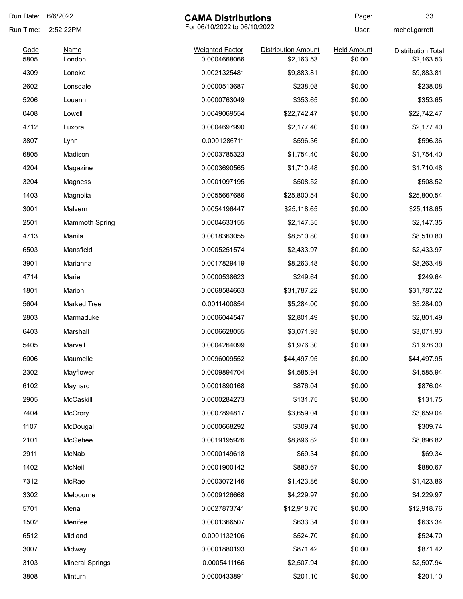| Run Date: | 6/6/2022               | <b>CAMA Distributions</b>    |                            | Page:              | 33                        |
|-----------|------------------------|------------------------------|----------------------------|--------------------|---------------------------|
| Run Time: | 2:52:22PM              | For 06/10/2022 to 06/10/2022 |                            | User:              | rachel.garrett            |
| Code      | Name                   | <b>Weighted Factor</b>       | <b>Distribution Amount</b> | <b>Held Amount</b> | <b>Distribution Total</b> |
| 5805      | London                 | 0.0004668066                 | \$2,163.53                 | \$0.00             | \$2,163.53                |
| 4309      | Lonoke                 | 0.0021325481                 | \$9,883.81                 | \$0.00             | \$9,883.81                |
| 2602      | Lonsdale               | 0.0000513687                 | \$238.08                   | \$0.00             | \$238.08                  |
| 5206      | Louann                 | 0.0000763049                 | \$353.65                   | \$0.00             | \$353.65                  |
| 0408      | Lowell                 | 0.0049069554                 | \$22,742.47                | \$0.00             | \$22,742.47               |
| 4712      | Luxora                 | 0.0004697990                 | \$2,177.40                 | \$0.00             | \$2,177.40                |
| 3807      | Lynn                   | 0.0001286711                 | \$596.36                   | \$0.00             | \$596.36                  |
| 6805      | Madison                | 0.0003785323                 | \$1,754.40                 | \$0.00             | \$1,754.40                |
| 4204      | Magazine               | 0.0003690565                 | \$1,710.48                 | \$0.00             | \$1,710.48                |
| 3204      | Magness                | 0.0001097195                 | \$508.52                   | \$0.00             | \$508.52                  |
| 1403      | Magnolia               | 0.0055667686                 | \$25,800.54                | \$0.00             | \$25,800.54               |
| 3001      | Malvern                | 0.0054196447                 | \$25,118.65                | \$0.00             | \$25,118.65               |
| 2501      | <b>Mammoth Spring</b>  | 0.0004633155                 | \$2,147.35                 | \$0.00             | \$2,147.35                |
| 4713      | Manila                 | 0.0018363055                 | \$8,510.80                 | \$0.00             | \$8,510.80                |
| 6503      | Mansfield              | 0.0005251574                 | \$2,433.97                 | \$0.00             | \$2,433.97                |
| 3901      | Marianna               | 0.0017829419                 | \$8,263.48                 | \$0.00             | \$8,263.48                |
| 4714      | Marie                  | 0.0000538623                 | \$249.64                   | \$0.00             | \$249.64                  |
| 1801      | Marion                 | 0.0068584663                 | \$31,787.22                | \$0.00             | \$31,787.22               |
| 5604      | <b>Marked Tree</b>     | 0.0011400854                 | \$5,284.00                 | \$0.00             | \$5,284.00                |
| 2803      | Marmaduke              | 0.0006044547                 | \$2,801.49                 | \$0.00             | \$2,801.49                |
| 6403      | Marshall               | 0.0006628055                 | \$3,071.93                 | \$0.00             | \$3,071.93                |
| 5405      | Marvell                | 0.0004264099                 | \$1,976.30                 | \$0.00             | \$1,976.30                |
| 6006      | Maumelle               | 0.0096009552                 | \$44,497.95                | \$0.00             | \$44,497.95               |
| 2302      | Mayflower              | 0.0009894704                 | \$4,585.94                 | \$0.00             | \$4,585.94                |
| 6102      | Maynard                | 0.0001890168                 | \$876.04                   | \$0.00             | \$876.04                  |
| 2905      | McCaskill              | 0.0000284273                 | \$131.75                   | \$0.00             | \$131.75                  |
| 7404      | <b>McCrory</b>         | 0.0007894817                 | \$3,659.04                 | \$0.00             | \$3,659.04                |
| 1107      | McDougal               | 0.0000668292                 | \$309.74                   | \$0.00             | \$309.74                  |
| 2101      | McGehee                | 0.0019195926                 | \$8,896.82                 | \$0.00             | \$8,896.82                |
| 2911      | McNab                  | 0.0000149618                 | \$69.34                    | \$0.00             | \$69.34                   |
| 1402      | McNeil                 | 0.0001900142                 | \$880.67                   | \$0.00             | \$880.67                  |
| 7312      | McRae                  | 0.0003072146                 | \$1,423.86                 | \$0.00             | \$1,423.86                |
| 3302      | Melbourne              | 0.0009126668                 | \$4,229.97                 | \$0.00             | \$4,229.97                |
| 5701      | Mena                   | 0.0027873741                 | \$12,918.76                | \$0.00             | \$12,918.76               |
| 1502      | Menifee                | 0.0001366507                 | \$633.34                   | \$0.00             | \$633.34                  |
| 6512      | Midland                | 0.0001132106                 | \$524.70                   | \$0.00             | \$524.70                  |
| 3007      | Midway                 | 0.0001880193                 | \$871.42                   | \$0.00             | \$871.42                  |
| 3103      | <b>Mineral Springs</b> | 0.0005411166                 | \$2,507.94                 | \$0.00             | \$2,507.94                |
|           |                        |                              |                            |                    |                           |
| 3808      | Minturn                | 0.0000433891                 | \$201.10                   | \$0.00             | \$201.10                  |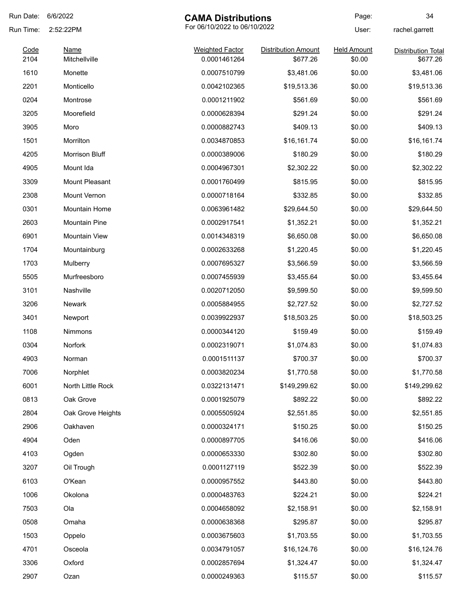| Run Date:    | 6/6/2022                     | <b>CAMA Distributions</b>              |                                        | Page:                        | 34                                    |
|--------------|------------------------------|----------------------------------------|----------------------------------------|------------------------------|---------------------------------------|
| Run Time:    | 2:52:22PM                    | For 06/10/2022 to 06/10/2022           |                                        | User:                        | rachel.garrett                        |
| Code<br>2104 | <b>Name</b><br>Mitchellville | <b>Weighted Factor</b><br>0.0001461264 | <b>Distribution Amount</b><br>\$677.26 | <b>Held Amount</b><br>\$0.00 | <b>Distribution Total</b><br>\$677.26 |
| 1610         | Monette                      | 0.0007510799                           | \$3,481.06                             | \$0.00                       | \$3,481.06                            |
| 2201         | Monticello                   | 0.0042102365                           | \$19,513.36                            | \$0.00                       | \$19,513.36                           |
| 0204         | Montrose                     | 0.0001211902                           | \$561.69                               | \$0.00                       | \$561.69                              |
| 3205         | Moorefield                   | 0.0000628394                           | \$291.24                               | \$0.00                       | \$291.24                              |
| 3905         | Moro                         | 0.0000882743                           | \$409.13                               | \$0.00                       | \$409.13                              |
| 1501         | Morrilton                    | 0.0034870853                           | \$16,161.74                            | \$0.00                       | \$16,161.74                           |
| 4205         | Morrison Bluff               | 0.0000389006                           | \$180.29                               | \$0.00                       | \$180.29                              |
| 4905         | Mount Ida                    | 0.0004967301                           | \$2,302.22                             | \$0.00                       | \$2,302.22                            |
| 3309         | Mount Pleasant               | 0.0001760499                           | \$815.95                               | \$0.00                       | \$815.95                              |
| 2308         | Mount Vernon                 | 0.0000718164                           | \$332.85                               | \$0.00                       | \$332.85                              |
| 0301         | Mountain Home                | 0.0063961482                           | \$29,644.50                            | \$0.00                       | \$29,644.50                           |
| 2603         | <b>Mountain Pine</b>         | 0.0002917541                           | \$1,352.21                             | \$0.00                       | \$1,352.21                            |
| 6901         | <b>Mountain View</b>         | 0.0014348319                           | \$6,650.08                             | \$0.00                       | \$6,650.08                            |
| 1704         | Mountainburg                 | 0.0002633268                           | \$1,220.45                             | \$0.00                       | \$1,220.45                            |
| 1703         | Mulberry                     | 0.0007695327                           | \$3,566.59                             | \$0.00                       | \$3,566.59                            |
| 5505         | Murfreesboro                 | 0.0007455939                           | \$3,455.64                             | \$0.00                       | \$3,455.64                            |
| 3101         | Nashville                    | 0.0020712050                           | \$9,599.50                             | \$0.00                       | \$9,599.50                            |
| 3206         | <b>Newark</b>                | 0.0005884955                           | \$2,727.52                             | \$0.00                       | \$2,727.52                            |
| 3401         | Newport                      | 0.0039922937                           | \$18,503.25                            | \$0.00                       | \$18,503.25                           |
| 1108         | Nimmons                      | 0.0000344120                           | \$159.49                               | \$0.00                       | \$159.49                              |
| 0304         | Norfork                      | 0.0002319071                           | \$1,074.83                             | \$0.00                       | \$1,074.83                            |
| 4903         | Norman                       | 0.0001511137                           | \$700.37                               | \$0.00                       | \$700.37                              |
| 7006         | Norphlet                     | 0.0003820234                           | \$1,770.58                             | \$0.00                       | \$1,770.58                            |
| 6001         | North Little Rock            | 0.0322131471                           | \$149,299.62                           | \$0.00                       | \$149,299.62                          |
| 0813         | Oak Grove                    | 0.0001925079                           | \$892.22                               | \$0.00                       | \$892.22                              |
| 2804         | Oak Grove Heights            | 0.0005505924                           | \$2,551.85                             | \$0.00                       | \$2,551.85                            |
| 2906         | Oakhaven                     | 0.0000324171                           | \$150.25                               | \$0.00                       | \$150.25                              |
| 4904         | Oden                         | 0.0000897705                           | \$416.06                               | \$0.00                       | \$416.06                              |
| 4103         | Ogden                        | 0.0000653330                           | \$302.80                               | \$0.00                       | \$302.80                              |
| 3207         | Oil Trough                   | 0.0001127119                           | \$522.39                               | \$0.00                       | \$522.39                              |
| 6103         | O'Kean                       | 0.0000957552                           | \$443.80                               | \$0.00                       | \$443.80                              |
| 1006         | Okolona                      | 0.0000483763                           | \$224.21                               | \$0.00                       | \$224.21                              |
| 7503         | Ola                          | 0.0004658092                           | \$2,158.91                             | \$0.00                       | \$2,158.91                            |
| 0508         | Omaha                        | 0.0000638368                           | \$295.87                               | \$0.00                       | \$295.87                              |
| 1503         | Oppelo                       | 0.0003675603                           | \$1,703.55                             | \$0.00                       | \$1,703.55                            |
| 4701         | Osceola                      | 0.0034791057                           | \$16,124.76                            | \$0.00                       | \$16,124.76                           |
| 3306         | Oxford                       | 0.0002857694                           | \$1,324.47                             | \$0.00                       | \$1,324.47                            |
| 2907         | Ozan                         | 0.0000249363                           | \$115.57                               | \$0.00                       | \$115.57                              |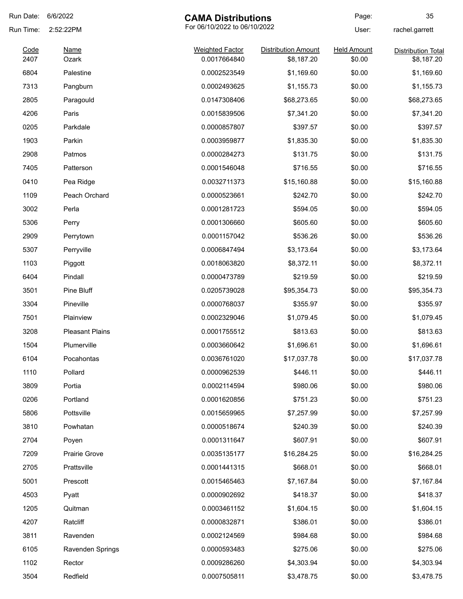| Run Date: | 6/6/2022                                  | <b>CAMA Distributions</b> |                            | Page:              | 35                        |
|-----------|-------------------------------------------|---------------------------|----------------------------|--------------------|---------------------------|
| Run Time: | For 06/10/2022 to 06/10/2022<br>2:52:22PM |                           | User:                      | rachel.garrett     |                           |
| Code      | <b>Name</b>                               | <b>Weighted Factor</b>    | <b>Distribution Amount</b> | <b>Held Amount</b> | <b>Distribution Total</b> |
| 2407      | Ozark                                     | 0.0017664840              | \$8,187.20                 | \$0.00             | \$8,187.20                |
| 6804      | Palestine                                 | 0.0002523549              | \$1,169.60                 | \$0.00             | \$1,169.60                |
| 7313      | Pangburn                                  | 0.0002493625              | \$1,155.73                 | \$0.00             | \$1,155.73                |
| 2805      | Paragould                                 | 0.0147308406              | \$68,273.65                | \$0.00             | \$68,273.65               |
| 4206      | Paris                                     | 0.0015839506              | \$7,341.20                 | \$0.00             | \$7,341.20                |
| 0205      | Parkdale                                  | 0.0000857807              | \$397.57                   | \$0.00             | \$397.57                  |
| 1903      | Parkin                                    | 0.0003959877              | \$1,835.30                 | \$0.00             | \$1,835.30                |
| 2908      | Patmos                                    | 0.0000284273              | \$131.75                   | \$0.00             | \$131.75                  |
| 7405      | Patterson                                 | 0.0001546048              | \$716.55                   | \$0.00             | \$716.55                  |
| 0410      | Pea Ridge                                 | 0.0032711373              | \$15,160.88                | \$0.00             | \$15,160.88               |
| 1109      | Peach Orchard                             | 0.0000523661              | \$242.70                   | \$0.00             | \$242.70                  |
| 3002      | Perla                                     | 0.0001281723              | \$594.05                   | \$0.00             | \$594.05                  |
| 5306      | Perry                                     | 0.0001306660              | \$605.60                   | \$0.00             | \$605.60                  |
| 2909      | Perrytown                                 | 0.0001157042              | \$536.26                   | \$0.00             | \$536.26                  |
| 5307      | Perryville                                | 0.0006847494              | \$3,173.64                 | \$0.00             | \$3,173.64                |
| 1103      | Piggott                                   | 0.0018063820              | \$8,372.11                 | \$0.00             | \$8,372.11                |
| 6404      | Pindall                                   | 0.0000473789              | \$219.59                   | \$0.00             | \$219.59                  |
| 3501      | Pine Bluff                                | 0.0205739028              | \$95,354.73                | \$0.00             | \$95,354.73               |
| 3304      | Pineville                                 | 0.0000768037              | \$355.97                   | \$0.00             | \$355.97                  |
| 7501      | Plainview                                 | 0.0002329046              | \$1,079.45                 | \$0.00             | \$1,079.45                |
| 3208      | <b>Pleasant Plains</b>                    | 0.0001755512              | \$813.63                   | \$0.00             | \$813.63                  |
| 1504      | Plumerville                               | 0.0003660642              | \$1,696.61                 | \$0.00             | \$1,696.61                |
| 6104      | Pocahontas                                | 0.0036761020              | \$17,037.78                | \$0.00             | \$17,037.78               |
| 1110      | Pollard                                   | 0.0000962539              | \$446.11                   | \$0.00             | \$446.11                  |
| 3809      | Portia                                    | 0.0002114594              | \$980.06                   | \$0.00             | \$980.06                  |
| 0206      | Portland                                  | 0.0001620856              | \$751.23                   | \$0.00             | \$751.23                  |
| 5806      | Pottsville                                | 0.0015659965              | \$7,257.99                 | \$0.00             | \$7,257.99                |
| 3810      | Powhatan                                  | 0.0000518674              | \$240.39                   | \$0.00             | \$240.39                  |
| 2704      | Poyen                                     | 0.0001311647              | \$607.91                   | \$0.00             | \$607.91                  |
| 7209      | <b>Prairie Grove</b>                      | 0.0035135177              | \$16,284.25                | \$0.00             | \$16,284.25               |
| 2705      | Prattsville                               | 0.0001441315              | \$668.01                   | \$0.00             | \$668.01                  |
| 5001      | Prescott                                  | 0.0015465463              | \$7,167.84                 | \$0.00             | \$7,167.84                |
| 4503      | Pyatt                                     | 0.0000902692              | \$418.37                   | \$0.00             | \$418.37                  |
| 1205      |                                           |                           | \$1,604.15                 | \$0.00             | \$1,604.15                |
|           | Quitman                                   | 0.0003461152              |                            |                    |                           |
| 4207      | Ratcliff                                  | 0.0000832871              | \$386.01                   | \$0.00             | \$386.01                  |
| 3811      | Ravenden                                  | 0.0002124569              | \$984.68                   | \$0.00             | \$984.68                  |
| 6105      | Ravenden Springs                          | 0.0000593483              | \$275.06                   | \$0.00             | \$275.06                  |
| 1102      | Rector                                    | 0.0009286260              | \$4,303.94                 | \$0.00             | \$4,303.94                |
| 3504      | Redfield                                  | 0.0007505811              | \$3,478.75                 | \$0.00             | \$3,478.75                |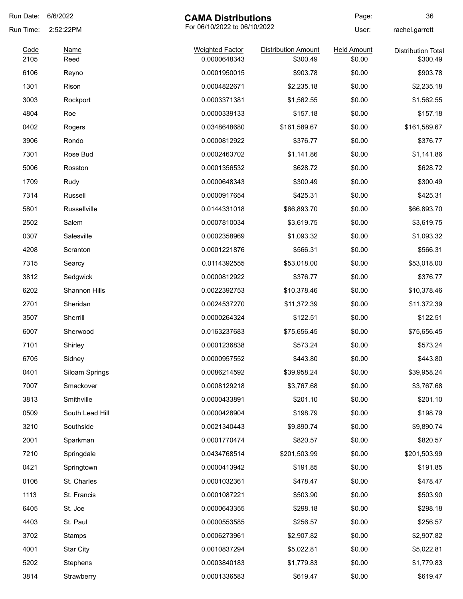| Run Date:    | 6/6/2022                                  | <b>CAMA Distributions</b>              |                                        | Page:                        | 36                                    |
|--------------|-------------------------------------------|----------------------------------------|----------------------------------------|------------------------------|---------------------------------------|
| Run Time:    | For 06/10/2022 to 06/10/2022<br>2:52:22PM |                                        | User:                                  | rachel.garrett               |                                       |
| Code<br>2105 | <b>Name</b><br>Reed                       | <b>Weighted Factor</b><br>0.0000648343 | <b>Distribution Amount</b><br>\$300.49 | <b>Held Amount</b><br>\$0.00 | <b>Distribution Total</b><br>\$300.49 |
| 6106         | Reyno                                     | 0.0001950015                           | \$903.78                               | \$0.00                       | \$903.78                              |
| 1301         | Rison                                     | 0.0004822671                           | \$2,235.18                             | \$0.00                       | \$2,235.18                            |
| 3003         | Rockport                                  | 0.0003371381                           | \$1,562.55                             | \$0.00                       | \$1,562.55                            |
| 4804         | Roe                                       | 0.0000339133                           | \$157.18                               | \$0.00                       | \$157.18                              |
| 0402         |                                           | 0.0348648680                           | \$161,589.67                           | \$0.00                       | \$161,589.67                          |
| 3906         | Rogers<br>Rondo                           | 0.0000812922                           | \$376.77                               | \$0.00                       | \$376.77                              |
| 7301         | Rose Bud                                  |                                        |                                        | \$0.00                       |                                       |
|              |                                           | 0.0002463702                           | \$1,141.86                             |                              | \$1,141.86                            |
| 5006         | Rosston                                   | 0.0001356532                           | \$628.72                               | \$0.00                       | \$628.72                              |
| 1709         | Rudy                                      | 0.0000648343                           | \$300.49                               | \$0.00                       | \$300.49                              |
| 7314         | Russell                                   | 0.0000917654                           | \$425.31                               | \$0.00                       | \$425.31                              |
| 5801         | Russellville                              | 0.0144331018                           | \$66,893.70                            | \$0.00                       | \$66,893.70                           |
| 2502         | Salem                                     | 0.0007810034                           | \$3,619.75                             | \$0.00                       | \$3,619.75                            |
| 0307         | Salesville                                | 0.0002358969                           | \$1,093.32                             | \$0.00                       | \$1,093.32                            |
| 4208         | Scranton                                  | 0.0001221876                           | \$566.31                               | \$0.00                       | \$566.31                              |
| 7315         | Searcy                                    | 0.0114392555                           | \$53,018.00                            | \$0.00                       | \$53,018.00                           |
| 3812         | Sedgwick                                  | 0.0000812922                           | \$376.77                               | \$0.00                       | \$376.77                              |
| 6202         | Shannon Hills                             | 0.0022392753                           | \$10,378.46                            | \$0.00                       | \$10,378.46                           |
| 2701         | Sheridan                                  | 0.0024537270                           | \$11,372.39                            | \$0.00                       | \$11,372.39                           |
| 3507         | Sherrill                                  | 0.0000264324                           | \$122.51                               | \$0.00                       | \$122.51                              |
| 6007         | Sherwood                                  | 0.0163237683                           | \$75,656.45                            | \$0.00                       | \$75,656.45                           |
| 7101         | Shirley                                   | 0.0001236838                           | \$573.24                               | \$0.00                       | \$573.24                              |
| 6705         | Sidney                                    | 0.0000957552                           | \$443.80                               | \$0.00                       | \$443.80                              |
| 0401         | Siloam Springs                            | 0.0086214592                           | \$39,958.24                            | \$0.00                       | \$39,958.24                           |
| 7007         | Smackover                                 | 0.0008129218                           | \$3,767.68                             | \$0.00                       | \$3,767.68                            |
| 3813         | Smithville                                | 0.0000433891                           | \$201.10                               | \$0.00                       | \$201.10                              |
| 0509         | South Lead Hill                           | 0.0000428904                           | \$198.79                               | \$0.00                       | \$198.79                              |
| 3210         | Southside                                 | 0.0021340443                           | \$9,890.74                             | \$0.00                       | \$9,890.74                            |
| 2001         | Sparkman                                  | 0.0001770474                           | \$820.57                               | \$0.00                       | \$820.57                              |
| 7210         | Springdale                                | 0.0434768514                           | \$201,503.99                           | \$0.00                       | \$201,503.99                          |
| 0421         | Springtown                                | 0.0000413942                           | \$191.85                               | \$0.00                       | \$191.85                              |
| 0106         | St. Charles                               | 0.0001032361                           | \$478.47                               | \$0.00                       | \$478.47                              |
| 1113         | St. Francis                               | 0.0001087221                           | \$503.90                               | \$0.00                       | \$503.90                              |
| 6405         | St. Joe                                   | 0.0000643355                           | \$298.18                               | \$0.00                       | \$298.18                              |
| 4403         | St. Paul                                  | 0.0000553585                           | \$256.57                               | \$0.00                       | \$256.57                              |
| 3702         | Stamps                                    | 0.0006273961                           | \$2,907.82                             | \$0.00                       | \$2,907.82                            |
| 4001         | <b>Star City</b>                          | 0.0010837294                           | \$5,022.81                             | \$0.00                       | \$5,022.81                            |
| 5202         | Stephens                                  | 0.0003840183                           | \$1,779.83                             | \$0.00                       | \$1,779.83                            |
|              |                                           |                                        |                                        |                              |                                       |
| 3814         | Strawberry                                | 0.0001336583                           | \$619.47                               | \$0.00                       | \$619.47                              |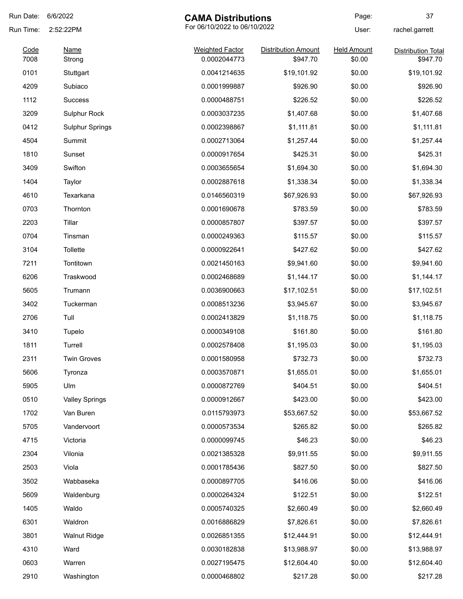| Run Date: | 6/6/2022               | <b>CAMA Distributions</b>    |                            | Page:              | 37                        |
|-----------|------------------------|------------------------------|----------------------------|--------------------|---------------------------|
| Run Time: | 2:52:22PM              | For 06/10/2022 to 06/10/2022 |                            | User:              | rachel.garrett            |
| Code      | <b>Name</b>            | <b>Weighted Factor</b>       | <b>Distribution Amount</b> | <b>Held Amount</b> | <b>Distribution Total</b> |
| 7008      | Strong                 | 0.0002044773                 | \$947.70                   | \$0.00             | \$947.70                  |
| 0101      | Stuttgart              | 0.0041214635                 | \$19,101.92                | \$0.00             | \$19,101.92               |
| 4209      | Subiaco                | 0.0001999887                 | \$926.90                   | \$0.00             | \$926.90                  |
| 1112      | <b>Success</b>         | 0.0000488751                 | \$226.52                   | \$0.00             | \$226.52                  |
| 3209      | <b>Sulphur Rock</b>    | 0.0003037235                 | \$1,407.68                 | \$0.00             | \$1,407.68                |
| 0412      | <b>Sulphur Springs</b> | 0.0002398867                 | \$1,111.81                 | \$0.00             | \$1,111.81                |
| 4504      | Summit                 | 0.0002713064                 | \$1,257.44                 | \$0.00             | \$1,257.44                |
| 1810      | Sunset                 | 0.0000917654                 | \$425.31                   | \$0.00             | \$425.31                  |
| 3409      | Swifton                | 0.0003655654                 | \$1,694.30                 | \$0.00             | \$1,694.30                |
| 1404      | Taylor                 | 0.0002887618                 | \$1,338.34                 | \$0.00             | \$1,338.34                |
| 4610      | Texarkana              | 0.0146560319                 | \$67,926.93                | \$0.00             | \$67,926.93               |
| 0703      | Thornton               | 0.0001690678                 | \$783.59                   | \$0.00             | \$783.59                  |
| 2203      | Tillar                 | 0.0000857807                 | \$397.57                   | \$0.00             | \$397.57                  |
| 0704      | Tinsman                | 0.0000249363                 | \$115.57                   | \$0.00             | \$115.57                  |
| 3104      | Tollette               | 0.0000922641                 | \$427.62                   | \$0.00             | \$427.62                  |
| 7211      | Tontitown              | 0.0021450163                 | \$9,941.60                 | \$0.00             | \$9,941.60                |
| 6206      | Traskwood              | 0.0002468689                 | \$1,144.17                 | \$0.00             | \$1,144.17                |
| 5605      | Trumann                | 0.0036900663                 | \$17,102.51                | \$0.00             | \$17,102.51               |
| 3402      | Tuckerman              | 0.0008513236                 | \$3,945.67                 | \$0.00             | \$3,945.67                |
| 2706      | Tull                   | 0.0002413829                 | \$1,118.75                 | \$0.00             | \$1,118.75                |
| 3410      | Tupelo                 | 0.0000349108                 | \$161.80                   | \$0.00             | \$161.80                  |
| 1811      | Turrell                | 0.0002578408                 | \$1,195.03                 | \$0.00             | \$1,195.03                |
| 2311      | <b>Twin Groves</b>     | 0.0001580958                 | \$732.73                   | \$0.00             | \$732.73                  |
| 5606      | Tyronza                | 0.0003570871                 | \$1,655.01                 | \$0.00             | \$1,655.01                |
| 5905      | Ulm                    | 0.0000872769                 | \$404.51                   | \$0.00             | \$404.51                  |
| 0510      | <b>Valley Springs</b>  | 0.0000912667                 | \$423.00                   | \$0.00             | \$423.00                  |
| 1702      | Van Buren              | 0.0115793973                 | \$53,667.52                | \$0.00             | \$53,667.52               |
| 5705      | Vandervoort            | 0.0000573534                 | \$265.82                   | \$0.00             | \$265.82                  |
| 4715      | Victoria               | 0.0000099745                 | \$46.23                    | \$0.00             | \$46.23                   |
| 2304      | Vilonia                | 0.0021385328                 | \$9,911.55                 | \$0.00             | \$9,911.55                |
| 2503      | Viola                  | 0.0001785436                 | \$827.50                   | \$0.00             | \$827.50                  |
| 3502      | Wabbaseka              | 0.0000897705                 | \$416.06                   | \$0.00             | \$416.06                  |
| 5609      | Waldenburg             | 0.0000264324                 | \$122.51                   | \$0.00             | \$122.51                  |
| 1405      | Waldo                  | 0.0005740325                 | \$2,660.49                 | \$0.00             | \$2,660.49                |
| 6301      | Waldron                | 0.0016886829                 | \$7,826.61                 | \$0.00             | \$7,826.61                |
| 3801      | <b>Walnut Ridge</b>    | 0.0026851355                 | \$12,444.91                | \$0.00             | \$12,444.91               |
| 4310      | Ward                   | 0.0030182838                 | \$13,988.97                | \$0.00             | \$13,988.97               |
| 0603      | Warren                 | 0.0027195475                 | \$12,604.40                | \$0.00             | \$12,604.40               |
| 2910      | Washington             | 0.0000468802                 | \$217.28                   | \$0.00             | \$217.28                  |
|           |                        |                              |                            |                    |                           |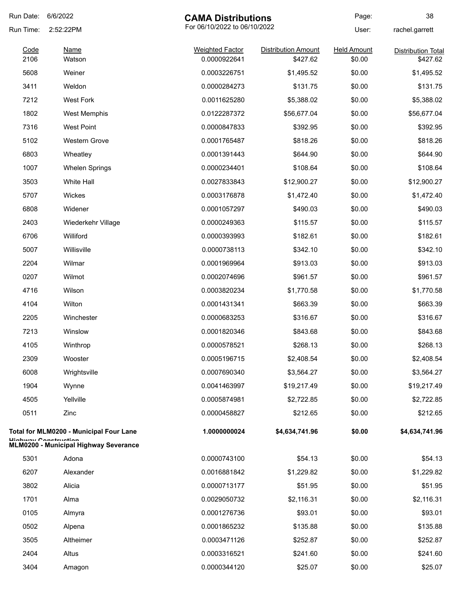| Run Date:    | 6/6/2022<br><b>CAMA Distributions</b>                                 |                                        |                                        | Page:                        | 38                                    |
|--------------|-----------------------------------------------------------------------|----------------------------------------|----------------------------------------|------------------------------|---------------------------------------|
| Run Time:    | 2:52:22PM                                                             | For 06/10/2022 to 06/10/2022           |                                        | User:                        | rachel.garrett                        |
| Code<br>2106 | <u>Name</u><br>Watson                                                 | <b>Weighted Factor</b><br>0.0000922641 | <b>Distribution Amount</b><br>\$427.62 | <b>Held Amount</b><br>\$0.00 | <b>Distribution Total</b><br>\$427.62 |
| 5608         | Weiner                                                                | 0.0003226751                           | \$1,495.52                             | \$0.00                       | \$1,495.52                            |
| 3411         | Weldon                                                                | 0.0000284273                           | \$131.75                               | \$0.00                       | \$131.75                              |
| 7212         | <b>West Fork</b>                                                      | 0.0011625280                           | \$5,388.02                             | \$0.00                       | \$5,388.02                            |
| 1802         | West Memphis                                                          | 0.0122287372                           | \$56,677.04                            | \$0.00                       | \$56,677.04                           |
| 7316         | <b>West Point</b>                                                     | 0.0000847833                           | \$392.95                               | \$0.00                       | \$392.95                              |
| 5102         | <b>Western Grove</b>                                                  | 0.0001765487                           | \$818.26                               | \$0.00                       | \$818.26                              |
| 6803         | Wheatley                                                              | 0.0001391443                           | \$644.90                               | \$0.00                       | \$644.90                              |
| 1007         | <b>Whelen Springs</b>                                                 | 0.0000234401                           | \$108.64                               | \$0.00                       | \$108.64                              |
| 3503         | <b>White Hall</b>                                                     | 0.0027833843                           | \$12,900.27                            | \$0.00                       | \$12,900.27                           |
| 5707         | Wickes                                                                | 0.0003176878                           | \$1,472.40                             | \$0.00                       | \$1,472.40                            |
| 6808         | Widener                                                               | 0.0001057297                           | \$490.03                               | \$0.00                       | \$490.03                              |
| 2403         | Wiederkehr Village                                                    | 0.0000249363                           | \$115.57                               | \$0.00                       | \$115.57                              |
| 6706         | Williford                                                             | 0.0000393993                           | \$182.61                               | \$0.00                       | \$182.61                              |
| 5007         | Willisville                                                           | 0.0000738113                           | \$342.10                               | \$0.00                       | \$342.10                              |
| 2204         | Wilmar                                                                | 0.0001969964                           | \$913.03                               | \$0.00                       | \$913.03                              |
| 0207         | Wilmot                                                                | 0.0002074696                           | \$961.57                               | \$0.00                       | \$961.57                              |
| 4716         | Wilson                                                                | 0.0003820234                           | \$1,770.58                             | \$0.00                       | \$1,770.58                            |
| 4104         | Wilton                                                                | 0.0001431341                           | \$663.39                               | \$0.00                       | \$663.39                              |
| 2205         | Winchester                                                            | 0.0000683253                           | \$316.67                               | \$0.00                       | \$316.67                              |
| 7213         | Winslow                                                               | 0.0001820346                           | \$843.68                               | \$0.00                       | \$843.68                              |
| 4105         | Winthrop                                                              | 0.0000578521                           | \$268.13                               | \$0.00                       | \$268.13                              |
| 2309         | Wooster                                                               | 0.0005196715                           | \$2,408.54                             | \$0.00                       | \$2,408.54                            |
| 6008         | Wrightsville                                                          | 0.0007690340                           | \$3,564.27                             | \$0.00                       | \$3,564.27                            |
| 1904         | Wynne                                                                 | 0.0041463997                           | \$19,217.49                            | \$0.00                       | \$19,217.49                           |
| 4505         | Yellville                                                             | 0.0005874981                           | \$2,722.85                             | \$0.00                       | \$2,722.85                            |
| 0511         | Zinc                                                                  | 0.0000458827                           | \$212.65                               | \$0.00                       | \$212.65                              |
|              | Total for MLM0200 - Municipal Four Lane                               | 1.0000000024                           | \$4,634,741.96                         | \$0.00                       | \$4,634,741.96                        |
|              | Lliabway Conctruction<br><b>MLM0200 - Municipal Highway Severance</b> |                                        |                                        |                              |                                       |
| 5301         | Adona                                                                 | 0.0000743100                           | \$54.13                                | \$0.00                       | \$54.13                               |
| 6207         | Alexander                                                             | 0.0016881842                           | \$1,229.82                             | \$0.00                       | \$1,229.82                            |
| 3802         | Alicia                                                                | 0.0000713177                           | \$51.95                                | \$0.00                       | \$51.95                               |
| 1701         | Alma                                                                  | 0.0029050732                           | \$2,116.31                             | \$0.00                       | \$2,116.31                            |
| 0105         | Almyra                                                                | 0.0001276736                           | \$93.01                                | \$0.00                       | \$93.01                               |
| 0502         | Alpena                                                                | 0.0001865232                           | \$135.88                               | \$0.00                       | \$135.88                              |
| 3505         | Altheimer                                                             | 0.0003471126                           | \$252.87                               | \$0.00                       | \$252.87                              |
| 2404         | Altus                                                                 | 0.0003316521                           | \$241.60                               | \$0.00                       | \$241.60                              |
| 3404         | Amagon                                                                | 0.0000344120                           | \$25.07                                | \$0.00                       | \$25.07                               |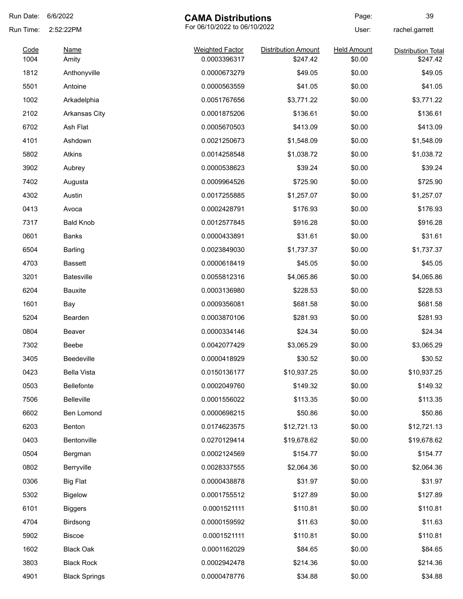| Run Date:    | 6/6/2022                                  | <b>CAMA Distributions</b>              |                                        | Page:                        | 39                        |
|--------------|-------------------------------------------|----------------------------------------|----------------------------------------|------------------------------|---------------------------|
| Run Time:    | For 06/10/2022 to 06/10/2022<br>2:52:22PM |                                        | User:                                  | rachel.garrett               |                           |
| Code<br>1004 | <b>Name</b>                               | <b>Weighted Factor</b><br>0.0003396317 | <b>Distribution Amount</b><br>\$247.42 | <b>Held Amount</b><br>\$0.00 | <b>Distribution Total</b> |
| 1812         | Amity<br>Anthonyville                     | 0.0000673279                           | \$49.05                                | \$0.00                       | \$247.42<br>\$49.05       |
| 5501         | Antoine                                   | 0.0000563559                           | \$41.05                                | \$0.00                       | \$41.05                   |
| 1002         |                                           | 0.0051767656                           | \$3,771.22                             | \$0.00                       |                           |
|              | Arkadelphia                               |                                        |                                        |                              | \$3,771.22                |
| 2102         | <b>Arkansas City</b>                      | 0.0001875206                           | \$136.61                               | \$0.00                       | \$136.61                  |
| 6702         | Ash Flat                                  | 0.0005670503                           | \$413.09                               | \$0.00                       | \$413.09                  |
| 4101         | Ashdown                                   | 0.0021250673                           | \$1,548.09                             | \$0.00                       | \$1,548.09                |
| 5802         | <b>Atkins</b>                             | 0.0014258548                           | \$1,038.72                             | \$0.00                       | \$1,038.72                |
| 3902         | Aubrey                                    | 0.0000538623                           | \$39.24                                | \$0.00                       | \$39.24                   |
| 7402         | Augusta                                   | 0.0009964526                           | \$725.90                               | \$0.00                       | \$725.90                  |
| 4302         | Austin                                    | 0.0017255885                           | \$1,257.07                             | \$0.00                       | \$1,257.07                |
| 0413         | Avoca                                     | 0.0002428791                           | \$176.93                               | \$0.00                       | \$176.93                  |
| 7317         | <b>Bald Knob</b>                          | 0.0012577845                           | \$916.28                               | \$0.00                       | \$916.28                  |
| 0601         | Banks                                     | 0.0000433891                           | \$31.61                                | \$0.00                       | \$31.61                   |
| 6504         | Barling                                   | 0.0023849030                           | \$1,737.37                             | \$0.00                       | \$1,737.37                |
| 4703         | <b>Bassett</b>                            | 0.0000618419                           | \$45.05                                | \$0.00                       | \$45.05                   |
| 3201         | <b>Batesville</b>                         | 0.0055812316                           | \$4,065.86                             | \$0.00                       | \$4,065.86                |
| 6204         | Bauxite                                   | 0.0003136980                           | \$228.53                               | \$0.00                       | \$228.53                  |
| 1601         | Bay                                       | 0.0009356081                           | \$681.58                               | \$0.00                       | \$681.58                  |
| 5204         | Bearden                                   | 0.0003870106                           | \$281.93                               | \$0.00                       | \$281.93                  |
| 0804         | Beaver                                    | 0.0000334146                           | \$24.34                                | \$0.00                       | \$24.34                   |
| 7302         | Beebe                                     | 0.0042077429                           | \$3,065.29                             | \$0.00                       | \$3,065.29                |
| 3405         | Beedeville                                | 0.0000418929                           | \$30.52                                | \$0.00                       | \$30.52                   |
| 0423         | <b>Bella Vista</b>                        | 0.0150136177                           | \$10,937.25                            | \$0.00                       | \$10,937.25               |
| 0503         | Bellefonte                                | 0.0002049760                           | \$149.32                               | \$0.00                       | \$149.32                  |
| 7506         | <b>Belleville</b>                         | 0.0001556022                           | \$113.35                               | \$0.00                       | \$113.35                  |
| 6602         | Ben Lomond                                | 0.0000698215                           | \$50.86                                | \$0.00                       | \$50.86                   |
| 6203         | Benton                                    | 0.0174623575                           | \$12,721.13                            | \$0.00                       | \$12,721.13               |
| 0403         | Bentonville                               | 0.0270129414                           | \$19,678.62                            | \$0.00                       | \$19,678.62               |
| 0504         | Bergman                                   | 0.0002124569                           | \$154.77                               | \$0.00                       | \$154.77                  |
| 0802         | Berryville                                | 0.0028337555                           | \$2,064.36                             | \$0.00                       | \$2,064.36                |
| 0306         | <b>Big Flat</b>                           | 0.0000438878                           | \$31.97                                | \$0.00                       | \$31.97                   |
| 5302         | <b>Bigelow</b>                            | 0.0001755512                           | \$127.89                               | \$0.00                       | \$127.89                  |
| 6101         | <b>Biggers</b>                            | 0.0001521111                           | \$110.81                               | \$0.00                       | \$110.81                  |
| 4704         | Birdsong                                  | 0.0000159592                           | \$11.63                                | \$0.00                       | \$11.63                   |
| 5902         | <b>Biscoe</b>                             | 0.0001521111                           | \$110.81                               | \$0.00                       | \$110.81                  |
| 1602         | <b>Black Oak</b>                          | 0.0001162029                           | \$84.65                                | \$0.00                       | \$84.65                   |
| 3803         | <b>Black Rock</b>                         | 0.0002942478                           | \$214.36                               | \$0.00                       | \$214.36                  |
|              |                                           |                                        |                                        |                              |                           |
| 4901         | <b>Black Springs</b>                      | 0.0000478776                           | \$34.88                                | \$0.00                       | \$34.88                   |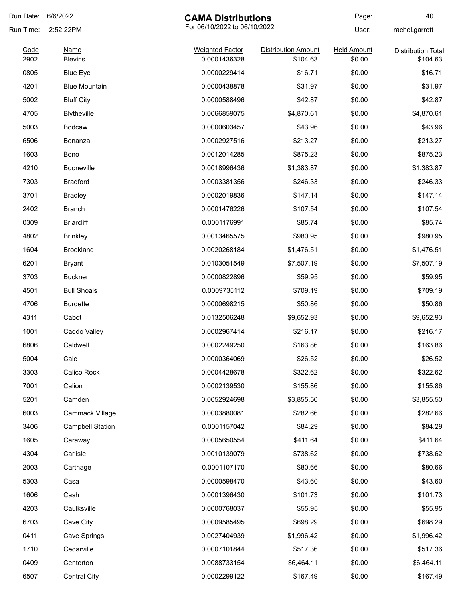| Run Date:    | 6/6/2022                      | <b>CAMA Distributions</b>              |                                        | Page:                        | 40                                    |
|--------------|-------------------------------|----------------------------------------|----------------------------------------|------------------------------|---------------------------------------|
| Run Time:    | 2:52:22PM                     | For 06/10/2022 to 06/10/2022           |                                        | User:                        | rachel.garrett                        |
| Code<br>2902 | <b>Name</b><br><b>Blevins</b> | <b>Weighted Factor</b><br>0.0001436328 | <b>Distribution Amount</b><br>\$104.63 | <b>Held Amount</b><br>\$0.00 | <b>Distribution Total</b><br>\$104.63 |
| 0805         | <b>Blue Eye</b>               | 0.0000229414                           | \$16.71                                | \$0.00                       | \$16.71                               |
| 4201         | <b>Blue Mountain</b>          | 0.0000438878                           | \$31.97                                | \$0.00                       | \$31.97                               |
| 5002         |                               | 0.0000588496                           | \$42.87                                | \$0.00                       | \$42.87                               |
|              | <b>Bluff City</b>             |                                        |                                        |                              |                                       |
| 4705         | <b>Blytheville</b>            | 0.0066859075                           | \$4,870.61                             | \$0.00                       | \$4,870.61                            |
| 5003         | <b>Bodcaw</b>                 | 0.0000603457                           | \$43.96                                | \$0.00                       | \$43.96                               |
| 6506         | Bonanza                       | 0.0002927516                           | \$213.27                               | \$0.00                       | \$213.27                              |
| 1603         | Bono                          | 0.0012014285                           | \$875.23                               | \$0.00                       | \$875.23                              |
| 4210         | <b>Booneville</b>             | 0.0018996436                           | \$1,383.87                             | \$0.00                       | \$1,383.87                            |
| 7303         | <b>Bradford</b>               | 0.0003381356                           | \$246.33                               | \$0.00                       | \$246.33                              |
| 3701         | <b>Bradley</b>                | 0.0002019836                           | \$147.14                               | \$0.00                       | \$147.14                              |
| 2402         | <b>Branch</b>                 | 0.0001476226                           | \$107.54                               | \$0.00                       | \$107.54                              |
| 0309         | <b>Briarcliff</b>             | 0.0001176991                           | \$85.74                                | \$0.00                       | \$85.74                               |
| 4802         | <b>Brinkley</b>               | 0.0013465575                           | \$980.95                               | \$0.00                       | \$980.95                              |
| 1604         | <b>Brookland</b>              | 0.0020268184                           | \$1,476.51                             | \$0.00                       | \$1,476.51                            |
| 6201         | <b>Bryant</b>                 | 0.0103051549                           | \$7,507.19                             | \$0.00                       | \$7,507.19                            |
| 3703         | <b>Buckner</b>                | 0.0000822896                           | \$59.95                                | \$0.00                       | \$59.95                               |
| 4501         | <b>Bull Shoals</b>            | 0.0009735112                           | \$709.19                               | \$0.00                       | \$709.19                              |
| 4706         | <b>Burdette</b>               | 0.0000698215                           | \$50.86                                | \$0.00                       | \$50.86                               |
| 4311         | Cabot                         | 0.0132506248                           | \$9,652.93                             | \$0.00                       | \$9,652.93                            |
| 1001         | Caddo Valley                  | 0.0002967414                           | \$216.17                               | \$0.00                       | \$216.17                              |
| 6806         | Caldwell                      | 0.0002249250                           | \$163.86                               | \$0.00                       | \$163.86                              |
| 5004         | Cale                          | 0.0000364069                           | \$26.52                                | \$0.00                       | \$26.52                               |
| 3303         | Calico Rock                   | 0.0004428678                           | \$322.62                               | \$0.00                       | \$322.62                              |
| 7001         | Calion                        | 0.0002139530                           | \$155.86                               | \$0.00                       | \$155.86                              |
| 5201         | Camden                        | 0.0052924698                           | \$3,855.50                             | \$0.00                       | \$3,855.50                            |
| 6003         | Cammack Village               | 0.0003880081                           | \$282.66                               | \$0.00                       | \$282.66                              |
| 3406         | <b>Campbell Station</b>       | 0.0001157042                           | \$84.29                                | \$0.00                       | \$84.29                               |
| 1605         | Caraway                       | 0.0005650554                           | \$411.64                               | \$0.00                       | \$411.64                              |
| 4304         | Carlisle                      | 0.0010139079                           | \$738.62                               | \$0.00                       | \$738.62                              |
| 2003         | Carthage                      | 0.0001107170                           | \$80.66                                | \$0.00                       | \$80.66                               |
| 5303         | Casa                          | 0.0000598470                           | \$43.60                                | \$0.00                       | \$43.60                               |
| 1606         | Cash                          | 0.0001396430                           | \$101.73                               | \$0.00                       | \$101.73                              |
| 4203         | Caulksville                   | 0.0000768037                           | \$55.95                                | \$0.00                       | \$55.95                               |
| 6703         | Cave City                     | 0.0009585495                           | \$698.29                               | \$0.00                       | \$698.29                              |
| 0411         | Cave Springs                  | 0.0027404939                           | \$1,996.42                             | \$0.00                       | \$1,996.42                            |
| 1710         | Cedarville                    | 0.0007101844                           | \$517.36                               | \$0.00                       | \$517.36                              |
| 0409         | Centerton                     | 0.0088733154                           | \$6,464.11                             | \$0.00                       | \$6,464.11                            |
| 6507         | Central City                  | 0.0002299122                           | \$167.49                               | \$0.00                       | \$167.49                              |
|              |                               |                                        |                                        |                              |                                       |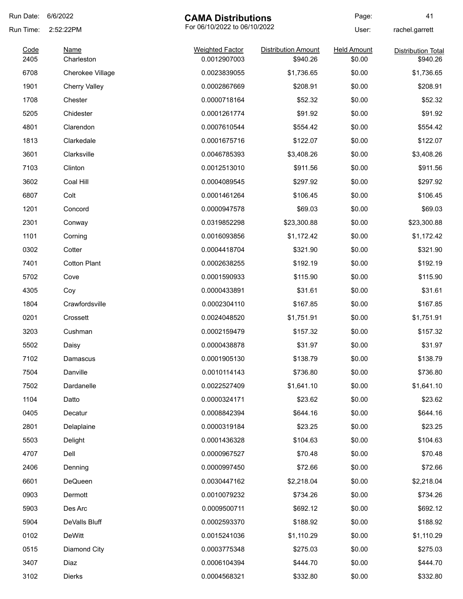| Run Date:    | 6/6/2022                  | <b>CAMA Distributions</b>              |                                        | Page:                        | 41                                    |
|--------------|---------------------------|----------------------------------------|----------------------------------------|------------------------------|---------------------------------------|
| Run Time:    | 2:52:22PM                 | For 06/10/2022 to 06/10/2022           |                                        | User:<br>rachel.garrett      |                                       |
| Code<br>2405 | <b>Name</b><br>Charleston | <b>Weighted Factor</b><br>0.0012907003 | <b>Distribution Amount</b><br>\$940.26 | <b>Held Amount</b><br>\$0.00 | <b>Distribution Total</b><br>\$940.26 |
| 6708         | Cherokee Village          | 0.0023839055                           | \$1,736.65                             | \$0.00                       | \$1,736.65                            |
| 1901         | <b>Cherry Valley</b>      | 0.0002867669                           | \$208.91                               | \$0.00                       | \$208.91                              |
| 1708         | Chester                   | 0.0000718164                           | \$52.32                                | \$0.00                       | \$52.32                               |
| 5205         | Chidester                 | 0.0001261774                           | \$91.92                                | \$0.00                       | \$91.92                               |
| 4801         | Clarendon                 | 0.0007610544                           | \$554.42                               | \$0.00                       | \$554.42                              |
| 1813         | Clarkedale                | 0.0001675716                           | \$122.07                               | \$0.00                       | \$122.07                              |
| 3601         | Clarksville               | 0.0046785393                           | \$3,408.26                             | \$0.00                       | \$3,408.26                            |
| 7103         | Clinton                   | 0.0012513010                           | \$911.56                               | \$0.00                       | \$911.56                              |
| 3602         | Coal Hill                 | 0.0004089545                           | \$297.92                               | \$0.00                       | \$297.92                              |
| 6807         | Colt                      | 0.0001461264                           | \$106.45                               | \$0.00                       | \$106.45                              |
| 1201         | Concord                   | 0.0000947578                           | \$69.03                                | \$0.00                       | \$69.03                               |
| 2301         | Conway                    | 0.0319852298                           | \$23,300.88                            | \$0.00                       | \$23,300.88                           |
| 1101         | Corning                   | 0.0016093856                           | \$1,172.42                             | \$0.00                       | \$1,172.42                            |
| 0302         | Cotter                    | 0.0004418704                           | \$321.90                               | \$0.00                       | \$321.90                              |
| 7401         | <b>Cotton Plant</b>       | 0.0002638255                           | \$192.19                               | \$0.00                       | \$192.19                              |
| 5702         | Cove                      | 0.0001590933                           | \$115.90                               | \$0.00                       | \$115.90                              |
| 4305         | Coy                       | 0.0000433891                           | \$31.61                                | \$0.00                       | \$31.61                               |
| 1804         | Crawfordsville            | 0.0002304110                           | \$167.85                               | \$0.00                       | \$167.85                              |
| 0201         | Crossett                  | 0.0024048520                           | \$1,751.91                             | \$0.00                       | \$1,751.91                            |
| 3203         | Cushman                   | 0.0002159479                           | \$157.32                               | \$0.00                       | \$157.32                              |
| 5502         | Daisy                     | 0.0000438878                           | \$31.97                                | \$0.00                       | \$31.97                               |
| 7102         | Damascus                  | 0.0001905130                           | \$138.79                               | \$0.00                       | \$138.79                              |
| 7504         | Danville                  | 0.0010114143                           | \$736.80                               | \$0.00                       | \$736.80                              |
| 7502         | Dardanelle                | 0.0022527409                           | \$1,641.10                             | \$0.00                       | \$1,641.10                            |
| 1104         | Datto                     | 0.0000324171                           | \$23.62                                | \$0.00                       | \$23.62                               |
| 0405         | Decatur                   | 0.0008842394                           | \$644.16                               | \$0.00                       | \$644.16                              |
| 2801         | Delaplaine                | 0.0000319184                           | \$23.25                                | \$0.00                       | \$23.25                               |
| 5503         | Delight                   | 0.0001436328                           | \$104.63                               | \$0.00                       | \$104.63                              |
| 4707         | Dell                      | 0.0000967527                           | \$70.48                                | \$0.00                       | \$70.48                               |
| 2406         | Denning                   | 0.0000997450                           | \$72.66                                | \$0.00                       | \$72.66                               |
| 6601         | DeQueen                   | 0.0030447162                           | \$2,218.04                             | \$0.00                       | \$2,218.04                            |
| 0903         | Dermott                   | 0.0010079232                           | \$734.26                               | \$0.00                       | \$734.26                              |
| 5903         | Des Arc                   | 0.0009500711                           | \$692.12                               | \$0.00                       | \$692.12                              |
| 5904         | DeValls Bluff             | 0.0002593370                           | \$188.92                               | \$0.00                       | \$188.92                              |
| 0102         | DeWitt                    | 0.0015241036                           | \$1,110.29                             | \$0.00                       | \$1,110.29                            |
| 0515         | Diamond City              | 0.0003775348                           | \$275.03                               | \$0.00                       | \$275.03                              |
| 3407         | Diaz                      | 0.0006104394                           | \$444.70                               | \$0.00                       | \$444.70                              |
| 3102         | <b>Dierks</b>             | 0.0004568321                           | \$332.80                               | \$0.00                       | \$332.80                              |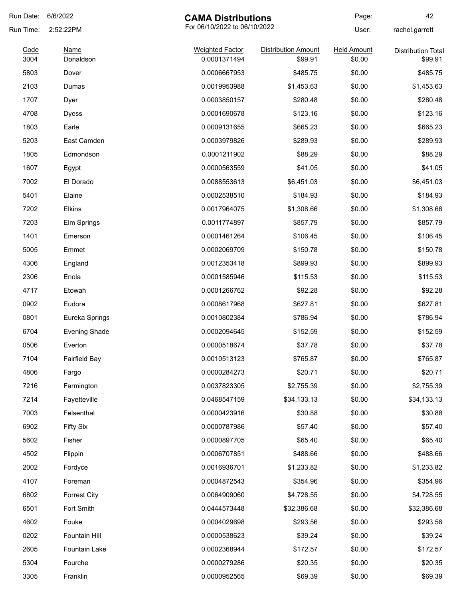| Run Date:    | 6/6/2022                 | <b>CAMA Distributions</b>              |                                       | Page:                        | 42                                   |
|--------------|--------------------------|----------------------------------------|---------------------------------------|------------------------------|--------------------------------------|
| Run Time:    | 2:52:22PM                | For 06/10/2022 to 06/10/2022           |                                       | User:                        | rachel.garrett                       |
| Code<br>3004 | <b>Name</b><br>Donaldson | <b>Weighted Factor</b><br>0.0001371494 | <b>Distribution Amount</b><br>\$99.91 | <b>Held Amount</b><br>\$0.00 | <b>Distribution Total</b><br>\$99.91 |
| 5803         | Dover                    | 0.0006667953                           | \$485.75                              | \$0.00                       | \$485.75                             |
| 2103         | Dumas                    | 0.0019953988                           | \$1,453.63                            | \$0.00                       | \$1,453.63                           |
| 1707         | Dyer                     | 0.0003850157                           | \$280.48                              | \$0.00                       | \$280.48                             |
| 4708         | <b>Dyess</b>             | 0.0001690678                           | \$123.16                              | \$0.00                       | \$123.16                             |
| 1803         | Earle                    | 0.0009131655                           | \$665.23                              | \$0.00                       | \$665.23                             |
| 5203         | East Camden              | 0.0003979826                           | \$289.93                              | \$0.00                       | \$289.93                             |
| 1805         | Edmondson                | 0.0001211902                           | \$88.29                               | \$0.00                       | \$88.29                              |
| 1607         | Egypt                    | 0.0000563559                           | \$41.05                               | \$0.00                       | \$41.05                              |
| 7002         | El Dorado                | 0.0088553613                           | \$6,451.03                            | \$0.00                       | \$6,451.03                           |
| 5401         | Elaine                   | 0.0002538510                           | \$184.93                              | \$0.00                       | \$184.93                             |
| 7202         | Elkins                   | 0.0017964075                           | \$1,308.66                            | \$0.00                       | \$1,308.66                           |
| 7203         | Elm Springs              | 0.0011774897                           | \$857.79                              | \$0.00                       | \$857.79                             |
| 1401         | Emerson                  | 0.0001461264                           | \$106.45                              | \$0.00                       | \$106.45                             |
| 5005         | Emmet                    | 0.0002069709                           | \$150.78                              | \$0.00                       | \$150.78                             |
| 4306         | England                  | 0.0012353418                           | \$899.93                              | \$0.00                       | \$899.93                             |
| 2306         | Enola                    | 0.0001585946                           | \$115.53                              | \$0.00                       | \$115.53                             |
| 4717         | Etowah                   | 0.0001266762                           | \$92.28                               | \$0.00                       | \$92.28                              |
| 0902         | Eudora                   | 0.0008617968                           | \$627.81                              | \$0.00                       | \$627.81                             |
| 0801         | Eureka Springs           | 0.0010802384                           | \$786.94                              | \$0.00                       | \$786.94                             |
| 6704         | <b>Evening Shade</b>     | 0.0002094645                           | \$152.59                              | \$0.00                       | \$152.59                             |
| 0506         | Everton                  | 0.0000518674                           | \$37.78                               | \$0.00                       | \$37.78                              |
| 7104         | <b>Fairfield Bay</b>     | 0.0010513123                           | \$765.87                              | \$0.00                       | \$765.87                             |
| 4806         | Fargo                    | 0.0000284273                           | \$20.71                               | \$0.00                       | \$20.71                              |
| 7216         | Farmington               | 0.0037823305                           | \$2,755.39                            | \$0.00                       | \$2,755.39                           |
| 7214         | Fayetteville             | 0.0468547159                           | \$34,133.13                           | \$0.00                       | \$34,133.13                          |
| 7003         | Felsenthal               | 0.0000423916                           | \$30.88                               | \$0.00                       | \$30.88                              |
| 6902         | <b>Fifty Six</b>         | 0.0000787986                           | \$57.40                               | \$0.00                       | \$57.40                              |
| 5602         | Fisher                   | 0.0000897705                           | \$65.40                               | \$0.00                       | \$65.40                              |
| 4502         | Flippin                  | 0.0006707851                           | \$488.66                              | \$0.00                       | \$488.66                             |
| 2002         | Fordyce                  | 0.0016936701                           | \$1,233.82                            | \$0.00                       | \$1,233.82                           |
| 4107         | Foreman                  | 0.0004872543                           | \$354.96                              | \$0.00                       | \$354.96                             |
| 6802         | <b>Forrest City</b>      | 0.0064909060                           | \$4,728.55                            | \$0.00                       | \$4,728.55                           |
| 6501         | Fort Smith               | 0.0444573448                           | \$32,386.68                           | \$0.00                       | \$32,386.68                          |
| 4602         | Fouke                    | 0.0004029698                           | \$293.56                              | \$0.00                       | \$293.56                             |
| 0202         | Fountain Hill            | 0.0000538623                           | \$39.24                               | \$0.00                       | \$39.24                              |
| 2605         | Fountain Lake            | 0.0002368944                           | \$172.57                              | \$0.00                       | \$172.57                             |
| 5304         | Fourche                  | 0.0000279286                           | \$20.35                               | \$0.00                       | \$20.35                              |
| 3305         | Franklin                 | 0.0000952565                           | \$69.39                               | \$0.00                       | \$69.39                              |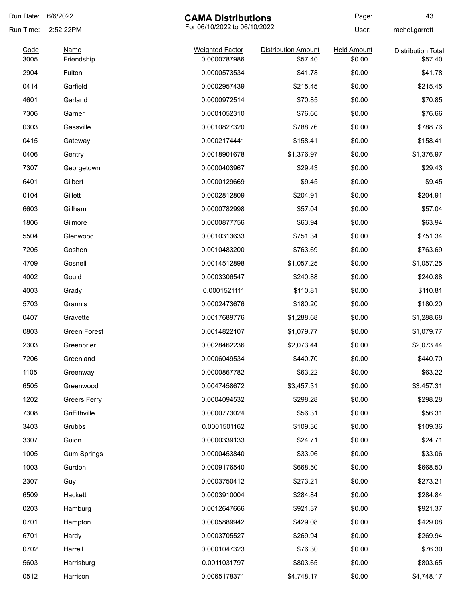| Run Date: | 6/6/2022            | <b>CAMA Distributions</b>    |                            | Page:              | 43                        |
|-----------|---------------------|------------------------------|----------------------------|--------------------|---------------------------|
| Run Time: | 2:52:22PM           | For 06/10/2022 to 06/10/2022 |                            |                    | rachel.garrett            |
| Code      | <b>Name</b>         | <b>Weighted Factor</b>       | <b>Distribution Amount</b> | <b>Held Amount</b> | <b>Distribution Total</b> |
| 3005      | Friendship          | 0.0000787986                 | \$57.40                    | \$0.00             | \$57.40                   |
| 2904      | Fulton              | 0.0000573534                 | \$41.78                    | \$0.00             | \$41.78                   |
| 0414      | Garfield            | 0.0002957439                 | \$215.45                   | \$0.00             | \$215.45                  |
| 4601      | Garland             | 0.0000972514                 | \$70.85                    | \$0.00             | \$70.85                   |
| 7306      | Garner              | 0.0001052310                 | \$76.66                    | \$0.00             | \$76.66                   |
| 0303      | Gassville           | 0.0010827320                 | \$788.76                   | \$0.00             | \$788.76                  |
| 0415      | Gateway             | 0.0002174441                 | \$158.41                   | \$0.00             | \$158.41                  |
| 0406      | Gentry              | 0.0018901678                 | \$1,376.97                 | \$0.00             | \$1,376.97                |
| 7307      | Georgetown          | 0.0000403967                 | \$29.43                    | \$0.00             | \$29.43                   |
| 6401      | Gilbert             | 0.0000129669                 | \$9.45                     | \$0.00             | \$9.45                    |
| 0104      | Gillett             | 0.0002812809                 | \$204.91                   | \$0.00             | \$204.91                  |
| 6603      | Gillham             | 0.0000782998                 | \$57.04                    | \$0.00             | \$57.04                   |
| 1806      | Gilmore             | 0.0000877756                 | \$63.94                    | \$0.00             | \$63.94                   |
| 5504      | Glenwood            | 0.0010313633                 | \$751.34                   | \$0.00             | \$751.34                  |
| 7205      | Goshen              | 0.0010483200                 | \$763.69                   | \$0.00             | \$763.69                  |
| 4709      | Gosnell             | 0.0014512898                 | \$1,057.25                 | \$0.00             | \$1,057.25                |
| 4002      | Gould               | 0.0003306547                 | \$240.88                   | \$0.00             | \$240.88                  |
| 4003      | Grady               | 0.0001521111                 | \$110.81                   | \$0.00             | \$110.81                  |
| 5703      | Grannis             | 0.0002473676                 | \$180.20                   | \$0.00             | \$180.20                  |
| 0407      | Gravette            | 0.0017689776                 | \$1,288.68                 | \$0.00             | \$1,288.68                |
| 0803      | Green Forest        | 0.0014822107                 | \$1,079.77                 | \$0.00             | \$1,079.77                |
| 2303      | Greenbrier          | 0.0028462236                 | \$2,073.44                 | \$0.00             | \$2,073.44                |
| 7206      | Greenland           | 0.0006049534                 | \$440.70                   | \$0.00             | \$440.70                  |
| 1105      | Greenway            | 0.0000867782                 | \$63.22                    | \$0.00             | \$63.22                   |
| 6505      | Greenwood           | 0.0047458672                 | \$3,457.31                 | \$0.00             | \$3,457.31                |
| 1202      | <b>Greers Ferry</b> | 0.0004094532                 | \$298.28                   | \$0.00             | \$298.28                  |
| 7308      | Griffithville       | 0.0000773024                 | \$56.31                    | \$0.00             | \$56.31                   |
| 3403      | Grubbs              | 0.0001501162                 | \$109.36                   | \$0.00             | \$109.36                  |
| 3307      | Guion               | 0.0000339133                 | \$24.71                    | \$0.00             | \$24.71                   |
| 1005      | <b>Gum Springs</b>  | 0.0000453840                 | \$33.06                    | \$0.00             | \$33.06                   |
| 1003      | Gurdon              | 0.0009176540                 | \$668.50                   | \$0.00             | \$668.50                  |
| 2307      | Guy                 | 0.0003750412                 | \$273.21                   | \$0.00             | \$273.21                  |
| 6509      | Hackett             | 0.0003910004                 | \$284.84                   | \$0.00             | \$284.84                  |
| 0203      | Hamburg             | 0.0012647666                 | \$921.37                   | \$0.00             | \$921.37                  |
| 0701      | Hampton             | 0.0005889942                 | \$429.08                   | \$0.00             | \$429.08                  |
| 6701      | Hardy               | 0.0003705527                 | \$269.94                   | \$0.00             | \$269.94                  |
| 0702      | Harrell             | 0.0001047323                 | \$76.30                    | \$0.00             | \$76.30                   |
| 5603      | Harrisburg          | 0.0011031797                 | \$803.65                   | \$0.00             | \$803.65                  |
|           |                     | 0.0065178371                 |                            |                    |                           |
| 0512      | Harrison            |                              | \$4,748.17                 | \$0.00             | \$4,748.17                |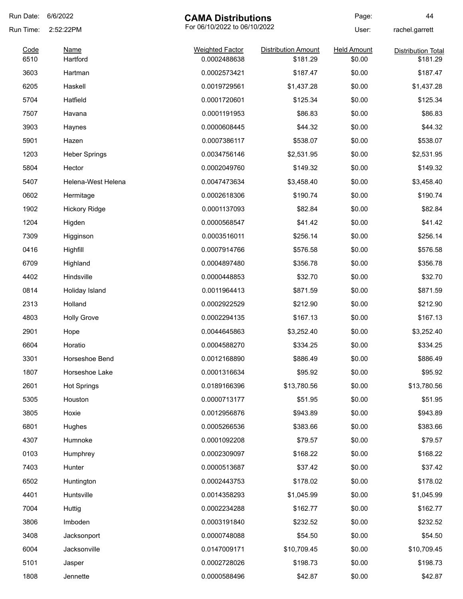| Run Date:    | 6/6/2022                | <b>CAMA Distributions</b>              |                                        | Page:                        | 44                                    |
|--------------|-------------------------|----------------------------------------|----------------------------------------|------------------------------|---------------------------------------|
| Run Time:    | 2:52:22PM               | For 06/10/2022 to 06/10/2022           |                                        | User:                        | rachel.garrett                        |
| Code<br>6510 | <b>Name</b><br>Hartford | <b>Weighted Factor</b><br>0.0002488638 | <b>Distribution Amount</b><br>\$181.29 | <b>Held Amount</b><br>\$0.00 | <b>Distribution Total</b><br>\$181.29 |
| 3603         | Hartman                 | 0.0002573421                           | \$187.47                               | \$0.00                       | \$187.47                              |
| 6205         | Haskell                 | 0.0019729561                           | \$1,437.28                             | \$0.00                       | \$1,437.28                            |
| 5704         | Hatfield                | 0.0001720601                           | \$125.34                               | \$0.00                       | \$125.34                              |
| 7507         | Havana                  | 0.0001191953                           | \$86.83                                | \$0.00                       | \$86.83                               |
| 3903         | Haynes                  | 0.0000608445                           | \$44.32                                | \$0.00                       | \$44.32                               |
| 5901         | Hazen                   | 0.0007386117                           | \$538.07                               | \$0.00                       | \$538.07                              |
| 1203         | <b>Heber Springs</b>    | 0.0034756146                           | \$2,531.95                             | \$0.00                       | \$2,531.95                            |
| 5804         | Hector                  | 0.0002049760                           | \$149.32                               | \$0.00                       | \$149.32                              |
| 5407         | Helena-West Helena      | 0.0047473634                           | \$3,458.40                             | \$0.00                       | \$3,458.40                            |
| 0602         | Hermitage               | 0.0002618306                           | \$190.74                               | \$0.00                       | \$190.74                              |
| 1902         | <b>Hickory Ridge</b>    | 0.0001137093                           | \$82.84                                | \$0.00                       | \$82.84                               |
| 1204         | Higden                  | 0.0000568547                           | \$41.42                                | \$0.00                       | \$41.42                               |
| 7309         | Higginson               | 0.0003516011                           | \$256.14                               | \$0.00                       | \$256.14                              |
| 0416         | Highfill                | 0.0007914766                           | \$576.58                               | \$0.00                       | \$576.58                              |
| 6709         | Highland                | 0.0004897480                           | \$356.78                               | \$0.00                       | \$356.78                              |
| 4402         | Hindsville              | 0.0000448853                           | \$32.70                                | \$0.00                       | \$32.70                               |
| 0814         | Holiday Island          | 0.0011964413                           | \$871.59                               | \$0.00                       | \$871.59                              |
| 2313         | Holland                 | 0.0002922529                           | \$212.90                               | \$0.00                       | \$212.90                              |
| 4803         | <b>Holly Grove</b>      | 0.0002294135                           | \$167.13                               | \$0.00                       | \$167.13                              |
| 2901         | Hope                    | 0.0044645863                           | \$3,252.40                             | \$0.00                       | \$3,252.40                            |
| 6604         | Horatio                 | 0.0004588270                           | \$334.25                               | \$0.00                       | \$334.25                              |
| 3301         | Horseshoe Bend          | 0.0012168890                           | \$886.49                               | \$0.00                       | \$886.49                              |
| 1807         | Horseshoe Lake          | 0.0001316634                           | \$95.92                                | \$0.00                       | \$95.92                               |
| 2601         | <b>Hot Springs</b>      | 0.0189166396                           | \$13,780.56                            | \$0.00                       | \$13,780.56                           |
| 5305         | Houston                 | 0.0000713177                           | \$51.95                                | \$0.00                       | \$51.95                               |
| 3805         | Hoxie                   | 0.0012956876                           | \$943.89                               | \$0.00                       | \$943.89                              |
| 6801         | Hughes                  | 0.0005266536                           | \$383.66                               | \$0.00                       | \$383.66                              |
| 4307         | Humnoke                 | 0.0001092208                           | \$79.57                                | \$0.00                       | \$79.57                               |
| 0103         | Humphrey                | 0.0002309097                           | \$168.22                               | \$0.00                       | \$168.22                              |
| 7403         | Hunter                  | 0.0000513687                           | \$37.42                                | \$0.00                       | \$37.42                               |
| 6502         | Huntington              | 0.0002443753                           | \$178.02                               | \$0.00                       | \$178.02                              |
| 4401         | Huntsville              | 0.0014358293                           | \$1,045.99                             | \$0.00                       | \$1,045.99                            |
| 7004         | Huttig                  | 0.0002234288                           | \$162.77                               | \$0.00                       | \$162.77                              |
| 3806         | Imboden                 | 0.0003191840                           | \$232.52                               | \$0.00                       | \$232.52                              |
| 3408         | Jacksonport             | 0.0000748088                           | \$54.50                                | \$0.00                       | \$54.50                               |
| 6004         | Jacksonville            | 0.0147009171                           | \$10,709.45                            | \$0.00                       | \$10,709.45                           |
| 5101         | Jasper                  | 0.0002728026                           | \$198.73                               | \$0.00                       | \$198.73                              |
| 1808         | Jennette                | 0.0000588496                           | \$42.87                                | \$0.00                       | \$42.87                               |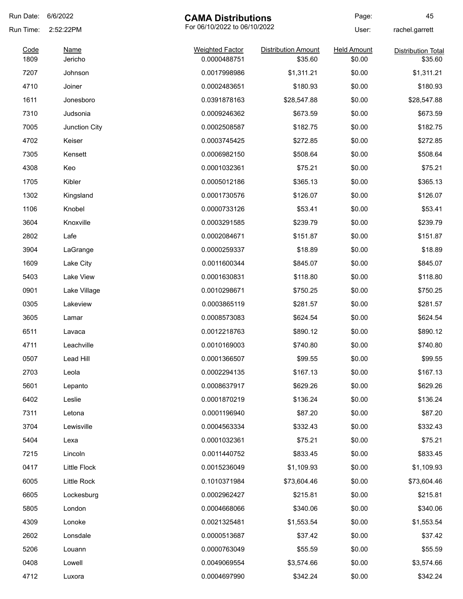| Run Date:    | 6/6/2022               | <b>CAMA Distributions</b>              |                                       | Page:                        | 45                                   |
|--------------|------------------------|----------------------------------------|---------------------------------------|------------------------------|--------------------------------------|
| Run Time:    | 2:52:22PM              | For 06/10/2022 to 06/10/2022           |                                       | User:                        | rachel.garrett                       |
| Code<br>1809 | <b>Name</b><br>Jericho | <b>Weighted Factor</b><br>0.0000488751 | <b>Distribution Amount</b><br>\$35.60 | <b>Held Amount</b><br>\$0.00 | <b>Distribution Total</b><br>\$35.60 |
|              |                        |                                        |                                       |                              |                                      |
| 7207         | Johnson                | 0.0017998986                           | \$1,311.21                            | \$0.00                       | \$1,311.21                           |
| 4710         | Joiner                 | 0.0002483651                           | \$180.93                              | \$0.00                       | \$180.93                             |
| 1611         | Jonesboro              | 0.0391878163                           | \$28,547.88                           | \$0.00                       | \$28,547.88                          |
| 7310         | Judsonia               | 0.0009246362                           | \$673.59                              | \$0.00                       | \$673.59                             |
| 7005         | Junction City          | 0.0002508587                           | \$182.75                              | \$0.00                       | \$182.75                             |
| 4702         | Keiser                 | 0.0003745425                           | \$272.85                              | \$0.00                       | \$272.85                             |
| 7305         | Kensett                | 0.0006982150                           | \$508.64                              | \$0.00                       | \$508.64                             |
| 4308         | Keo                    | 0.0001032361                           | \$75.21                               | \$0.00                       | \$75.21                              |
| 1705         | Kibler                 | 0.0005012186                           | \$365.13                              | \$0.00                       | \$365.13                             |
| 1302         | Kingsland              | 0.0001730576                           | \$126.07                              | \$0.00                       | \$126.07                             |
| 1106         | Knobel                 | 0.0000733126                           | \$53.41                               | \$0.00                       | \$53.41                              |
| 3604         | Knoxville              | 0.0003291585                           | \$239.79                              | \$0.00                       | \$239.79                             |
| 2802         | Lafe                   | 0.0002084671                           | \$151.87                              | \$0.00                       | \$151.87                             |
| 3904         | LaGrange               | 0.0000259337                           | \$18.89                               | \$0.00                       | \$18.89                              |
| 1609         | Lake City              | 0.0011600344                           | \$845.07                              | \$0.00                       | \$845.07                             |
| 5403         | Lake View              | 0.0001630831                           | \$118.80                              | \$0.00                       | \$118.80                             |
| 0901         | Lake Village           | 0.0010298671                           | \$750.25                              | \$0.00                       | \$750.25                             |
| 0305         | Lakeview               | 0.0003865119                           | \$281.57                              | \$0.00                       | \$281.57                             |
| 3605         | Lamar                  | 0.0008573083                           | \$624.54                              | \$0.00                       | \$624.54                             |
| 6511         | Lavaca                 | 0.0012218763                           | \$890.12                              | \$0.00                       | \$890.12                             |
| 4711         | Leachville             | 0.0010169003                           | \$740.80                              | \$0.00                       | \$740.80                             |
| 0507         | Lead Hill              | 0.0001366507                           | \$99.55                               | \$0.00                       | \$99.55                              |
| 2703         | Leola                  | 0.0002294135                           | \$167.13                              | \$0.00                       | \$167.13                             |
| 5601         | Lepanto                | 0.0008637917                           | \$629.26                              | \$0.00                       | \$629.26                             |
| 6402         | Leslie                 | 0.0001870219                           | \$136.24                              | \$0.00                       | \$136.24                             |
| 7311         | Letona                 | 0.0001196940                           | \$87.20                               | \$0.00                       | \$87.20                              |
| 3704         | Lewisville             | 0.0004563334                           | \$332.43                              | \$0.00                       | \$332.43                             |
|              |                        |                                        |                                       |                              |                                      |
| 5404         | Lexa                   | 0.0001032361                           | \$75.21                               | \$0.00                       | \$75.21                              |
| 7215         | Lincoln                | 0.0011440752                           | \$833.45                              | \$0.00                       | \$833.45                             |
| 0417         | Little Flock           | 0.0015236049                           | \$1,109.93                            | \$0.00                       | \$1,109.93                           |
| 6005         | Little Rock            | 0.1010371984                           | \$73,604.46                           | \$0.00                       | \$73,604.46                          |
| 6605         | Lockesburg             | 0.0002962427                           | \$215.81                              | \$0.00                       | \$215.81                             |
| 5805         | London                 | 0.0004668066                           | \$340.06                              | \$0.00                       | \$340.06                             |
| 4309         | Lonoke                 | 0.0021325481                           | \$1,553.54                            | \$0.00                       | \$1,553.54                           |
| 2602         | Lonsdale               | 0.0000513687                           | \$37.42                               | \$0.00                       | \$37.42                              |
| 5206         | Louann                 | 0.0000763049                           | \$55.59                               | \$0.00                       | \$55.59                              |
| 0408         | Lowell                 | 0.0049069554                           | \$3,574.66                            | \$0.00                       | \$3,574.66                           |
| 4712         | Luxora                 | 0.0004697990                           | \$342.24                              | \$0.00                       | \$342.24                             |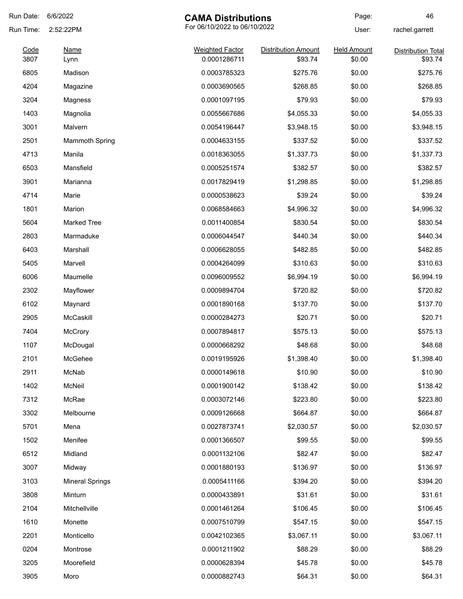| Run Date:    | 6/6/2022               | <b>CAMA Distributions</b>              |                                       | Page:                        | 46                                   |
|--------------|------------------------|----------------------------------------|---------------------------------------|------------------------------|--------------------------------------|
| Run Time:    | 2:52:22PM              | For 06/10/2022 to 06/10/2022           |                                       | User:                        | rachel.garrett                       |
| Code<br>3807 | <b>Name</b><br>Lynn    | <b>Weighted Factor</b><br>0.0001286711 | <b>Distribution Amount</b><br>\$93.74 | <b>Held Amount</b><br>\$0.00 | <b>Distribution Total</b><br>\$93.74 |
| 6805         | Madison                | 0.0003785323                           | \$275.76                              | \$0.00                       | \$275.76                             |
| 4204         | Magazine               | 0.0003690565                           | \$268.85                              | \$0.00                       | \$268.85                             |
| 3204         | Magness                | 0.0001097195                           | \$79.93                               | \$0.00                       | \$79.93                              |
| 1403         |                        | 0.0055667686                           |                                       | \$0.00                       |                                      |
|              | Magnolia               |                                        | \$4,055.33                            |                              | \$4,055.33                           |
| 3001         | Malvern                | 0.0054196447                           | \$3,948.15                            | \$0.00                       | \$3,948.15                           |
| 2501         | <b>Mammoth Spring</b>  | 0.0004633155                           | \$337.52                              | \$0.00                       | \$337.52                             |
| 4713         | Manila                 | 0.0018363055                           | \$1,337.73                            | \$0.00                       | \$1,337.73                           |
| 6503         | Mansfield              | 0.0005251574                           | \$382.57                              | \$0.00                       | \$382.57                             |
| 3901         | Marianna               | 0.0017829419                           | \$1,298.85                            | \$0.00                       | \$1,298.85                           |
| 4714         | Marie                  | 0.0000538623                           | \$39.24                               | \$0.00                       | \$39.24                              |
| 1801         | Marion                 | 0.0068584663                           | \$4,996.32                            | \$0.00                       | \$4,996.32                           |
| 5604         | <b>Marked Tree</b>     | 0.0011400854                           | \$830.54                              | \$0.00                       | \$830.54                             |
| 2803         | Marmaduke              | 0.0006044547                           | \$440.34                              | \$0.00                       | \$440.34                             |
| 6403         | Marshall               | 0.0006628055                           | \$482.85                              | \$0.00                       | \$482.85                             |
| 5405         | Marvell                | 0.0004264099                           | \$310.63                              | \$0.00                       | \$310.63                             |
| 6006         | Maumelle               | 0.0096009552                           | \$6,994.19                            | \$0.00                       | \$6,994.19                           |
| 2302         | Mayflower              | 0.0009894704                           | \$720.82                              | \$0.00                       | \$720.82                             |
| 6102         | Maynard                | 0.0001890168                           | \$137.70                              | \$0.00                       | \$137.70                             |
| 2905         | McCaskill              | 0.0000284273                           | \$20.71                               | \$0.00                       | \$20.71                              |
| 7404         | <b>McCrory</b>         | 0.0007894817                           | \$575.13                              | \$0.00                       | \$575.13                             |
| 1107         | McDougal               | 0.0000668292                           | \$48.68                               | \$0.00                       | \$48.68                              |
| 2101         | McGehee                | 0.0019195926                           | \$1,398.40                            | \$0.00                       | \$1,398.40                           |
| 2911         | McNab                  | 0.0000149618                           | \$10.90                               | \$0.00                       | \$10.90                              |
| 1402         | McNeil                 | 0.0001900142                           | \$138.42                              | \$0.00                       | \$138.42                             |
| 7312         | McRae                  | 0.0003072146                           | \$223.80                              | \$0.00                       | \$223.80                             |
| 3302         | Melbourne              | 0.0009126668                           | \$664.87                              | \$0.00                       | \$664.87                             |
| 5701         | Mena                   | 0.0027873741                           | \$2,030.57                            | \$0.00                       | \$2,030.57                           |
| 1502         | Menifee                | 0.0001366507                           | \$99.55                               | \$0.00                       | \$99.55                              |
| 6512         | Midland                | 0.0001132106                           | \$82.47                               | \$0.00                       | \$82.47                              |
| 3007         | Midway                 | 0.0001880193                           | \$136.97                              | \$0.00                       | \$136.97                             |
| 3103         | <b>Mineral Springs</b> | 0.0005411166                           | \$394.20                              | \$0.00                       | \$394.20                             |
| 3808         | Minturn                | 0.0000433891                           | \$31.61                               | \$0.00                       | \$31.61                              |
| 2104         | Mitchellville          | 0.0001461264                           | \$106.45                              | \$0.00                       | \$106.45                             |
| 1610         | Monette                | 0.0007510799                           | \$547.15                              | \$0.00                       |                                      |
|              |                        |                                        |                                       |                              | \$547.15                             |
| 2201         | Monticello             | 0.0042102365                           | \$3,067.11                            | \$0.00                       | \$3,067.11                           |
| 0204         | Montrose               | 0.0001211902                           | \$88.29                               | \$0.00                       | \$88.29                              |
| 3205         | Moorefield             | 0.0000628394                           | \$45.78                               | \$0.00                       | \$45.78                              |
| 3905         | Moro                   | 0.0000882743                           | \$64.31                               | \$0.00                       | \$64.31                              |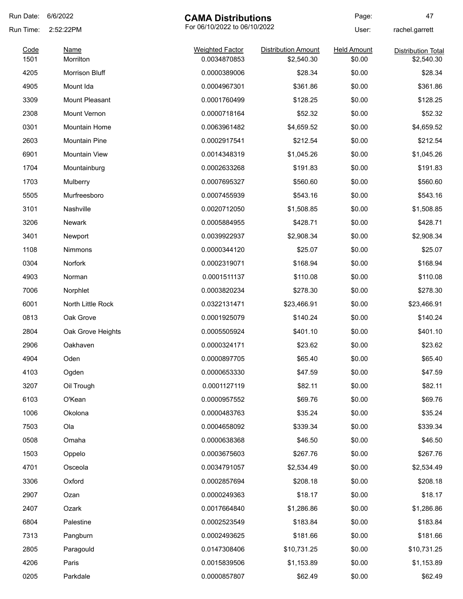| Run Date:    | 6/6/2022                 | <b>CAMA Distributions</b>              |                                          | Page:                        | 47                                      |
|--------------|--------------------------|----------------------------------------|------------------------------------------|------------------------------|-----------------------------------------|
| Run Time:    | 2:52:22PM                | For 06/10/2022 to 06/10/2022           |                                          | User:                        | rachel.garrett                          |
| Code<br>1501 | <b>Name</b><br>Morrilton | <b>Weighted Factor</b><br>0.0034870853 | <b>Distribution Amount</b><br>\$2,540.30 | <b>Held Amount</b><br>\$0.00 | <b>Distribution Total</b><br>\$2,540.30 |
| 4205         | Morrison Bluff           | 0.0000389006                           | \$28.34                                  | \$0.00                       | \$28.34                                 |
| 4905         | Mount Ida                | 0.0004967301                           | \$361.86                                 | \$0.00                       | \$361.86                                |
| 3309         | Mount Pleasant           | 0.0001760499                           | \$128.25                                 | \$0.00                       | \$128.25                                |
| 2308         | Mount Vernon             | 0.0000718164                           | \$52.32                                  | \$0.00                       | \$52.32                                 |
| 0301         | Mountain Home            | 0.0063961482                           | \$4,659.52                               | \$0.00                       | \$4,659.52                              |
| 2603         | <b>Mountain Pine</b>     | 0.0002917541                           | \$212.54                                 | \$0.00                       | \$212.54                                |
| 6901         | <b>Mountain View</b>     | 0.0014348319                           | \$1,045.26                               | \$0.00                       | \$1,045.26                              |
| 1704         | Mountainburg             | 0.0002633268                           | \$191.83                                 | \$0.00                       | \$191.83                                |
| 1703         | Mulberry                 | 0.0007695327                           | \$560.60                                 | \$0.00                       | \$560.60                                |
| 5505         | Murfreesboro             | 0.0007455939                           | \$543.16                                 | \$0.00                       | \$543.16                                |
| 3101         | Nashville                | 0.0020712050                           | \$1,508.85                               | \$0.00                       | \$1,508.85                              |
| 3206         | <b>Newark</b>            | 0.0005884955                           | \$428.71                                 | \$0.00                       | \$428.71                                |
| 3401         | Newport                  | 0.0039922937                           | \$2,908.34                               | \$0.00                       | \$2,908.34                              |
| 1108         | Nimmons                  | 0.0000344120                           | \$25.07                                  | \$0.00                       | \$25.07                                 |
| 0304         | Norfork                  | 0.0002319071                           | \$168.94                                 | \$0.00                       | \$168.94                                |
| 4903         | Norman                   | 0.0001511137                           | \$110.08                                 | \$0.00                       | \$110.08                                |
| 7006         | Norphlet                 | 0.0003820234                           | \$278.30                                 | \$0.00                       | \$278.30                                |
| 6001         | North Little Rock        | 0.0322131471                           | \$23,466.91                              | \$0.00                       | \$23,466.91                             |
| 0813         | Oak Grove                | 0.0001925079                           | \$140.24                                 | \$0.00                       | \$140.24                                |
| 2804         | Oak Grove Heights        | 0.0005505924                           | \$401.10                                 | \$0.00                       | \$401.10                                |
| 2906         | Oakhaven                 | 0.0000324171                           | \$23.62                                  | \$0.00                       | \$23.62                                 |
| 4904         | Oden                     | 0.0000897705                           | \$65.40                                  | \$0.00                       | \$65.40                                 |
| 4103         | Ogden                    | 0.0000653330                           | \$47.59                                  | \$0.00                       | \$47.59                                 |
| 3207         | Oil Trough               | 0.0001127119                           | \$82.11                                  | \$0.00                       | \$82.11                                 |
| 6103         | O'Kean                   | 0.0000957552                           | \$69.76                                  | \$0.00                       | \$69.76                                 |
| 1006         | Okolona                  | 0.0000483763                           | \$35.24                                  | \$0.00                       | \$35.24                                 |
| 7503         | Ola                      | 0.0004658092                           | \$339.34                                 | \$0.00                       | \$339.34                                |
| 0508         | Omaha                    | 0.0000638368                           | \$46.50                                  | \$0.00                       | \$46.50                                 |
| 1503         | Oppelo                   | 0.0003675603                           | \$267.76                                 | \$0.00                       | \$267.76                                |
| 4701         | Osceola                  | 0.0034791057                           | \$2,534.49                               | \$0.00                       | \$2,534.49                              |
| 3306         | Oxford                   | 0.0002857694                           | \$208.18                                 | \$0.00                       | \$208.18                                |
| 2907         | Ozan                     | 0.0000249363                           | \$18.17                                  | \$0.00                       | \$18.17                                 |
| 2407         | Ozark                    | 0.0017664840                           | \$1,286.86                               | \$0.00                       | \$1,286.86                              |
| 6804         | Palestine                | 0.0002523549                           | \$183.84                                 | \$0.00                       | \$183.84                                |
| 7313         | Pangburn                 | 0.0002493625                           | \$181.66                                 | \$0.00                       | \$181.66                                |
| 2805         | Paragould                | 0.0147308406                           | \$10,731.25                              | \$0.00                       | \$10,731.25                             |
| 4206         | Paris                    | 0.0015839506                           | \$1,153.89                               | \$0.00                       | \$1,153.89                              |
| 0205         | Parkdale                 | 0.0000857807                           | \$62.49                                  | \$0.00                       | \$62.49                                 |
|              |                          |                                        |                                          |                              |                                         |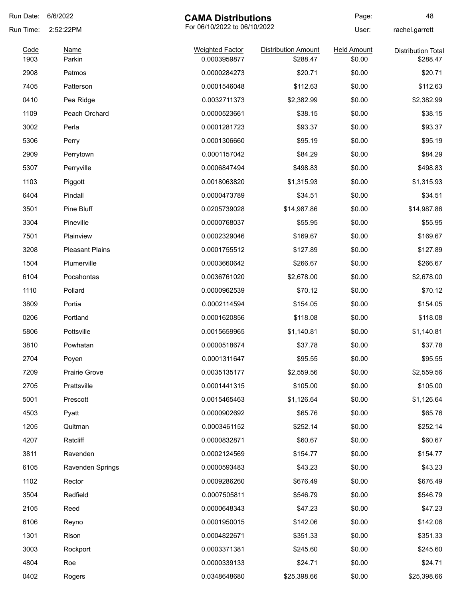| Run Date: | 6/6/2022               | <b>CAMA Distributions</b>    |                            | Page:              | 48                        |
|-----------|------------------------|------------------------------|----------------------------|--------------------|---------------------------|
| Run Time: | 2:52:22PM              | For 06/10/2022 to 06/10/2022 |                            | User:              | rachel.garrett            |
| Code      | <u>Name</u>            | <b>Weighted Factor</b>       | <b>Distribution Amount</b> | <b>Held Amount</b> | <b>Distribution Total</b> |
| 1903      | Parkin                 | 0.0003959877                 | \$288.47                   | \$0.00             | \$288.47                  |
| 2908      | Patmos                 | 0.0000284273                 | \$20.71                    | \$0.00             | \$20.71                   |
| 7405      | Patterson              | 0.0001546048                 | \$112.63                   | \$0.00             | \$112.63                  |
| 0410      | Pea Ridge              | 0.0032711373                 | \$2,382.99                 | \$0.00             | \$2,382.99                |
| 1109      | Peach Orchard          | 0.0000523661                 | \$38.15                    | \$0.00             | \$38.15                   |
| 3002      | Perla                  | 0.0001281723                 | \$93.37                    | \$0.00             | \$93.37                   |
| 5306      | Perry                  | 0.0001306660                 | \$95.19                    | \$0.00             | \$95.19                   |
| 2909      | Perrytown              | 0.0001157042                 | \$84.29                    | \$0.00             | \$84.29                   |
| 5307      | Perryville             | 0.0006847494                 | \$498.83                   | \$0.00             | \$498.83                  |
| 1103      | Piggott                | 0.0018063820                 | \$1,315.93                 | \$0.00             | \$1,315.93                |
| 6404      | Pindall                | 0.0000473789                 | \$34.51                    | \$0.00             | \$34.51                   |
| 3501      | Pine Bluff             | 0.0205739028                 | \$14,987.86                | \$0.00             | \$14,987.86               |
| 3304      | Pineville              | 0.0000768037                 | \$55.95                    | \$0.00             | \$55.95                   |
| 7501      | Plainview              | 0.0002329046                 | \$169.67                   | \$0.00             | \$169.67                  |
| 3208      | <b>Pleasant Plains</b> | 0.0001755512                 | \$127.89                   | \$0.00             | \$127.89                  |
| 1504      | Plumerville            | 0.0003660642                 | \$266.67                   | \$0.00             | \$266.67                  |
| 6104      | Pocahontas             | 0.0036761020                 | \$2,678.00                 | \$0.00             | \$2,678.00                |
| 1110      | Pollard                | 0.0000962539                 | \$70.12                    | \$0.00             | \$70.12                   |
| 3809      | Portia                 | 0.0002114594                 | \$154.05                   | \$0.00             | \$154.05                  |
| 0206      | Portland               | 0.0001620856                 | \$118.08                   | \$0.00             | \$118.08                  |
| 5806      | Pottsville             | 0.0015659965                 | \$1,140.81                 | \$0.00             | \$1,140.81                |
| 3810      | Powhatan               | 0.0000518674                 | \$37.78                    | \$0.00             | \$37.78                   |
| 2704      | Poyen                  | 0.0001311647                 | \$95.55                    | \$0.00             | \$95.55                   |
| 7209      | Prairie Grove          | 0.0035135177                 | \$2,559.56                 | \$0.00             | \$2,559.56                |
| 2705      | Prattsville            | 0.0001441315                 | \$105.00                   | \$0.00             | \$105.00                  |
| 5001      | Prescott               | 0.0015465463                 | \$1,126.64                 | \$0.00             | \$1,126.64                |
| 4503      | Pyatt                  | 0.0000902692                 | \$65.76                    | \$0.00             | \$65.76                   |
| 1205      | Quitman                | 0.0003461152                 | \$252.14                   | \$0.00             | \$252.14                  |
| 4207      | Ratcliff               | 0.0000832871                 | \$60.67                    | \$0.00             | \$60.67                   |
| 3811      | Ravenden               | 0.0002124569                 | \$154.77                   | \$0.00             | \$154.77                  |
| 6105      | Ravenden Springs       | 0.0000593483                 | \$43.23                    | \$0.00             | \$43.23                   |
| 1102      | Rector                 | 0.0009286260                 | \$676.49                   | \$0.00             | \$676.49                  |
| 3504      |                        |                              |                            |                    |                           |
|           | Redfield               | 0.0007505811                 | \$546.79                   | \$0.00             | \$546.79                  |
| 2105      | Reed                   | 0.0000648343                 | \$47.23                    | \$0.00             | \$47.23                   |
| 6106      | Reyno                  | 0.0001950015                 | \$142.06                   | \$0.00             | \$142.06                  |
| 1301      | Rison                  | 0.0004822671                 | \$351.33                   | \$0.00             | \$351.33                  |
| 3003      | Rockport               | 0.0003371381                 | \$245.60                   | \$0.00             | \$245.60                  |
| 4804      | Roe                    | 0.0000339133                 | \$24.71                    | \$0.00             | \$24.71                   |
| 0402      | Rogers                 | 0.0348648680                 | \$25,398.66                | \$0.00             | \$25,398.66               |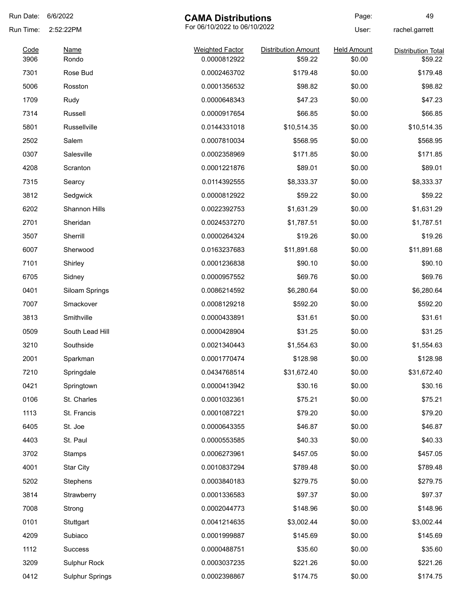| Run Date:    | 6/6/2022               | <b>CAMA Distributions</b>              |                                       | Page:                        | 49                                   |
|--------------|------------------------|----------------------------------------|---------------------------------------|------------------------------|--------------------------------------|
| Run Time:    | 2:52:22PM              | For 06/10/2022 to 06/10/2022           |                                       | User:                        | rachel.garrett                       |
| Code<br>3906 | Name<br>Rondo          | <b>Weighted Factor</b><br>0.0000812922 | <b>Distribution Amount</b><br>\$59.22 | <b>Held Amount</b><br>\$0.00 | <b>Distribution Total</b><br>\$59.22 |
| 7301         | Rose Bud               | 0.0002463702                           | \$179.48                              | \$0.00                       | \$179.48                             |
| 5006         | Rosston                | 0.0001356532                           | \$98.82                               | \$0.00                       | \$98.82                              |
| 1709         | Rudy                   | 0.0000648343                           | \$47.23                               | \$0.00                       | \$47.23                              |
| 7314         | Russell                | 0.0000917654                           | \$66.85                               | \$0.00                       | \$66.85                              |
| 5801         | Russellville           | 0.0144331018                           | \$10,514.35                           | \$0.00                       | \$10,514.35                          |
| 2502         | Salem                  | 0.0007810034                           | \$568.95                              | \$0.00                       | \$568.95                             |
| 0307         | Salesville             | 0.0002358969                           | \$171.85                              | \$0.00                       | \$171.85                             |
| 4208         | Scranton               | 0.0001221876                           | \$89.01                               | \$0.00                       | \$89.01                              |
| 7315         | Searcy                 | 0.0114392555                           | \$8,333.37                            | \$0.00                       | \$8,333.37                           |
| 3812         | Sedgwick               | 0.0000812922                           | \$59.22                               | \$0.00                       | \$59.22                              |
| 6202         | Shannon Hills          | 0.0022392753                           | \$1,631.29                            | \$0.00                       | \$1,631.29                           |
| 2701         | Sheridan               | 0.0024537270                           | \$1,787.51                            | \$0.00                       | \$1,787.51                           |
| 3507         | Sherrill               | 0.0000264324                           | \$19.26                               | \$0.00                       | \$19.26                              |
| 6007         | Sherwood               | 0.0163237683                           | \$11,891.68                           | \$0.00                       | \$11,891.68                          |
| 7101         | Shirley                | 0.0001236838                           | \$90.10                               | \$0.00                       | \$90.10                              |
| 6705         | Sidney                 | 0.0000957552                           | \$69.76                               | \$0.00                       | \$69.76                              |
| 0401         | Siloam Springs         | 0.0086214592                           | \$6,280.64                            | \$0.00                       | \$6,280.64                           |
| 7007         | Smackover              | 0.0008129218                           | \$592.20                              | \$0.00                       | \$592.20                             |
| 3813         | Smithville             | 0.0000433891                           | \$31.61                               | \$0.00                       | \$31.61                              |
| 0509         | South Lead Hill        | 0.0000428904                           | \$31.25                               | \$0.00                       | \$31.25                              |
| 3210         | Southside              | 0.0021340443                           | \$1,554.63                            | \$0.00                       | \$1,554.63                           |
| 2001         | Sparkman               | 0.0001770474                           | \$128.98                              | \$0.00                       | \$128.98                             |
| 7210         | Springdale             | 0.0434768514                           | \$31,672.40                           | \$0.00                       | \$31,672.40                          |
| 0421         | Springtown             | 0.0000413942                           | \$30.16                               | \$0.00                       | \$30.16                              |
| 0106         | St. Charles            | 0.0001032361                           | \$75.21                               | \$0.00                       | \$75.21                              |
| 1113         | St. Francis            | 0.0001087221                           | \$79.20                               | \$0.00                       | \$79.20                              |
| 6405         | St. Joe                | 0.0000643355                           | \$46.87                               | \$0.00                       | \$46.87                              |
| 4403         | St. Paul               | 0.0000553585                           | \$40.33                               | \$0.00                       | \$40.33                              |
| 3702         | Stamps                 | 0.0006273961                           | \$457.05                              | \$0.00                       | \$457.05                             |
| 4001         | <b>Star City</b>       | 0.0010837294                           | \$789.48                              | \$0.00                       | \$789.48                             |
| 5202         | Stephens               | 0.0003840183                           | \$279.75                              | \$0.00                       | \$279.75                             |
| 3814         | Strawberry             | 0.0001336583                           | \$97.37                               | \$0.00                       | \$97.37                              |
| 7008         | Strong                 | 0.0002044773                           | \$148.96                              | \$0.00                       | \$148.96                             |
| 0101         | Stuttgart              | 0.0041214635                           | \$3,002.44                            | \$0.00                       | \$3,002.44                           |
| 4209         | Subiaco                | 0.0001999887                           | \$145.69                              | \$0.00                       | \$145.69                             |
| 1112         | <b>Success</b>         | 0.0000488751                           | \$35.60                               | \$0.00                       | \$35.60                              |
| 3209         | Sulphur Rock           | 0.0003037235                           | \$221.26                              | \$0.00                       | \$221.26                             |
| 0412         | <b>Sulphur Springs</b> | 0.0002398867                           | \$174.75                              | \$0.00                       | \$174.75                             |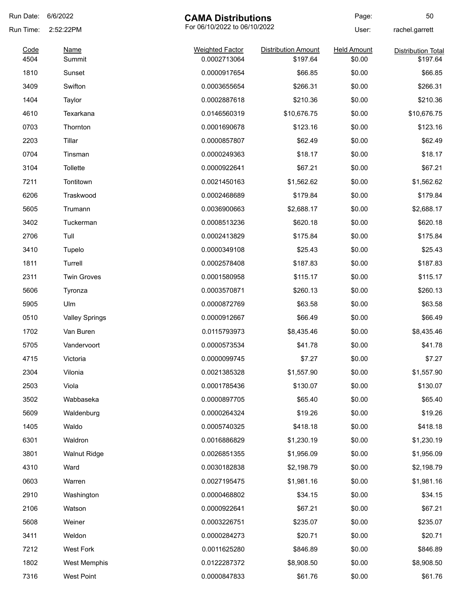| Run Date: | 6/6/2022<br><b>CAMA Distributions</b>     |                        | Page:                      | 50                 |                           |
|-----------|-------------------------------------------|------------------------|----------------------------|--------------------|---------------------------|
| Run Time: | For 06/10/2022 to 06/10/2022<br>2:52:22PM |                        |                            | User:              | rachel.garrett            |
| Code      | <b>Name</b>                               | <b>Weighted Factor</b> | <b>Distribution Amount</b> | <b>Held Amount</b> | <b>Distribution Total</b> |
| 4504      | Summit                                    | 0.0002713064           | \$197.64                   | \$0.00             | \$197.64                  |
| 1810      | Sunset                                    | 0.0000917654           | \$66.85                    | \$0.00             | \$66.85                   |
| 3409      | Swifton                                   | 0.0003655654           | \$266.31                   | \$0.00             | \$266.31                  |
| 1404      | Taylor                                    | 0.0002887618           | \$210.36                   | \$0.00             | \$210.36                  |
| 4610      | Texarkana                                 | 0.0146560319           | \$10,676.75                | \$0.00             | \$10,676.75               |
| 0703      | Thornton                                  | 0.0001690678           | \$123.16                   | \$0.00             | \$123.16                  |
| 2203      | Tillar                                    | 0.0000857807           | \$62.49                    | \$0.00             | \$62.49                   |
| 0704      | Tinsman                                   | 0.0000249363           | \$18.17                    | \$0.00             | \$18.17                   |
| 3104      | <b>Tollette</b>                           | 0.0000922641           | \$67.21                    | \$0.00             | \$67.21                   |
| 7211      | Tontitown                                 | 0.0021450163           | \$1,562.62                 | \$0.00             | \$1,562.62                |
| 6206      | Traskwood                                 | 0.0002468689           | \$179.84                   | \$0.00             | \$179.84                  |
| 5605      | Trumann                                   | 0.0036900663           | \$2,688.17                 | \$0.00             | \$2,688.17                |
| 3402      | Tuckerman                                 | 0.0008513236           | \$620.18                   | \$0.00             | \$620.18                  |
| 2706      | Tull                                      | 0.0002413829           | \$175.84                   | \$0.00             | \$175.84                  |
| 3410      | Tupelo                                    | 0.0000349108           | \$25.43                    | \$0.00             | \$25.43                   |
| 1811      | Turrell                                   | 0.0002578408           | \$187.83                   | \$0.00             | \$187.83                  |
| 2311      | <b>Twin Groves</b>                        | 0.0001580958           | \$115.17                   | \$0.00             | \$115.17                  |
| 5606      | Tyronza                                   | 0.0003570871           | \$260.13                   | \$0.00             | \$260.13                  |
| 5905      | Ulm                                       | 0.0000872769           | \$63.58                    | \$0.00             | \$63.58                   |
| 0510      | <b>Valley Springs</b>                     | 0.0000912667           | \$66.49                    | \$0.00             | \$66.49                   |
| 1702      | Van Buren                                 | 0.0115793973           | \$8,435.46                 | \$0.00             | \$8,435.46                |
| 5705      | Vandervoort                               | 0.0000573534           | \$41.78                    | \$0.00             | \$41.78                   |
| 4715      | Victoria                                  | 0.0000099745           | \$7.27                     | \$0.00             | \$7.27                    |
| 2304      | Vilonia                                   | 0.0021385328           | \$1,557.90                 | \$0.00             | \$1,557.90                |
| 2503      | Viola                                     | 0.0001785436           | \$130.07                   | \$0.00             | \$130.07                  |
| 3502      | Wabbaseka                                 | 0.0000897705           | \$65.40                    | \$0.00             | \$65.40                   |
| 5609      | Waldenburg                                | 0.0000264324           | \$19.26                    | \$0.00             | \$19.26                   |
| 1405      | Waldo                                     | 0.0005740325           | \$418.18                   | \$0.00             | \$418.18                  |
| 6301      | Waldron                                   | 0.0016886829           | \$1,230.19                 | \$0.00             | \$1,230.19                |
| 3801      | <b>Walnut Ridge</b>                       | 0.0026851355           | \$1,956.09                 | \$0.00             | \$1,956.09                |
| 4310      | Ward                                      | 0.0030182838           | \$2,198.79                 | \$0.00             | \$2,198.79                |
| 0603      | Warren                                    | 0.0027195475           | \$1,981.16                 | \$0.00             | \$1,981.16                |
| 2910      | Washington                                | 0.0000468802           | \$34.15                    | \$0.00             | \$34.15                   |
| 2106      | Watson                                    | 0.0000922641           | \$67.21                    | \$0.00             | \$67.21                   |
| 5608      | Weiner                                    | 0.0003226751           | \$235.07                   | \$0.00             | \$235.07                  |
| 3411      | Weldon                                    | 0.0000284273           | \$20.71                    | \$0.00             | \$20.71                   |
| 7212      | West Fork                                 | 0.0011625280           | \$846.89                   | \$0.00             | \$846.89                  |
|           |                                           |                        |                            |                    |                           |
| 1802      | West Memphis                              | 0.0122287372           | \$8,908.50                 | \$0.00             | \$8,908.50                |
| 7316      | <b>West Point</b>                         | 0.0000847833           | \$61.76                    | \$0.00             | \$61.76                   |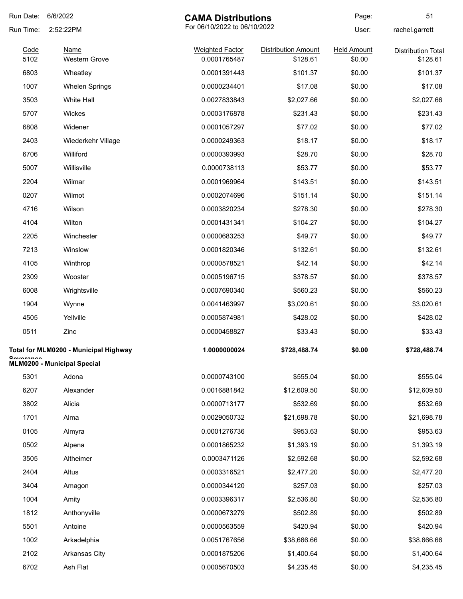| 6/6/2022<br>Run Date: |                                       | <b>CAMA Distributions</b>              |                                        | Page:                        | 51                                    |
|-----------------------|---------------------------------------|----------------------------------------|----------------------------------------|------------------------------|---------------------------------------|
| Run Time:             | 2:52:22PM                             | For 06/10/2022 to 06/10/2022           |                                        | User:                        | rachel.garrett                        |
| Code<br>5102          | <b>Name</b><br><b>Western Grove</b>   | <b>Weighted Factor</b><br>0.0001765487 | <b>Distribution Amount</b><br>\$128.61 | <b>Held Amount</b><br>\$0.00 | <b>Distribution Total</b><br>\$128.61 |
| 6803                  | Wheatley                              | 0.0001391443                           | \$101.37                               | \$0.00                       | \$101.37                              |
| 1007                  | <b>Whelen Springs</b>                 | 0.0000234401                           | \$17.08                                | \$0.00                       | \$17.08                               |
| 3503                  | <b>White Hall</b>                     | 0.0027833843                           | \$2,027.66                             | \$0.00                       | \$2,027.66                            |
| 5707                  | Wickes                                | 0.0003176878                           | \$231.43                               | \$0.00                       | \$231.43                              |
| 6808                  | Widener                               | 0.0001057297                           | \$77.02                                | \$0.00                       | \$77.02                               |
| 2403                  | Wiederkehr Village                    | 0.0000249363                           | \$18.17                                | \$0.00                       | \$18.17                               |
| 6706                  | Williford                             | 0.0000393993                           | \$28.70                                | \$0.00                       | \$28.70                               |
| 5007                  | Willisville                           | 0.0000738113                           | \$53.77                                | \$0.00                       | \$53.77                               |
| 2204                  | Wilmar                                | 0.0001969964                           | \$143.51                               | \$0.00                       | \$143.51                              |
| 0207                  | Wilmot                                | 0.0002074696                           | \$151.14                               | \$0.00                       | \$151.14                              |
| 4716                  | Wilson                                | 0.0003820234                           | \$278.30                               | \$0.00                       | \$278.30                              |
| 4104                  | Wilton                                | 0.0001431341                           | \$104.27                               | \$0.00                       | \$104.27                              |
| 2205                  | Winchester                            | 0.0000683253                           | \$49.77                                | \$0.00                       | \$49.77                               |
| 7213                  | Winslow                               | 0.0001820346                           | \$132.61                               | \$0.00                       | \$132.61                              |
| 4105                  | Winthrop                              | 0.0000578521                           | \$42.14                                | \$0.00                       | \$42.14                               |
| 2309                  | Wooster                               | 0.0005196715                           | \$378.57                               | \$0.00                       | \$378.57                              |
| 6008                  | Wrightsville                          | 0.0007690340                           | \$560.23                               | \$0.00                       | \$560.23                              |
| 1904                  | Wynne                                 | 0.0041463997                           | \$3,020.61                             | \$0.00                       | \$3,020.61                            |
| 4505                  | Yellville                             | 0.0005874981                           | \$428.02                               | \$0.00                       | \$428.02                              |
| 0511                  | Zinc                                  | 0.0000458827                           | \$33.43                                | \$0.00                       | \$33.43                               |
|                       | Total for MLM0200 - Municipal Highway | 1.0000000024                           | \$728,488.74                           | \$0.00                       | \$728,488.74                          |
| <b>CAUSESDAS</b>      | <b>MLM0200 - Municipal Special</b>    |                                        |                                        |                              |                                       |
| 5301                  | Adona                                 | 0.0000743100                           | \$555.04                               | \$0.00                       | \$555.04                              |
| 6207                  | Alexander                             | 0.0016881842                           | \$12,609.50                            | \$0.00                       | \$12,609.50                           |
| 3802                  | Alicia                                | 0.0000713177                           | \$532.69                               | \$0.00                       | \$532.69                              |
| 1701                  | Alma                                  | 0.0029050732                           | \$21,698.78                            | \$0.00                       | \$21,698.78                           |
| 0105                  | Almyra                                | 0.0001276736                           | \$953.63                               | \$0.00                       | \$953.63                              |
| 0502                  | Alpena                                | 0.0001865232                           | \$1,393.19                             | \$0.00                       | \$1,393.19                            |
| 3505                  | Altheimer                             | 0.0003471126                           | \$2,592.68                             | \$0.00                       | \$2,592.68                            |
| 2404                  | Altus                                 | 0.0003316521                           | \$2,477.20                             | \$0.00                       | \$2,477.20                            |
| 3404                  | Amagon                                | 0.0000344120                           | \$257.03                               | \$0.00                       | \$257.03                              |
| 1004                  | Amity                                 | 0.0003396317                           | \$2,536.80                             | \$0.00                       | \$2,536.80                            |
| 1812                  | Anthonyville                          | 0.0000673279                           | \$502.89                               | \$0.00                       | \$502.89                              |
| 5501                  | Antoine                               | 0.0000563559                           | \$420.94                               | \$0.00                       | \$420.94                              |
| 1002                  | Arkadelphia                           | 0.0051767656                           | \$38,666.66                            | \$0.00                       | \$38,666.66                           |
| 2102                  | Arkansas City                         | 0.0001875206                           | \$1,400.64                             | \$0.00                       | \$1,400.64                            |
| 6702                  | Ash Flat                              | 0.0005670503                           | \$4,235.45                             | \$0.00                       | \$4,235.45                            |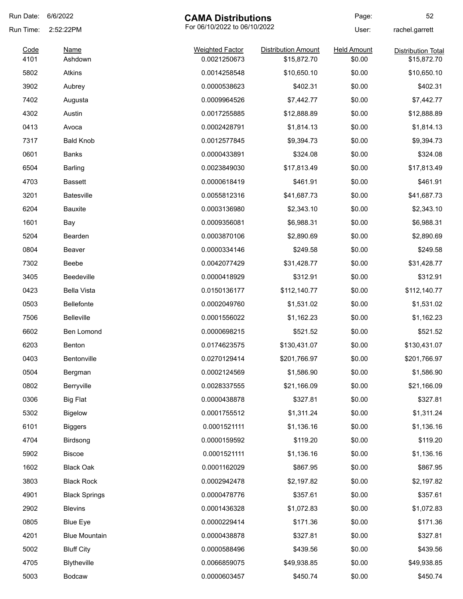| Run Date: | 6/6/2022             | <b>CAMA Distributions</b>    |                            | Page:              | 52                        |
|-----------|----------------------|------------------------------|----------------------------|--------------------|---------------------------|
| Run Time: | 2:52:22PM            | For 06/10/2022 to 06/10/2022 |                            | User:              | rachel.garrett            |
| Code      | <b>Name</b>          | <b>Weighted Factor</b>       | <b>Distribution Amount</b> | <b>Held Amount</b> | <b>Distribution Total</b> |
| 4101      | Ashdown              | 0.0021250673                 | \$15,872.70                | \$0.00             | \$15,872.70               |
| 5802      | Atkins               | 0.0014258548                 | \$10,650.10                | \$0.00             | \$10,650.10               |
| 3902      | Aubrey               | 0.0000538623                 | \$402.31                   | \$0.00             | \$402.31                  |
| 7402      | Augusta              | 0.0009964526                 | \$7,442.77                 | \$0.00             | \$7,442.77                |
| 4302      | Austin               | 0.0017255885                 | \$12,888.89                | \$0.00             | \$12,888.89               |
| 0413      | Avoca                | 0.0002428791                 | \$1,814.13                 | \$0.00             | \$1,814.13                |
| 7317      | <b>Bald Knob</b>     | 0.0012577845                 | \$9,394.73                 | \$0.00             | \$9,394.73                |
| 0601      | Banks                | 0.0000433891                 | \$324.08                   | \$0.00             | \$324.08                  |
| 6504      | <b>Barling</b>       | 0.0023849030                 | \$17,813.49                | \$0.00             | \$17,813.49               |
| 4703      | <b>Bassett</b>       | 0.0000618419                 | \$461.91                   | \$0.00             | \$461.91                  |
| 3201      | <b>Batesville</b>    | 0.0055812316                 | \$41,687.73                | \$0.00             | \$41,687.73               |
| 6204      | Bauxite              | 0.0003136980                 | \$2,343.10                 | \$0.00             | \$2,343.10                |
| 1601      | Bay                  | 0.0009356081                 | \$6,988.31                 | \$0.00             | \$6,988.31                |
| 5204      | Bearden              | 0.0003870106                 | \$2,890.69                 | \$0.00             | \$2,890.69                |
| 0804      | Beaver               | 0.0000334146                 | \$249.58                   | \$0.00             | \$249.58                  |
| 7302      | Beebe                | 0.0042077429                 | \$31,428.77                | \$0.00             | \$31,428.77               |
| 3405      | <b>Beedeville</b>    | 0.0000418929                 | \$312.91                   | \$0.00             | \$312.91                  |
| 0423      | <b>Bella Vista</b>   | 0.0150136177                 | \$112,140.77               | \$0.00             | \$112,140.77              |
| 0503      | <b>Bellefonte</b>    | 0.0002049760                 | \$1,531.02                 | \$0.00             | \$1,531.02                |
| 7506      | Belleville           | 0.0001556022                 | \$1,162.23                 | \$0.00             | \$1,162.23                |
| 6602      | Ben Lomond           | 0.0000698215                 | \$521.52                   | \$0.00             | \$521.52                  |
| 6203      | Benton               | 0.0174623575                 | \$130,431.07               | \$0.00             | \$130,431.07              |
| 0403      | Bentonville          | 0.0270129414                 | \$201,766.97               | \$0.00             | \$201,766.97              |
| 0504      | Bergman              | 0.0002124569                 | \$1,586.90                 | \$0.00             | \$1,586.90                |
| 0802      | Berryville           | 0.0028337555                 | \$21,166.09                | \$0.00             | \$21,166.09               |
| 0306      | <b>Big Flat</b>      | 0.0000438878                 | \$327.81                   | \$0.00             | \$327.81                  |
| 5302      | <b>Bigelow</b>       | 0.0001755512                 | \$1,311.24                 | \$0.00             | \$1,311.24                |
| 6101      | <b>Biggers</b>       | 0.0001521111                 | \$1,136.16                 | \$0.00             | \$1,136.16                |
| 4704      | Birdsong             | 0.0000159592                 | \$119.20                   | \$0.00             | \$119.20                  |
| 5902      | <b>Biscoe</b>        | 0.0001521111                 | \$1,136.16                 | \$0.00             | \$1,136.16                |
| 1602      | <b>Black Oak</b>     | 0.0001162029                 | \$867.95                   | \$0.00             | \$867.95                  |
| 3803      | <b>Black Rock</b>    | 0.0002942478                 | \$2,197.82                 | \$0.00             | \$2,197.82                |
| 4901      | <b>Black Springs</b> | 0.0000478776                 | \$357.61                   | \$0.00             | \$357.61                  |
| 2902      | <b>Blevins</b>       | 0.0001436328                 | \$1,072.83                 | \$0.00             | \$1,072.83                |
| 0805      | <b>Blue Eye</b>      | 0.0000229414                 | \$171.36                   | \$0.00             | \$171.36                  |
| 4201      | <b>Blue Mountain</b> | 0.0000438878                 | \$327.81                   | \$0.00             | \$327.81                  |
| 5002      |                      | 0.0000588496                 | \$439.56                   |                    | \$439.56                  |
|           | <b>Bluff City</b>    |                              |                            | \$0.00             |                           |
| 4705      | Blytheville          | 0.0066859075                 | \$49,938.85                | \$0.00             | \$49,938.85               |
| 5003      | Bodcaw               | 0.0000603457                 | \$450.74                   | \$0.00             | \$450.74                  |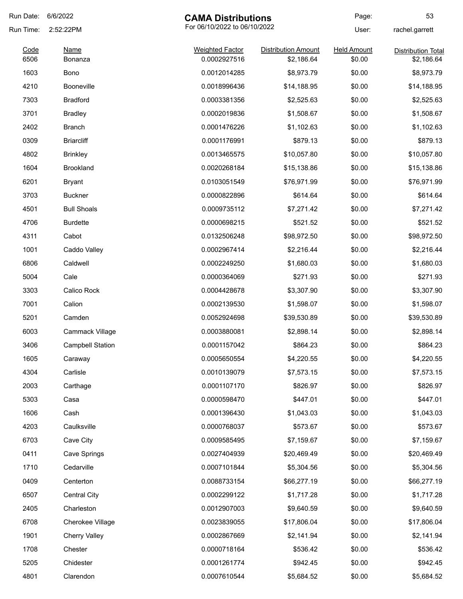| Run Date:    | 6/6/2022                | <b>CAMA Distributions</b>              |                                          | Page:                        | 53                                      |
|--------------|-------------------------|----------------------------------------|------------------------------------------|------------------------------|-----------------------------------------|
| Run Time:    | 2:52:22PM               | For 06/10/2022 to 06/10/2022           |                                          | User:                        | rachel.garrett                          |
| Code<br>6506 | Name<br>Bonanza         | <b>Weighted Factor</b><br>0.0002927516 | <b>Distribution Amount</b><br>\$2,186.64 | <b>Held Amount</b><br>\$0.00 | <b>Distribution Total</b><br>\$2,186.64 |
| 1603         | <b>Bono</b>             | 0.0012014285                           | \$8,973.79                               | \$0.00                       | \$8,973.79                              |
| 4210         | <b>Booneville</b>       | 0.0018996436                           | \$14,188.95                              | \$0.00                       | \$14,188.95                             |
| 7303         | <b>Bradford</b>         | 0.0003381356                           | \$2,525.63                               | \$0.00                       | \$2,525.63                              |
| 3701         | <b>Bradley</b>          | 0.0002019836                           | \$1,508.67                               | \$0.00                       | \$1,508.67                              |
| 2402         | Branch                  | 0.0001476226                           | \$1,102.63                               | \$0.00                       | \$1,102.63                              |
| 0309         | <b>Briarcliff</b>       | 0.0001176991                           | \$879.13                                 | \$0.00                       | \$879.13                                |
| 4802         | <b>Brinkley</b>         | 0.0013465575                           | \$10,057.80                              | \$0.00                       | \$10,057.80                             |
| 1604         | <b>Brookland</b>        | 0.0020268184                           | \$15,138.86                              | \$0.00                       | \$15,138.86                             |
| 6201         | Bryant                  | 0.0103051549                           | \$76,971.99                              | \$0.00                       | \$76,971.99                             |
| 3703         | <b>Buckner</b>          | 0.0000822896                           | \$614.64                                 | \$0.00                       | \$614.64                                |
| 4501         | <b>Bull Shoals</b>      | 0.0009735112                           | \$7,271.42                               | \$0.00                       | \$7,271.42                              |
| 4706         | <b>Burdette</b>         | 0.0000698215                           | \$521.52                                 | \$0.00                       | \$521.52                                |
| 4311         | Cabot                   | 0.0132506248                           | \$98,972.50                              | \$0.00                       | \$98,972.50                             |
| 1001         | Caddo Valley            | 0.0002967414                           | \$2,216.44                               | \$0.00                       | \$2,216.44                              |
| 6806         | Caldwell                | 0.0002249250                           | \$1,680.03                               | \$0.00                       | \$1,680.03                              |
| 5004         | Cale                    | 0.0000364069                           | \$271.93                                 | \$0.00                       | \$271.93                                |
| 3303         | Calico Rock             | 0.0004428678                           | \$3,307.90                               | \$0.00                       | \$3,307.90                              |
| 7001         | Calion                  | 0.0002139530                           | \$1,598.07                               | \$0.00                       | \$1,598.07                              |
| 5201         | Camden                  | 0.0052924698                           | \$39,530.89                              | \$0.00                       | \$39,530.89                             |
| 6003         | Cammack Village         | 0.0003880081                           | \$2,898.14                               | \$0.00                       | \$2,898.14                              |
| 3406         | <b>Campbell Station</b> | 0.0001157042                           | \$864.23                                 | \$0.00                       | \$864.23                                |
| 1605         | Caraway                 | 0.0005650554                           | \$4,220.55                               | \$0.00                       | \$4,220.55                              |
| 4304         | Carlisle                | 0.0010139079                           | \$7,573.15                               | \$0.00                       | \$7,573.15                              |
| 2003         | Carthage                | 0.0001107170                           | \$826.97                                 | \$0.00                       | \$826.97                                |
| 5303         | Casa                    | 0.0000598470                           | \$447.01                                 | \$0.00                       | \$447.01                                |
| 1606         | Cash                    | 0.0001396430                           | \$1,043.03                               | \$0.00                       | \$1,043.03                              |
| 4203         | Caulksville             | 0.0000768037                           | \$573.67                                 | \$0.00                       | \$573.67                                |
| 6703         | Cave City               | 0.0009585495                           | \$7,159.67                               | \$0.00                       | \$7,159.67                              |
| 0411         | Cave Springs            | 0.0027404939                           | \$20,469.49                              | \$0.00                       | \$20,469.49                             |
| 1710         | Cedarville              | 0.0007101844                           | \$5,304.56                               | \$0.00                       | \$5,304.56                              |
| 0409         | Centerton               | 0.0088733154                           | \$66,277.19                              | \$0.00                       | \$66,277.19                             |
| 6507         | <b>Central City</b>     | 0.0002299122                           | \$1,717.28                               | \$0.00                       | \$1,717.28                              |
| 2405         | Charleston              | 0.0012907003                           | \$9,640.59                               | \$0.00                       | \$9,640.59                              |
| 6708         | Cherokee Village        | 0.0023839055                           | \$17,806.04                              | \$0.00                       | \$17,806.04                             |
| 1901         | <b>Cherry Valley</b>    | 0.0002867669                           | \$2,141.94                               | \$0.00                       | \$2,141.94                              |
| 1708         | Chester                 | 0.0000718164                           | \$536.42                                 | \$0.00                       | \$536.42                                |
| 5205         | Chidester               | 0.0001261774                           | \$942.45                                 | \$0.00                       | \$942.45                                |
| 4801         | Clarendon               | 0.0007610544                           | \$5,684.52                               | \$0.00                       | \$5,684.52                              |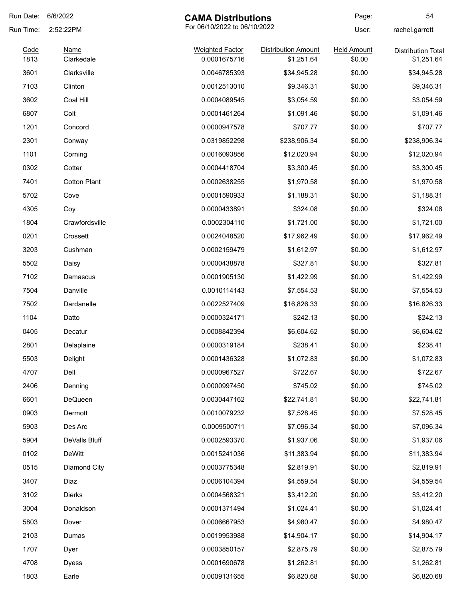| Run Date:    | 6/6/2022<br><b>CAMA Distributions</b> |                                        | Page:                                    | 54                           |                                         |
|--------------|---------------------------------------|----------------------------------------|------------------------------------------|------------------------------|-----------------------------------------|
| Run Time:    | 2:52:22PM                             | For 06/10/2022 to 06/10/2022           |                                          | User:                        | rachel.garrett                          |
| Code<br>1813 | Name<br>Clarkedale                    | <b>Weighted Factor</b><br>0.0001675716 | <b>Distribution Amount</b><br>\$1,251.64 | <b>Held Amount</b><br>\$0.00 | <b>Distribution Total</b><br>\$1,251.64 |
| 3601         | Clarksville                           | 0.0046785393                           | \$34,945.28                              | \$0.00                       | \$34,945.28                             |
| 7103         | Clinton                               | 0.0012513010                           | \$9,346.31                               | \$0.00                       | \$9,346.31                              |
| 3602         | Coal Hill                             | 0.0004089545                           | \$3,054.59                               | \$0.00                       | \$3,054.59                              |
| 6807         | Colt                                  | 0.0001461264                           | \$1,091.46                               | \$0.00                       | \$1,091.46                              |
| 1201         | Concord                               | 0.0000947578                           | \$707.77                                 | \$0.00                       | \$707.77                                |
| 2301         | Conway                                | 0.0319852298                           | \$238,906.34                             | \$0.00                       | \$238,906.34                            |
| 1101         |                                       | 0.0016093856                           | \$12,020.94                              | \$0.00                       |                                         |
|              | Corning                               |                                        |                                          |                              | \$12,020.94                             |
| 0302         | Cotter                                | 0.0004418704                           | \$3,300.45                               | \$0.00                       | \$3,300.45                              |
| 7401         | <b>Cotton Plant</b>                   | 0.0002638255                           | \$1,970.58                               | \$0.00                       | \$1,970.58                              |
| 5702         | Cove                                  | 0.0001590933                           | \$1,188.31                               | \$0.00                       | \$1,188.31                              |
| 4305         | Coy                                   | 0.0000433891                           | \$324.08                                 | \$0.00                       | \$324.08                                |
| 1804         | Crawfordsville                        | 0.0002304110                           | \$1,721.00                               | \$0.00                       | \$1,721.00                              |
| 0201         | Crossett                              | 0.0024048520                           | \$17,962.49                              | \$0.00                       | \$17,962.49                             |
| 3203         | Cushman                               | 0.0002159479                           | \$1,612.97                               | \$0.00                       | \$1,612.97                              |
| 5502         | Daisy                                 | 0.0000438878                           | \$327.81                                 | \$0.00                       | \$327.81                                |
| 7102         | Damascus                              | 0.0001905130                           | \$1,422.99                               | \$0.00                       | \$1,422.99                              |
| 7504         | Danville                              | 0.0010114143                           | \$7,554.53                               | \$0.00                       | \$7,554.53                              |
| 7502         | Dardanelle                            | 0.0022527409                           | \$16,826.33                              | \$0.00                       | \$16,826.33                             |
| 1104         | Datto                                 | 0.0000324171                           | \$242.13                                 | \$0.00                       | \$242.13                                |
| 0405         | Decatur                               | 0.0008842394                           | \$6,604.62                               | \$0.00                       | \$6,604.62                              |
| 2801         | Delaplaine                            | 0.0000319184                           | \$238.41                                 | \$0.00                       | \$238.41                                |
| 5503         | Delight                               | 0.0001436328                           | \$1,072.83                               | \$0.00                       | \$1,072.83                              |
| 4707         | Dell                                  | 0.0000967527                           | \$722.67                                 | \$0.00                       | \$722.67                                |
| 2406         | Denning                               | 0.0000997450                           | \$745.02                                 | \$0.00                       | \$745.02                                |
| 6601         | DeQueen                               | 0.0030447162                           | \$22,741.81                              | \$0.00                       | \$22,741.81                             |
| 0903         | Dermott                               | 0.0010079232                           | \$7,528.45                               | \$0.00                       | \$7,528.45                              |
| 5903         | Des Arc                               | 0.0009500711                           | \$7,096.34                               | \$0.00                       | \$7,096.34                              |
| 5904         | DeValls Bluff                         | 0.0002593370                           | \$1,937.06                               | \$0.00                       | \$1,937.06                              |
| 0102         | <b>DeWitt</b>                         | 0.0015241036                           | \$11,383.94                              | \$0.00                       | \$11,383.94                             |
| 0515         | Diamond City                          | 0.0003775348                           | \$2,819.91                               | \$0.00                       | \$2,819.91                              |
| 3407         | Diaz                                  | 0.0006104394                           | \$4,559.54                               | \$0.00                       | \$4,559.54                              |
| 3102         | <b>Dierks</b>                         | 0.0004568321                           | \$3,412.20                               | \$0.00                       | \$3,412.20                              |
| 3004         | Donaldson                             | 0.0001371494                           | \$1,024.41                               | \$0.00                       | \$1,024.41                              |
| 5803         | Dover                                 | 0.0006667953                           | \$4,980.47                               | \$0.00                       | \$4,980.47                              |
| 2103         | Dumas                                 | 0.0019953988                           | \$14,904.17                              | \$0.00                       | \$14,904.17                             |
| 1707         | Dyer                                  | 0.0003850157                           | \$2,875.79                               | \$0.00                       | \$2,875.79                              |
| 4708         | <b>Dyess</b>                          | 0.0001690678                           | \$1,262.81                               | \$0.00                       | \$1,262.81                              |
|              |                                       |                                        |                                          |                              |                                         |
| 1803         | Earle                                 | 0.0009131655                           | \$6,820.68                               | \$0.00                       | \$6,820.68                              |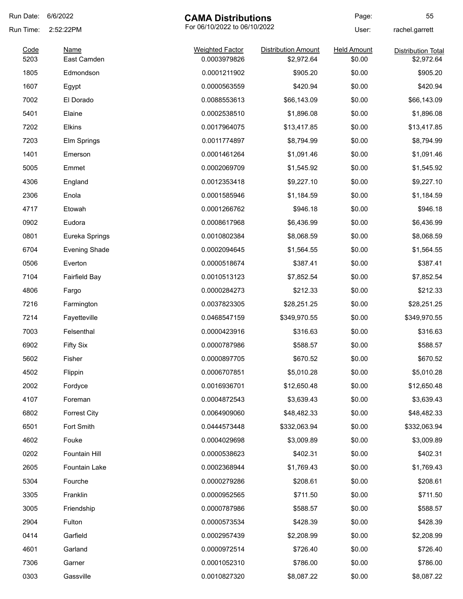| Run Date:    | 6/6/2022                   | <b>CAMA Distributions</b>              |                                          | Page:                        | 55                                      |
|--------------|----------------------------|----------------------------------------|------------------------------------------|------------------------------|-----------------------------------------|
| Run Time:    | 2:52:22PM                  | For 06/10/2022 to 06/10/2022           |                                          | User:                        | rachel.garrett                          |
| Code<br>5203 | <b>Name</b><br>East Camden | <b>Weighted Factor</b><br>0.0003979826 | <b>Distribution Amount</b><br>\$2,972.64 | <b>Held Amount</b><br>\$0.00 | <b>Distribution Total</b><br>\$2,972.64 |
| 1805         | Edmondson                  | 0.0001211902                           | \$905.20                                 | \$0.00                       | \$905.20                                |
| 1607         | Egypt                      | 0.0000563559                           | \$420.94                                 | \$0.00                       | \$420.94                                |
| 7002         | El Dorado                  | 0.0088553613                           | \$66,143.09                              | \$0.00                       | \$66,143.09                             |
| 5401         | Elaine                     | 0.0002538510                           | \$1,896.08                               | \$0.00                       | \$1,896.08                              |
| 7202         | Elkins                     | 0.0017964075                           | \$13,417.85                              | \$0.00                       | \$13,417.85                             |
| 7203         | Elm Springs                | 0.0011774897                           | \$8,794.99                               | \$0.00                       | \$8,794.99                              |
| 1401         | Emerson                    | 0.0001461264                           | \$1,091.46                               | \$0.00                       | \$1,091.46                              |
| 5005         | Emmet                      | 0.0002069709                           | \$1,545.92                               | \$0.00                       | \$1,545.92                              |
| 4306         | England                    | 0.0012353418                           | \$9,227.10                               | \$0.00                       | \$9,227.10                              |
| 2306         | Enola                      | 0.0001585946                           | \$1,184.59                               | \$0.00                       | \$1,184.59                              |
| 4717         | Etowah                     | 0.0001266762                           | \$946.18                                 | \$0.00                       | \$946.18                                |
| 0902         | Eudora                     | 0.0008617968                           | \$6,436.99                               | \$0.00                       | \$6,436.99                              |
| 0801         | Eureka Springs             | 0.0010802384                           | \$8,068.59                               | \$0.00                       | \$8,068.59                              |
| 6704         | <b>Evening Shade</b>       | 0.0002094645                           | \$1,564.55                               | \$0.00                       | \$1,564.55                              |
| 0506         | Everton                    | 0.0000518674                           | \$387.41                                 | \$0.00                       | \$387.41                                |
| 7104         | <b>Fairfield Bay</b>       | 0.0010513123                           | \$7,852.54                               | \$0.00                       | \$7,852.54                              |
| 4806         | Fargo                      | 0.0000284273                           | \$212.33                                 | \$0.00                       | \$212.33                                |
| 7216         | Farmington                 | 0.0037823305                           | \$28,251.25                              | \$0.00                       | \$28,251.25                             |
| 7214         | Fayetteville               | 0.0468547159                           | \$349,970.55                             | \$0.00                       | \$349,970.55                            |
| 7003         | Felsenthal                 | 0.0000423916                           | \$316.63                                 | \$0.00                       | \$316.63                                |
| 6902         | <b>Fifty Six</b>           | 0.0000787986                           | \$588.57                                 | \$0.00                       | \$588.57                                |
| 5602         | Fisher                     | 0.0000897705                           | \$670.52                                 | \$0.00                       | \$670.52                                |
| 4502         | Flippin                    | 0.0006707851                           | \$5,010.28                               | \$0.00                       | \$5,010.28                              |
| 2002         | Fordyce                    | 0.0016936701                           | \$12,650.48                              | \$0.00                       | \$12,650.48                             |
| 4107         | Foreman                    | 0.0004872543                           | \$3,639.43                               | \$0.00                       | \$3,639.43                              |
| 6802         | <b>Forrest City</b>        | 0.0064909060                           | \$48,482.33                              | \$0.00                       | \$48,482.33                             |
| 6501         | Fort Smith                 | 0.0444573448                           | \$332,063.94                             | \$0.00                       | \$332,063.94                            |
| 4602         | Fouke                      | 0.0004029698                           | \$3,009.89                               | \$0.00                       | \$3,009.89                              |
| 0202         | Fountain Hill              | 0.0000538623                           | \$402.31                                 | \$0.00                       | \$402.31                                |
| 2605         | Fountain Lake              | 0.0002368944                           | \$1,769.43                               | \$0.00                       | \$1,769.43                              |
| 5304         | Fourche                    | 0.0000279286                           | \$208.61                                 | \$0.00                       | \$208.61                                |
| 3305         | Franklin                   | 0.0000952565                           | \$711.50                                 | \$0.00                       | \$711.50                                |
| 3005         | Friendship                 | 0.0000787986                           | \$588.57                                 | \$0.00                       | \$588.57                                |
| 2904         | Fulton                     | 0.0000573534                           | \$428.39                                 | \$0.00                       | \$428.39                                |
| 0414         | Garfield                   | 0.0002957439                           | \$2,208.99                               | \$0.00                       | \$2,208.99                              |
| 4601         | Garland                    | 0.0000972514                           | \$726.40                                 | \$0.00                       | \$726.40                                |
| 7306         | Garner                     | 0.0001052310                           | \$786.00                                 | \$0.00                       | \$786.00                                |
| 0303         | Gassville                  | 0.0010827320                           | \$8,087.22                               | \$0.00                       | \$8,087.22                              |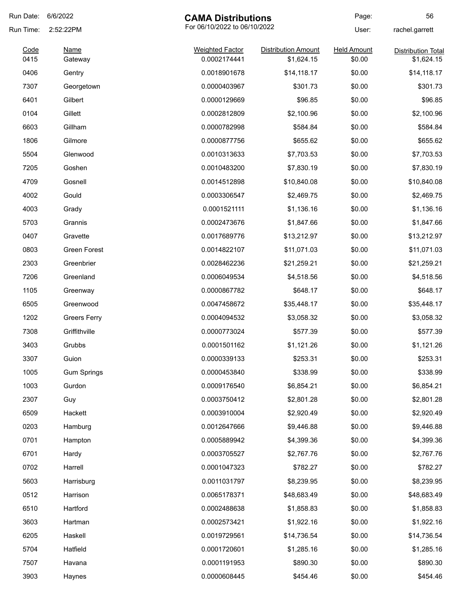| Run Date:    | 6/6/2022<br><b>CAMA Distributions</b> |                                        | Page:                                    | 56                           |                                         |
|--------------|---------------------------------------|----------------------------------------|------------------------------------------|------------------------------|-----------------------------------------|
| Run Time:    | 2:52:22PM                             | For 06/10/2022 to 06/10/2022           |                                          | User:                        | rachel.garrett                          |
| Code<br>0415 | <b>Name</b><br>Gateway                | <b>Weighted Factor</b><br>0.0002174441 | <b>Distribution Amount</b><br>\$1,624.15 | <b>Held Amount</b><br>\$0.00 | <b>Distribution Total</b><br>\$1,624.15 |
| 0406         | Gentry                                | 0.0018901678                           | \$14,118.17                              | \$0.00                       | \$14,118.17                             |
| 7307         | Georgetown                            | 0.0000403967                           | \$301.73                                 | \$0.00                       | \$301.73                                |
| 6401         | Gilbert                               | 0.0000129669                           | \$96.85                                  | \$0.00                       | \$96.85                                 |
| 0104         | Gillett                               | 0.0002812809                           | \$2,100.96                               | \$0.00                       | \$2,100.96                              |
| 6603         | Gillham                               | 0.0000782998                           | \$584.84                                 | \$0.00                       | \$584.84                                |
| 1806         | Gilmore                               | 0.0000877756                           | \$655.62                                 | \$0.00                       | \$655.62                                |
| 5504         | Glenwood                              | 0.0010313633                           | \$7,703.53                               | \$0.00                       | \$7,703.53                              |
| 7205         | Goshen                                | 0.0010483200                           | \$7,830.19                               | \$0.00                       | \$7,830.19                              |
| 4709         | Gosnell                               | 0.0014512898                           | \$10,840.08                              | \$0.00                       | \$10,840.08                             |
| 4002         | Gould                                 | 0.0003306547                           | \$2,469.75                               | \$0.00                       | \$2,469.75                              |
| 4003         | Grady                                 | 0.0001521111                           | \$1,136.16                               | \$0.00                       | \$1,136.16                              |
| 5703         | Grannis                               | 0.0002473676                           | \$1,847.66                               | \$0.00                       | \$1,847.66                              |
| 0407         | Gravette                              | 0.0017689776                           | \$13,212.97                              | \$0.00                       | \$13,212.97                             |
| 0803         | Green Forest                          | 0.0014822107                           | \$11,071.03                              | \$0.00                       | \$11,071.03                             |
| 2303         | Greenbrier                            | 0.0028462236                           | \$21,259.21                              | \$0.00                       | \$21,259.21                             |
| 7206         | Greenland                             | 0.0006049534                           | \$4,518.56                               | \$0.00                       | \$4,518.56                              |
| 1105         | Greenway                              | 0.0000867782                           | \$648.17                                 | \$0.00                       | \$648.17                                |
| 6505         | Greenwood                             | 0.0047458672                           | \$35,448.17                              | \$0.00                       | \$35,448.17                             |
| 1202         | <b>Greers Ferry</b>                   | 0.0004094532                           | \$3,058.32                               | \$0.00                       | \$3,058.32                              |
| 7308         | Griffithville                         | 0.0000773024                           | \$577.39                                 | \$0.00                       | \$577.39                                |
| 3403         | Grubbs                                | 0.0001501162                           | \$1,121.26                               | \$0.00                       | \$1,121.26                              |
| 3307         | Guion                                 | 0.0000339133                           | \$253.31                                 | \$0.00                       | \$253.31                                |
| 1005         | <b>Gum Springs</b>                    | 0.0000453840                           | \$338.99                                 | \$0.00                       | \$338.99                                |
| 1003         | Gurdon                                | 0.0009176540                           | \$6,854.21                               | \$0.00                       | \$6,854.21                              |
| 2307         | Guy                                   | 0.0003750412                           | \$2,801.28                               | \$0.00                       | \$2,801.28                              |
| 6509         | Hackett                               | 0.0003910004                           | \$2,920.49                               | \$0.00                       | \$2,920.49                              |
| 0203         | Hamburg                               | 0.0012647666                           | \$9,446.88                               | \$0.00                       | \$9,446.88                              |
| 0701         | Hampton                               | 0.0005889942                           | \$4,399.36                               | \$0.00                       | \$4,399.36                              |
| 6701         | Hardy                                 | 0.0003705527                           | \$2,767.76                               | \$0.00                       | \$2,767.76                              |
| 0702         | Harrell                               | 0.0001047323                           | \$782.27                                 | \$0.00                       | \$782.27                                |
| 5603         | Harrisburg                            | 0.0011031797                           | \$8,239.95                               | \$0.00                       | \$8,239.95                              |
| 0512         | Harrison                              | 0.0065178371                           | \$48,683.49                              | \$0.00                       | \$48,683.49                             |
| 6510         | Hartford                              | 0.0002488638                           | \$1,858.83                               | \$0.00                       | \$1,858.83                              |
| 3603         | Hartman                               | 0.0002573421                           | \$1,922.16                               | \$0.00                       | \$1,922.16                              |
| 6205         | Haskell                               | 0.0019729561                           | \$14,736.54                              | \$0.00                       | \$14,736.54                             |
| 5704         | Hatfield                              | 0.0001720601                           | \$1,285.16                               | \$0.00                       | \$1,285.16                              |
| 7507         | Havana                                | 0.0001191953                           | \$890.30                                 | \$0.00                       | \$890.30                                |
| 3903         | Haynes                                | 0.0000608445                           | \$454.46                                 | \$0.00                       | \$454.46                                |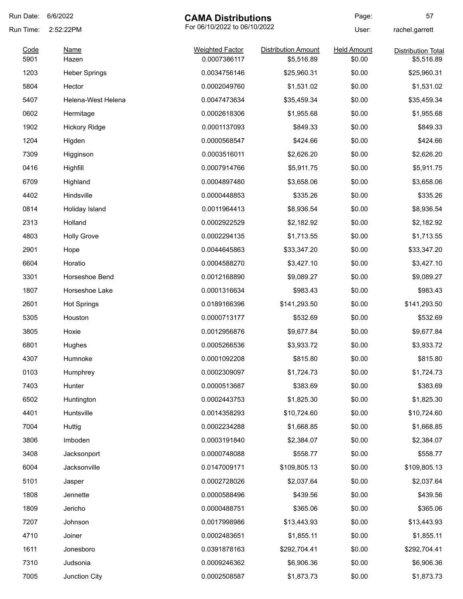| Run Date:    | 6/6/2022<br><b>CAMA Distributions</b> |                                        | Page:                                    | 57                           |                                         |
|--------------|---------------------------------------|----------------------------------------|------------------------------------------|------------------------------|-----------------------------------------|
| Run Time:    | 2:52:22PM                             | For 06/10/2022 to 06/10/2022           |                                          | User:                        | rachel.garrett                          |
| Code<br>5901 | Name<br>Hazen                         | <b>Weighted Factor</b><br>0.0007386117 | <b>Distribution Amount</b><br>\$5,516.89 | <b>Held Amount</b><br>\$0.00 | <b>Distribution Total</b><br>\$5,516.89 |
| 1203         | <b>Heber Springs</b>                  | 0.0034756146                           | \$25,960.31                              | \$0.00                       | \$25,960.31                             |
| 5804         | Hector                                | 0.0002049760                           | \$1,531.02                               | \$0.00                       | \$1,531.02                              |
| 5407         | Helena-West Helena                    | 0.0047473634                           | \$35,459.34                              | \$0.00                       | \$35,459.34                             |
| 0602         | Hermitage                             | 0.0002618306                           | \$1,955.68                               | \$0.00                       | \$1,955.68                              |
| 1902         | <b>Hickory Ridge</b>                  | 0.0001137093                           | \$849.33                                 | \$0.00                       | \$849.33                                |
| 1204         |                                       | 0.0000568547                           |                                          | \$0.00                       | \$424.66                                |
|              | Higden                                |                                        | \$424.66                                 |                              |                                         |
| 7309         | Higginson                             | 0.0003516011                           | \$2,626.20                               | \$0.00                       | \$2,626.20                              |
| 0416         | Highfill                              | 0.0007914766                           | \$5,911.75                               | \$0.00                       | \$5,911.75                              |
| 6709         | Highland                              | 0.0004897480                           | \$3,658.06                               | \$0.00                       | \$3,658.06                              |
| 4402         | Hindsville                            | 0.0000448853                           | \$335.26                                 | \$0.00                       | \$335.26                                |
| 0814         | Holiday Island                        | 0.0011964413                           | \$8,936.54                               | \$0.00                       | \$8,936.54                              |
| 2313         | Holland                               | 0.0002922529                           | \$2,182.92                               | \$0.00                       | \$2,182.92                              |
| 4803         | <b>Holly Grove</b>                    | 0.0002294135                           | \$1,713.55                               | \$0.00                       | \$1,713.55                              |
| 2901         | Hope                                  | 0.0044645863                           | \$33,347.20                              | \$0.00                       | \$33,347.20                             |
| 6604         | Horatio                               | 0.0004588270                           | \$3,427.10                               | \$0.00                       | \$3,427.10                              |
| 3301         | Horseshoe Bend                        | 0.0012168890                           | \$9,089.27                               | \$0.00                       | \$9,089.27                              |
| 1807         | Horseshoe Lake                        | 0.0001316634                           | \$983.43                                 | \$0.00                       | \$983.43                                |
| 2601         | <b>Hot Springs</b>                    | 0.0189166396                           | \$141,293.50                             | \$0.00                       | \$141,293.50                            |
| 5305         | Houston                               | 0.0000713177                           | \$532.69                                 | \$0.00                       | \$532.69                                |
| 3805         | Hoxie                                 | 0.0012956876                           | \$9,677.84                               | \$0.00                       | \$9,677.84                              |
| 6801         | Hughes                                | 0.0005266536                           | \$3,933.72                               | \$0.00                       | \$3,933.72                              |
| 4307         | Humnoke                               | 0.0001092208                           | \$815.80                                 | \$0.00                       | \$815.80                                |
| 0103         | Humphrey                              | 0.0002309097                           | \$1,724.73                               | \$0.00                       | \$1,724.73                              |
| 7403         | Hunter                                | 0.0000513687                           | \$383.69                                 | \$0.00                       | \$383.69                                |
| 6502         | Huntington                            | 0.0002443753                           | \$1,825.30                               | \$0.00                       | \$1,825.30                              |
| 4401         | Huntsville                            | 0.0014358293                           | \$10,724.60                              | \$0.00                       | \$10,724.60                             |
| 7004         | Huttig                                | 0.0002234288                           | \$1,668.85                               | \$0.00                       | \$1,668.85                              |
| 3806         | Imboden                               | 0.0003191840                           | \$2,384.07                               | \$0.00                       | \$2,384.07                              |
| 3408         | Jacksonport                           | 0.0000748088                           | \$558.77                                 | \$0.00                       | \$558.77                                |
| 6004         | Jacksonville                          | 0.0147009171                           | \$109,805.13                             | \$0.00                       | \$109,805.13                            |
| 5101         | Jasper                                | 0.0002728026                           | \$2,037.64                               | \$0.00                       | \$2,037.64                              |
| 1808         | Jennette                              | 0.0000588496                           | \$439.56                                 | \$0.00                       | \$439.56                                |
| 1809         | Jericho                               | 0.0000488751                           | \$365.06                                 | \$0.00                       | \$365.06                                |
| 7207         | Johnson                               | 0.0017998986                           | \$13,443.93                              | \$0.00                       | \$13,443.93                             |
| 4710         | Joiner                                | 0.0002483651                           | \$1,855.11                               | \$0.00                       | \$1,855.11                              |
| 1611         | Jonesboro                             | 0.0391878163                           | \$292,704.41                             | \$0.00                       | \$292,704.41                            |
| 7310         | Judsonia                              | 0.0009246362                           | \$6,906.36                               | \$0.00                       | \$6,906.36                              |
| 7005         |                                       |                                        |                                          |                              |                                         |
|              | Junction City                         | 0.0002508587                           | \$1,873.73                               | \$0.00                       | \$1,873.73                              |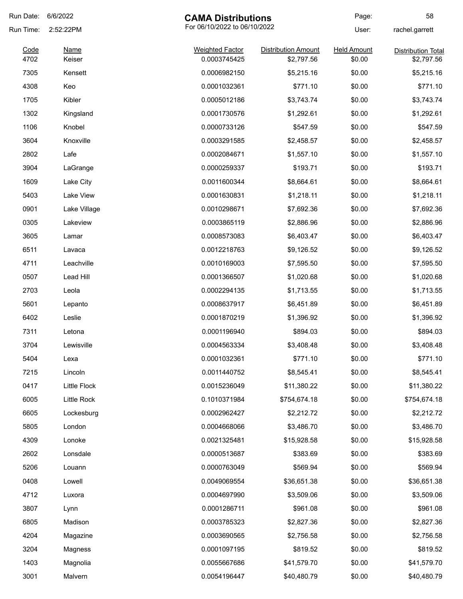| Run Date:    | 6/6/2022              | <b>CAMA Distributions</b>              |                                          | Page:                        | 58                                      |
|--------------|-----------------------|----------------------------------------|------------------------------------------|------------------------------|-----------------------------------------|
| Run Time:    | 2:52:22PM             | For 06/10/2022 to 06/10/2022           |                                          | User:                        | rachel.garrett                          |
| Code<br>4702 | <b>Name</b><br>Keiser | <b>Weighted Factor</b><br>0.0003745425 | <b>Distribution Amount</b><br>\$2,797.56 | <b>Held Amount</b><br>\$0.00 | <b>Distribution Total</b><br>\$2,797.56 |
| 7305         | Kensett               | 0.0006982150                           | \$5,215.16                               | \$0.00                       | \$5,215.16                              |
| 4308         | Keo                   | 0.0001032361                           | \$771.10                                 | \$0.00                       | \$771.10                                |
| 1705         | Kibler                | 0.0005012186                           | \$3,743.74                               | \$0.00                       | \$3,743.74                              |
| 1302         | Kingsland             | 0.0001730576                           | \$1,292.61                               | \$0.00                       | \$1,292.61                              |
| 1106         | Knobel                | 0.0000733126                           | \$547.59                                 | \$0.00                       | \$547.59                                |
| 3604         | Knoxville             | 0.0003291585                           | \$2,458.57                               | \$0.00                       | \$2,458.57                              |
| 2802         | Lafe                  | 0.0002084671                           | \$1,557.10                               | \$0.00                       | \$1,557.10                              |
| 3904         | LaGrange              | 0.0000259337                           | \$193.71                                 | \$0.00                       | \$193.71                                |
| 1609         | Lake City             | 0.0011600344                           | \$8,664.61                               | \$0.00                       | \$8,664.61                              |
| 5403         | Lake View             | 0.0001630831                           | \$1,218.11                               | \$0.00                       | \$1,218.11                              |
| 0901         | Lake Village          | 0.0010298671                           | \$7,692.36                               | \$0.00                       | \$7,692.36                              |
| 0305         | Lakeview              | 0.0003865119                           | \$2,886.96                               | \$0.00                       | \$2,886.96                              |
| 3605         | Lamar                 | 0.0008573083                           | \$6,403.47                               | \$0.00                       | \$6,403.47                              |
| 6511         | Lavaca                | 0.0012218763                           | \$9,126.52                               | \$0.00                       | \$9,126.52                              |
| 4711         | Leachville            | 0.0010169003                           | \$7,595.50                               | \$0.00                       | \$7,595.50                              |
| 0507         | Lead Hill             | 0.0001366507                           | \$1,020.68                               | \$0.00                       | \$1,020.68                              |
| 2703         | Leola                 | 0.0002294135                           | \$1,713.55                               | \$0.00                       | \$1,713.55                              |
| 5601         | Lepanto               | 0.0008637917                           | \$6,451.89                               | \$0.00                       | \$6,451.89                              |
| 6402         | Leslie                | 0.0001870219                           | \$1,396.92                               | \$0.00                       | \$1,396.92                              |
| 7311         | Letona                | 0.0001196940                           | \$894.03                                 | \$0.00                       | \$894.03                                |
| 3704         | Lewisville            | 0.0004563334                           | \$3,408.48                               | \$0.00                       | \$3,408.48                              |
| 5404         | Lexa                  | 0.0001032361                           | \$771.10                                 | \$0.00                       | \$771.10                                |
| 7215         | Lincoln               | 0.0011440752                           | \$8,545.41                               | \$0.00                       | \$8,545.41                              |
| 0417         | Little Flock          | 0.0015236049                           | \$11,380.22                              | \$0.00                       | \$11,380.22                             |
| 6005         | Little Rock           | 0.1010371984                           | \$754,674.18                             | \$0.00                       | \$754,674.18                            |
| 6605         | Lockesburg            | 0.0002962427                           | \$2,212.72                               | \$0.00                       | \$2,212.72                              |
| 5805         | London                | 0.0004668066                           | \$3,486.70                               | \$0.00                       | \$3,486.70                              |
| 4309         | Lonoke                | 0.0021325481                           | \$15,928.58                              | \$0.00                       | \$15,928.58                             |
| 2602         | Lonsdale              | 0.0000513687                           | \$383.69                                 | \$0.00                       | \$383.69                                |
| 5206         | Louann                | 0.0000763049                           | \$569.94                                 | \$0.00                       | \$569.94                                |
| 0408         | Lowell                | 0.0049069554                           | \$36,651.38                              | \$0.00                       | \$36,651.38                             |
| 4712         | Luxora                | 0.0004697990                           | \$3,509.06                               | \$0.00                       | \$3,509.06                              |
| 3807         | Lynn                  | 0.0001286711                           | \$961.08                                 | \$0.00                       | \$961.08                                |
| 6805         | Madison               | 0.0003785323                           | \$2,827.36                               | \$0.00                       | \$2,827.36                              |
| 4204         | Magazine              | 0.0003690565                           | \$2,756.58                               | \$0.00                       | \$2,756.58                              |
| 3204         | Magness               | 0.0001097195                           | \$819.52                                 | \$0.00                       | \$819.52                                |
| 1403         | Magnolia              | 0.0055667686                           | \$41,579.70                              | \$0.00                       | \$41,579.70                             |
| 3001         | Malvern               | 0.0054196447                           | \$40,480.79                              | \$0.00                       | \$40,480.79                             |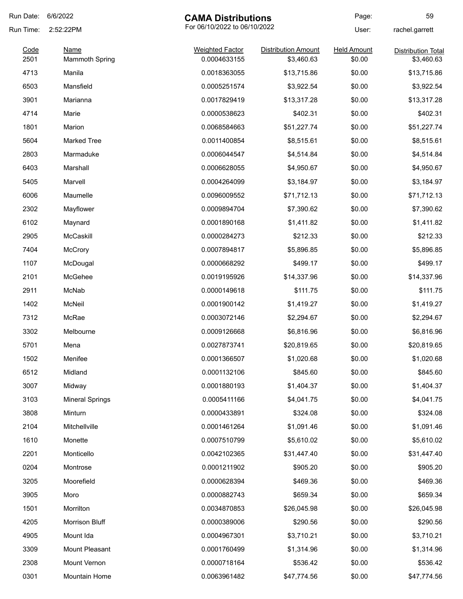| Run Date:    | 6/6/2022<br><b>CAMA Distributions</b>     |                                        | Page:                             | 59                           |                                         |
|--------------|-------------------------------------------|----------------------------------------|-----------------------------------|------------------------------|-----------------------------------------|
| Run Time:    | For 06/10/2022 to 06/10/2022<br>2:52:22PM |                                        | User:                             | rachel.garrett               |                                         |
| Code<br>2501 | <b>Name</b>                               | <b>Weighted Factor</b><br>0.0004633155 | Distribution Amount<br>\$3,460.63 | <b>Held Amount</b><br>\$0.00 | <b>Distribution Total</b><br>\$3,460.63 |
| 4713         | <b>Mammoth Spring</b><br>Manila           | 0.0018363055                           | \$13,715.86                       | \$0.00                       | \$13,715.86                             |
| 6503         | Mansfield                                 | 0.0005251574                           | \$3,922.54                        | \$0.00                       | \$3,922.54                              |
| 3901         | Marianna                                  | 0.0017829419                           | \$13,317.28                       | \$0.00                       |                                         |
|              |                                           | 0.0000538623                           |                                   |                              | \$13,317.28                             |
| 4714         | Marie                                     |                                        | \$402.31                          | \$0.00                       | \$402.31                                |
| 1801         | Marion                                    | 0.0068584663                           | \$51,227.74                       | \$0.00                       | \$51,227.74                             |
| 5604         | <b>Marked Tree</b>                        | 0.0011400854                           | \$8,515.61                        | \$0.00                       | \$8,515.61                              |
| 2803         | Marmaduke                                 | 0.0006044547                           | \$4,514.84                        | \$0.00                       | \$4,514.84                              |
| 6403         | Marshall                                  | 0.0006628055                           | \$4,950.67                        | \$0.00                       | \$4,950.67                              |
| 5405         | Marvell                                   | 0.0004264099                           | \$3,184.97                        | \$0.00                       | \$3,184.97                              |
| 6006         | Maumelle                                  | 0.0096009552                           | \$71,712.13                       | \$0.00                       | \$71,712.13                             |
| 2302         | Mayflower                                 | 0.0009894704                           | \$7,390.62                        | \$0.00                       | \$7,390.62                              |
| 6102         | Maynard                                   | 0.0001890168                           | \$1,411.82                        | \$0.00                       | \$1,411.82                              |
| 2905         | McCaskill                                 | 0.0000284273                           | \$212.33                          | \$0.00                       | \$212.33                                |
| 7404         | <b>McCrory</b>                            | 0.0007894817                           | \$5,896.85                        | \$0.00                       | \$5,896.85                              |
| 1107         | McDougal                                  | 0.0000668292                           | \$499.17                          | \$0.00                       | \$499.17                                |
| 2101         | McGehee                                   | 0.0019195926                           | \$14,337.96                       | \$0.00                       | \$14,337.96                             |
| 2911         | McNab                                     | 0.0000149618                           | \$111.75                          | \$0.00                       | \$111.75                                |
| 1402         | McNeil                                    | 0.0001900142                           | \$1,419.27                        | \$0.00                       | \$1,419.27                              |
| 7312         | McRae                                     | 0.0003072146                           | \$2,294.67                        | \$0.00                       | \$2,294.67                              |
| 3302         | Melbourne                                 | 0.0009126668                           | \$6,816.96                        | \$0.00                       | \$6,816.96                              |
| 5701         | Mena                                      | 0.0027873741                           | \$20,819.65                       | \$0.00                       | \$20,819.65                             |
| 1502         | Menifee                                   | 0.0001366507                           | \$1,020.68                        | \$0.00                       | \$1,020.68                              |
| 6512         | Midland                                   | 0.0001132106                           | \$845.60                          | \$0.00                       | \$845.60                                |
| 3007         | Midway                                    | 0.0001880193                           | \$1,404.37                        | \$0.00                       | \$1,404.37                              |
| 3103         | <b>Mineral Springs</b>                    | 0.0005411166                           | \$4,041.75                        | \$0.00                       | \$4,041.75                              |
| 3808         | Minturn                                   | 0.0000433891                           | \$324.08                          | \$0.00                       | \$324.08                                |
| 2104         | Mitchellville                             | 0.0001461264                           | \$1,091.46                        | \$0.00                       | \$1,091.46                              |
| 1610         | Monette                                   | 0.0007510799                           | \$5,610.02                        | \$0.00                       | \$5,610.02                              |
| 2201         | Monticello                                | 0.0042102365                           | \$31,447.40                       | \$0.00                       | \$31,447.40                             |
| 0204         | Montrose                                  | 0.0001211902                           | \$905.20                          | \$0.00                       | \$905.20                                |
| 3205         | Moorefield                                | 0.0000628394                           | \$469.36                          | \$0.00                       | \$469.36                                |
| 3905         | Moro                                      | 0.0000882743                           | \$659.34                          | \$0.00                       | \$659.34                                |
| 1501         | Morrilton                                 | 0.0034870853                           | \$26,045.98                       | \$0.00                       | \$26,045.98                             |
| 4205         | Morrison Bluff                            | 0.0000389006                           | \$290.56                          | \$0.00                       | \$290.56                                |
| 4905         | Mount Ida                                 | 0.0004967301                           | \$3,710.21                        | \$0.00                       | \$3,710.21                              |
| 3309         | Mount Pleasant                            |                                        |                                   | \$0.00                       |                                         |
|              |                                           | 0.0001760499                           | \$1,314.96                        |                              | \$1,314.96                              |
| 2308         | Mount Vernon                              | 0.0000718164                           | \$536.42                          | \$0.00                       | \$536.42                                |
| 0301         | Mountain Home                             | 0.0063961482                           | \$47,774.56                       | \$0.00                       | \$47,774.56                             |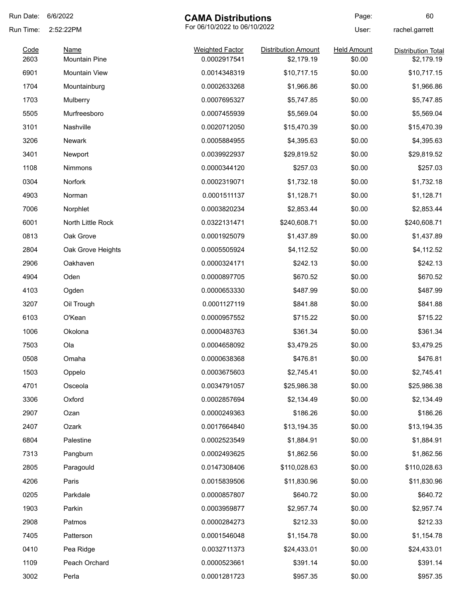| Run Date: | 6/6/2022                                  | <b>CAMA Distributions</b> |                            | Page:              | 60                        |
|-----------|-------------------------------------------|---------------------------|----------------------------|--------------------|---------------------------|
| Run Time: | For 06/10/2022 to 06/10/2022<br>2:52:22PM |                           | User:                      | rachel.garrett     |                           |
| Code      | <b>Name</b>                               | <b>Weighted Factor</b>    | <b>Distribution Amount</b> | <b>Held Amount</b> | <b>Distribution Total</b> |
| 2603      | <b>Mountain Pine</b>                      | 0.0002917541              | \$2,179.19                 | \$0.00             | \$2,179.19                |
| 6901      | <b>Mountain View</b>                      | 0.0014348319              | \$10,717.15                | \$0.00             | \$10,717.15               |
| 1704      | Mountainburg                              | 0.0002633268              | \$1,966.86                 | \$0.00             | \$1,966.86                |
| 1703      | Mulberry                                  | 0.0007695327              | \$5,747.85                 | \$0.00             | \$5,747.85                |
| 5505      | Murfreesboro                              | 0.0007455939              | \$5,569.04                 | \$0.00             | \$5,569.04                |
| 3101      | Nashville                                 | 0.0020712050              | \$15,470.39                | \$0.00             | \$15,470.39               |
| 3206      | Newark                                    | 0.0005884955              | \$4,395.63                 | \$0.00             | \$4,395.63                |
| 3401      | Newport                                   | 0.0039922937              | \$29,819.52                | \$0.00             | \$29,819.52               |
| 1108      | Nimmons                                   | 0.0000344120              | \$257.03                   | \$0.00             | \$257.03                  |
| 0304      | Norfork                                   | 0.0002319071              | \$1,732.18                 | \$0.00             | \$1,732.18                |
| 4903      | Norman                                    | 0.0001511137              | \$1,128.71                 | \$0.00             | \$1,128.71                |
| 7006      | Norphlet                                  | 0.0003820234              | \$2,853.44                 | \$0.00             | \$2,853.44                |
| 6001      | North Little Rock                         | 0.0322131471              | \$240,608.71               | \$0.00             | \$240,608.71              |
| 0813      | Oak Grove                                 | 0.0001925079              | \$1,437.89                 | \$0.00             | \$1,437.89                |
| 2804      | Oak Grove Heights                         | 0.0005505924              | \$4,112.52                 | \$0.00             | \$4,112.52                |
| 2906      | Oakhaven                                  | 0.0000324171              | \$242.13                   | \$0.00             | \$242.13                  |
| 4904      | Oden                                      | 0.0000897705              | \$670.52                   | \$0.00             | \$670.52                  |
| 4103      | Ogden                                     | 0.0000653330              | \$487.99                   | \$0.00             | \$487.99                  |
| 3207      | Oil Trough                                | 0.0001127119              | \$841.88                   | \$0.00             | \$841.88                  |
| 6103      | O'Kean                                    | 0.0000957552              | \$715.22                   | \$0.00             | \$715.22                  |
| 1006      | Okolona                                   | 0.0000483763              | \$361.34                   | \$0.00             | \$361.34                  |
| 7503      | Ola                                       | 0.0004658092              | \$3,479.25                 | \$0.00             | \$3,479.25                |
| 0508      | Omaha                                     | 0.0000638368              | \$476.81                   | \$0.00             | \$476.81                  |
| 1503      | Oppelo                                    | 0.0003675603              | \$2,745.41                 | \$0.00             | \$2,745.41                |
| 4701      | Osceola                                   | 0.0034791057              | \$25,986.38                | \$0.00             | \$25,986.38               |
| 3306      | Oxford                                    | 0.0002857694              | \$2,134.49                 | \$0.00             | \$2,134.49                |
| 2907      | Ozan                                      | 0.0000249363              | \$186.26                   | \$0.00             | \$186.26                  |
| 2407      | Ozark                                     | 0.0017664840              | \$13,194.35                | \$0.00             | \$13,194.35               |
| 6804      | Palestine                                 | 0.0002523549              | \$1,884.91                 | \$0.00             | \$1,884.91                |
| 7313      | Pangburn                                  | 0.0002493625              | \$1,862.56                 | \$0.00             | \$1,862.56                |
| 2805      | Paragould                                 | 0.0147308406              | \$110,028.63               | \$0.00             | \$110,028.63              |
| 4206      | Paris                                     | 0.0015839506              | \$11,830.96                | \$0.00             | \$11,830.96               |
| 0205      | Parkdale                                  | 0.0000857807              | \$640.72                   | \$0.00             | \$640.72                  |
| 1903      | Parkin                                    | 0.0003959877              | \$2,957.74                 | \$0.00             | \$2,957.74                |
| 2908      | Patmos                                    | 0.0000284273              | \$212.33                   | \$0.00             | \$212.33                  |
| 7405      | Patterson                                 | 0.0001546048              | \$1,154.78                 | \$0.00             | \$1,154.78                |
| 0410      | Pea Ridge                                 | 0.0032711373              | \$24,433.01                | \$0.00             | \$24,433.01               |
| 1109      | Peach Orchard                             | 0.0000523661              | \$391.14                   | \$0.00             | \$391.14                  |
| 3002      | Perla                                     | 0.0001281723              | \$957.35                   | \$0.00             | \$957.35                  |
|           |                                           |                           |                            |                    |                           |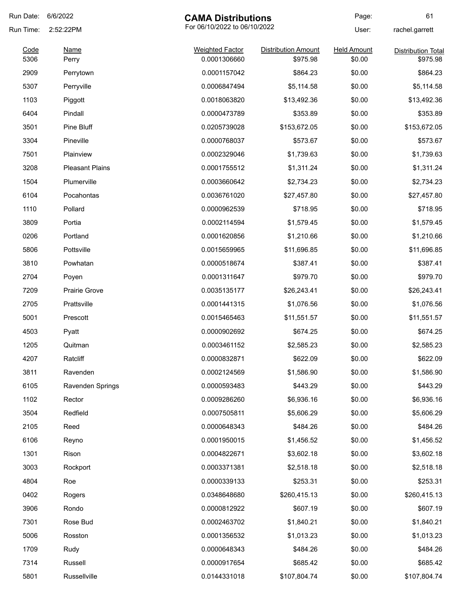| Run Date:    | 6/6/2022                | <b>CAMA Distributions</b>              |                                        | Page:                        | 61                                    |
|--------------|-------------------------|----------------------------------------|----------------------------------------|------------------------------|---------------------------------------|
| Run Time:    | 2:52:22PM               | For 06/10/2022 to 06/10/2022           |                                        | User:                        | rachel.garrett                        |
| Code<br>5306 | <b>Name</b>             | <b>Weighted Factor</b><br>0.0001306660 | <b>Distribution Amount</b><br>\$975.98 | <b>Held Amount</b><br>\$0.00 | <b>Distribution Total</b><br>\$975.98 |
| 2909         | Perry                   | 0.0001157042                           | \$864.23                               | \$0.00                       | \$864.23                              |
| 5307         | Perrytown<br>Perryville | 0.0006847494                           |                                        | \$0.00                       |                                       |
|              |                         |                                        | \$5,114.58                             |                              | \$5,114.58                            |
| 1103         | Piggott                 | 0.0018063820                           | \$13,492.36                            | \$0.00                       | \$13,492.36                           |
| 6404         | Pindall                 | 0.0000473789                           | \$353.89                               | \$0.00                       | \$353.89                              |
| 3501         | Pine Bluff              | 0.0205739028                           | \$153,672.05                           | \$0.00                       | \$153,672.05                          |
| 3304         | Pineville               | 0.0000768037                           | \$573.67                               | \$0.00                       | \$573.67                              |
| 7501         | Plainview               | 0.0002329046                           | \$1,739.63                             | \$0.00                       | \$1,739.63                            |
| 3208         | <b>Pleasant Plains</b>  | 0.0001755512                           | \$1,311.24                             | \$0.00                       | \$1,311.24                            |
| 1504         | Plumerville             | 0.0003660642                           | \$2,734.23                             | \$0.00                       | \$2,734.23                            |
| 6104         | Pocahontas              | 0.0036761020                           | \$27,457.80                            | \$0.00                       | \$27,457.80                           |
| 1110         | Pollard                 | 0.0000962539                           | \$718.95                               | \$0.00                       | \$718.95                              |
| 3809         | Portia                  | 0.0002114594                           | \$1,579.45                             | \$0.00                       | \$1,579.45                            |
| 0206         | Portland                | 0.0001620856                           | \$1,210.66                             | \$0.00                       | \$1,210.66                            |
| 5806         | Pottsville              | 0.0015659965                           | \$11,696.85                            | \$0.00                       | \$11,696.85                           |
| 3810         | Powhatan                | 0.0000518674                           | \$387.41                               | \$0.00                       | \$387.41                              |
| 2704         | Poyen                   | 0.0001311647                           | \$979.70                               | \$0.00                       | \$979.70                              |
| 7209         | <b>Prairie Grove</b>    | 0.0035135177                           | \$26,243.41                            | \$0.00                       | \$26,243.41                           |
| 2705         | Prattsville             | 0.0001441315                           | \$1,076.56                             | \$0.00                       | \$1,076.56                            |
| 5001         | Prescott                | 0.0015465463                           | \$11,551.57                            | \$0.00                       | \$11,551.57                           |
| 4503         | Pyatt                   | 0.0000902692                           | \$674.25                               | \$0.00                       | \$674.25                              |
| 1205         | Quitman                 | 0.0003461152                           | \$2,585.23                             | \$0.00                       | \$2,585.23                            |
| 4207         | Ratcliff                | 0.0000832871                           | \$622.09                               | \$0.00                       | \$622.09                              |
| 3811         | Ravenden                | 0.0002124569                           | \$1,586.90                             | \$0.00                       | \$1,586.90                            |
| 6105         | Ravenden Springs        | 0.0000593483                           | \$443.29                               | \$0.00                       | \$443.29                              |
| 1102         | Rector                  | 0.0009286260                           | \$6,936.16                             | \$0.00                       | \$6,936.16                            |
| 3504         | Redfield                | 0.0007505811                           | \$5,606.29                             | \$0.00                       | \$5,606.29                            |
| 2105         | Reed                    | 0.0000648343                           | \$484.26                               | \$0.00                       | \$484.26                              |
| 6106         | Reyno                   | 0.0001950015                           | \$1,456.52                             | \$0.00                       | \$1,456.52                            |
| 1301         | Rison                   | 0.0004822671                           | \$3,602.18                             | \$0.00                       | \$3,602.18                            |
| 3003         | Rockport                | 0.0003371381                           | \$2,518.18                             | \$0.00                       | \$2,518.18                            |
| 4804         | Roe                     | 0.0000339133                           | \$253.31                               | \$0.00                       | \$253.31                              |
| 0402         | Rogers                  | 0.0348648680                           | \$260,415.13                           | \$0.00                       | \$260,415.13                          |
| 3906         | Rondo                   | 0.0000812922                           | \$607.19                               | \$0.00                       | \$607.19                              |
| 7301         | Rose Bud                | 0.0002463702                           | \$1,840.21                             | \$0.00                       | \$1,840.21                            |
| 5006         | Rosston                 | 0.0001356532                           | \$1,013.23                             | \$0.00                       | \$1,013.23                            |
| 1709         | Rudy                    | 0.0000648343                           | \$484.26                               | \$0.00                       | \$484.26                              |
| 7314         | Russell                 | 0.0000917654                           | \$685.42                               | \$0.00                       | \$685.42                              |
| 5801         | Russellville            | 0.0144331018                           | \$107,804.74                           | \$0.00                       | \$107,804.74                          |
|              |                         |                                        |                                        |                              |                                       |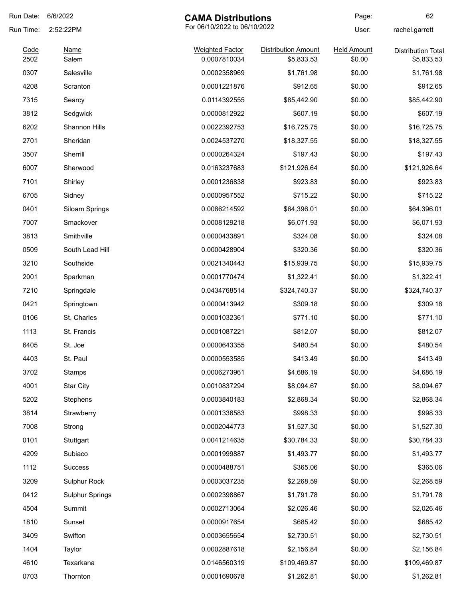| Run Date:    | 6/6/2022               | <b>CAMA Distributions</b>              |                                          | Page:                        | 62                                      |       |                |
|--------------|------------------------|----------------------------------------|------------------------------------------|------------------------------|-----------------------------------------|-------|----------------|
| Run Time:    | 2:52:22PM              |                                        |                                          | For 06/10/2022 to 06/10/2022 |                                         | User: | rachel.garrett |
| Code<br>2502 | Name<br>Salem          | <b>Weighted Factor</b><br>0.0007810034 | <b>Distribution Amount</b><br>\$5,833.53 | <b>Held Amount</b><br>\$0.00 | <b>Distribution Total</b><br>\$5,833.53 |       |                |
| 0307         | Salesville             | 0.0002358969                           | \$1,761.98                               | \$0.00                       | \$1,761.98                              |       |                |
| 4208         | Scranton               | 0.0001221876                           | \$912.65                                 | \$0.00                       | \$912.65                                |       |                |
| 7315         | Searcy                 | 0.0114392555                           | \$85,442.90                              | \$0.00                       | \$85,442.90                             |       |                |
| 3812         | Sedgwick               | 0.0000812922                           | \$607.19                                 | \$0.00                       | \$607.19                                |       |                |
| 6202         | Shannon Hills          | 0.0022392753                           | \$16,725.75                              | \$0.00                       | \$16,725.75                             |       |                |
| 2701         | Sheridan               |                                        |                                          | \$0.00                       |                                         |       |                |
|              |                        | 0.0024537270                           | \$18,327.55                              |                              | \$18,327.55                             |       |                |
| 3507         | Sherrill               | 0.0000264324                           | \$197.43                                 | \$0.00                       | \$197.43                                |       |                |
| 6007         | Sherwood               | 0.0163237683                           | \$121,926.64                             | \$0.00                       | \$121,926.64                            |       |                |
| 7101         | Shirley                | 0.0001236838                           | \$923.83                                 | \$0.00                       | \$923.83                                |       |                |
| 6705         | Sidney                 | 0.0000957552                           | \$715.22                                 | \$0.00                       | \$715.22                                |       |                |
| 0401         | Siloam Springs         | 0.0086214592                           | \$64,396.01                              | \$0.00                       | \$64,396.01                             |       |                |
| 7007         | Smackover              | 0.0008129218                           | \$6,071.93                               | \$0.00                       | \$6,071.93                              |       |                |
| 3813         | Smithville             | 0.0000433891                           | \$324.08                                 | \$0.00                       | \$324.08                                |       |                |
| 0509         | South Lead Hill        | 0.0000428904                           | \$320.36                                 | \$0.00                       | \$320.36                                |       |                |
| 3210         | Southside              | 0.0021340443                           | \$15,939.75                              | \$0.00                       | \$15,939.75                             |       |                |
| 2001         | Sparkman               | 0.0001770474                           | \$1,322.41                               | \$0.00                       | \$1,322.41                              |       |                |
| 7210         | Springdale             | 0.0434768514                           | \$324,740.37                             | \$0.00                       | \$324,740.37                            |       |                |
| 0421         | Springtown             | 0.0000413942                           | \$309.18                                 | \$0.00                       | \$309.18                                |       |                |
| 0106         | St. Charles            | 0.0001032361                           | \$771.10                                 | \$0.00                       | \$771.10                                |       |                |
| 1113         | St. Francis            | 0.0001087221                           | \$812.07                                 | \$0.00                       | \$812.07                                |       |                |
| 6405         | St. Joe                | 0.0000643355                           | \$480.54                                 | \$0.00                       | \$480.54                                |       |                |
| 4403         | St. Paul               | 0.0000553585                           | \$413.49                                 | \$0.00                       | \$413.49                                |       |                |
| 3702         | Stamps                 | 0.0006273961                           | \$4,686.19                               | \$0.00                       | \$4,686.19                              |       |                |
| 4001         | <b>Star City</b>       | 0.0010837294                           | \$8,094.67                               | \$0.00                       | \$8,094.67                              |       |                |
| 5202         | Stephens               | 0.0003840183                           | \$2,868.34                               | \$0.00                       | \$2,868.34                              |       |                |
| 3814         | Strawberry             | 0.0001336583                           | \$998.33                                 | \$0.00                       | \$998.33                                |       |                |
| 7008         | Strong                 | 0.0002044773                           | \$1,527.30                               | \$0.00                       | \$1,527.30                              |       |                |
| 0101         | Stuttgart              | 0.0041214635                           | \$30,784.33                              | \$0.00                       | \$30,784.33                             |       |                |
| 4209         | Subiaco                | 0.0001999887                           | \$1,493.77                               | \$0.00                       | \$1,493.77                              |       |                |
| 1112         | <b>Success</b>         | 0.0000488751                           | \$365.06                                 | \$0.00                       | \$365.06                                |       |                |
| 3209         | Sulphur Rock           | 0.0003037235                           | \$2,268.59                               | \$0.00                       | \$2,268.59                              |       |                |
| 0412         | <b>Sulphur Springs</b> | 0.0002398867                           | \$1,791.78                               | \$0.00                       | \$1,791.78                              |       |                |
| 4504         | Summit                 | 0.0002713064                           | \$2,026.46                               | \$0.00                       | \$2,026.46                              |       |                |
| 1810         | Sunset                 | 0.0000917654                           | \$685.42                                 | \$0.00                       | \$685.42                                |       |                |
| 3409         | Swifton                | 0.0003655654                           | \$2,730.51                               | \$0.00                       | \$2,730.51                              |       |                |
| 1404         | Taylor                 | 0.0002887618                           | \$2,156.84                               | \$0.00                       | \$2,156.84                              |       |                |
| 4610         | Texarkana              | 0.0146560319                           | \$109,469.87                             | \$0.00                       | \$109,469.87                            |       |                |
| 0703         | Thornton               | 0.0001690678                           | \$1,262.81                               | \$0.00                       | \$1,262.81                              |       |                |
|              |                        |                                        |                                          |                              |                                         |       |                |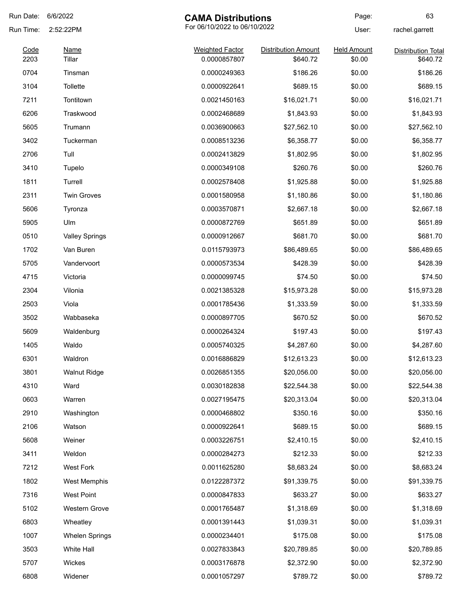| Run Date: | 6/6/2022              | <b>CAMA Distributions</b>    |                            | Page:              | 63                        |
|-----------|-----------------------|------------------------------|----------------------------|--------------------|---------------------------|
| Run Time: | 2:52:22PM             | For 06/10/2022 to 06/10/2022 |                            | User:              | rachel.garrett            |
| Code      | <b>Name</b>           | <b>Weighted Factor</b>       | <b>Distribution Amount</b> | <b>Held Amount</b> | <b>Distribution Total</b> |
| 2203      | Tillar                | 0.0000857807                 | \$640.72                   | \$0.00             | \$640.72                  |
| 0704      | Tinsman               | 0.0000249363                 | \$186.26                   | \$0.00             | \$186.26                  |
| 3104      | <b>Tollette</b>       | 0.0000922641                 | \$689.15                   | \$0.00             | \$689.15                  |
| 7211      | Tontitown             | 0.0021450163                 | \$16,021.71                | \$0.00             | \$16,021.71               |
| 6206      | Traskwood             | 0.0002468689                 | \$1,843.93                 | \$0.00             | \$1,843.93                |
| 5605      | Trumann               | 0.0036900663                 | \$27,562.10                | \$0.00             | \$27,562.10               |
| 3402      | Tuckerman             | 0.0008513236                 | \$6,358.77                 | \$0.00             | \$6,358.77                |
| 2706      | Tull                  | 0.0002413829                 | \$1,802.95                 | \$0.00             | \$1,802.95                |
| 3410      | Tupelo                | 0.0000349108                 | \$260.76                   | \$0.00             | \$260.76                  |
| 1811      | Turrell               | 0.0002578408                 | \$1,925.88                 | \$0.00             | \$1,925.88                |
| 2311      | <b>Twin Groves</b>    | 0.0001580958                 | \$1,180.86                 | \$0.00             | \$1,180.86                |
| 5606      | Tyronza               | 0.0003570871                 | \$2,667.18                 | \$0.00             | \$2,667.18                |
| 5905      | Ulm                   | 0.0000872769                 | \$651.89                   | \$0.00             | \$651.89                  |
| 0510      | <b>Valley Springs</b> | 0.0000912667                 | \$681.70                   | \$0.00             | \$681.70                  |
| 1702      | Van Buren             | 0.0115793973                 | \$86,489.65                | \$0.00             | \$86,489.65               |
| 5705      | Vandervoort           | 0.0000573534                 | \$428.39                   | \$0.00             | \$428.39                  |
| 4715      | Victoria              | 0.0000099745                 | \$74.50                    | \$0.00             | \$74.50                   |
| 2304      | Vilonia               | 0.0021385328                 | \$15,973.28                | \$0.00             | \$15,973.28               |
| 2503      | Viola                 | 0.0001785436                 | \$1,333.59                 | \$0.00             | \$1,333.59                |
| 3502      | Wabbaseka             | 0.0000897705                 | \$670.52                   | \$0.00             | \$670.52                  |
| 5609      | Waldenburg            | 0.0000264324                 | \$197.43                   | \$0.00             | \$197.43                  |
| 1405      | Waldo                 | 0.0005740325                 | \$4,287.60                 | \$0.00             | \$4,287.60                |
| 6301      | Waldron               | 0.0016886829                 | \$12,613.23                | \$0.00             | \$12,613.23               |
| 3801      | <b>Walnut Ridge</b>   | 0.0026851355                 | \$20,056.00                | \$0.00             | \$20,056.00               |
| 4310      | Ward                  | 0.0030182838                 | \$22,544.38                | \$0.00             | \$22,544.38               |
| 0603      | Warren                | 0.0027195475                 | \$20,313.04                | \$0.00             | \$20,313.04               |
| 2910      | Washington            | 0.0000468802                 | \$350.16                   | \$0.00             | \$350.16                  |
| 2106      | Watson                | 0.0000922641                 | \$689.15                   | \$0.00             | \$689.15                  |
| 5608      | Weiner                | 0.0003226751                 | \$2,410.15                 | \$0.00             | \$2,410.15                |
| 3411      | Weldon                | 0.0000284273                 | \$212.33                   | \$0.00             | \$212.33                  |
| 7212      | <b>West Fork</b>      | 0.0011625280                 | \$8,683.24                 | \$0.00             | \$8,683.24                |
| 1802      | West Memphis          | 0.0122287372                 | \$91,339.75                | \$0.00             | \$91,339.75               |
|           |                       |                              |                            |                    |                           |
| 7316      | <b>West Point</b>     | 0.0000847833                 | \$633.27                   | \$0.00             | \$633.27                  |
| 5102      | <b>Western Grove</b>  | 0.0001765487                 | \$1,318.69                 | \$0.00             | \$1,318.69                |
| 6803      | Wheatley              | 0.0001391443                 | \$1,039.31                 | \$0.00             | \$1,039.31                |
| 1007      | <b>Whelen Springs</b> | 0.0000234401                 | \$175.08                   | \$0.00             | \$175.08                  |
| 3503      | White Hall            | 0.0027833843                 | \$20,789.85                | \$0.00             | \$20,789.85               |
| 5707      | Wickes                | 0.0003176878                 | \$2,372.90                 | \$0.00             | \$2,372.90                |
| 6808      | Widener               | 0.0001057297                 | \$789.72                   | \$0.00             | \$789.72                  |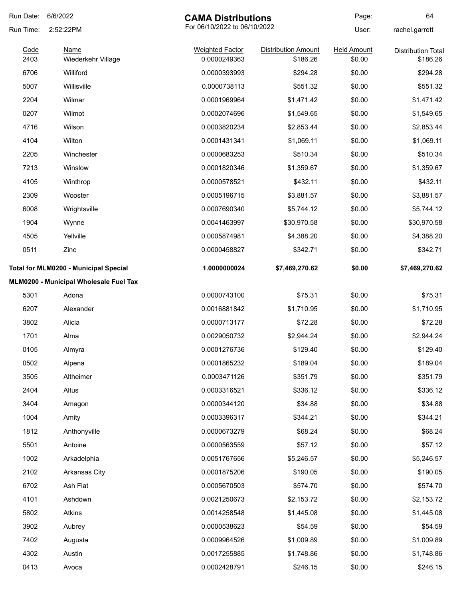| Run Date:    | 6/6/2022                               | <b>CAMA Distributions</b>              |                                        | Page:                        | 64                                    |
|--------------|----------------------------------------|----------------------------------------|----------------------------------------|------------------------------|---------------------------------------|
| Run Time:    | 2:52:22PM                              | For 06/10/2022 to 06/10/2022           |                                        | User:                        | rachel.garrett                        |
| Code<br>2403 | <b>Name</b><br>Wiederkehr Village      | <b>Weighted Factor</b><br>0.0000249363 | <b>Distribution Amount</b><br>\$186.26 | <b>Held Amount</b><br>\$0.00 | <b>Distribution Total</b><br>\$186.26 |
| 6706         | Williford                              | 0.0000393993                           | \$294.28                               | \$0.00                       | \$294.28                              |
| 5007         | Willisville                            | 0.0000738113                           | \$551.32                               | \$0.00                       | \$551.32                              |
| 2204         | Wilmar                                 | 0.0001969964                           | \$1,471.42                             | \$0.00                       | \$1,471.42                            |
| 0207         | Wilmot                                 | 0.0002074696                           | \$1,549.65                             | \$0.00                       | \$1,549.65                            |
| 4716         | Wilson                                 | 0.0003820234                           | \$2,853.44                             | \$0.00                       | \$2,853.44                            |
| 4104         | Wilton                                 | 0.0001431341                           | \$1,069.11                             | \$0.00                       | \$1,069.11                            |
| 2205         | Winchester                             | 0.0000683253                           | \$510.34                               | \$0.00                       | \$510.34                              |
| 7213         | Winslow                                | 0.0001820346                           | \$1,359.67                             | \$0.00                       | \$1,359.67                            |
| 4105         | Winthrop                               | 0.0000578521                           | \$432.11                               | \$0.00                       | \$432.11                              |
| 2309         | Wooster                                | 0.0005196715                           | \$3,881.57                             | \$0.00                       | \$3,881.57                            |
| 6008         | Wrightsville                           | 0.0007690340                           | \$5,744.12                             | \$0.00                       | \$5,744.12                            |
| 1904         | Wynne                                  | 0.0041463997                           | \$30,970.58                            | \$0.00                       | \$30,970.58                           |
| 4505         | Yellville                              | 0.0005874981                           | \$4,388.20                             | \$0.00                       | \$4,388.20                            |
| 0511         | Zinc                                   | 0.0000458827                           | \$342.71                               | \$0.00                       | \$342.71                              |
|              | Total for MLM0200 - Municipal Special  | 1.0000000024                           | \$7,469,270.62                         | \$0.00                       | \$7,469,270.62                        |
|              | MLM0200 - Municipal Wholesale Fuel Tax |                                        |                                        |                              |                                       |
| 5301         | Adona                                  | 0.0000743100                           | \$75.31                                | \$0.00                       | \$75.31                               |
| 6207         | Alexander                              | 0.0016881842                           | \$1,710.95                             | \$0.00                       | \$1,710.95                            |
| 3802         | Alicia                                 | 0.0000713177                           | \$72.28                                | \$0.00                       | \$72.28                               |
| 1701         | Alma                                   | 0.0029050732                           | \$2,944.24                             | \$0.00                       | \$2,944.24                            |
| 0105         | Almyra                                 | 0.0001276736                           | \$129.40                               | \$0.00                       | \$129.40                              |
| 0502         | Alpena                                 | 0.0001865232                           | \$189.04                               | \$0.00                       | \$189.04                              |
| 3505         | Altheimer                              | 0.0003471126                           | \$351.79                               | \$0.00                       | \$351.79                              |
| 2404         | Altus                                  | 0.0003316521                           | \$336.12                               | \$0.00                       | \$336.12                              |
| 3404         | Amagon                                 | 0.0000344120                           | \$34.88                                | \$0.00                       | \$34.88                               |
| 1004         | Amity                                  | 0.0003396317                           | \$344.21                               | \$0.00                       | \$344.21                              |
| 1812         | Anthonyville                           | 0.0000673279                           | \$68.24                                | \$0.00                       | \$68.24                               |
| 5501         | Antoine                                | 0.0000563559                           | \$57.12                                | \$0.00                       | \$57.12                               |
| 1002         | Arkadelphia                            | 0.0051767656                           | \$5,246.57                             | \$0.00                       | \$5,246.57                            |
| 2102         | Arkansas City                          | 0.0001875206                           | \$190.05                               | \$0.00                       | \$190.05                              |
| 6702         | Ash Flat                               | 0.0005670503                           | \$574.70                               | \$0.00                       | \$574.70                              |
| 4101         | Ashdown                                | 0.0021250673                           | \$2,153.72                             | \$0.00                       | \$2,153.72                            |
| 5802         | Atkins                                 | 0.0014258548                           | \$1,445.08                             | \$0.00                       | \$1,445.08                            |
| 3902         | Aubrey                                 | 0.0000538623                           | \$54.59                                | \$0.00                       | \$54.59                               |
| 7402         | Augusta                                | 0.0009964526                           | \$1,009.89                             | \$0.00                       | \$1,009.89                            |
| 4302         | Austin                                 | 0.0017255885                           | \$1,748.86                             | \$0.00                       | \$1,748.86                            |
| 0413         | Avoca                                  | 0.0002428791                           | \$246.15                               | \$0.00                       | \$246.15                              |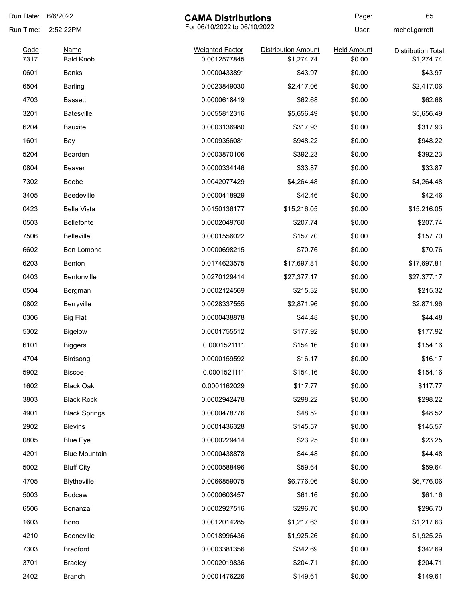| Run Date:    | 6/6/2022                        | <b>CAMA Distributions</b>              |                                          | Page:                        | 65                                      |
|--------------|---------------------------------|----------------------------------------|------------------------------------------|------------------------------|-----------------------------------------|
| Run Time:    | 2:52:22PM                       | For 06/10/2022 to 06/10/2022           |                                          | User:                        | rachel.garrett                          |
| Code<br>7317 | <b>Name</b><br><b>Bald Knob</b> | <b>Weighted Factor</b><br>0.0012577845 | <b>Distribution Amount</b><br>\$1,274.74 | <b>Held Amount</b><br>\$0.00 | <b>Distribution Total</b><br>\$1,274.74 |
| 0601         | Banks                           | 0.0000433891                           | \$43.97                                  | \$0.00                       | \$43.97                                 |
| 6504         | <b>Barling</b>                  | 0.0023849030                           | \$2,417.06                               | \$0.00                       | \$2,417.06                              |
| 4703         | <b>Bassett</b>                  | 0.0000618419                           | \$62.68                                  | \$0.00                       | \$62.68                                 |
| 3201         | <b>Batesville</b>               | 0.0055812316                           | \$5,656.49                               | \$0.00                       | \$5,656.49                              |
| 6204         | <b>Bauxite</b>                  | 0.0003136980                           | \$317.93                                 | \$0.00                       | \$317.93                                |
| 1601         | Bay                             | 0.0009356081                           | \$948.22                                 | \$0.00                       | \$948.22                                |
| 5204         | Bearden                         | 0.0003870106                           | \$392.23                                 | \$0.00                       | \$392.23                                |
| 0804         | Beaver                          | 0.0000334146                           | \$33.87                                  | \$0.00                       | \$33.87                                 |
| 7302         | Beebe                           | 0.0042077429                           | \$4,264.48                               | \$0.00                       | \$4,264.48                              |
| 3405         | <b>Beedeville</b>               | 0.0000418929                           | \$42.46                                  | \$0.00                       | \$42.46                                 |
| 0423         | <b>Bella Vista</b>              | 0.0150136177                           | \$15,216.05                              | \$0.00                       | \$15,216.05                             |
| 0503         | <b>Bellefonte</b>               | 0.0002049760                           | \$207.74                                 | \$0.00                       | \$207.74                                |
| 7506         | <b>Belleville</b>               | 0.0001556022                           | \$157.70                                 | \$0.00                       | \$157.70                                |
| 6602         | Ben Lomond                      | 0.0000698215                           | \$70.76                                  | \$0.00                       | \$70.76                                 |
| 6203         | Benton                          | 0.0174623575                           | \$17,697.81                              | \$0.00                       | \$17,697.81                             |
| 0403         | Bentonville                     | 0.0270129414                           | \$27,377.17                              | \$0.00                       | \$27,377.17                             |
| 0504         | Bergman                         | 0.0002124569                           | \$215.32                                 | \$0.00                       | \$215.32                                |
| 0802         | Berryville                      | 0.0028337555                           | \$2,871.96                               | \$0.00                       | \$2,871.96                              |
| 0306         | <b>Big Flat</b>                 | 0.0000438878                           | \$44.48                                  | \$0.00                       | \$44.48                                 |
| 5302         | <b>Bigelow</b>                  | 0.0001755512                           | \$177.92                                 | \$0.00                       | \$177.92                                |
| 6101         | <b>Biggers</b>                  | 0.0001521111                           | \$154.16                                 | \$0.00                       | \$154.16                                |
| 4704         | Birdsong                        | 0.0000159592                           | \$16.17                                  | \$0.00                       | \$16.17                                 |
| 5902         | <b>Biscoe</b>                   | 0.0001521111                           | \$154.16                                 | \$0.00                       | \$154.16                                |
| 1602         | <b>Black Oak</b>                | 0.0001162029                           | \$117.77                                 | \$0.00                       | \$117.77                                |
| 3803         | <b>Black Rock</b>               | 0.0002942478                           | \$298.22                                 | \$0.00                       | \$298.22                                |
| 4901         | <b>Black Springs</b>            | 0.0000478776                           | \$48.52                                  | \$0.00                       | \$48.52                                 |
| 2902         | <b>Blevins</b>                  | 0.0001436328                           | \$145.57                                 | \$0.00                       | \$145.57                                |
| 0805         | <b>Blue Eye</b>                 | 0.0000229414                           | \$23.25                                  | \$0.00                       | \$23.25                                 |
| 4201         | <b>Blue Mountain</b>            | 0.0000438878                           | \$44.48                                  | \$0.00                       | \$44.48                                 |
| 5002         | <b>Bluff City</b>               | 0.0000588496                           | \$59.64                                  | \$0.00                       | \$59.64                                 |
| 4705         | Blytheville                     | 0.0066859075                           | \$6,776.06                               | \$0.00                       | \$6,776.06                              |
| 5003         | Bodcaw                          | 0.0000603457                           | \$61.16                                  | \$0.00                       | \$61.16                                 |
| 6506         | Bonanza                         | 0.0002927516                           | \$296.70                                 | \$0.00                       | \$296.70                                |
| 1603         | Bono                            | 0.0012014285                           | \$1,217.63                               | \$0.00                       | \$1,217.63                              |
| 4210         | Booneville                      | 0.0018996436                           | \$1,925.26                               | \$0.00                       | \$1,925.26                              |
| 7303         | <b>Bradford</b>                 | 0.0003381356                           | \$342.69                                 | \$0.00                       | \$342.69                                |
| 3701         | <b>Bradley</b>                  | 0.0002019836                           | \$204.71                                 | \$0.00                       | \$204.71                                |
| 2402         | <b>Branch</b>                   | 0.0001476226                           | \$149.61                                 | \$0.00                       | \$149.61                                |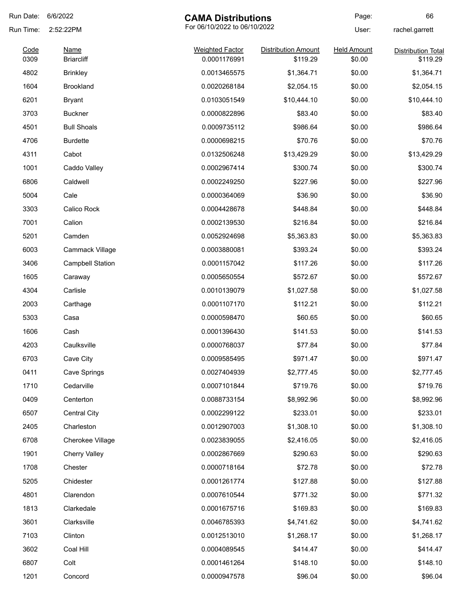| Run Date:    | 6/6/2022                         | <b>CAMA Distributions</b>              |                                        | Page:                        | 66                                    |
|--------------|----------------------------------|----------------------------------------|----------------------------------------|------------------------------|---------------------------------------|
| Run Time:    | 2:52:22PM                        | For 06/10/2022 to 06/10/2022           |                                        | User:                        | rachel.garrett                        |
| Code<br>0309 | <b>Name</b><br><b>Briarcliff</b> | <b>Weighted Factor</b><br>0.0001176991 | <b>Distribution Amount</b><br>\$119.29 | <b>Held Amount</b><br>\$0.00 | <b>Distribution Total</b><br>\$119.29 |
| 4802         | <b>Brinkley</b>                  | 0.0013465575                           | \$1,364.71                             | \$0.00                       | \$1,364.71                            |
| 1604         | <b>Brookland</b>                 | 0.0020268184                           | \$2,054.15                             | \$0.00                       | \$2,054.15                            |
| 6201         | <b>Bryant</b>                    | 0.0103051549                           | \$10,444.10                            | \$0.00                       | \$10,444.10                           |
| 3703         | <b>Buckner</b>                   | 0.0000822896                           | \$83.40                                | \$0.00                       | \$83.40                               |
| 4501         | <b>Bull Shoals</b>               | 0.0009735112                           | \$986.64                               | \$0.00                       | \$986.64                              |
| 4706         | <b>Burdette</b>                  | 0.0000698215                           | \$70.76                                | \$0.00                       | \$70.76                               |
| 4311         | Cabot                            | 0.0132506248                           | \$13,429.29                            | \$0.00                       | \$13,429.29                           |
| 1001         | Caddo Valley                     | 0.0002967414                           | \$300.74                               | \$0.00                       | \$300.74                              |
| 6806         | Caldwell                         | 0.0002249250                           | \$227.96                               | \$0.00                       | \$227.96                              |
| 5004         | Cale                             | 0.0000364069                           | \$36.90                                | \$0.00                       | \$36.90                               |
| 3303         | Calico Rock                      | 0.0004428678                           | \$448.84                               | \$0.00                       | \$448.84                              |
| 7001         | Calion                           | 0.0002139530                           | \$216.84                               | \$0.00                       | \$216.84                              |
| 5201         | Camden                           | 0.0052924698                           | \$5,363.83                             | \$0.00                       | \$5,363.83                            |
| 6003         | Cammack Village                  | 0.0003880081                           | \$393.24                               | \$0.00                       | \$393.24                              |
| 3406         | <b>Campbell Station</b>          | 0.0001157042                           | \$117.26                               | \$0.00                       | \$117.26                              |
| 1605         | Caraway                          | 0.0005650554                           | \$572.67                               | \$0.00                       | \$572.67                              |
| 4304         | Carlisle                         | 0.0010139079                           | \$1,027.58                             | \$0.00                       | \$1,027.58                            |
| 2003         | Carthage                         | 0.0001107170                           | \$112.21                               | \$0.00                       | \$112.21                              |
| 5303         | Casa                             | 0.0000598470                           | \$60.65                                | \$0.00                       | \$60.65                               |
| 1606         | Cash                             | 0.0001396430                           | \$141.53                               | \$0.00                       | \$141.53                              |
| 4203         | Caulksville                      | 0.0000768037                           | \$77.84                                | \$0.00                       | \$77.84                               |
| 6703         | Cave City                        | 0.0009585495                           | \$971.47                               | \$0.00                       | \$971.47                              |
| 0411         | Cave Springs                     | 0.0027404939                           | \$2,777.45                             | \$0.00                       | \$2,777.45                            |
| 1710         | Cedarville                       | 0.0007101844                           | \$719.76                               | \$0.00                       | \$719.76                              |
| 0409         | Centerton                        | 0.0088733154                           | \$8,992.96                             | \$0.00                       | \$8,992.96                            |
| 6507         | <b>Central City</b>              | 0.0002299122                           | \$233.01                               | \$0.00                       | \$233.01                              |
| 2405         | Charleston                       | 0.0012907003                           | \$1,308.10                             | \$0.00                       | \$1,308.10                            |
| 6708         | Cherokee Village                 | 0.0023839055                           | \$2,416.05                             | \$0.00                       | \$2,416.05                            |
| 1901         | <b>Cherry Valley</b>             | 0.0002867669                           | \$290.63                               | \$0.00                       | \$290.63                              |
| 1708         | Chester                          | 0.0000718164                           | \$72.78                                | \$0.00                       | \$72.78                               |
| 5205         | Chidester                        | 0.0001261774                           | \$127.88                               | \$0.00                       | \$127.88                              |
| 4801         | Clarendon                        | 0.0007610544                           | \$771.32                               | \$0.00                       | \$771.32                              |
| 1813         | Clarkedale                       | 0.0001675716                           | \$169.83                               | \$0.00                       | \$169.83                              |
| 3601         | Clarksville                      | 0.0046785393                           | \$4,741.62                             | \$0.00                       | \$4,741.62                            |
| 7103         | Clinton                          | 0.0012513010                           | \$1,268.17                             | \$0.00                       | \$1,268.17                            |
| 3602         | Coal Hill                        | 0.0004089545                           | \$414.47                               | \$0.00                       | \$414.47                              |
| 6807         | Colt                             | 0.0001461264                           | \$148.10                               | \$0.00                       | \$148.10                              |
| 1201         | Concord                          | 0.0000947578                           | \$96.04                                | \$0.00                       | \$96.04                               |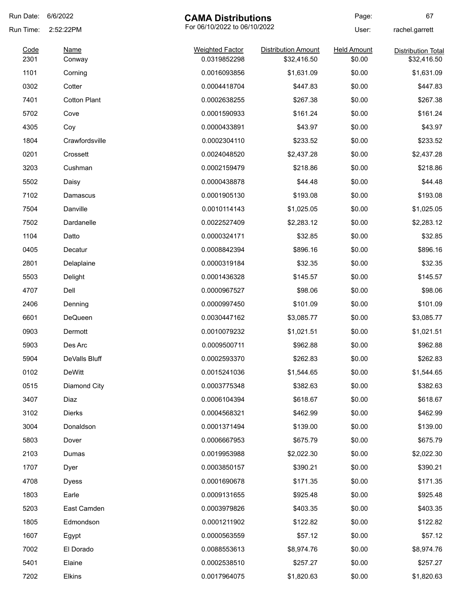| Run Date: | 6/6/2022<br><b>CAMA Distributions</b>     |                        | Page:                      | 67                 |                           |
|-----------|-------------------------------------------|------------------------|----------------------------|--------------------|---------------------------|
| Run Time: | For 06/10/2022 to 06/10/2022<br>2:52:22PM |                        |                            | User:              | rachel.garrett            |
| Code      | <b>Name</b>                               | <b>Weighted Factor</b> | <b>Distribution Amount</b> | <b>Held Amount</b> | <b>Distribution Total</b> |
| 2301      | Conway                                    | 0.0319852298           | \$32,416.50                | \$0.00             | \$32,416.50               |
| 1101      | Corning                                   | 0.0016093856           | \$1,631.09                 | \$0.00             | \$1,631.09                |
| 0302      | Cotter                                    | 0.0004418704           | \$447.83                   | \$0.00             | \$447.83                  |
| 7401      | <b>Cotton Plant</b>                       | 0.0002638255           | \$267.38                   | \$0.00             | \$267.38                  |
| 5702      | Cove                                      | 0.0001590933           | \$161.24                   | \$0.00             | \$161.24                  |
| 4305      | Coy                                       | 0.0000433891           | \$43.97                    | \$0.00             | \$43.97                   |
| 1804      | Crawfordsville                            | 0.0002304110           | \$233.52                   | \$0.00             | \$233.52                  |
| 0201      | Crossett                                  | 0.0024048520           | \$2,437.28                 | \$0.00             | \$2,437.28                |
| 3203      | Cushman                                   | 0.0002159479           | \$218.86                   | \$0.00             | \$218.86                  |
| 5502      | Daisy                                     | 0.0000438878           | \$44.48                    | \$0.00             | \$44.48                   |
| 7102      | Damascus                                  | 0.0001905130           | \$193.08                   | \$0.00             | \$193.08                  |
| 7504      | Danville                                  | 0.0010114143           | \$1,025.05                 | \$0.00             | \$1,025.05                |
| 7502      | Dardanelle                                | 0.0022527409           | \$2,283.12                 | \$0.00             | \$2,283.12                |
| 1104      | Datto                                     | 0.0000324171           | \$32.85                    | \$0.00             | \$32.85                   |
| 0405      | Decatur                                   | 0.0008842394           | \$896.16                   | \$0.00             | \$896.16                  |
| 2801      | Delaplaine                                | 0.0000319184           | \$32.35                    | \$0.00             | \$32.35                   |
| 5503      | Delight                                   | 0.0001436328           | \$145.57                   | \$0.00             | \$145.57                  |
| 4707      | Dell                                      | 0.0000967527           | \$98.06                    | \$0.00             | \$98.06                   |
| 2406      | Denning                                   | 0.0000997450           | \$101.09                   | \$0.00             | \$101.09                  |
| 6601      | DeQueen                                   | 0.0030447162           | \$3,085.77                 | \$0.00             | \$3,085.77                |
| 0903      | Dermott                                   | 0.0010079232           | \$1,021.51                 | \$0.00             | \$1,021.51                |
| 5903      | Des Arc                                   | 0.0009500711           | \$962.88                   | \$0.00             | \$962.88                  |
| 5904      | DeValls Bluff                             | 0.0002593370           | \$262.83                   | \$0.00             | \$262.83                  |
| 0102      | DeWitt                                    | 0.0015241036           | \$1,544.65                 | \$0.00             | \$1,544.65                |
| 0515      | Diamond City                              | 0.0003775348           | \$382.63                   | \$0.00             | \$382.63                  |
| 3407      | Diaz                                      | 0.0006104394           | \$618.67                   | \$0.00             | \$618.67                  |
| 3102      | <b>Dierks</b>                             | 0.0004568321           | \$462.99                   | \$0.00             | \$462.99                  |
| 3004      | Donaldson                                 | 0.0001371494           | \$139.00                   | \$0.00             | \$139.00                  |
| 5803      | Dover                                     | 0.0006667953           | \$675.79                   | \$0.00             | \$675.79                  |
| 2103      | Dumas                                     | 0.0019953988           | \$2,022.30                 | \$0.00             | \$2,022.30                |
| 1707      | Dyer                                      | 0.0003850157           | \$390.21                   | \$0.00             | \$390.21                  |
| 4708      | <b>Dyess</b>                              | 0.0001690678           | \$171.35                   | \$0.00             | \$171.35                  |
| 1803      | Earle                                     | 0.0009131655           | \$925.48                   | \$0.00             | \$925.48                  |
| 5203      | East Camden                               | 0.0003979826           | \$403.35                   | \$0.00             | \$403.35                  |
|           |                                           |                        |                            |                    |                           |
| 1805      | Edmondson                                 | 0.0001211902           | \$122.82                   | \$0.00             | \$122.82                  |
| 1607      | Egypt                                     | 0.0000563559           | \$57.12                    | \$0.00             | \$57.12                   |
| 7002      | El Dorado                                 | 0.0088553613           | \$8,974.76                 | \$0.00             | \$8,974.76                |
| 5401      | Elaine                                    | 0.0002538510           | \$257.27                   | \$0.00             | \$257.27                  |
| 7202      | Elkins                                    | 0.0017964075           | \$1,820.63                 | \$0.00             | \$1,820.63                |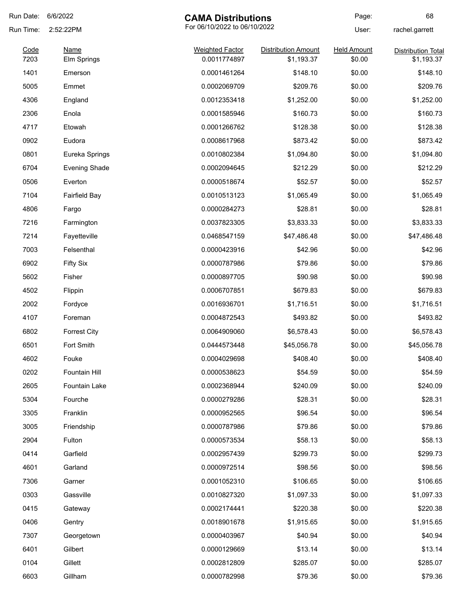| Run Date:    | 6/6/2022                   | <b>CAMA Distributions</b>              |                                          | Page:                        | 68                                      |
|--------------|----------------------------|----------------------------------------|------------------------------------------|------------------------------|-----------------------------------------|
| Run Time:    | 2:52:22PM                  | For 06/10/2022 to 06/10/2022           |                                          | User:                        | rachel.garrett                          |
| Code<br>7203 | <b>Name</b><br>Elm Springs | <b>Weighted Factor</b><br>0.0011774897 | <b>Distribution Amount</b><br>\$1,193.37 | <b>Held Amount</b><br>\$0.00 | <b>Distribution Total</b><br>\$1,193.37 |
| 1401         | Emerson                    | 0.0001461264                           | \$148.10                                 | \$0.00                       | \$148.10                                |
| 5005         | Emmet                      | 0.0002069709                           | \$209.76                                 | \$0.00                       | \$209.76                                |
| 4306         | England                    | 0.0012353418                           | \$1,252.00                               | \$0.00                       | \$1,252.00                              |
| 2306         | Enola                      | 0.0001585946                           | \$160.73                                 | \$0.00                       | \$160.73                                |
| 4717         | Etowah                     | 0.0001266762                           | \$128.38                                 | \$0.00                       | \$128.38                                |
| 0902         | Eudora                     | 0.0008617968                           | \$873.42                                 | \$0.00                       | \$873.42                                |
| 0801         | Eureka Springs             | 0.0010802384                           | \$1,094.80                               | \$0.00                       | \$1,094.80                              |
| 6704         | <b>Evening Shade</b>       | 0.0002094645                           | \$212.29                                 | \$0.00                       | \$212.29                                |
| 0506         | Everton                    | 0.0000518674                           | \$52.57                                  | \$0.00                       | \$52.57                                 |
| 7104         | <b>Fairfield Bay</b>       | 0.0010513123                           | \$1,065.49                               | \$0.00                       | \$1,065.49                              |
| 4806         | Fargo                      | 0.0000284273                           | \$28.81                                  | \$0.00                       | \$28.81                                 |
| 7216         | Farmington                 | 0.0037823305                           | \$3,833.33                               | \$0.00                       | \$3,833.33                              |
| 7214         | Fayetteville               | 0.0468547159                           | \$47,486.48                              | \$0.00                       | \$47,486.48                             |
| 7003         | Felsenthal                 | 0.0000423916                           | \$42.96                                  | \$0.00                       | \$42.96                                 |
| 6902         | <b>Fifty Six</b>           | 0.0000787986                           | \$79.86                                  | \$0.00                       | \$79.86                                 |
| 5602         | Fisher                     | 0.0000897705                           | \$90.98                                  | \$0.00                       | \$90.98                                 |
| 4502         | Flippin                    | 0.0006707851                           | \$679.83                                 | \$0.00                       | \$679.83                                |
| 2002         | Fordyce                    | 0.0016936701                           | \$1,716.51                               | \$0.00                       | \$1,716.51                              |
| 4107         | Foreman                    | 0.0004872543                           | \$493.82                                 | \$0.00                       | \$493.82                                |
| 6802         | <b>Forrest City</b>        | 0.0064909060                           | \$6,578.43                               | \$0.00                       | \$6,578.43                              |
| 6501         | Fort Smith                 | 0.0444573448                           | \$45,056.78                              | \$0.00                       | \$45,056.78                             |
| 4602         | Fouke                      | 0.0004029698                           | \$408.40                                 | \$0.00                       | \$408.40                                |
| 0202         | Fountain Hill              | 0.0000538623                           | \$54.59                                  | \$0.00                       | \$54.59                                 |
| 2605         | Fountain Lake              | 0.0002368944                           | \$240.09                                 | \$0.00                       | \$240.09                                |
| 5304         | Fourche                    | 0.0000279286                           | \$28.31                                  | \$0.00                       | \$28.31                                 |
| 3305         | Franklin                   | 0.0000952565                           | \$96.54                                  | \$0.00                       | \$96.54                                 |
| 3005         | Friendship                 | 0.0000787986                           | \$79.86                                  | \$0.00                       | \$79.86                                 |
| 2904         | Fulton                     | 0.0000573534                           | \$58.13                                  | \$0.00                       | \$58.13                                 |
| 0414         | Garfield                   | 0.0002957439                           | \$299.73                                 | \$0.00                       | \$299.73                                |
| 4601         | Garland                    | 0.0000972514                           | \$98.56                                  | \$0.00                       | \$98.56                                 |
| 7306         | Garner                     | 0.0001052310                           | \$106.65                                 | \$0.00                       | \$106.65                                |
| 0303         | Gassville                  | 0.0010827320                           | \$1,097.33                               | \$0.00                       | \$1,097.33                              |
| 0415         | Gateway                    | 0.0002174441                           | \$220.38                                 | \$0.00                       | \$220.38                                |
| 0406         | Gentry                     | 0.0018901678                           | \$1,915.65                               | \$0.00                       | \$1,915.65                              |
| 7307         | Georgetown                 | 0.0000403967                           | \$40.94                                  | \$0.00                       | \$40.94                                 |
| 6401         | Gilbert                    | 0.0000129669                           | \$13.14                                  | \$0.00                       | \$13.14                                 |
| 0104         | Gillett                    | 0.0002812809                           | \$285.07                                 | \$0.00                       | \$285.07                                |
| 6603         | Gillham                    | 0.0000782998                           | \$79.36                                  | \$0.00                       | \$79.36                                 |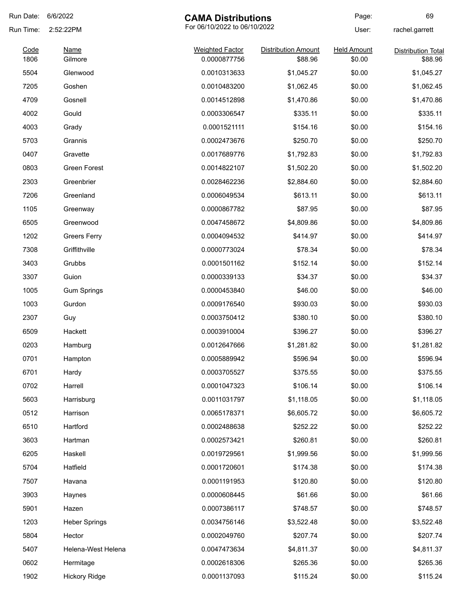| Run Date:    | 6/6/2022             | <b>CAMA Distributions</b>              |                                       | Page:                        | 69                                   |
|--------------|----------------------|----------------------------------------|---------------------------------------|------------------------------|--------------------------------------|
| Run Time:    | 2:52:22PM            | For 06/10/2022 to 06/10/2022           |                                       | User:                        | rachel.garrett                       |
| Code<br>1806 | Name<br>Gilmore      | <b>Weighted Factor</b><br>0.0000877756 | <b>Distribution Amount</b><br>\$88.96 | <b>Held Amount</b><br>\$0.00 | <b>Distribution Total</b><br>\$88.96 |
| 5504         | Glenwood             | 0.0010313633                           | \$1,045.27                            | \$0.00                       | \$1,045.27                           |
| 7205         | Goshen               | 0.0010483200                           | \$1,062.45                            | \$0.00                       | \$1,062.45                           |
| 4709         | Gosnell              | 0.0014512898                           | \$1,470.86                            | \$0.00                       | \$1,470.86                           |
| 4002         | Gould                | 0.0003306547                           | \$335.11                              | \$0.00                       | \$335.11                             |
| 4003         | Grady                | 0.0001521111                           | \$154.16                              | \$0.00                       | \$154.16                             |
| 5703         | Grannis              | 0.0002473676                           | \$250.70                              | \$0.00                       | \$250.70                             |
| 0407         | Gravette             | 0.0017689776                           | \$1,792.83                            | \$0.00                       | \$1,792.83                           |
| 0803         | Green Forest         | 0.0014822107                           | \$1,502.20                            | \$0.00                       | \$1,502.20                           |
| 2303         | Greenbrier           | 0.0028462236                           | \$2,884.60                            | \$0.00                       | \$2,884.60                           |
| 7206         | Greenland            | 0.0006049534                           | \$613.11                              | \$0.00                       | \$613.11                             |
| 1105         | Greenway             | 0.0000867782                           | \$87.95                               | \$0.00                       | \$87.95                              |
| 6505         | Greenwood            | 0.0047458672                           | \$4,809.86                            | \$0.00                       | \$4,809.86                           |
| 1202         | <b>Greers Ferry</b>  | 0.0004094532                           | \$414.97                              | \$0.00                       | \$414.97                             |
| 7308         | Griffithville        | 0.0000773024                           | \$78.34                               | \$0.00                       | \$78.34                              |
| 3403         | Grubbs               | 0.0001501162                           | \$152.14                              | \$0.00                       | \$152.14                             |
| 3307         | Guion                | 0.0000339133                           | \$34.37                               | \$0.00                       | \$34.37                              |
| 1005         | <b>Gum Springs</b>   | 0.0000453840                           | \$46.00                               | \$0.00                       | \$46.00                              |
| 1003         | Gurdon               | 0.0009176540                           | \$930.03                              | \$0.00                       | \$930.03                             |
| 2307         | Guy                  | 0.0003750412                           | \$380.10                              | \$0.00                       | \$380.10                             |
| 6509         | Hackett              | 0.0003910004                           | \$396.27                              | \$0.00                       | \$396.27                             |
| 0203         | Hamburg              | 0.0012647666                           | \$1,281.82                            | \$0.00                       | \$1,281.82                           |
| 0701         | Hampton              | 0.0005889942                           | \$596.94                              | \$0.00                       | \$596.94                             |
| 6701         | Hardy                | 0.0003705527                           | \$375.55                              | \$0.00                       | \$375.55                             |
| 0702         | Harrell              | 0.0001047323                           | \$106.14                              | \$0.00                       | \$106.14                             |
| 5603         | Harrisburg           | 0.0011031797                           | \$1,118.05                            | \$0.00                       | \$1,118.05                           |
| 0512         | Harrison             | 0.0065178371                           | \$6,605.72                            | \$0.00                       | \$6,605.72                           |
| 6510         | Hartford             | 0.0002488638                           | \$252.22                              | \$0.00                       | \$252.22                             |
| 3603         | Hartman              | 0.0002573421                           | \$260.81                              | \$0.00                       | \$260.81                             |
| 6205         | Haskell              | 0.0019729561                           | \$1,999.56                            | \$0.00                       | \$1,999.56                           |
| 5704         | Hatfield             | 0.0001720601                           | \$174.38                              | \$0.00                       | \$174.38                             |
| 7507         | Havana               | 0.0001191953                           | \$120.80                              | \$0.00                       | \$120.80                             |
| 3903         | Haynes               | 0.0000608445                           | \$61.66                               | \$0.00                       | \$61.66                              |
| 5901         | Hazen                | 0.0007386117                           | \$748.57                              | \$0.00                       | \$748.57                             |
| 1203         | <b>Heber Springs</b> | 0.0034756146                           | \$3,522.48                            | \$0.00                       | \$3,522.48                           |
| 5804         | Hector               | 0.0002049760                           | \$207.74                              | \$0.00                       | \$207.74                             |
| 5407         | Helena-West Helena   | 0.0047473634                           | \$4,811.37                            | \$0.00                       | \$4,811.37                           |
| 0602         | Hermitage            | 0.0002618306                           | \$265.36                              | \$0.00                       | \$265.36                             |
| 1902         | <b>Hickory Ridge</b> | 0.0001137093                           | \$115.24                              | \$0.00                       | \$115.24                             |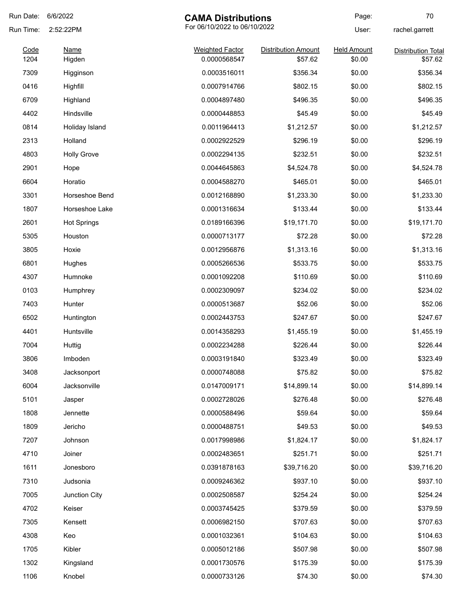| Run Date:    | 6/6/2022              | <b>CAMA Distributions</b>              |                                       | Page:                        | 70                                   |
|--------------|-----------------------|----------------------------------------|---------------------------------------|------------------------------|--------------------------------------|
| Run Time:    | 2:52:22PM             | For 06/10/2022 to 06/10/2022           |                                       | User:                        | rachel.garrett                       |
| Code<br>1204 | <b>Name</b><br>Higden | <b>Weighted Factor</b><br>0.0000568547 | <b>Distribution Amount</b><br>\$57.62 | <b>Held Amount</b><br>\$0.00 | <b>Distribution Total</b><br>\$57.62 |
| 7309         | Higginson             | 0.0003516011                           | \$356.34                              | \$0.00                       | \$356.34                             |
| 0416         | Highfill              | 0.0007914766                           | \$802.15                              | \$0.00                       | \$802.15                             |
| 6709         | Highland              | 0.0004897480                           | \$496.35                              | \$0.00                       | \$496.35                             |
| 4402         | Hindsville            | 0.0000448853                           | \$45.49                               | \$0.00                       | \$45.49                              |
| 0814         | Holiday Island        | 0.0011964413                           | \$1,212.57                            | \$0.00                       | \$1,212.57                           |
| 2313         | Holland               | 0.0002922529                           | \$296.19                              | \$0.00                       | \$296.19                             |
| 4803         | <b>Holly Grove</b>    | 0.0002294135                           | \$232.51                              | \$0.00                       | \$232.51                             |
| 2901         | Hope                  | 0.0044645863                           | \$4,524.78                            | \$0.00                       | \$4,524.78                           |
| 6604         | Horatio               | 0.0004588270                           | \$465.01                              | \$0.00                       | \$465.01                             |
| 3301         | Horseshoe Bend        | 0.0012168890                           | \$1,233.30                            | \$0.00                       | \$1,233.30                           |
| 1807         | Horseshoe Lake        | 0.0001316634                           | \$133.44                              | \$0.00                       | \$133.44                             |
| 2601         | <b>Hot Springs</b>    | 0.0189166396                           | \$19,171.70                           | \$0.00                       | \$19,171.70                          |
| 5305         | Houston               | 0.0000713177                           | \$72.28                               | \$0.00                       | \$72.28                              |
| 3805         | Hoxie                 | 0.0012956876                           | \$1,313.16                            | \$0.00                       | \$1,313.16                           |
| 6801         | Hughes                | 0.0005266536                           | \$533.75                              | \$0.00                       | \$533.75                             |
| 4307         | Humnoke               | 0.0001092208                           | \$110.69                              | \$0.00                       | \$110.69                             |
| 0103         | Humphrey              | 0.0002309097                           | \$234.02                              | \$0.00                       | \$234.02                             |
| 7403         | Hunter                | 0.0000513687                           | \$52.06                               | \$0.00                       | \$52.06                              |
| 6502         | Huntington            | 0.0002443753                           | \$247.67                              | \$0.00                       | \$247.67                             |
| 4401         | Huntsville            | 0.0014358293                           | \$1,455.19                            | \$0.00                       | \$1,455.19                           |
| 7004         | Huttig                | 0.0002234288                           | \$226.44                              | \$0.00                       | \$226.44                             |
| 3806         | Imboden               | 0.0003191840                           | \$323.49                              | \$0.00                       | \$323.49                             |
| 3408         | Jacksonport           | 0.0000748088                           | \$75.82                               | \$0.00                       | \$75.82                              |
| 6004         | Jacksonville          | 0.0147009171                           | \$14,899.14                           | \$0.00                       | \$14,899.14                          |
| 5101         | Jasper                | 0.0002728026                           | \$276.48                              | \$0.00                       | \$276.48                             |
| 1808         | Jennette              | 0.0000588496                           | \$59.64                               | \$0.00                       | \$59.64                              |
| 1809         | Jericho               | 0.0000488751                           | \$49.53                               | \$0.00                       | \$49.53                              |
| 7207         | Johnson               | 0.0017998986                           | \$1,824.17                            | \$0.00                       | \$1,824.17                           |
| 4710         | Joiner                | 0.0002483651                           | \$251.71                              | \$0.00                       | \$251.71                             |
| 1611         | Jonesboro             | 0.0391878163                           | \$39,716.20                           | \$0.00                       | \$39,716.20                          |
| 7310         | Judsonia              | 0.0009246362                           | \$937.10                              | \$0.00                       | \$937.10                             |
| 7005         | Junction City         | 0.0002508587                           | \$254.24                              | \$0.00                       | \$254.24                             |
| 4702         | Keiser                | 0.0003745425                           | \$379.59                              | \$0.00                       | \$379.59                             |
| 7305         | Kensett               | 0.0006982150                           | \$707.63                              | \$0.00                       | \$707.63                             |
| 4308         | Keo                   | 0.0001032361                           | \$104.63                              | \$0.00                       | \$104.63                             |
| 1705         | Kibler                | 0.0005012186                           | \$507.98                              | \$0.00                       | \$507.98                             |
| 1302         | Kingsland             | 0.0001730576                           | \$175.39                              | \$0.00                       | \$175.39                             |
| 1106         | Knobel                | 0.0000733126                           | \$74.30                               | \$0.00                       | \$74.30                              |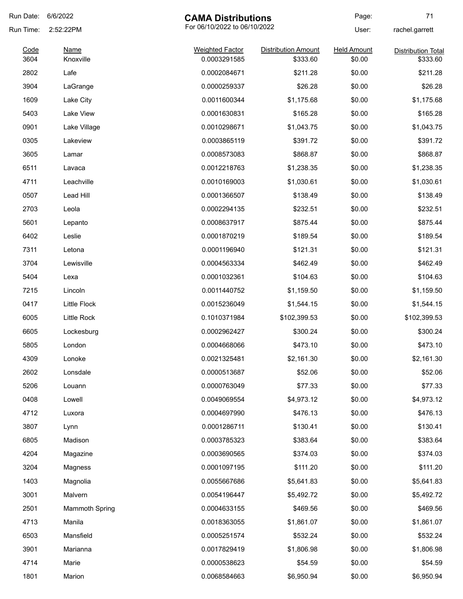| Run Date:    | 6/6/2022                 | <b>CAMA Distributions</b>              |                                        | Page:                        | 71                                    |
|--------------|--------------------------|----------------------------------------|----------------------------------------|------------------------------|---------------------------------------|
| Run Time:    | 2:52:22PM                | For 06/10/2022 to 06/10/2022           |                                        | User:                        | rachel.garrett                        |
| Code<br>3604 | <b>Name</b><br>Knoxville | <b>Weighted Factor</b><br>0.0003291585 | <b>Distribution Amount</b><br>\$333.60 | <b>Held Amount</b><br>\$0.00 | <b>Distribution Total</b><br>\$333.60 |
| 2802         | Lafe                     | 0.0002084671                           | \$211.28                               | \$0.00                       | \$211.28                              |
| 3904         | LaGrange                 | 0.0000259337                           | \$26.28                                | \$0.00                       | \$26.28                               |
| 1609         | Lake City                | 0.0011600344                           | \$1,175.68                             | \$0.00                       | \$1,175.68                            |
| 5403         | Lake View                | 0.0001630831                           | \$165.28                               | \$0.00                       | \$165.28                              |
| 0901         |                          | 0.0010298671                           |                                        | \$0.00                       | \$1,043.75                            |
| 0305         | Lake Village             | 0.0003865119                           | \$1,043.75                             | \$0.00                       | \$391.72                              |
|              | Lakeview                 |                                        | \$391.72                               |                              |                                       |
| 3605         | Lamar                    | 0.0008573083                           | \$868.87                               | \$0.00                       | \$868.87                              |
| 6511         | Lavaca                   | 0.0012218763                           | \$1,238.35                             | \$0.00                       | \$1,238.35                            |
| 4711         | Leachville               | 0.0010169003                           | \$1,030.61                             | \$0.00                       | \$1,030.61                            |
| 0507         | Lead Hill                | 0.0001366507                           | \$138.49                               | \$0.00                       | \$138.49                              |
| 2703         | Leola                    | 0.0002294135                           | \$232.51                               | \$0.00                       | \$232.51                              |
| 5601         | Lepanto                  | 0.0008637917                           | \$875.44                               | \$0.00                       | \$875.44                              |
| 6402         | Leslie                   | 0.0001870219                           | \$189.54                               | \$0.00                       | \$189.54                              |
| 7311         | Letona                   | 0.0001196940                           | \$121.31                               | \$0.00                       | \$121.31                              |
| 3704         | Lewisville               | 0.0004563334                           | \$462.49                               | \$0.00                       | \$462.49                              |
| 5404         | Lexa                     | 0.0001032361                           | \$104.63                               | \$0.00                       | \$104.63                              |
| 7215         | Lincoln                  | 0.0011440752                           | \$1,159.50                             | \$0.00                       | \$1,159.50                            |
| 0417         | <b>Little Flock</b>      | 0.0015236049                           | \$1,544.15                             | \$0.00                       | \$1,544.15                            |
| 6005         | Little Rock              | 0.1010371984                           | \$102,399.53                           | \$0.00                       | \$102,399.53                          |
| 6605         | Lockesburg               | 0.0002962427                           | \$300.24                               | \$0.00                       | \$300.24                              |
| 5805         | London                   | 0.0004668066                           | \$473.10                               | \$0.00                       | \$473.10                              |
| 4309         | Lonoke                   | 0.0021325481                           | \$2,161.30                             | \$0.00                       | \$2,161.30                            |
| 2602         | Lonsdale                 | 0.0000513687                           | \$52.06                                | \$0.00                       | \$52.06                               |
| 5206         | Louann                   | 0.0000763049                           | \$77.33                                | \$0.00                       | \$77.33                               |
| 0408         | Lowell                   | 0.0049069554                           | \$4,973.12                             | \$0.00                       | \$4,973.12                            |
| 4712         | Luxora                   | 0.0004697990                           | \$476.13                               | \$0.00                       | \$476.13                              |
| 3807         | Lynn                     | 0.0001286711                           | \$130.41                               | \$0.00                       | \$130.41                              |
| 6805         | Madison                  | 0.0003785323                           | \$383.64                               | \$0.00                       | \$383.64                              |
| 4204         | Magazine                 | 0.0003690565                           | \$374.03                               | \$0.00                       | \$374.03                              |
| 3204         | Magness                  | 0.0001097195                           | \$111.20                               | \$0.00                       | \$111.20                              |
| 1403         | Magnolia                 | 0.0055667686                           | \$5,641.83                             | \$0.00                       | \$5,641.83                            |
| 3001         | Malvern                  | 0.0054196447                           | \$5,492.72                             | \$0.00                       | \$5,492.72                            |
| 2501         | <b>Mammoth Spring</b>    | 0.0004633155                           | \$469.56                               | \$0.00                       | \$469.56                              |
|              |                          |                                        |                                        |                              |                                       |
| 4713         | Manila                   | 0.0018363055                           | \$1,861.07                             | \$0.00                       | \$1,861.07                            |
| 6503         | Mansfield                | 0.0005251574                           | \$532.24                               | \$0.00                       | \$532.24                              |
| 3901         | Marianna                 | 0.0017829419                           | \$1,806.98                             | \$0.00                       | \$1,806.98                            |
| 4714         | Marie                    | 0.0000538623                           | \$54.59                                | \$0.00                       | \$54.59                               |
| 1801         | Marion                   | 0.0068584663                           | \$6,950.94                             | \$0.00                       | \$6,950.94                            |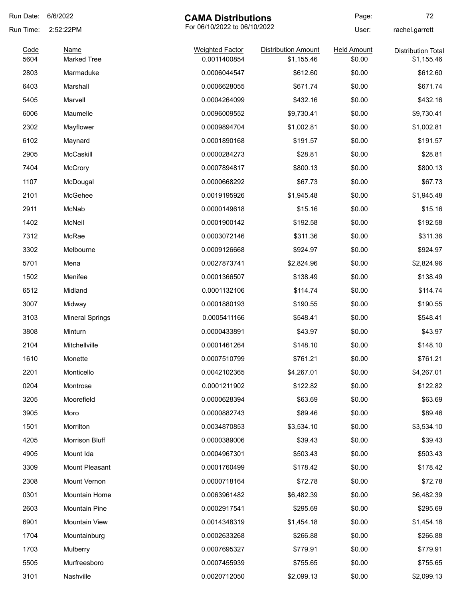| Run Date: | 6/6/2022<br><b>CAMA Distributions</b>     |                        | Page:                      | 72                 |                           |
|-----------|-------------------------------------------|------------------------|----------------------------|--------------------|---------------------------|
| Run Time: | For 06/10/2022 to 06/10/2022<br>2:52:22PM |                        |                            | User:              | rachel.garrett            |
| Code      | <b>Name</b>                               | <b>Weighted Factor</b> | <b>Distribution Amount</b> | <b>Held Amount</b> | <b>Distribution Total</b> |
| 5604      | <b>Marked Tree</b>                        | 0.0011400854           | \$1,155.46                 | \$0.00             | \$1,155.46                |
| 2803      | Marmaduke                                 | 0.0006044547           | \$612.60                   | \$0.00             | \$612.60                  |
| 6403      | Marshall                                  | 0.0006628055           | \$671.74                   | \$0.00             | \$671.74                  |
| 5405      | Marvell                                   | 0.0004264099           | \$432.16                   | \$0.00             | \$432.16                  |
| 6006      | Maumelle                                  | 0.0096009552           | \$9,730.41                 | \$0.00             | \$9,730.41                |
| 2302      | Mayflower                                 | 0.0009894704           | \$1,002.81                 | \$0.00             | \$1,002.81                |
| 6102      | Maynard                                   | 0.0001890168           | \$191.57                   | \$0.00             | \$191.57                  |
| 2905      | McCaskill                                 | 0.0000284273           | \$28.81                    | \$0.00             | \$28.81                   |
| 7404      | <b>McCrory</b>                            | 0.0007894817           | \$800.13                   | \$0.00             | \$800.13                  |
| 1107      | McDougal                                  | 0.0000668292           | \$67.73                    | \$0.00             | \$67.73                   |
| 2101      | McGehee                                   | 0.0019195926           | \$1,945.48                 | \$0.00             | \$1,945.48                |
| 2911      | McNab                                     | 0.0000149618           | \$15.16                    | \$0.00             | \$15.16                   |
| 1402      | McNeil                                    | 0.0001900142           | \$192.58                   | \$0.00             | \$192.58                  |
| 7312      | McRae                                     | 0.0003072146           | \$311.36                   | \$0.00             | \$311.36                  |
| 3302      | Melbourne                                 | 0.0009126668           | \$924.97                   | \$0.00             | \$924.97                  |
| 5701      | Mena                                      | 0.0027873741           | \$2,824.96                 | \$0.00             | \$2,824.96                |
| 1502      | Menifee                                   | 0.0001366507           | \$138.49                   | \$0.00             | \$138.49                  |
| 6512      | Midland                                   | 0.0001132106           | \$114.74                   | \$0.00             | \$114.74                  |
| 3007      | Midway                                    | 0.0001880193           | \$190.55                   | \$0.00             | \$190.55                  |
| 3103      | <b>Mineral Springs</b>                    | 0.0005411166           | \$548.41                   | \$0.00             | \$548.41                  |
| 3808      | Minturn                                   | 0.0000433891           | \$43.97                    | \$0.00             | \$43.97                   |
| 2104      | Mitchellville                             | 0.0001461264           | \$148.10                   | \$0.00             | \$148.10                  |
| 1610      | Monette                                   | 0.0007510799           | \$761.21                   | \$0.00             | \$761.21                  |
| 2201      | Monticello                                | 0.0042102365           | \$4,267.01                 | \$0.00             | \$4,267.01                |
| 0204      | Montrose                                  | 0.0001211902           | \$122.82                   | \$0.00             | \$122.82                  |
| 3205      | Moorefield                                | 0.0000628394           | \$63.69                    | \$0.00             | \$63.69                   |
| 3905      | Moro                                      | 0.0000882743           | \$89.46                    | \$0.00             | \$89.46                   |
| 1501      | Morrilton                                 | 0.0034870853           | \$3,534.10                 | \$0.00             | \$3,534.10                |
| 4205      | Morrison Bluff                            | 0.0000389006           | \$39.43                    | \$0.00             | \$39.43                   |
| 4905      | Mount Ida                                 | 0.0004967301           | \$503.43                   | \$0.00             | \$503.43                  |
| 3309      | Mount Pleasant                            | 0.0001760499           | \$178.42                   | \$0.00             | \$178.42                  |
| 2308      | Mount Vernon                              | 0.0000718164           | \$72.78                    | \$0.00             | \$72.78                   |
| 0301      | Mountain Home                             | 0.0063961482           | \$6,482.39                 | \$0.00             | \$6,482.39                |
| 2603      | Mountain Pine                             | 0.0002917541           | \$295.69                   | \$0.00             | \$295.69                  |
| 6901      | Mountain View                             | 0.0014348319           | \$1,454.18                 | \$0.00             | \$1,454.18                |
| 1704      |                                           | 0.0002633268           | \$266.88                   | \$0.00             | \$266.88                  |
| 1703      | Mountainburg                              | 0.0007695327           | \$779.91                   | \$0.00             |                           |
|           | Mulberry                                  |                        |                            |                    | \$779.91                  |
| 5505      | Murfreesboro                              | 0.0007455939           | \$755.65                   | \$0.00             | \$755.65                  |
| 3101      | Nashville                                 | 0.0020712050           | \$2,099.13                 | \$0.00             | \$2,099.13                |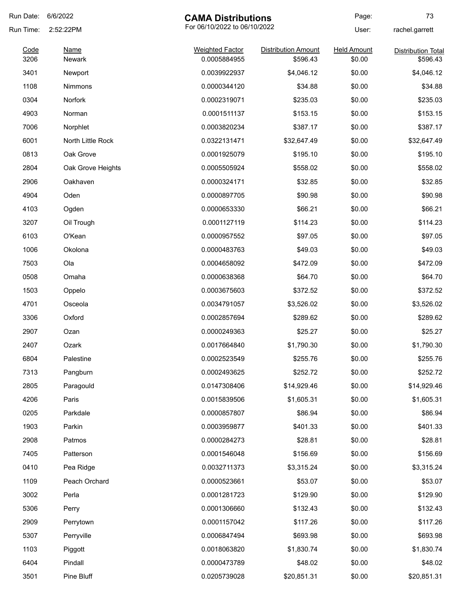| Run Date:    | 6/6/2022<br><b>CAMA Distributions</b>     |                                        | Page:                                  | 73                           |                                       |
|--------------|-------------------------------------------|----------------------------------------|----------------------------------------|------------------------------|---------------------------------------|
| Run Time:    | 2:52:22PM<br><b>Name</b><br><b>Newark</b> | For 06/10/2022 to 06/10/2022           |                                        | User:                        | rachel.garrett                        |
| Code<br>3206 |                                           | <b>Weighted Factor</b><br>0.0005884955 | <b>Distribution Amount</b><br>\$596.43 | <b>Held Amount</b><br>\$0.00 | <b>Distribution Total</b><br>\$596.43 |
| 3401         | Newport                                   | 0.0039922937                           | \$4,046.12                             | \$0.00                       | \$4,046.12                            |
| 1108         | Nimmons                                   | 0.0000344120                           | \$34.88                                | \$0.00                       | \$34.88                               |
| 0304         | Norfork                                   | 0.0002319071                           | \$235.03                               | \$0.00                       | \$235.03                              |
| 4903         | Norman                                    | 0.0001511137                           | \$153.15                               | \$0.00                       | \$153.15                              |
| 7006         | Norphlet                                  | 0.0003820234                           | \$387.17                               | \$0.00                       | \$387.17                              |
| 6001         | North Little Rock                         | 0.0322131471                           | \$32,647.49                            | \$0.00                       | \$32,647.49                           |
| 0813         | Oak Grove                                 | 0.0001925079                           | \$195.10                               | \$0.00                       | \$195.10                              |
| 2804         | Oak Grove Heights                         | 0.0005505924                           | \$558.02                               | \$0.00                       | \$558.02                              |
| 2906         | Oakhaven                                  | 0.0000324171                           | \$32.85                                | \$0.00                       | \$32.85                               |
| 4904         | Oden                                      | 0.0000897705                           | \$90.98                                | \$0.00                       | \$90.98                               |
| 4103         | Ogden                                     | 0.0000653330                           | \$66.21                                | \$0.00                       | \$66.21                               |
| 3207         | Oil Trough                                | 0.0001127119                           | \$114.23                               | \$0.00                       | \$114.23                              |
| 6103         | O'Kean                                    | 0.0000957552                           | \$97.05                                | \$0.00                       | \$97.05                               |
| 1006         | Okolona                                   | 0.0000483763                           | \$49.03                                | \$0.00                       | \$49.03                               |
| 7503         | Ola                                       | 0.0004658092                           | \$472.09                               | \$0.00                       | \$472.09                              |
| 0508         | Omaha                                     | 0.0000638368                           | \$64.70                                | \$0.00                       | \$64.70                               |
| 1503         | Oppelo                                    | 0.0003675603                           | \$372.52                               | \$0.00                       | \$372.52                              |
| 4701         | Osceola                                   | 0.0034791057                           | \$3,526.02                             | \$0.00                       | \$3,526.02                            |
| 3306         | Oxford                                    | 0.0002857694                           | \$289.62                               | \$0.00                       | \$289.62                              |
| 2907         | Ozan                                      | 0.0000249363                           | \$25.27                                | \$0.00                       | \$25.27                               |
| 2407         | Ozark                                     | 0.0017664840                           | \$1,790.30                             | \$0.00                       | \$1,790.30                            |
| 6804         | Palestine                                 | 0.0002523549                           | \$255.76                               | \$0.00                       | \$255.76                              |
| 7313         | Pangburn                                  | 0.0002493625                           | \$252.72                               | \$0.00                       | \$252.72                              |
| 2805         | Paragould                                 | 0.0147308406                           | \$14,929.46                            | \$0.00                       | \$14,929.46                           |
| 4206         | Paris                                     | 0.0015839506                           | \$1,605.31                             | \$0.00                       | \$1,605.31                            |
| 0205         | Parkdale                                  | 0.0000857807                           | \$86.94                                | \$0.00                       | \$86.94                               |
| 1903         | Parkin                                    | 0.0003959877                           | \$401.33                               | \$0.00                       | \$401.33                              |
| 2908         | Patmos                                    | 0.0000284273                           | \$28.81                                | \$0.00                       | \$28.81                               |
| 7405         | Patterson                                 | 0.0001546048                           | \$156.69                               | \$0.00                       | \$156.69                              |
| 0410         | Pea Ridge                                 | 0.0032711373                           | \$3,315.24                             | \$0.00                       | \$3,315.24                            |
| 1109         | Peach Orchard                             | 0.0000523661                           | \$53.07                                | \$0.00                       | \$53.07                               |
| 3002         | Perla                                     | 0.0001281723                           | \$129.90                               | \$0.00                       | \$129.90                              |
| 5306         | Perry                                     | 0.0001306660                           | \$132.43                               | \$0.00                       | \$132.43                              |
| 2909         | Perrytown                                 | 0.0001157042                           | \$117.26                               | \$0.00                       | \$117.26                              |
| 5307         | Perryville                                | 0.0006847494                           | \$693.98                               | \$0.00                       | \$693.98                              |
| 1103         | Piggott                                   | 0.0018063820                           | \$1,830.74                             | \$0.00                       | \$1,830.74                            |
| 6404         | Pindall                                   | 0.0000473789                           | \$48.02                                | \$0.00                       | \$48.02                               |
| 3501         | Pine Bluff                                | 0.0205739028                           | \$20,851.31                            | \$0.00                       | \$20,851.31                           |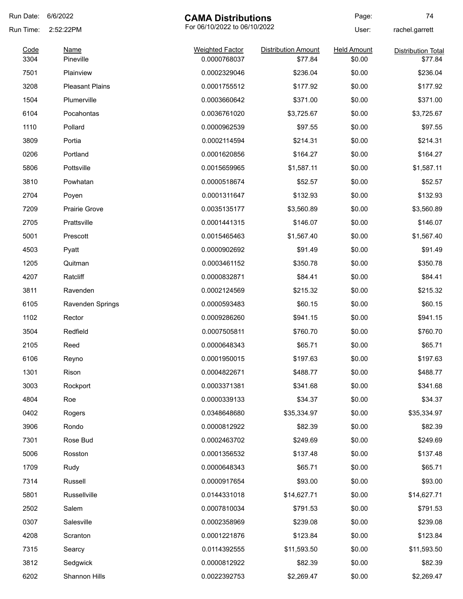| Run Date: | 6/6/2022<br><b>CAMA Distributions</b> |                              |                            | Page:              | 74                        |
|-----------|---------------------------------------|------------------------------|----------------------------|--------------------|---------------------------|
| Run Time: | 2:52:22PM                             | For 06/10/2022 to 06/10/2022 |                            | User:              | rachel.garrett            |
| Code      | <b>Name</b>                           | <b>Weighted Factor</b>       | <b>Distribution Amount</b> | <b>Held Amount</b> | <b>Distribution Total</b> |
| 3304      | Pineville                             | 0.0000768037                 | \$77.84                    | \$0.00             | \$77.84                   |
| 7501      | Plainview                             | 0.0002329046                 | \$236.04                   | \$0.00             | \$236.04                  |
| 3208      | <b>Pleasant Plains</b>                | 0.0001755512                 | \$177.92                   | \$0.00             | \$177.92                  |
| 1504      | Plumerville                           | 0.0003660642                 | \$371.00                   | \$0.00             | \$371.00                  |
| 6104      | Pocahontas                            | 0.0036761020                 | \$3,725.67                 | \$0.00             | \$3,725.67                |
| 1110      | Pollard                               | 0.0000962539                 | \$97.55                    | \$0.00             | \$97.55                   |
| 3809      | Portia                                | 0.0002114594                 | \$214.31                   | \$0.00             | \$214.31                  |
| 0206      | Portland                              | 0.0001620856                 | \$164.27                   | \$0.00             | \$164.27                  |
| 5806      | Pottsville                            | 0.0015659965                 | \$1,587.11                 | \$0.00             | \$1,587.11                |
| 3810      | Powhatan                              | 0.0000518674                 | \$52.57                    | \$0.00             | \$52.57                   |
| 2704      | Poyen                                 | 0.0001311647                 | \$132.93                   | \$0.00             | \$132.93                  |
| 7209      | <b>Prairie Grove</b>                  | 0.0035135177                 | \$3,560.89                 | \$0.00             | \$3,560.89                |
| 2705      | Prattsville                           | 0.0001441315                 | \$146.07                   | \$0.00             | \$146.07                  |
| 5001      | Prescott                              | 0.0015465463                 | \$1,567.40                 | \$0.00             | \$1,567.40                |
| 4503      | Pyatt                                 | 0.0000902692                 | \$91.49                    | \$0.00             | \$91.49                   |
| 1205      | Quitman                               | 0.0003461152                 | \$350.78                   | \$0.00             | \$350.78                  |
| 4207      | Ratcliff                              | 0.0000832871                 | \$84.41                    | \$0.00             | \$84.41                   |
| 3811      | Ravenden                              | 0.0002124569                 | \$215.32                   | \$0.00             | \$215.32                  |
| 6105      | <b>Ravenden Springs</b>               | 0.0000593483                 | \$60.15                    | \$0.00             | \$60.15                   |
| 1102      | Rector                                | 0.0009286260                 | \$941.15                   | \$0.00             | \$941.15                  |
| 3504      | Redfield                              | 0.0007505811                 | \$760.70                   | \$0.00             | \$760.70                  |
| 2105      | Reed                                  | 0.0000648343                 | \$65.71                    | \$0.00             | \$65.71                   |
| 6106      | Reyno                                 | 0.0001950015                 | \$197.63                   | \$0.00             | \$197.63                  |
| 1301      | Rison                                 | 0.0004822671                 | \$488.77                   | \$0.00             | \$488.77                  |
| 3003      | Rockport                              | 0.0003371381                 | \$341.68                   | \$0.00             | \$341.68                  |
| 4804      | Roe                                   | 0.0000339133                 | \$34.37                    | \$0.00             | \$34.37                   |
| 0402      | Rogers                                | 0.0348648680                 | \$35,334.97                | \$0.00             | \$35,334.97               |
| 3906      | Rondo                                 | 0.0000812922                 | \$82.39                    | \$0.00             | \$82.39                   |
| 7301      | Rose Bud                              | 0.0002463702                 | \$249.69                   | \$0.00             | \$249.69                  |
| 5006      | Rosston                               | 0.0001356532                 | \$137.48                   | \$0.00             | \$137.48                  |
| 1709      | Rudy                                  | 0.0000648343                 | \$65.71                    | \$0.00             | \$65.71                   |
| 7314      | Russell                               | 0.0000917654                 | \$93.00                    | \$0.00             | \$93.00                   |
| 5801      | Russellville                          | 0.0144331018                 | \$14,627.71                | \$0.00             | \$14,627.71               |
| 2502      | Salem                                 | 0.0007810034                 | \$791.53                   | \$0.00             | \$791.53                  |
| 0307      | Salesville                            | 0.0002358969                 | \$239.08                   | \$0.00             | \$239.08                  |
| 4208      | Scranton                              | 0.0001221876                 | \$123.84                   | \$0.00             | \$123.84                  |
| 7315      | Searcy                                | 0.0114392555                 | \$11,593.50                | \$0.00             | \$11,593.50               |
| 3812      | Sedgwick                              | 0.0000812922                 | \$82.39                    | \$0.00             | \$82.39                   |
| 6202      | Shannon Hills                         | 0.0022392753                 | \$2,269.47                 | \$0.00             | \$2,269.47                |
|           |                                       |                              |                            |                    |                           |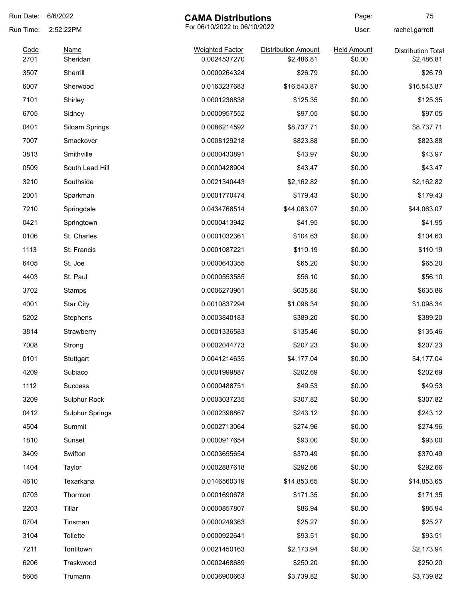| Run Date:    | 6/6/2022<br><b>CAMA Distributions</b> |                                        | Page:                                    | 75                           |                                         |
|--------------|---------------------------------------|----------------------------------------|------------------------------------------|------------------------------|-----------------------------------------|
| Run Time:    | 2:52:22PM<br><b>Name</b><br>Sheridan  | For 06/10/2022 to 06/10/2022           |                                          | User:                        | rachel.garrett                          |
| Code<br>2701 |                                       | <b>Weighted Factor</b><br>0.0024537270 | <b>Distribution Amount</b><br>\$2,486.81 | <b>Held Amount</b><br>\$0.00 | <b>Distribution Total</b><br>\$2,486.81 |
| 3507         | Sherrill                              | 0.0000264324                           | \$26.79                                  | \$0.00                       | \$26.79                                 |
| 6007         | Sherwood                              | 0.0163237683                           | \$16,543.87                              | \$0.00                       | \$16,543.87                             |
| 7101         | Shirley                               | 0.0001236838                           | \$125.35                                 | \$0.00                       | \$125.35                                |
| 6705         | Sidney                                | 0.0000957552                           | \$97.05                                  | \$0.00                       | \$97.05                                 |
| 0401         | Siloam Springs                        | 0.0086214592                           | \$8,737.71                               | \$0.00                       | \$8,737.71                              |
| 7007         | Smackover                             | 0.0008129218                           | \$823.88                                 | \$0.00                       | \$823.88                                |
| 3813         | Smithville                            | 0.0000433891                           | \$43.97                                  | \$0.00                       | \$43.97                                 |
| 0509         | South Lead Hill                       | 0.0000428904                           | \$43.47                                  | \$0.00                       | \$43.47                                 |
| 3210         | Southside                             | 0.0021340443                           | \$2,162.82                               | \$0.00                       | \$2,162.82                              |
| 2001         | Sparkman                              | 0.0001770474                           | \$179.43                                 | \$0.00                       | \$179.43                                |
| 7210         | Springdale                            | 0.0434768514                           | \$44,063.07                              | \$0.00                       | \$44,063.07                             |
| 0421         | Springtown                            | 0.0000413942                           | \$41.95                                  | \$0.00                       | \$41.95                                 |
| 0106         | St. Charles                           | 0.0001032361                           | \$104.63                                 | \$0.00                       | \$104.63                                |
| 1113         | St. Francis                           | 0.0001087221                           | \$110.19                                 | \$0.00                       | \$110.19                                |
| 6405         | St. Joe                               | 0.0000643355                           | \$65.20                                  | \$0.00                       | \$65.20                                 |
| 4403         | St. Paul                              | 0.0000553585                           | \$56.10                                  | \$0.00                       | \$56.10                                 |
| 3702         | Stamps                                | 0.0006273961                           | \$635.86                                 | \$0.00                       | \$635.86                                |
| 4001         | <b>Star City</b>                      | 0.0010837294                           | \$1,098.34                               | \$0.00                       | \$1,098.34                              |
| 5202         | Stephens                              | 0.0003840183                           | \$389.20                                 | \$0.00                       | \$389.20                                |
| 3814         | Strawberry                            | 0.0001336583                           | \$135.46                                 | \$0.00                       | \$135.46                                |
| 7008         | Strong                                | 0.0002044773                           | \$207.23                                 | \$0.00                       | \$207.23                                |
| 0101         | Stuttgart                             | 0.0041214635                           | \$4,177.04                               | \$0.00                       | \$4,177.04                              |
| 4209         | Subiaco                               | 0.0001999887                           | \$202.69                                 | \$0.00                       | \$202.69                                |
| 1112         | Success                               | 0.0000488751                           | \$49.53                                  | \$0.00                       | \$49.53                                 |
| 3209         | Sulphur Rock                          | 0.0003037235                           | \$307.82                                 | \$0.00                       | \$307.82                                |
| 0412         | <b>Sulphur Springs</b>                | 0.0002398867                           | \$243.12                                 | \$0.00                       | \$243.12                                |
| 4504         | Summit                                | 0.0002713064                           | \$274.96                                 | \$0.00                       | \$274.96                                |
| 1810         | Sunset                                | 0.0000917654                           | \$93.00                                  | \$0.00                       | \$93.00                                 |
| 3409         | Swifton                               | 0.0003655654                           | \$370.49                                 | \$0.00                       | \$370.49                                |
| 1404         | Taylor                                | 0.0002887618                           | \$292.66                                 | \$0.00                       | \$292.66                                |
| 4610         | Texarkana                             | 0.0146560319                           | \$14,853.65                              | \$0.00                       | \$14,853.65                             |
| 0703         | Thornton                              | 0.0001690678                           | \$171.35                                 | \$0.00                       | \$171.35                                |
| 2203         | Tillar                                | 0.0000857807                           | \$86.94                                  | \$0.00                       | \$86.94                                 |
| 0704         | Tinsman                               | 0.0000249363                           | \$25.27                                  | \$0.00                       | \$25.27                                 |
| 3104         | Tollette                              | 0.0000922641                           | \$93.51                                  | \$0.00                       | \$93.51                                 |
| 7211         | Tontitown                             | 0.0021450163                           | \$2,173.94                               | \$0.00                       | \$2,173.94                              |
| 6206         | Traskwood                             | 0.0002468689                           | \$250.20                                 | \$0.00                       | \$250.20                                |
| 5605         | Trumann                               | 0.0036900663                           | \$3,739.82                               | \$0.00                       | \$3,739.82                              |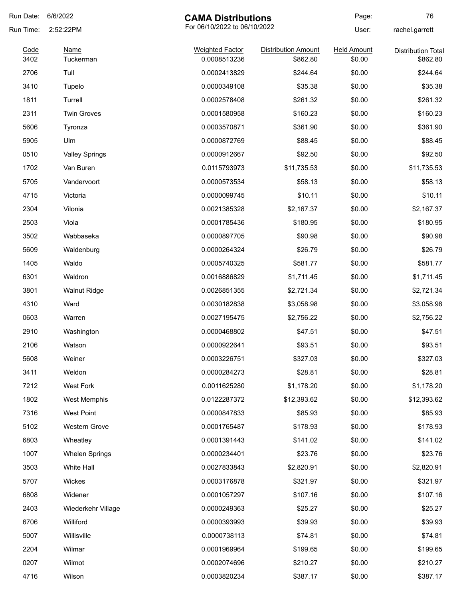| Run Date:    | 6/6/2022                              | <b>CAMA Distributions</b>              |                                        | Page:                        | 76                                    |
|--------------|---------------------------------------|----------------------------------------|----------------------------------------|------------------------------|---------------------------------------|
| Run Time:    | 2:52:22PM<br><b>Name</b><br>Tuckerman | For 06/10/2022 to 06/10/2022           |                                        | User:                        | rachel.garrett                        |
| Code<br>3402 |                                       | <b>Weighted Factor</b><br>0.0008513236 | <b>Distribution Amount</b><br>\$862.80 | <b>Held Amount</b><br>\$0.00 | <b>Distribution Total</b><br>\$862.80 |
| 2706         | Tull                                  | 0.0002413829                           | \$244.64                               | \$0.00                       | \$244.64                              |
| 3410         | Tupelo                                | 0.0000349108                           | \$35.38                                | \$0.00                       | \$35.38                               |
| 1811         | Turrell                               | 0.0002578408                           | \$261.32                               | \$0.00                       | \$261.32                              |
| 2311         | <b>Twin Groves</b>                    | 0.0001580958                           | \$160.23                               | \$0.00                       | \$160.23                              |
| 5606         | Tyronza                               | 0.0003570871                           | \$361.90                               | \$0.00                       | \$361.90                              |
| 5905         | Ulm                                   | 0.0000872769                           | \$88.45                                | \$0.00                       | \$88.45                               |
| 0510         | <b>Valley Springs</b>                 | 0.0000912667                           | \$92.50                                | \$0.00                       | \$92.50                               |
| 1702         | Van Buren                             | 0.0115793973                           | \$11,735.53                            | \$0.00                       | \$11,735.53                           |
| 5705         | Vandervoort                           | 0.0000573534                           | \$58.13                                | \$0.00                       | \$58.13                               |
| 4715         | Victoria                              | 0.0000099745                           | \$10.11                                | \$0.00                       | \$10.11                               |
| 2304         | Vilonia                               | 0.0021385328                           | \$2,167.37                             | \$0.00                       | \$2,167.37                            |
| 2503         | Viola                                 | 0.0001785436                           | \$180.95                               | \$0.00                       | \$180.95                              |
| 3502         | Wabbaseka                             | 0.0000897705                           | \$90.98                                | \$0.00                       | \$90.98                               |
| 5609         | Waldenburg                            | 0.0000264324                           | \$26.79                                | \$0.00                       | \$26.79                               |
| 1405         | Waldo                                 | 0.0005740325                           | \$581.77                               | \$0.00                       | \$581.77                              |
| 6301         | Waldron                               | 0.0016886829                           | \$1,711.45                             | \$0.00                       | \$1,711.45                            |
| 3801         | <b>Walnut Ridge</b>                   | 0.0026851355                           | \$2,721.34                             | \$0.00                       | \$2,721.34                            |
| 4310         | Ward                                  | 0.0030182838                           | \$3,058.98                             | \$0.00                       | \$3,058.98                            |
| 0603         | Warren                                | 0.0027195475                           | \$2,756.22                             | \$0.00                       | \$2,756.22                            |
| 2910         | Washington                            | 0.0000468802                           | \$47.51                                | \$0.00                       | \$47.51                               |
| 2106         | Watson                                | 0.0000922641                           | \$93.51                                | \$0.00                       | \$93.51                               |
| 5608         | Weiner                                | 0.0003226751                           | \$327.03                               | \$0.00                       | \$327.03                              |
| 3411         | Weldon                                | 0.0000284273                           | \$28.81                                | \$0.00                       | \$28.81                               |
| 7212         | West Fork                             | 0.0011625280                           | \$1,178.20                             | \$0.00                       | \$1,178.20                            |
| 1802         | West Memphis                          | 0.0122287372                           | \$12,393.62                            | \$0.00                       | \$12,393.62                           |
| 7316         | <b>West Point</b>                     | 0.0000847833                           | \$85.93                                | \$0.00                       | \$85.93                               |
| 5102         | Western Grove                         | 0.0001765487                           | \$178.93                               | \$0.00                       | \$178.93                              |
| 6803         | Wheatley                              | 0.0001391443                           | \$141.02                               | \$0.00                       | \$141.02                              |
| 1007         | <b>Whelen Springs</b>                 | 0.0000234401                           | \$23.76                                | \$0.00                       | \$23.76                               |
| 3503         | White Hall                            | 0.0027833843                           | \$2,820.91                             | \$0.00                       | \$2,820.91                            |
| 5707         | Wickes                                | 0.0003176878                           | \$321.97                               | \$0.00                       | \$321.97                              |
| 6808         | Widener                               | 0.0001057297                           | \$107.16                               | \$0.00                       | \$107.16                              |
| 2403         | Wiederkehr Village                    | 0.0000249363                           | \$25.27                                | \$0.00                       | \$25.27                               |
| 6706         | Williford                             | 0.0000393993                           | \$39.93                                | \$0.00                       | \$39.93                               |
| 5007         | Willisville                           | 0.0000738113                           | \$74.81                                | \$0.00                       | \$74.81                               |
| 2204         | Wilmar                                | 0.0001969964                           | \$199.65                               | \$0.00                       | \$199.65                              |
| 0207         | Wilmot                                | 0.0002074696                           | \$210.27                               | \$0.00                       | \$210.27                              |
| 4716         | Wilson                                | 0.0003820234                           | \$387.17                               | \$0.00                       | \$387.17                              |